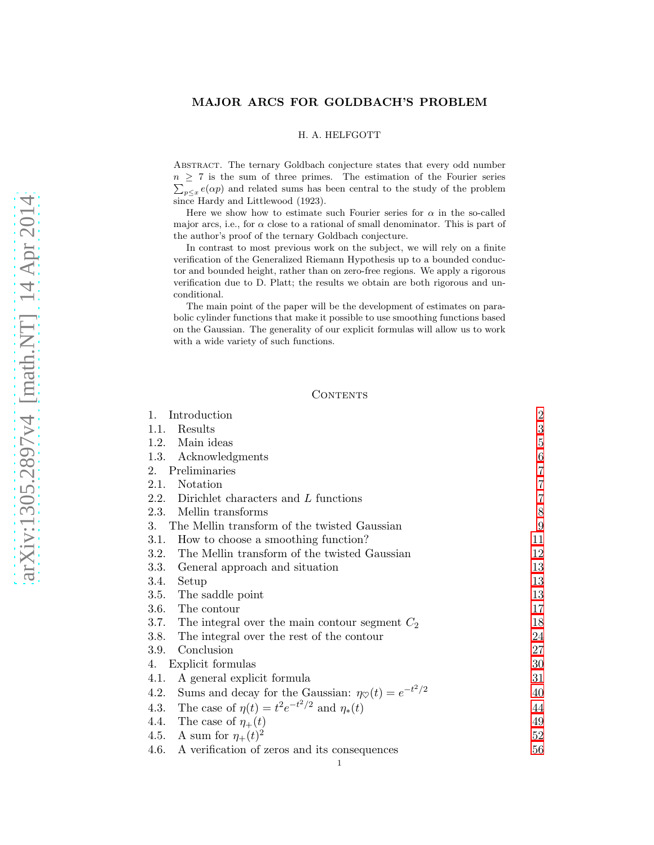# MAJOR ARCS FOR GOLDBACH'S PROBLEM

#### H. A. HELFGOTT

Abstract. The ternary Goldbach conjecture states that every odd number  $n \geq 7$  is the sum of three primes. The estimation of the Fourier series  $\sum_{p \leq x} e(\alpha p)$  and related sums has been central to the study of the problem since Hardy and Littlewood (1923).

Here we show how to estimate such Fourier series for  $\alpha$  in the so-called major arcs, i.e., for  $\alpha$  close to a rational of small denominator. This is part of the author's proof of the ternary Goldbach conjecture.

In contrast to most previous work on the subject, we will rely on a finite verification of the Generalized Riemann Hypothesis up to a bounded conductor and bounded height, rather than on zero-free regions. We apply a rigorous verification due to D. Platt; the results we obtain are both rigorous and unconditional.

The main point of the paper will be the development of estimates on parabolic cylinder functions that make it possible to use smoothing functions based on the Gaussian. The generality of our explicit formulas will allow us to work with a wide variety of such functions.

#### **CONTENTS**

| 1.<br>Introduction                                                           | 2              |
|------------------------------------------------------------------------------|----------------|
| Results<br>1.1.                                                              | $\sqrt{3}$     |
| 1.2.<br>Main ideas                                                           | $\overline{5}$ |
| 1.3.<br>Acknowledgments                                                      | $\,6\,$        |
| Preliminaries<br>2.                                                          | $\overline{7}$ |
| Notation<br>2.1.                                                             | $\overline{7}$ |
| 2.2.<br>Dirichlet characters and L functions                                 | $\overline{7}$ |
| 2.3.<br>Mellin transforms                                                    | $8\,$          |
| 3. The Mellin transform of the twisted Gaussian                              | 9              |
| How to choose a smoothing function?<br>3.1.                                  | 11             |
| The Mellin transform of the twisted Gaussian<br>3.2.                         | 12             |
| 3.3.<br>General approach and situation                                       | 13             |
| 3.4.<br>Setup                                                                | 13             |
| 3.5.<br>The saddle point                                                     | 13             |
| 3.6.<br>The contour                                                          | 17             |
| 3.7.<br>The integral over the main contour segment $C_2$                     | 18             |
| 3.8.<br>The integral over the rest of the contour                            | 24             |
| 3.9.<br>Conclusion                                                           | 27             |
| Explicit formulas<br>4.                                                      | 30             |
| 4.1.<br>A general explicit formula                                           | 31             |
| Sums and decay for the Gaussian: $\eta_{\heartsuit}(t) = e^{-t^2/2}$<br>4.2. | 40             |
| The case of $\eta(t) = t^2 e^{-t^2/2}$ and $\eta_*(t)$<br>4.3.               | 44             |
| 4.4. The case of $\eta_+(t)$                                                 | 49             |
| 4.5. A sum for $\eta_+(t)^2$                                                 | 52             |
| A verification of zeros and its consequences<br>4.6.                         | 56             |

1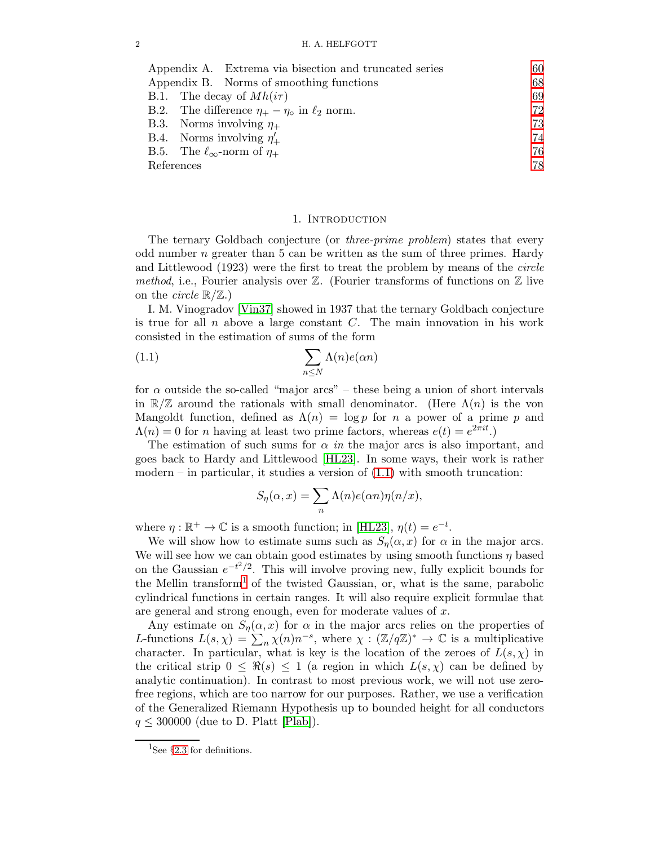| 60 |
|----|
| 68 |
| 69 |
| 72 |
| 73 |
| 74 |
| 76 |
| 78 |
|    |

#### <span id="page-1-1"></span>1. INTRODUCTION

<span id="page-1-0"></span>The ternary Goldbach conjecture (or *three-prime problem*) states that every odd number  $n$  greater than 5 can be written as the sum of three primes. Hardy and Littlewood (1923) were the first to treat the problem by means of the circle method, i.e., Fourier analysis over  $\mathbb Z$ . (Fourier transforms of functions on  $\mathbb Z$  live on the *circle*  $\mathbb{R}/\mathbb{Z}$ .)

I. M. Vinogradov [\[Vin37\]](#page-78-0) showed in 1937 that the ternary Goldbach conjecture is true for all  $n$  above a large constant  $C$ . The main innovation in his work consisted in the estimation of sums of the form

(1.1) 
$$
\sum_{n \leq N} \Lambda(n) e(\alpha n)
$$

for  $\alpha$  outside the so-called "major arcs" – these being a union of short intervals in  $\mathbb{R}/\mathbb{Z}$  around the rationals with small denominator. (Here  $\Lambda(n)$  is the von Mangoldt function, defined as  $\Lambda(n) = \log p$  for n a power of a prime p and  $\Lambda(n) = 0$  for *n* having at least two prime factors, whereas  $e(t) = e^{2\pi i t}$ .

The estimation of such sums for  $\alpha$  in the major arcs is also important, and goes back to Hardy and Littlewood [\[HL23\]](#page-77-1). In some ways, their work is rather modern – in particular, it studies a version of  $(1.1)$  with smooth truncation:

$$
S_{\eta}(\alpha, x) = \sum_{n} \Lambda(n) e(\alpha n) \eta(n/x),
$$

where  $\eta : \mathbb{R}^+ \to \mathbb{C}$  is a smooth function; in [\[HL23\]](#page-77-1),  $\eta(t) = e^{-t}$ .

We will show how to estimate sums such as  $S_n(\alpha, x)$  for  $\alpha$  in the major arcs. We will see how we can obtain good estimates by using smooth functions  $\eta$  based on the Gaussian  $e^{-t^2/2}$ . This will involve proving new, fully explicit bounds for the Mellin transform<sup>[1](#page-1-2)</sup> of the twisted Gaussian, or, what is the same, parabolic cylindrical functions in certain ranges. It will also require explicit formulae that are general and strong enough, even for moderate values of x.

Any estimate on  $S_{\eta}(\alpha, x)$  for  $\alpha$  in the major arcs relies on the properties of L-functions  $L(s,\chi) = \sum_{n} \chi(n) n^{-s}$ , where  $\chi : (\mathbb{Z}/q\mathbb{Z})^* \to \mathbb{C}$  is a multiplicative character. In particular, what is key is the location of the zeroes of  $L(s, \chi)$  in the critical strip  $0 \leq \Re(s) \leq 1$  (a region in which  $L(s,\chi)$  can be defined by analytic continuation). In contrast to most previous work, we will not use zerofree regions, which are too narrow for our purposes. Rather, we use a verification of the Generalized Riemann Hypothesis up to bounded height for all conductors  $q \leq 300000$  (due to D. Platt [\[Plab\]](#page-78-1)).

<span id="page-1-2"></span><sup>&</sup>lt;sup>1</sup>See §[2.3](#page-7-0) for definitions.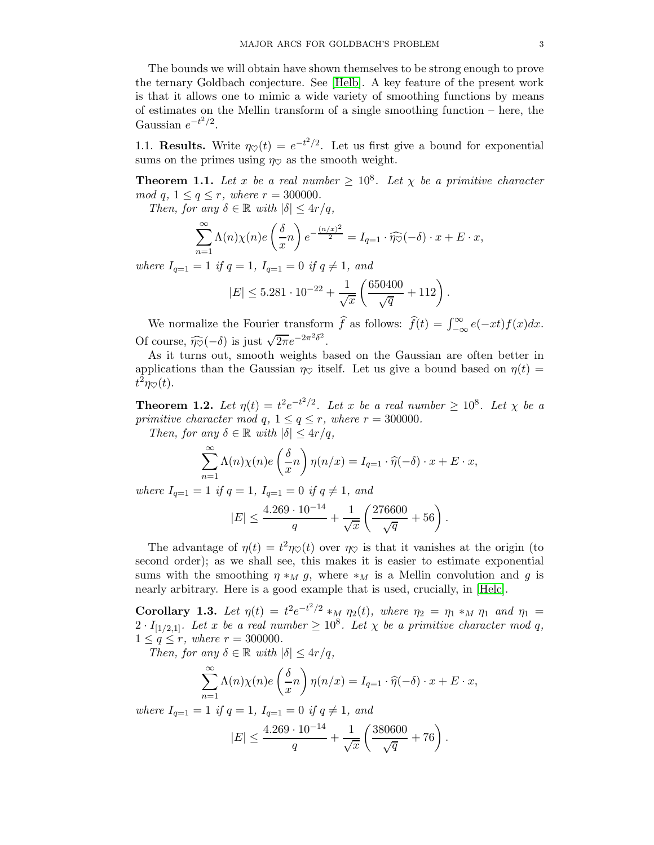The bounds we will obtain have shown themselves to be strong enough to prove the ternary Goldbach conjecture. See [\[Helb\]](#page-77-2). A key feature of the present work is that it allows one to mimic a wide variety of smoothing functions by means of estimates on the Mellin transform of a single smoothing function – here, the Gaussian  $e^{-t^2/2}$ .

<span id="page-2-0"></span>1.1. **Results.** Write  $\eta_{\heartsuit}(t) = e^{-t^2/2}$ . Let us first give a bound for exponential sums on the primes using  $\eta_{\heartsuit}$  as the smooth weight.

**Theorem 1.1.** Let x be a real number  $\geq 10^8$ . Let  $\chi$  be a primitive character mod q,  $1 \le q \le r$ , where  $r = 300000$ .

Then, for any  $\delta \in \mathbb{R}$  with  $|\delta| \leq 4r/q$ ,

$$
\sum_{n=1}^{\infty} \Lambda(n)\chi(n)e\left(\frac{\delta}{x}n\right)e^{-\frac{(n/x)^2}{2}} = I_{q=1} \cdot \widehat{\eta\otimes}(-\delta) \cdot x + E \cdot x,
$$

where  $I_{q=1} = 1$  if  $q = 1$ ,  $I_{q=1} = 0$  if  $q \neq 1$ , and

$$
|E| \le 5.281 \cdot 10^{-22} + \frac{1}{\sqrt{x}} \left( \frac{650400}{\sqrt{q}} + 112 \right).
$$

We normalize the Fourier transform  $\hat{f}$  as follows:  $\hat{f}(t) = \int_{-\infty}^{\infty} e(-xt)f(x)dx$ . Of course,  $\widehat{\eta_{\heartsuit}}(-\delta)$  is just  $\sqrt{2\pi}e^{-2\pi^2\delta^2}$ .

As it turns out, smooth weights based on the Gaussian are often better in applications than the Gaussian  $\eta_{\heartsuit}$  itself. Let us give a bound based on  $\eta(t)$  =  $t^2\eta_{\heartsuit}(t)$ .

**Theorem 1.2.** Let  $\eta(t) = t^2 e^{-t^2/2}$ . Let x be a real number  $\geq 10^8$ . Let  $\chi$  be a primitive character mod q,  $1 \leq q \leq r$ , where  $r = 300000$ .

Then, for any  $\delta \in \mathbb{R}$  with  $|\delta| \leq 4r/q$ ,

$$
\sum_{n=1}^{\infty} \Lambda(n)\chi(n)e\left(\frac{\delta}{x}n\right)\eta(n/x) = I_{q=1} \cdot \widehat{\eta}(-\delta) \cdot x + E \cdot x,
$$

where  $I_{q=1} = 1$  if  $q = 1$ ,  $I_{q=1} = 0$  if  $q \neq 1$ , and

$$
|E| \le \frac{4.269 \cdot 10^{-14}}{q} + \frac{1}{\sqrt{x}} \left( \frac{276600}{\sqrt{q}} + 56 \right).
$$

The advantage of  $\eta(t) = t^2 \eta \varphi(t)$  over  $\eta \varphi$  is that it vanishes at the origin (to second order); as we shall see, this makes it is easier to estimate exponential sums with the smoothing  $\eta *_M g$ , where  $*_M$  is a Mellin convolution and g is nearly arbitrary. Here is a good example that is used, crucially, in [\[Helc\]](#page-77-3).

Corollary 1.3. Let  $\eta(t) = t^2 e^{-t^2/2} *_{M} \eta_2(t)$ , where  $\eta_2 = \eta_1 *_{M} \eta_1$  and  $\eta_1 =$  $2 \cdot I_{[1/2,1]}$ . Let x be a real number  $\geq 10^8$ . Let  $\chi$  be a primitive character mod q,  $1 \le q \le r$ , where  $r = 300000$ .

Then, for any  $\delta \in \mathbb{R}$  with  $|\delta| \leq 4r/q$ ,

$$
\sum_{n=1}^{\infty} \Lambda(n)\chi(n)e\left(\frac{\delta}{x}n\right)\eta(n/x) = I_{q=1} \cdot \widehat{\eta}(-\delta) \cdot x + E \cdot x,
$$

where  $I_{q=1} = 1$  if  $q = 1$ ,  $I_{q=1} = 0$  if  $q \neq 1$ , and

$$
|E| \le \frac{4.269 \cdot 10^{-14}}{q} + \frac{1}{\sqrt{x}} \left( \frac{380600}{\sqrt{q}} + 76 \right).
$$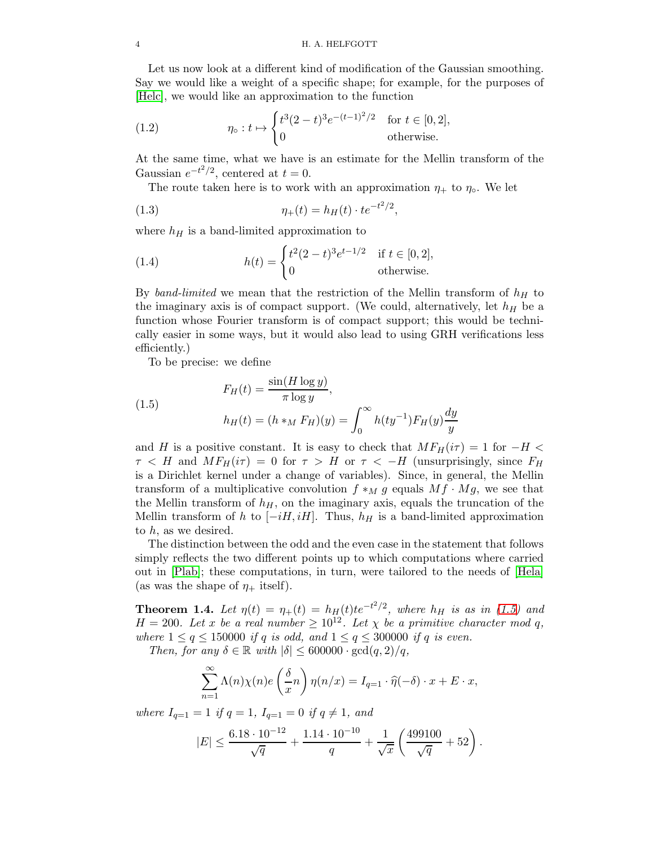#### 4 H. A. HELFGOTT

Let us now look at a different kind of modification of the Gaussian smoothing. Say we would like a weight of a specific shape; for example, for the purposes of [\[Helc\]](#page-77-3), we would like an approximation to the function

(1.2) 
$$
\eta_{\circ}: t \mapsto \begin{cases} t^{3}(2-t)^{3}e^{-(t-1)^{2}/2} & \text{for } t \in [0,2], \\ 0 & \text{otherwise.} \end{cases}
$$

At the same time, what we have is an estimate for the Mellin transform of the Gaussian  $e^{-t^2/2}$ , centered at  $t = 0$ .

<span id="page-3-2"></span>The route taken here is to work with an approximation  $\eta_+$  to  $\eta_0$ . We let

(1.3) 
$$
\eta_+(t) = h_H(t) \cdot t e^{-t^2/2},
$$

where  $h_H$  is a band-limited approximation to

(1.4) 
$$
h(t) = \begin{cases} t^2(2-t)^3 e^{t-1/2} & \text{if } t \in [0,2], \\ 0 & \text{otherwise.} \end{cases}
$$

By band-limited we mean that the restriction of the Mellin transform of  $h_H$  to the imaginary axis is of compact support. (We could, alternatively, let  $h_H$  be a function whose Fourier transform is of compact support; this would be technically easier in some ways, but it would also lead to using GRH verifications less efficiently.)

<span id="page-3-0"></span>To be precise: we define

(1.5) 
$$
F_H(t) = \frac{\sin(H \log y)}{\pi \log y},
$$

$$
h_H(t) = (h *_M F_H)(y) = \int_0^\infty h(ty^{-1}) F_H(y) \frac{dy}{y}
$$

and H is a positive constant. It is easy to check that  $MF_H(i\tau) = 1$  for  $-H <$  $\tau$  < H and  $MF_H(i\tau) = 0$  for  $\tau > H$  or  $\tau < -H$  (unsurprisingly, since  $F_H$ is a Dirichlet kernel under a change of variables). Since, in general, the Mellin transform of a multiplicative convolution  $f *_{M} g$  equals  $Mf \cdot Mg$ , we see that the Mellin transform of  $h<sub>H</sub>$ , on the imaginary axis, equals the truncation of the Mellin transform of h to  $[-iH, iH]$ . Thus,  $h_H$  is a band-limited approximation to h, as we desired.

The distinction between the odd and the even case in the statement that follows simply reflects the two different points up to which computations where carried out in [\[Plab\]](#page-78-1); these computations, in turn, were tailored to the needs of [\[Hela\]](#page-77-4) (as was the shape of  $\eta_+$  itself).

<span id="page-3-1"></span>**Theorem 1.4.** Let  $\eta(t) = \eta_+(t) = h_H(t)te^{-t^2/2}$ , where  $h_H$  is as in [\(1.5\)](#page-3-0) and  $H = 200$ . Let x be a real number  $\geq 10^{12}$ . Let  $\chi$  be a primitive character mod q, where  $1 \leq q \leq 150000$  if q is odd, and  $1 \leq q \leq 300000$  if q is even.

Then, for any  $\delta \in \mathbb{R}$  with  $|\delta| \leq 600000 \cdot \gcd(q, 2)/q$ ,

$$
\sum_{n=1}^{\infty} \Lambda(n)\chi(n)e\left(\frac{\delta}{x}n\right)\eta(n/x) = I_{q=1} \cdot \widehat{\eta}(-\delta) \cdot x + E \cdot x,
$$

where  $I_{q=1} = 1$  if  $q = 1$ ,  $I_{q=1} = 0$  if  $q \neq 1$ , and

$$
|E| \le \frac{6.18 \cdot 10^{-12}}{\sqrt{q}} + \frac{1.14 \cdot 10^{-10}}{q} + \frac{1}{\sqrt{x}} \left( \frac{499100}{\sqrt{q}} + 52 \right).
$$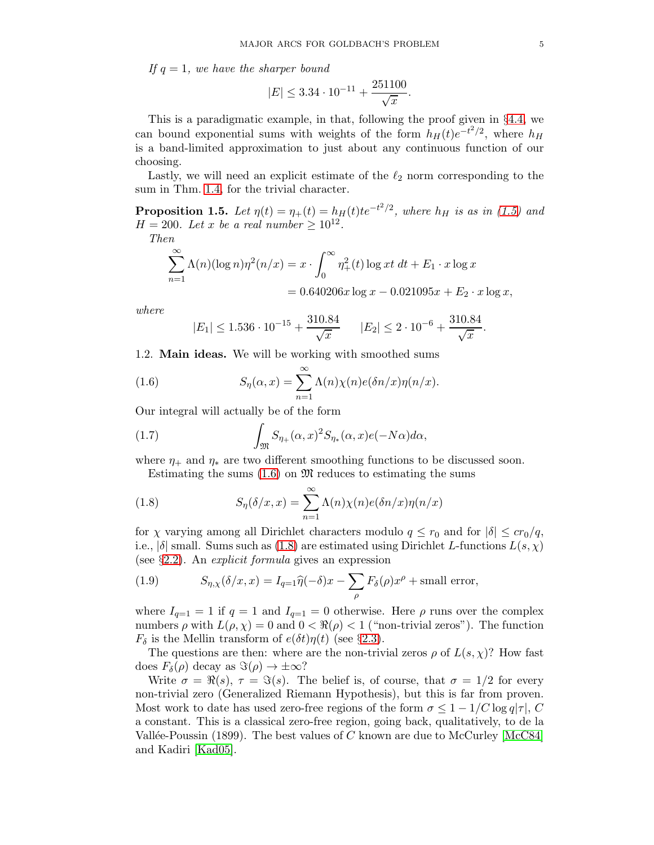If  $q = 1$ , we have the sharper bound

$$
|E| \le 3.34 \cdot 10^{-11} + \frac{251100}{\sqrt{x}}.
$$

This is a paradigmatic example, in that, following the proof given in §[4.4,](#page-48-0) we can bound exponential sums with weights of the form  $h_H(t)e^{-t^2/2}$ , where  $h_H$ is a band-limited approximation to just about any continuous function of our choosing.

Lastly, we will need an explicit estimate of the  $\ell_2$  norm corresponding to the sum in Thm. [1.4,](#page-3-1) for the trivial character.

**Proposition 1.5.** Let  $\eta(t) = \eta_+(t) = h_H(t)te^{-t^2/2}$ , where  $h_H$  is as in [\(1.5\)](#page-3-0) and  $H = 200$ . Let x be a real number  $\geq 10^{12}$ .

Then

$$
\sum_{n=1}^{\infty} \Lambda(n) (\log n) \eta^{2}(n/x) = x \cdot \int_{0}^{\infty} \eta_{+}^{2}(t) \log xt \, dt + E_1 \cdot x \log x
$$

$$
= 0.640206x \log x - 0.021095x + E_2 \cdot x \log x,
$$

where

<span id="page-4-1"></span>
$$
|E_1| \le 1.536 \cdot 10^{-15} + \frac{310.84}{\sqrt{x}}
$$
  $|E_2| \le 2 \cdot 10^{-6} + \frac{310.84}{\sqrt{x}}$ .

<span id="page-4-0"></span>1.2. Main ideas. We will be working with smoothed sums

(1.6) 
$$
S_{\eta}(\alpha, x) = \sum_{n=1}^{\infty} \Lambda(n) \chi(n) e(\delta n/x) \eta(n/x).
$$

Our integral will actually be of the form

(1.7) 
$$
\int_{\mathfrak{M}} S_{\eta_+}(\alpha, x)^2 S_{\eta_*}(\alpha, x) e(-N\alpha) d\alpha,
$$

where  $\eta_+$  and  $\eta_*$  are two different smoothing functions to be discussed soon.

<span id="page-4-2"></span>Estimating the sums  $(1.6)$  on  $\mathfrak{M}$  reduces to estimating the sums

(1.8) 
$$
S_{\eta}(\delta/x, x) = \sum_{n=1}^{\infty} \Lambda(n)\chi(n)e(\delta n/x)\eta(n/x)
$$

for  $\chi$  varying among all Dirichlet characters modulo  $q \leq r_0$  and for  $|\delta| \leq c r_0/q$ , i.e.,  $|\delta|$  small. Sums such as [\(1.8\)](#page-4-2) are estimated using Dirichlet L-functions  $L(s, \chi)$ (see  $\S 2.2$ ). An *explicit formula* gives an expression

<span id="page-4-3"></span>(1.9) 
$$
S_{\eta,\chi}(\delta/x,x) = I_{q=1}\hat{\eta}(-\delta)x - \sum_{\rho} F_{\delta}(\rho)x^{\rho} + \text{small error},
$$

where  $I_{q=1} = 1$  if  $q = 1$  and  $I_{q=1} = 0$  otherwise. Here  $\rho$  runs over the complex numbers  $\rho$  with  $L(\rho, \chi) = 0$  and  $0 < \Re(\rho) < 1$  ("non-trivial zeros"). The function  $F_{\delta}$  is the Mellin transform of  $e(\delta t)\eta(t)$  (see §[2.3\)](#page-7-0).

The questions are then: where are the non-trivial zeros  $\rho$  of  $L(s, \chi)$ ? How fast does  $F_\delta(\rho)$  decay as  $\Im(\rho) \to \pm \infty$ ?

Write  $\sigma = \Re(s)$ ,  $\tau = \Im(s)$ . The belief is, of course, that  $\sigma = 1/2$  for every non-trivial zero (Generalized Riemann Hypothesis), but this is far from proven. Most work to date has used zero-free regions of the form  $\sigma \leq 1 - 1/C \log q|\tau|$ , C a constant. This is a classical zero-free region, going back, qualitatively, to de la Vallée-Poussin (1899). The best values of C known are due to McCurley [\[McC84\]](#page-77-5) and Kadiri [\[Kad05\]](#page-77-6).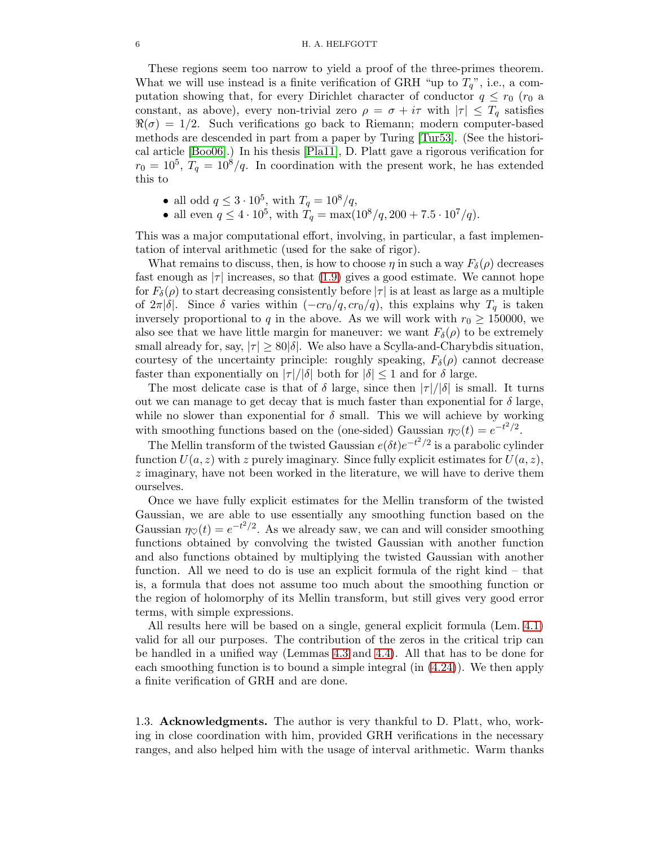#### 6 H. A. HELFGOTT

These regions seem too narrow to yield a proof of the three-primes theorem. What we will use instead is a finite verification of GRH "up to  $T_q$ ", i.e., a computation showing that, for every Dirichlet character of conductor  $q \leq r_0$  ( $r_0$  a constant, as above), every non-trivial zero  $\rho = \sigma + i\tau$  with  $|\tau| \leq T_q$  satisfies  $\Re(\sigma) = 1/2$ . Such verifications go back to Riemann; modern computer-based methods are descended in part from a paper by Turing [\[Tur53\]](#page-78-2). (See the historical article [\[Boo06\]](#page-77-7).) In his thesis [\[Pla11\]](#page-78-3), D. Platt gave a rigorous verification for  $r_0 = 10^5$ ,  $T_q = 10^8/q$ . In coordination with the present work, he has extended this to

- all odd  $q \leq 3 \cdot 10^5$ , with  $T_q = 10^8/q$ ,
- all even  $q \leq 4 \cdot 10^5$ , with  $T_q = \max(10^8/q, 200 + 7.5 \cdot 10^7/q)$ .

This was a major computational effort, involving, in particular, a fast implementation of interval arithmetic (used for the sake of rigor).

What remains to discuss, then, is how to choose  $\eta$  in such a way  $F_\delta(\rho)$  decreases fast enough as  $|\tau|$  increases, so that [\(1.9\)](#page-4-3) gives a good estimate. We cannot hope for  $F_\delta(\rho)$  to start decreasing consistently before  $|\tau|$  is at least as large as a multiple of  $2\pi|\delta|$ . Since  $\delta$  varies within  $(-cr_0/q, cr_0/q)$ , this explains why  $T_q$  is taken inversely proportional to q in the above. As we will work with  $r_0 \ge 150000$ , we also see that we have little margin for maneuver: we want  $F_\delta(\rho)$  to be extremely small already for, say,  $|\tau| \geq 80|\delta|$ . We also have a Scylla-and-Charybdis situation, courtesy of the uncertainty principle: roughly speaking,  $F_\delta(\rho)$  cannot decrease faster than exponentially on  $|\tau|/|\delta|$  both for  $|\delta| \leq 1$  and for  $\delta$  large.

The most delicate case is that of  $\delta$  large, since then  $|\tau|/|\delta|$  is small. It turns out we can manage to get decay that is much faster than exponential for  $\delta$  large, while no slower than exponential for  $\delta$  small. This we will achieve by working with smoothing functions based on the (one-sided) Gaussian  $\eta_{\heartsuit}(t) = e^{-t^2/2}$ .

The Mellin transform of the twisted Gaussian  $e(\delta t)e^{-t^2/2}$  is a parabolic cylinder function  $U(a, z)$  with z purely imaginary. Since fully explicit estimates for  $U(a, z)$ , z imaginary, have not been worked in the literature, we will have to derive them ourselves.

Once we have fully explicit estimates for the Mellin transform of the twisted Gaussian, we are able to use essentially any smoothing function based on the Gaussian  $\eta_{\heartsuit}(t) = e^{-t^2/2}$ . As we already saw, we can and will consider smoothing functions obtained by convolving the twisted Gaussian with another function and also functions obtained by multiplying the twisted Gaussian with another function. All we need to do is use an explicit formula of the right kind – that is, a formula that does not assume too much about the smoothing function or the region of holomorphy of its Mellin transform, but still gives very good error terms, with simple expressions.

All results here will be based on a single, general explicit formula (Lem. [4.1\)](#page-30-1) valid for all our purposes. The contribution of the zeros in the critical trip can be handled in a unified way (Lemmas [4.3](#page-36-0) and [4.4\)](#page-37-0). All that has to be done for each smoothing function is to bound a simple integral (in [\(4.24\)](#page-36-1)). We then apply a finite verification of GRH and are done.

<span id="page-5-0"></span>1.3. Acknowledgments. The author is very thankful to D. Platt, who, working in close coordination with him, provided GRH verifications in the necessary ranges, and also helped him with the usage of interval arithmetic. Warm thanks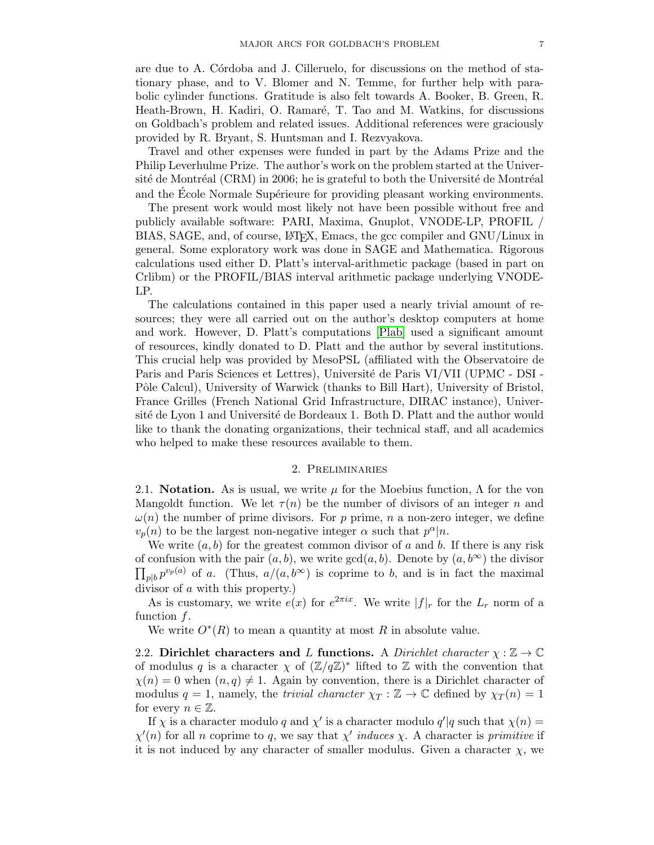are due to A. Cordoba and J. Cilleruelo, for discussions on the method of stationary phase, and to V. Blomer and N. Temme, for further help with parabolic cylinder functions. Gratitude is also felt towards A. Booker, B. Green, R. Heath-Brown, H. Kadiri, O. Ramaré, T. Tao and M. Watkins, for discussions on Goldbach's problem and related issues. Additional references were graciously provided by R. Bryant, S. Huntsman and I. Rezvyakova.

Travel and other expenses were funded in part by the Adams Prize and the Philip Leverhulme Prize. The author's work on the problem started at the Université de Montréal (CRM) in 2006; he is grateful to both the Université de Montréal and the École Normale Supérieure for providing pleasant working environments.

The present work would most likely not have been possible without free and publicly available software: PARI, Maxima, Gnuplot, VNODE-LP, PROFIL / BIAS, SAGE, and, of course, LATEX, Emacs, the gcc compiler and GNU/Linux in general. Some exploratory work was done in SAGE and Mathematica. Rigorous calculations used either D. Platt's interval-arithmetic package (based in part on Crlibm) or the PROFIL/BIAS interval arithmetic package underlying VNODE-LP.

The calculations contained in this paper used a nearly trivial amount of resources; they were all carried out on the author's desktop computers at home and work. However, D. Platt's computations [\[Plab\]](#page-78-1) used a significant amount of resources, kindly donated to D. Platt and the author by several institutions. This crucial help was provided by MesoPSL (affiliated with the Observatoire de Paris and Paris Sciences et Lettres), Université de Paris VI/VII (UPMC - DSI -Pôle Calcul), University of Warwick (thanks to Bill Hart), University of Bristol, France Grilles (French National Grid Infrastructure, DIRAC instance), Université de Lyon 1 and Université de Bordeaux 1. Both D. Platt and the author would like to thank the donating organizations, their technical staff, and all academics who helped to make these resources available to them.

### 2. Preliminaries

<span id="page-6-1"></span><span id="page-6-0"></span>2.1. **Notation.** As is usual, we write  $\mu$  for the Moebius function,  $\Lambda$  for the von Mangoldt function. We let  $\tau(n)$  be the number of divisors of an integer n and  $\omega(n)$  the number of prime divisors. For p prime, n a non-zero integer, we define  $v_p(n)$  to be the largest non-negative integer  $\alpha$  such that  $p^{\alpha}|n$ .

We write  $(a, b)$  for the greatest common divisor of a and b. If there is any risk of confusion with the pair  $(a, b)$ , we write  $gcd(a, b)$ . Denote by  $(a, b^{\infty})$  the divisor  $\prod_{p|b} p^{v_p(a)}$  of a. (Thus,  $a/(a, b^{\infty})$  is coprime to b, and is in fact the maximal divisor of a with this property.)

As is customary, we write  $e(x)$  for  $e^{2\pi ix}$ . We write  $|f|_r$  for the  $L_r$  norm of a function f.

<span id="page-6-2"></span>We write  $O^*(R)$  to mean a quantity at most R in absolute value.

2.2. Dirichlet characters and L functions. A Dirichlet character  $\chi : \mathbb{Z} \to \mathbb{C}$ of modulus q is a character  $\chi$  of  $(\mathbb{Z}/q\mathbb{Z})^*$  lifted to  $\mathbb Z$  with the convention that  $\chi(n) = 0$  when  $(n, q) \neq 1$ . Again by convention, there is a Dirichlet character of modulus  $q = 1$ , namely, the *trivial character*  $\chi_T : \mathbb{Z} \to \mathbb{C}$  defined by  $\chi_T(n) = 1$ for every  $n \in \mathbb{Z}$ .

If  $\chi$  is a character modulo q and  $\chi'$  is a character modulo  $q'|q$  such that  $\chi(n) =$  $\chi'(n)$  for all n coprime to q, we say that  $\chi'$  induces  $\chi$ . A character is primitive if it is not induced by any character of smaller modulus. Given a character  $\chi$ , we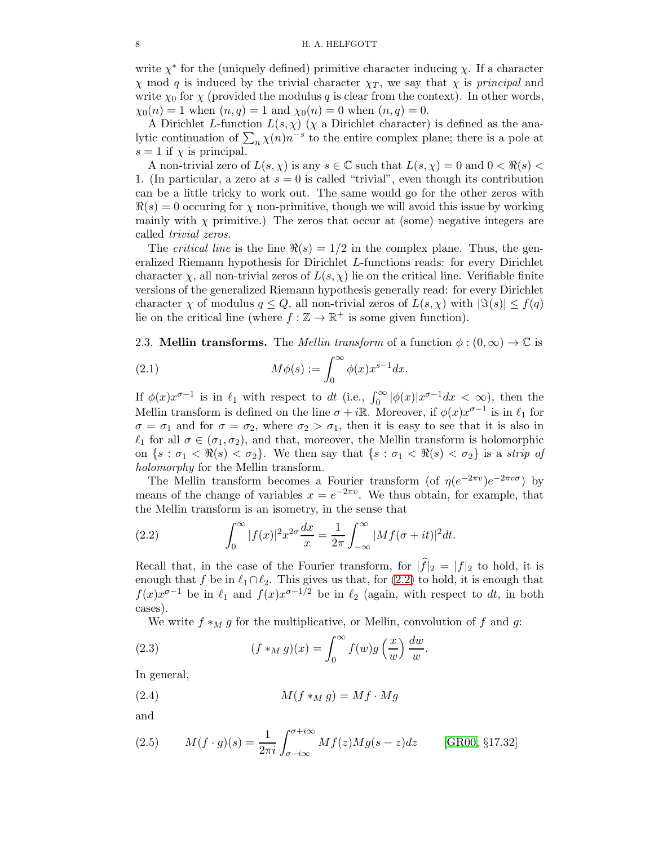write  $\chi^*$  for the (uniquely defined) primitive character inducing  $\chi$ . If a character  $\chi$  mod q is induced by the trivial character  $\chi_T$ , we say that  $\chi$  is principal and write  $\chi_0$  for  $\chi$  (provided the modulus q is clear from the context). In other words,  $\chi_0(n) = 1$  when  $(n, q) = 1$  and  $\chi_0(n) = 0$  when  $(n, q) = 0$ .

A Dirichlet L-function  $L(s, \chi)$  ( $\chi$  a Dirichlet character) is defined as the analytic continuation of  $\sum_{n} \chi(n) n^{-s}$  to the entire complex plane; there is a pole at  $s = 1$  if  $\chi$  is principal.

A non-trivial zero of  $L(s, \chi)$  is any  $s \in \mathbb{C}$  such that  $L(s, \chi) = 0$  and  $0 < \Re(s)$ 1. (In particular, a zero at  $s = 0$  is called "trivial", even though its contribution can be a little tricky to work out. The same would go for the other zeros with  $\Re(s) = 0$  occuring for  $\chi$  non-primitive, though we will avoid this issue by working mainly with  $\chi$  primitive.) The zeros that occur at (some) negative integers are called trivial zeros.

The *critical line* is the line  $\Re(s) = 1/2$  in the complex plane. Thus, the generalized Riemann hypothesis for Dirichlet L-functions reads: for every Dirichlet character  $\chi$ , all non-trivial zeros of  $L(s, \chi)$  lie on the critical line. Verifiable finite versions of the generalized Riemann hypothesis generally read: for every Dirichlet character  $\chi$  of modulus  $q \leq Q$ , all non-trivial zeros of  $L(s, \chi)$  with  $|\Im(s)| \leq f(q)$ lie on the critical line (where  $f : \mathbb{Z} \to \mathbb{R}^+$  is some given function).

<span id="page-7-0"></span>2.3. Mellin transforms. The *Mellin transform* of a function  $\phi : (0, \infty) \to \mathbb{C}$  is

(2.1) 
$$
M\phi(s) := \int_0^\infty \phi(x) x^{s-1} dx.
$$

If  $\phi(x)x^{\sigma-1}$  is in  $\ell_1$  with respect to dt (i.e.,  $\int_0^\infty |\phi(x)|x^{\sigma-1}dx < \infty$ ), then the Mellin transform is defined on the line  $\sigma + i\mathbb{R}$ . Moreover, if  $\phi(x)x^{\sigma-1}$  is in  $\ell_1$  for  $\sigma = \sigma_1$  and for  $\sigma = \sigma_2$ , where  $\sigma_2 > \sigma_1$ , then it is easy to see that it is also in  $\ell_1$  for all  $\sigma \in (\sigma_1, \sigma_2)$ , and that, moreover, the Mellin transform is holomorphic on  $\{s : \sigma_1 < \Re(s) < \sigma_2\}$ . We then say that  $\{s : \sigma_1 < \Re(s) < \sigma_2\}$  is a strip of holomorphy for the Mellin transform.

The Mellin transform becomes a Fourier transform (of  $\eta(e^{-2\pi v})e^{-2\pi v\sigma}$ ) by means of the change of variables  $x = e^{-2\pi v}$ . We thus obtain, for example, that the Mellin transform is an isometry, in the sense that

<span id="page-7-1"></span>(2.2) 
$$
\int_0^\infty |f(x)|^2 x^{2\sigma} \frac{dx}{x} = \frac{1}{2\pi} \int_{-\infty}^\infty |Mf(\sigma + it)|^2 dt.
$$

Recall that, in the case of the Fourier transform, for  $|\hat{f}|_2 = |f|_2$  to hold, it is enough that f be in  $\ell_1 \cap \ell_2$ . This gives us that, for  $(2.2)$  to hold, it is enough that  $f(x)x^{\sigma-1}$  be in  $\ell_1$  and  $f(x)x^{\sigma-1/2}$  be in  $\ell_2$  (again, with respect to dt, in both cases).

We write  $f *_{M} g$  for the multiplicative, or Mellin, convolution of f and g:

(2.3) 
$$
(f *_{M} g)(x) = \int_{0}^{\infty} f(w)g\left(\frac{x}{w}\right)\frac{dw}{w}.
$$

In general,

$$
(2.4) \t\t M(f *_M g) = Mf \cdot Mg
$$

and

(2.5) 
$$
M(f \cdot g)(s) = \frac{1}{2\pi i} \int_{\sigma - i\infty}^{\sigma + i\infty} Mf(z)Mg(s - z)dz
$$
 [GR00, §17.32]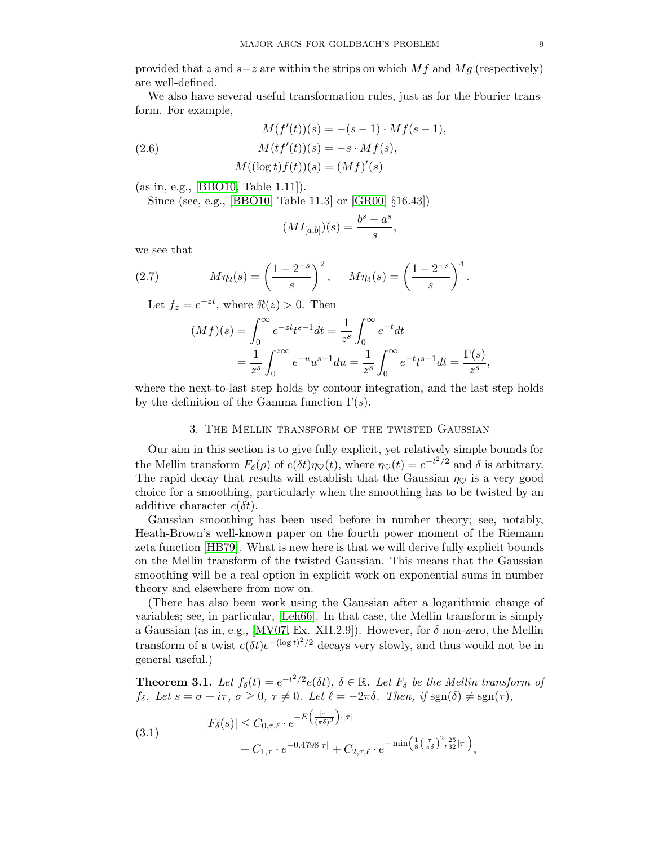provided that z and  $s-z$  are within the strips on which Mf and Mg (respectively) are well-defined.

We also have several useful transformation rules, just as for the Fourier transform. For example,

$$
M(f'(t))(s) = -(s-1) \cdot Mf(s-1),
$$

$$
(2.6) \t\t M(t f'(t))(s) = -s \cdot Mf(s),
$$

<span id="page-8-3"></span>
$$
M((\log t)f(t))(s) = (Mf)'(s)
$$

(as in, e.g., [\[BBO10,](#page-77-9) Table 1.11]).

Since (see, e.g., [\[BBO10,](#page-77-9) Table 11.3] or [\[GR00,](#page-77-8) §16.43])

$$
(MI_{[a,b]})(s) = \frac{b^s - a^s}{s},
$$

we see that

(2.7) 
$$
M\eta_2(s) = \left(\frac{1-2^{-s}}{s}\right)^2, \quad M\eta_4(s) = \left(\frac{1-2^{-s}}{s}\right)^4.
$$

Let  $f_z = e^{-zt}$ , where  $\Re(z) > 0$ . Then

$$
(Mf)(s) = \int_0^\infty e^{-zt} t^{s-1} dt = \frac{1}{z^s} \int_0^\infty e^{-t} dt
$$
  
=  $\frac{1}{z^s} \int_0^{z\infty} e^{-u} u^{s-1} du = \frac{1}{z^s} \int_0^\infty e^{-t} t^{s-1} dt = \frac{\Gamma(s)}{z^s},$ 

<span id="page-8-0"></span>where the next-to-last step holds by contour integration, and the last step holds by the definition of the Gamma function  $\Gamma(s)$ .

## 3. The Mellin transform of the twisted Gaussian

Our aim in this section is to give fully explicit, yet relatively simple bounds for the Mellin transform  $F_\delta(\rho)$  of  $e(\delta t)\eta_{\heartsuit}(t)$ , where  $\eta_{\heartsuit}(t) = e^{-t^2/2}$  and  $\delta$  is arbitrary. The rapid decay that results will establish that the Gaussian  $\eta_{\heartsuit}$  is a very good choice for a smoothing, particularly when the smoothing has to be twisted by an additive character  $e(\delta t)$ .

Gaussian smoothing has been used before in number theory; see, notably, Heath-Brown's well-known paper on the fourth power moment of the Riemann zeta function [\[HB79\]](#page-77-10). What is new here is that we will derive fully explicit bounds on the Mellin transform of the twisted Gaussian. This means that the Gaussian smoothing will be a real option in explicit work on exponential sums in number theory and elsewhere from now on.

(There has also been work using the Gaussian after a logarithmic change of variables; see, in particular, [\[Leh66\]](#page-77-11). In that case, the Mellin transform is simply a Gaussian (as in, e.g., [\[MV07,](#page-77-12) Ex. XII.2.9]). However, for  $\delta$  non-zero, the Mellin transform of a twist  $e(\delta t)e^{-(\log t)^2/2}$  decays very slowly, and thus would not be in general useful.)

<span id="page-8-1"></span>**Theorem 3.1.** Let  $f_{\delta}(t) = e^{-t^2/2} e(\delta t)$ ,  $\delta \in \mathbb{R}$ . Let  $F_{\delta}$  be the Mellin transform of  $f_{\delta}$ . Let  $s = \sigma + i\tau$ ,  $\sigma \geq 0$ ,  $\tau \neq 0$ . Let  $\ell = -2\pi\delta$ . Then, if sgn( $\delta$ )  $\neq$  sgn( $\tau$ ),

<span id="page-8-2"></span>(3.1) 
$$
|F_{\delta}(s)| \leq C_{0,\tau,\ell} \cdot e^{-E\left(\frac{|\tau|}{(\pi\delta)^2}\right) \cdot |\tau|} + C_{1,\tau} \cdot e^{-0.4798|\tau|} + C_{2,\tau,\ell} \cdot e^{-\min\left(\frac{1}{8}\left(\frac{\tau}{\pi\delta}\right)^2, \frac{25}{32}|\tau|\right)},
$$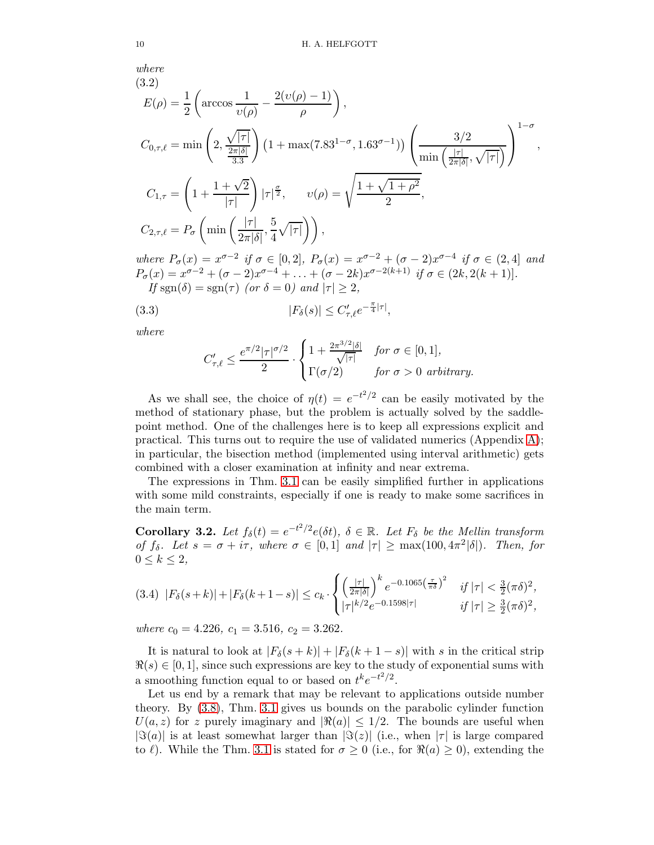where 
$$
\sum_{n=1}^{\infty} a_n
$$

<span id="page-9-1"></span>(3.2)  
\n
$$
E(\rho) = \frac{1}{2} \left( \arccos \frac{1}{v(\rho)} - \frac{2(v(\rho) - 1)}{\rho} \right),
$$
\n
$$
C_{0,\tau,\ell} = \min \left( 2, \frac{\sqrt{|\tau|}}{\frac{2\pi |\delta|}{3.3}} \right) \left( 1 + \max(7.83^{1-\sigma}, 1.63^{\sigma-1}) \right) \left( \frac{3/2}{\min \left( \frac{|\tau|}{2\pi |\delta|}, \sqrt{|\tau|} \right)} \right)^{1-\sigma},
$$
\n
$$
C_{1,\tau} = \left( 1 + \frac{1+\sqrt{2}}{|\tau|} \right) |\tau|^{\frac{\sigma}{2}}, \qquad v(\rho) = \sqrt{\frac{1+\sqrt{1+\rho^2}}{2}},
$$
\n
$$
C_{2,\tau,\ell} = P_{\sigma} \left( \min \left( \frac{|\tau|}{2\pi |\delta|}, \frac{5}{4} \sqrt{|\tau|} \right) \right),
$$
\nwhere  $P_{\sigma}(\alpha) = \pi^{\sigma-2}$  if  $\tau \in [0, 2]$ ,  $P_{\sigma}(\alpha) = \pi^{\sigma-2} + (\sigma - 2)\pi^{\sigma-4}$  if  $\tau \in [2, 4]$ , and

where  $P_{\sigma}(x) = x^{\sigma-2}$  if  $\sigma \in [0,2]$ ,  $P_{\sigma}(x) = x^{\sigma-2} + (\sigma-2)x^{\sigma-4}$  if  $\sigma \in (2,4]$  and  $P_{\sigma}(x) = x^{\sigma-2} + (\sigma - 2)x^{\sigma-4} + \ldots + (\sigma - 2k)x^{\sigma-2(k+1)}$  if  $\sigma \in (2k, 2(k+1)).$ If sgn(δ) = sgn(τ) (or  $\delta = 0$ ) and  $|\tau| \geq 2$ ,

(3.3) 
$$
|F_{\delta}(s)| \leq C'_{\tau,\ell} e^{-\frac{\pi}{4}|\tau|},
$$

where

$$
C'_{\tau,\ell} \le \frac{e^{\pi/2} |\tau|^{\sigma/2}}{2} \cdot \begin{cases} 1 + \frac{2\pi^{3/2} |\delta|}{\sqrt{|\tau|}} & \text{for } \sigma \in [0,1], \\ \Gamma(\sigma/2) & \text{for } \sigma > 0 \text{ arbitrary.} \end{cases}
$$

As we shall see, the choice of  $\eta(t) = e^{-t^2/2}$  can be easily motivated by the method of stationary phase, but the problem is actually solved by the saddlepoint method. One of the challenges here is to keep all expressions explicit and practical. This turns out to require the use of validated numerics (Appendix [A\)](#page-59-0); in particular, the bisection method (implemented using interval arithmetic) gets combined with a closer examination at infinity and near extrema.

The expressions in Thm. [3.1](#page-8-1) can be easily simplified further in applications with some mild constraints, especially if one is ready to make some sacrifices in the main term.

<span id="page-9-0"></span>Corollary 3.2. Let  $f_{\delta}(t) = e^{-t^2/2} e(\delta t)$ ,  $\delta \in \mathbb{R}$ . Let  $F_{\delta}$  be the Mellin transform of  $f_{\delta}$ . Let  $s = \sigma + i\tau$ , where  $\sigma \in [0,1]$  and  $|\tau| \ge \max(100, 4\pi^2|\delta|)$ . Then, for  $0 \leq k \leq 2$ ,

$$
(3.4) \ \ |F_{\delta}(s+k)|+|F_{\delta}(k+1-s)| \leq c_k \cdot \begin{cases} \left(\frac{|\tau|}{2\pi|\delta|}\right)^k e^{-0.1065\left(\frac{\tau}{\pi\delta}\right)^2} & \text{if } |\tau| < \frac{3}{2}(\pi\delta)^2, \\ |\tau|^{k/2} e^{-0.1598|\tau|} & \text{if } |\tau| \geq \frac{3}{2}(\pi\delta)^2, \end{cases}
$$

where  $c_0 = 4.226, c_1 = 3.516, c_2 = 3.262$ .

It is natural to look at  $|F_{\delta}(s+k)| + |F_{\delta}(k+1-s)|$  with s in the critical strip  $\Re(s) \in [0, 1]$ , since such expressions are key to the study of exponential sums with a smoothing function equal to or based on  $t^k e^{-t^2/2}$ .

Let us end by a remark that may be relevant to applications outside number theory. By [\(3.8\)](#page-11-1), Thm. [3.1](#page-8-1) gives us bounds on the parabolic cylinder function  $U(a, z)$  for z purely imaginary and  $|\Re(a)| \leq 1/2$ . The bounds are useful when  $|\Im(a)|$  is at least somewhat larger than  $|\Im(z)|$  (i.e., when  $|\tau|$  is large compared to  $\ell$ ). While the Thm. [3.1](#page-8-1) is stated for  $\sigma \geq 0$  (i.e., for  $\Re(a) \geq 0$ ), extending the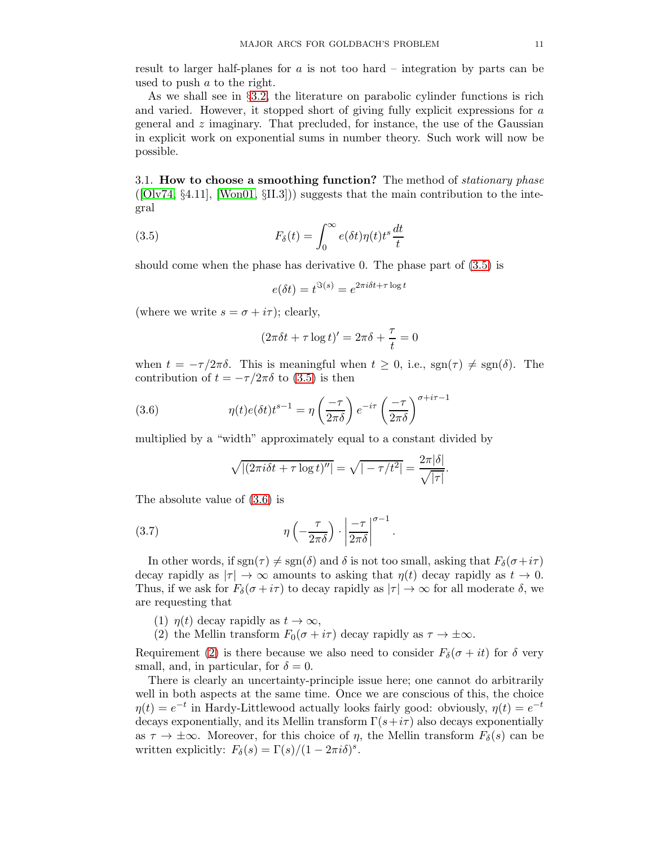result to larger half-planes for  $a$  is not too hard – integration by parts can be used to push a to the right.

As we shall see in §[3.2,](#page-11-0) the literature on parabolic cylinder functions is rich and varied. However, it stopped short of giving fully explicit expressions for a general and  $z$  imaginary. That precluded, for instance, the use of the Gaussian in explicit work on exponential sums in number theory. Such work will now be possible.

<span id="page-10-0"></span>3.1. How to choose a smoothing function? The method of *stationary phase*  $([Olv74, §4.11], [Won01, §II.3])$  $([Olv74, §4.11], [Won01, §II.3])$  $([Olv74, §4.11], [Won01, §II.3])$  $([Olv74, §4.11], [Won01, §II.3])$  $([Olv74, §4.11], [Won01, §II.3])$  suggests that the main contribution to the integral

(3.5) 
$$
F_{\delta}(t) = \int_0^{\infty} e(\delta t) \eta(t) t^s \frac{dt}{t}
$$

should come when the phase has derivative 0. The phase part of [\(3.5\)](#page-10-1) is

<span id="page-10-1"></span>
$$
e(\delta t) = t^{\Im(s)} = e^{2\pi i \delta t + \tau \log t}
$$

(where we write  $s = \sigma + i\tau$ ); clearly,

$$
(2\pi\delta t + \tau \log t)' = 2\pi\delta + \frac{\tau}{t} = 0
$$

when  $t = -\tau/2\pi\delta$ . This is meaningful when  $t \geq 0$ , i.e.,  $\text{sgn}(\tau) \neq \text{sgn}(\delta)$ . The contribution of  $t = -\tau/2\pi\delta$  to [\(3.5\)](#page-10-1) is then

(3.6) 
$$
\eta(t)e(\delta t)t^{s-1} = \eta\left(\frac{-\tau}{2\pi\delta}\right)e^{-i\tau}\left(\frac{-\tau}{2\pi\delta}\right)^{\sigma+i\tau-1}
$$

multiplied by a "width" approximately equal to a constant divided by

<span id="page-10-4"></span><span id="page-10-2"></span>
$$
\sqrt{|(2\pi i\delta t + \tau \log t)''|} = \sqrt{|-\tau/t^2|} = \frac{2\pi|\delta|}{\sqrt{|\tau|}}.
$$

The absolute value of [\(3.6\)](#page-10-2) is

$$
(3.7) \t\t \eta\left(-\frac{\tau}{2\pi\delta}\right) \cdot \left|\frac{-\tau}{2\pi\delta}\right|^{\sigma-1}
$$

In other words, if  $sgn(\tau) \neq sgn(\delta)$  and  $\delta$  is not too small, asking that  $F_{\delta}(\sigma+i\tau)$ decay rapidly as  $|\tau| \to \infty$  amounts to asking that  $\eta(t)$  decay rapidly as  $t \to 0$ . Thus, if we ask for  $F_\delta(\sigma + i\tau)$  to decay rapidly as  $|\tau| \to \infty$  for all moderate  $\delta$ , we are requesting that

.

<span id="page-10-3"></span>(1)  $\eta(t)$  decay rapidly as  $t \to \infty$ ,

(2) the Mellin transform  $F_0(\sigma + i\tau)$  decay rapidly as  $\tau \to \pm \infty$ .

Requirement [\(2\)](#page-10-3) is there because we also need to consider  $F_\delta(\sigma + it)$  for  $\delta$  very small, and, in particular, for  $\delta = 0$ .

There is clearly an uncertainty-principle issue here; one cannot do arbitrarily well in both aspects at the same time. Once we are conscious of this, the choice  $\eta(t) = e^{-t}$  in Hardy-Littlewood actually looks fairly good: obviously,  $\eta(t) = e^{-t}$ decays exponentially, and its Mellin transform  $\Gamma(s+i\tau)$  also decays exponentially as  $\tau \to \pm \infty$ . Moreover, for this choice of  $\eta$ , the Mellin transform  $F_\delta(s)$  can be written explicitly:  $F_{\delta}(s) = \Gamma(s)/(1 - 2\pi i \delta)^s$ .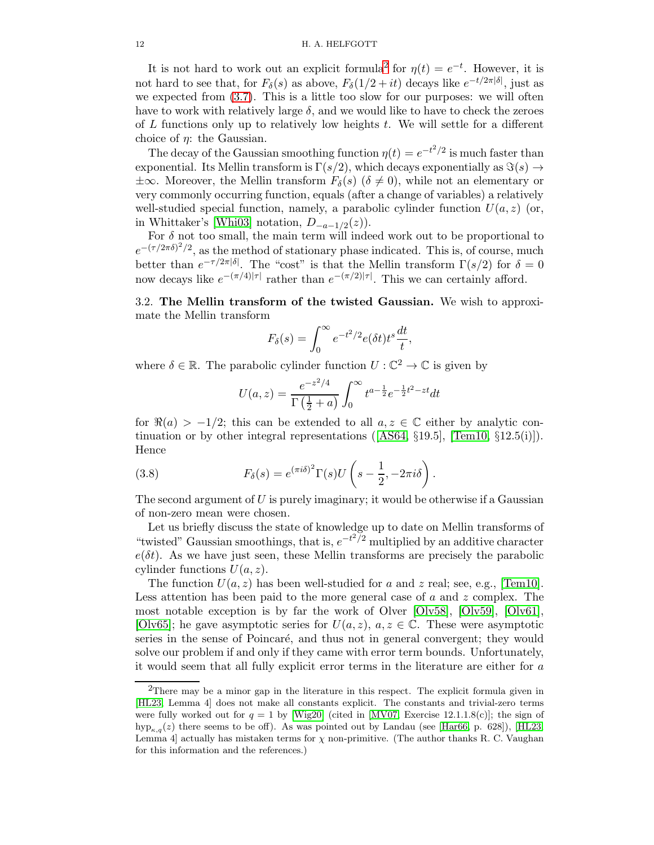It is not hard to work out an explicit formula<sup>[2](#page-11-2)</sup> for  $\eta(t) = e^{-t}$ . However, it is not hard to see that, for  $F_\delta(s)$  as above,  $F_\delta(1/2+it)$  decays like  $e^{-t/2\pi|\delta|}$ , just as we expected from [\(3.7\)](#page-10-4). This is a little too slow for our purposes: we will often have to work with relatively large  $\delta$ , and we would like to have to check the zeroes of  $L$  functions only up to relatively low heights  $t$ . We will settle for a different choice of  $\eta$ : the Gaussian.

The decay of the Gaussian smoothing function  $\eta(t) = e^{-t^2/2}$  is much faster than exponential. Its Mellin transform is  $\Gamma(s/2)$ , which decays exponentially as  $\Im(s) \rightarrow$  $\pm\infty$ . Moreover, the Mellin transform  $F_{\delta}(s)$  ( $\delta \neq 0$ ), while not an elementary or very commonly occurring function, equals (after a change of variables) a relatively well-studied special function, namely, a parabolic cylinder function  $U(a, z)$  (or, in Whittaker's [\[Whi03\]](#page-78-6) notation,  $D_{-a-1/2}(z)$ ).

For  $\delta$  not too small, the main term will indeed work out to be proportional to  $e^{-(\tau/2\pi\delta)^2/2}$ , as the method of stationary phase indicated. This is, of course, much better than  $e^{-\tau/2\pi|\delta|}$ . The "cost" is that the Mellin transform  $\Gamma(s/2)$  for  $\delta=0$ now decays like  $e^{-(\pi/4)|\tau|}$  rather than  $e^{-(\pi/2)|\tau|}$ . This we can certainly afford.

<span id="page-11-0"></span>3.2. The Mellin transform of the twisted Gaussian. We wish to approximate the Mellin transform

$$
F_{\delta}(s) = \int_0^{\infty} e^{-t^2/2} e(\delta t) t^s \frac{dt}{t},
$$

where  $\delta \in \mathbb{R}$ . The parabolic cylinder function  $U : \mathbb{C}^2 \to \mathbb{C}$  is given by

<span id="page-11-1"></span>
$$
U(a, z) = \frac{e^{-z^2/4}}{\Gamma(\frac{1}{2} + a)} \int_0^\infty t^{a - \frac{1}{2}} e^{-\frac{1}{2}t^2 - zt} dt
$$

for  $\Re(a) > -1/2$ ; this can be extended to all  $a, z \in \mathbb{C}$  either by analytic continuationor by other integral representations ( $[AS64, \S19.5]$  $[AS64, \S19.5]$ ,  $[Tem10, \S12.5(i)]$ ). Hence

(3.8) 
$$
F_{\delta}(s) = e^{(\pi i \delta)^{2}} \Gamma(s) U\left(s - \frac{1}{2}, -2\pi i \delta\right)
$$

The second argument of  $U$  is purely imaginary; it would be otherwise if a Gaussian of non-zero mean were chosen.

.

Let us briefly discuss the state of knowledge up to date on Mellin transforms of "twisted" Gaussian smoothings, that is,  $e^{-t^2/2}$  multiplied by an additive character  $e(\delta t)$ . As we have just seen, these Mellin transforms are precisely the parabolic cylinder functions  $U(a, z)$ .

The function  $U(a, z)$  has been well-studied for a and z real; see, e.g., [\[Tem10\]](#page-78-7). Less attention has been paid to the more general case of  $a$  and  $z$  complex. The most notable exception is by far the work of Olver [\[Olv58\]](#page-77-14), [\[Olv59\]](#page-77-15), [\[Olv61\]](#page-77-16), [\[Olv65\]](#page-77-17); he gave asymptotic series for  $U(a, z)$ ,  $a, z \in \mathbb{C}$ . These were asymptotic series in the sense of Poincaré, and thus not in general convergent; they would solve our problem if and only if they came with error term bounds. Unfortunately, it would seem that all fully explicit error terms in the literature are either for a

<span id="page-11-2"></span><sup>2</sup>There may be a minor gap in the literature in this respect. The explicit formula given in [\[HL23,](#page-77-1) Lemma 4] does not make all constants explicit. The constants and trivial-zero terms were fully worked out for  $q = 1$  by [\[Wig20\]](#page-78-8) (cited in [\[MV07,](#page-77-12) Exercise 12.1.1.8(c)]; the sign of  $hyp_{\kappa,q}(z)$  there seems to be off). As was pointed out by Landau (see [\[Har66,](#page-77-18) p. 628]), [\[HL23,](#page-77-1) Lemma 4] actually has mistaken terms for  $\chi$  non-primitive. (The author thanks R. C. Vaughan for this information and the references.)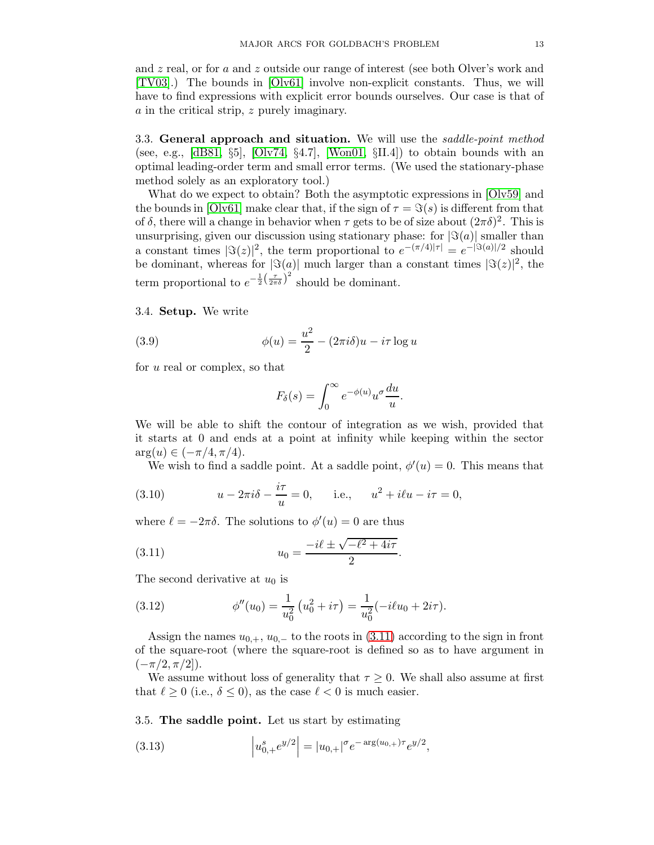and z real, or for a and z outside our range of interest (see both Olver's work and [\[TV03\]](#page-78-9).) The bounds in [\[Olv61\]](#page-77-16) involve non-explicit constants. Thus, we will have to find expressions with explicit error bounds ourselves. Our case is that of a in the critical strip, z purely imaginary.

<span id="page-12-0"></span>3.3. General approach and situation. We will use the *saddle-point method* (see, e.g.,  $[dB81, \S5]$ ,  $[Olv74, \S4.7]$ ,  $[Won01, \SII.4]$ ) to obtain bounds with an optimal leading-order term and small error terms. (We used the stationary-phase method solely as an exploratory tool.)

What do we expect to obtain? Both the asymptotic expressions in [\[Olv59\]](#page-77-15) and the bounds in  $[O\text{lv}61]$  make clear that, if the sign of  $\tau = \Im(s)$  is different from that of  $\delta$ , there will a change in behavior when  $\tau$  gets to be of size about  $(2\pi\delta)^2$ . This is unsurprising, given our discussion using stationary phase: for  $|\Im(a)|$  smaller than a constant times  $|\Im(z)|^2$ , the term proportional to  $e^{-(\pi/4)|\tau|} = e^{-|\Im(a)|/2}$  should be dominant, whereas for  $|\Im(a)|$  much larger than a constant times  $|\Im(z)|^2$ , the term proportional to  $e^{-\frac{1}{2}(\frac{\tau}{2\pi\delta})^2}$  should be dominant.

### <span id="page-12-1"></span>3.4. Setup. We write

(3.9) 
$$
\phi(u) = \frac{u^2}{2} - (2\pi i\delta)u - i\tau \log u
$$

for u real or complex, so that

<span id="page-12-6"></span>
$$
F_{\delta}(s) = \int_0^{\infty} e^{-\phi(u)} u^{\sigma} \frac{du}{u}.
$$

We will be able to shift the contour of integration as we wish, provided that it starts at 0 and ends at a point at infinity while keeping within the sector  $arg(u) \in (-\pi/4, \pi/4).$ 

<span id="page-12-7"></span>We wish to find a saddle point. At a saddle point,  $\phi'(u) = 0$ . This means that

(3.10) 
$$
u - 2\pi i \delta - \frac{i\tau}{u} = 0
$$
, i.e.,  $u^2 + i\ell u - i\tau = 0$ ,

where  $\ell = -2\pi\delta$ . The solutions to  $\phi'(u) = 0$  are thus

<span id="page-12-3"></span>(3.11) 
$$
u_0 = \frac{-i\ell \pm \sqrt{-\ell^2 + 4i\tau}}{2}.
$$

The second derivative at  $u_0$  is

<span id="page-12-5"></span>(3.12) 
$$
\phi''(u_0) = \frac{1}{u_0^2} \left( u_0^2 + i\tau \right) = \frac{1}{u_0^2} (-i\ell u_0 + 2i\tau).
$$

Assign the names  $u_{0,+}$ ,  $u_{0,-}$  to the roots in [\(3.11\)](#page-12-3) according to the sign in front of the square-root (where the square-root is defined so as to have argument in  $(-\pi/2, \pi/2]$ ).

We assume without loss of generality that  $\tau \geq 0$ . We shall also assume at first that  $\ell \geq 0$  (i.e.,  $\delta \leq 0$ ), as the case  $\ell < 0$  is much easier.

<span id="page-12-2"></span>3.5. The saddle point. Let us start by estimating

<span id="page-12-4"></span>(3.13) 
$$
\left|u_{0,+}^{s}e^{y/2}\right| = |u_{0,+}|^{\sigma}e^{-\arg(u_{0,+})\tau}e^{y/2},
$$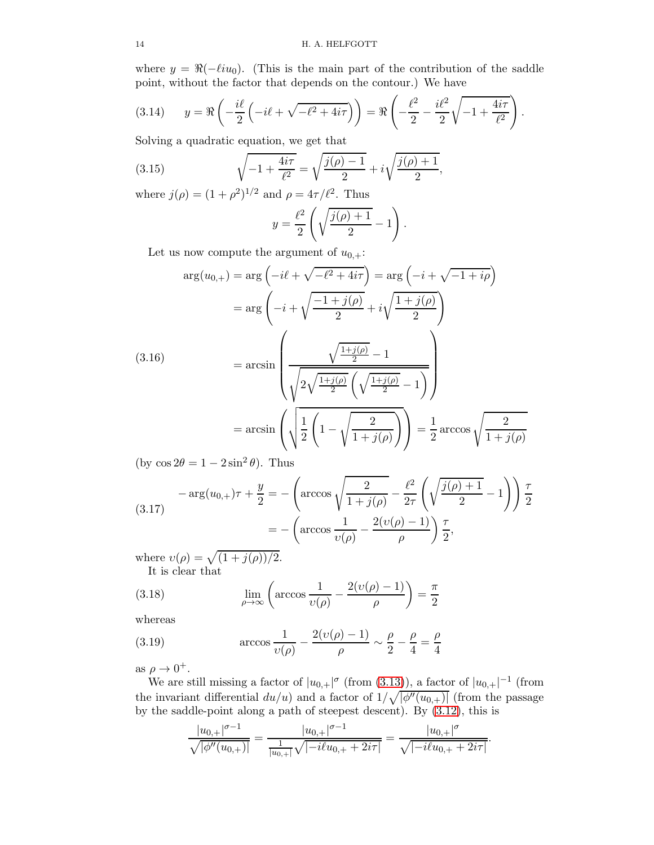where  $y = \Re(-\ell i u_0)$ . (This is the main part of the contribution of the saddle point, without the factor that depends on the contour.) We have

<span id="page-13-1"></span>(3.14) 
$$
y = \Re\left(-\frac{i\ell}{2}\left(-i\ell + \sqrt{-\ell^2 + 4i\tau}\right)\right) = \Re\left(-\frac{\ell^2}{2} - \frac{i\ell^2}{2}\sqrt{-1 + \frac{4i\tau}{\ell^2}}\right).
$$

Solving a quadratic equation, we get that

(3.15) 
$$
\sqrt{-1 + \frac{4i\tau}{\ell^2}} = \sqrt{\frac{j(\rho) - 1}{2}} + i\sqrt{\frac{j(\rho) + 1}{2}},
$$

where  $j(\rho) = (1 + \rho^2)^{1/2}$  and  $\rho = 4\tau/\ell^2$ . Thus

<span id="page-13-0"></span>
$$
y = \frac{\ell^2}{2} \left( \sqrt{\frac{j(\rho) + 1}{2}} - 1 \right).
$$

Let us now compute the argument of  $u_{0,+}$ :

<span id="page-13-2"></span>
$$
\arg(u_{0,+}) = \arg\left(-i\ell + \sqrt{-\ell^2 + 4i\tau}\right) = \arg\left(-i + \sqrt{-1 + i\rho}\right)
$$

$$
= \arg\left(-i + \sqrt{\frac{-1 + j(\rho)}{2}} + i\sqrt{\frac{1 + j(\rho)}{2}}\right)
$$

$$
= \arcsin\left(\frac{\sqrt{\frac{1 + j(\rho)}{2}} - 1}{\sqrt{2\sqrt{\frac{1 + j(\rho)}{2}}\left(\sqrt{\frac{1 + j(\rho)}{2}} - 1\right)}}\right)
$$

$$
= \arcsin\left(\sqrt{\frac{1}{2}\left(1 - \sqrt{\frac{2}{1 + j(\rho)}}\right)}\right) = \frac{1}{2}\arccos\sqrt{\frac{2}{1 + j(\rho)}}
$$

(by  $\cos 2\theta = 1 - 2\sin^2 \theta$ ). Thus

<span id="page-13-3"></span>
$$
-\arg(u_{0,+})\tau + \frac{y}{2} = -\left(\arccos\sqrt{\frac{2}{1+j(\rho)}} - \frac{\ell^2}{2\tau}\left(\sqrt{\frac{j(\rho)+1}{2}} - 1\right)\right)\frac{\tau}{2}
$$

$$
= -\left(\arccos\frac{1}{v(\rho)} - \frac{2(v(\rho)-1)}{\rho}\right)\frac{\tau}{2},
$$

where  $v(\rho) = \sqrt{\frac{1 + j(\rho)}{2}}$ . It is clear that

(3.18) 
$$
\lim_{\rho \to \infty} \left( \arccos \frac{1}{\nu(\rho)} - \frac{2(\nu(\rho) - 1)}{\rho} \right) = \frac{\pi}{2}
$$

whereas

(3.19) 
$$
\arccos \frac{1}{v(\rho)} - \frac{2(v(\rho) - 1)}{\rho} \sim \frac{\rho}{2} - \frac{\rho}{4} = \frac{\rho}{4}
$$

as  $\rho \to 0^+$ .

We are still missing a factor of  $|u_{0,+}|^{\sigma}$  (from [\(3.13\)](#page-12-4)), a factor of  $|u_{0,+}|^{-1}$  (from the invariant differential  $du/u$ ) and a factor of  $1/\sqrt{|\phi''(u_{0,+})|}$  (from the passage by the saddle-point along a path of steepest descent). By [\(3.12\)](#page-12-5), this is

$$
\frac{|u_{0,+}|^{\sigma-1}}{\sqrt{|\phi''(u_{0,+})|}} = \frac{|u_{0,+}|^{\sigma-1}}{\frac{1}{|u_{0,+}|}\sqrt{|-i\ell u_{0,+}+2i\tau|}} = \frac{|u_{0,+}|^{\sigma}}{\sqrt{|-i\ell u_{0,+}+2i\tau|}}
$$

.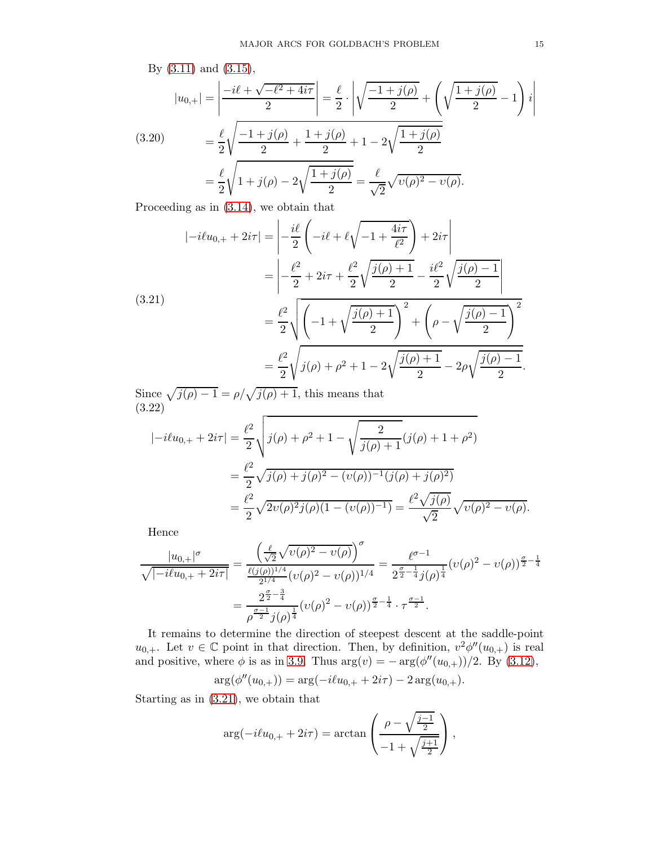<span id="page-14-2"></span>By (3.11) and (3.15),  
\n
$$
|u_{0,+}| = \left| \frac{-i\ell + \sqrt{-\ell^2 + 4i\tau}}{2} \right| = \frac{\ell}{2} \cdot \left| \sqrt{\frac{-1 + j(\rho)}{2}} + \left( \sqrt{\frac{1 + j(\rho)}{2}} - 1 \right) i \right|
$$
\n(3.20)\n
$$
= \frac{\ell}{2} \sqrt{\frac{-1 + j(\rho)}{2} + \frac{1 + j(\rho)}{2}} + 1 - 2\sqrt{\frac{1 + j(\rho)}{2}}
$$
\n
$$
= \frac{\ell}{2} \sqrt{1 + j(\rho) - 2\sqrt{\frac{1 + j(\rho)}{2}}} = \frac{\ell}{\sqrt{2}} \sqrt{v(\rho)^2 - v(\rho)}.
$$

Proceeding as in [\(3.14\)](#page-13-1), we obtain that

<span id="page-14-0"></span>
$$
|-i\ell u_{0,+} + 2i\tau| = \left| -\frac{i\ell}{2} \left( -i\ell + \ell \sqrt{-1 + \frac{4i\tau}{\ell^2}} \right) + 2i\tau \right|
$$
  

$$
= \left| -\frac{\ell^2}{2} + 2i\tau + \frac{\ell^2}{2} \sqrt{\frac{j(\rho) + 1}{2}} - \frac{i\ell^2}{2} \sqrt{\frac{j(\rho) - 1}{2}} \right|
$$
  

$$
= \frac{\ell^2}{2} \sqrt{\left( -1 + \sqrt{\frac{j(\rho) + 1}{2}} \right)^2 + \left( \rho - \sqrt{\frac{j(\rho) - 1}{2}} \right)^2}
$$
  

$$
= \frac{\ell^2}{2} \sqrt{j(\rho) + \rho^2 + 1 - 2\sqrt{\frac{j(\rho) + 1}{2}} - 2\rho \sqrt{\frac{j(\rho) - 1}{2}}.
$$

Since  $\sqrt{j(\rho)-1} = \rho/\sqrt{j(\rho)+1}$ , this means that (3.22)

<span id="page-14-1"></span>
$$
| - i\ell u_{0,+} + 2i\tau | = \frac{\ell^2}{2} \sqrt{j(\rho) + \rho^2 + 1} - \sqrt{\frac{2}{j(\rho) + 1}} (j(\rho) + 1 + \rho^2)
$$
  
=  $\frac{\ell^2}{2} \sqrt{j(\rho) + j(\rho)^2 - (v(\rho))^{-1} (j(\rho) + j(\rho)^2)}$   
=  $\frac{\ell^2}{2} \sqrt{2v(\rho)^2 j(\rho)(1 - (v(\rho))^{-1})} = \frac{\ell^2 \sqrt{j(\rho)}}{\sqrt{2}} \sqrt{v(\rho)^2 - v(\rho)}.$ 

Hence

$$
\frac{|u_{0,+}|^{\sigma}}{\sqrt{|-i\ell u_{0,+}+2i\tau|}} = \frac{\left(\frac{\ell}{\sqrt{2}}\sqrt{\nu(\rho)^2 - \nu(\rho)}\right)^{\sigma}}{\frac{\ell(j(\rho))^{1/4}}{2^{1/4}}(\nu(\rho)^2 - \nu(\rho))^{1/4}} = \frac{\ell^{\sigma-1}}{2^{\frac{\sigma}{2}-\frac{1}{4}}j(\rho)^{\frac{1}{4}}}(\nu(\rho)^2 - \nu(\rho))^{\frac{\sigma}{2}-\frac{1}{4}}
$$

$$
= \frac{2^{\frac{\sigma}{2}-\frac{3}{4}}}{\rho^{\frac{\sigma-1}{2}}j(\rho)^{\frac{1}{4}}}(\nu(\rho)^2 - \nu(\rho))^{\frac{\sigma}{2}-\frac{1}{4}} \cdot \tau^{\frac{\sigma-1}{2}}.
$$

It remains to determine the direction of steepest descent at the saddle-point  $u_{0,+}$ . Let  $v \in \mathbb{C}$  point in that direction. Then, by definition,  $v^2 \phi''(u_{0,+})$  is real and positive, where  $\phi$  is as in [3.9.](#page-12-6) Thus  $\arg(v) = -\arg(\phi''(u_{0,+}))/2$ . By [\(3.12\)](#page-12-5),

$$
\arg(\phi''(u_{0,+})) = \arg(-i\ell u_{0,+} + 2i\tau) - 2\arg(u_{0,+}).
$$

Starting as in [\(3.21\)](#page-14-0), we obtain that

$$
\arg(-i\ell u_{0,+} + 2i\tau) = \arctan\left(\frac{\rho - \sqrt{\frac{j-1}{2}}}{-1 + \sqrt{\frac{j+1}{2}}}\right),\,
$$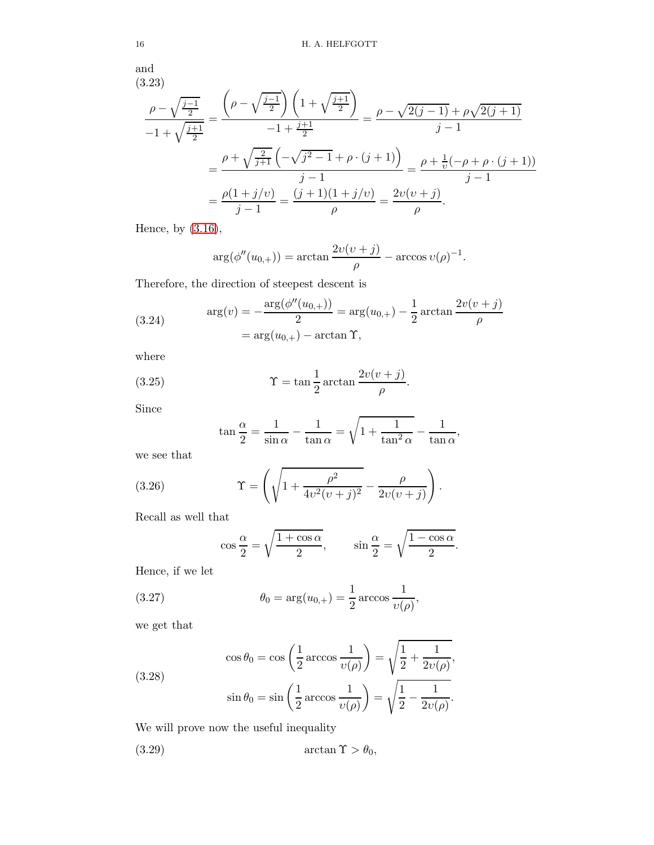and

$$
\frac{\rho - \sqrt{\frac{j-1}{2}}}{-1 + \sqrt{\frac{j+1}{2}}} = \frac{\left(\rho - \sqrt{\frac{j-1}{2}}\right)\left(1 + \sqrt{\frac{j+1}{2}}\right)}{-1 + \frac{j+1}{2}} = \frac{\rho - \sqrt{2(j-1)} + \rho\sqrt{2(j+1)}}{j-1}
$$

$$
= \frac{\rho + \sqrt{\frac{2}{j+1}}\left(-\sqrt{j^2 - 1} + \rho \cdot (j+1)\right)}{j-1} = \frac{\rho + \frac{1}{\nu}(-\rho + \rho \cdot (j+1))}{j-1}
$$

$$
= \frac{\rho(1 + j/\nu)}{j-1} = \frac{(j+1)(1 + j/\nu)}{\rho} = \frac{2\nu(\nu + j)}{\rho}.
$$

Hence, by [\(3.16\)](#page-13-2),

<span id="page-15-0"></span>
$$
\arg(\phi''(u_{0,+})) = \arctan\frac{2\upsilon(\upsilon+j)}{\rho} - \arccos\upsilon(\rho)^{-1}.
$$

Therefore, the direction of steepest descent is

(3.24) 
$$
\arg(v) = -\frac{\arg(\phi''(u_{0,+}))}{2} = \arg(u_{0,+}) - \frac{1}{2}\arctan\frac{2v(v+j)}{\rho}
$$

$$
= \arg(u_{0,+}) - \arctan\Upsilon,
$$

where

(3.25) 
$$
\Upsilon = \tan \frac{1}{2} \arctan \frac{2v(v+j)}{\rho}.
$$

Since

<span id="page-15-1"></span>
$$
\tan\frac{\alpha}{2} = \frac{1}{\sin\alpha} - \frac{1}{\tan\alpha} = \sqrt{1 + \frac{1}{\tan^2\alpha}} - \frac{1}{\tan\alpha},
$$

we see that

(3.26) 
$$
\Upsilon = \left( \sqrt{1 + \frac{\rho^2}{4v^2(v+j)^2}} - \frac{\rho}{2v(v+j)} \right).
$$

Recall as well that

<span id="page-15-5"></span><span id="page-15-2"></span>
$$
\cos\frac{\alpha}{2} = \sqrt{\frac{1+\cos\alpha}{2}}, \qquad \sin\frac{\alpha}{2} = \sqrt{\frac{1-\cos\alpha}{2}}.
$$

Hence, if we let

(3.27) 
$$
\theta_0 = \arg(u_{0,+}) = \frac{1}{2} \arccos \frac{1}{\nu(\rho)},
$$

we get that

<span id="page-15-4"></span>(3.28)  

$$
\cos \theta_0 = \cos \left(\frac{1}{2} \arccos \frac{1}{\upsilon(\rho)}\right) = \sqrt{\frac{1}{2} + \frac{1}{2\upsilon(\rho)}},
$$

$$
\sin \theta_0 = \sin \left(\frac{1}{2} \arccos \frac{1}{\upsilon(\rho)}\right) = \sqrt{\frac{1}{2} - \frac{1}{2\upsilon(\rho)}}.
$$

We will prove now the useful inequality

<span id="page-15-3"></span>(3.29)  $\arctan \Upsilon > \theta_0$ ,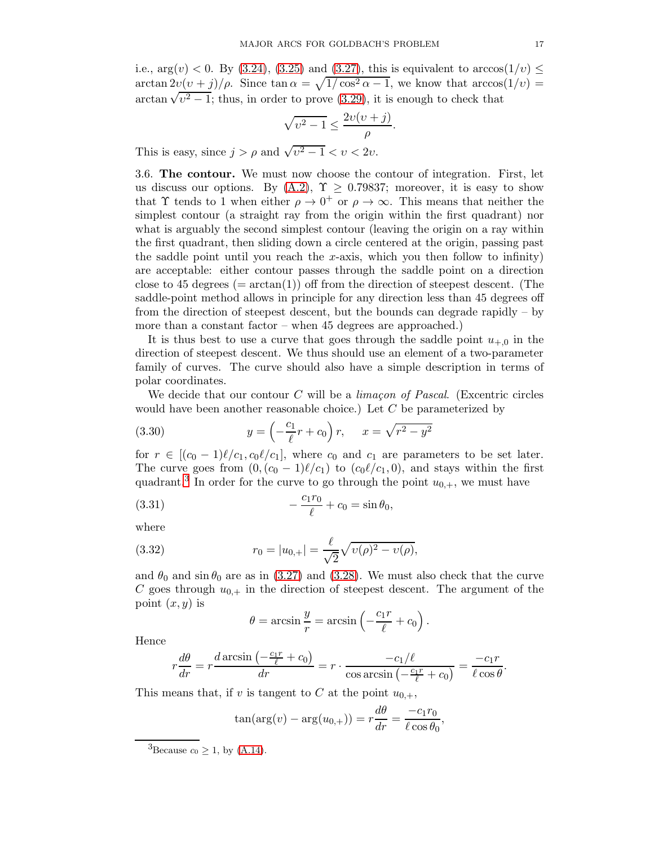i.e.,  $arg(v) < 0$ . By [\(3.24\)](#page-15-0), [\(3.25\)](#page-15-1) and [\(3.27\)](#page-15-2), this is equivalent to  $arccos(1/v) \le$ arctan  $2v(v+j)/\rho$ . Since  $\tan \alpha = \sqrt{1/\cos^2 \alpha - 1}$ , we know that  $\arccos(1/v) =$  $\arctan \sqrt{v^2-1}$ ; thus, in order to prove [\(3.29\)](#page-15-3), it is enough to check that

$$
\sqrt{v^2 - 1} \le \frac{2v(v+j)}{\rho}.
$$

<span id="page-16-0"></span>This is easy, since  $j > \rho$  and  $\sqrt{v^2 - 1} < v < 2v$ .

3.6. The contour. We must now choose the contour of integration. First, let us discuss our options. By  $(A.2)$ ,  $\Upsilon \geq 0.79837$ ; moreover, it is easy to show that  $\Upsilon$  tends to 1 when either  $\rho \to 0^+$  or  $\rho \to \infty$ . This means that neither the simplest contour (a straight ray from the origin within the first quadrant) nor what is arguably the second simplest contour (leaving the origin on a ray within the first quadrant, then sliding down a circle centered at the origin, passing past the saddle point until you reach the x-axis, which you then follow to infinity) are acceptable: either contour passes through the saddle point on a direction close to 45 degrees ( $= \arctan(1)$ ) off from the direction of steepest descent. (The saddle-point method allows in principle for any direction less than 45 degrees off from the direction of steepest descent, but the bounds can degrade rapidly – by more than a constant factor – when 45 degrees are approached.)

It is thus best to use a curve that goes through the saddle point  $u_{+,0}$  in the direction of steepest descent. We thus should use an element of a two-parameter family of curves. The curve should also have a simple description in terms of polar coordinates.

We decide that our contour C will be a *limaçon of Pascal.* (Excentric circles would have been another reasonable choice.) Let  $C$  be parameterized by

<span id="page-16-2"></span>(3.30) 
$$
y = \left(-\frac{c_1}{\ell}r + c_0\right)r, \quad x = \sqrt{r^2 - y^2}
$$

for  $r \in [(c_0-1)\ell/c_1, c_0\ell/c_1]$ , where  $c_0$  and  $c_1$  are parameters to be set later. The curve goes from  $(0,(c_0-1)\ell/c_1)$  to  $(c_0\ell/c_1,0)$ , and stays within the first quadrant.<sup>[3](#page-16-1)</sup> In order for the curve to go through the point  $u_{0,+}$ , we must have

(3.31) 
$$
-\frac{c_1 r_0}{\ell} + c_0 = \sin \theta_0,
$$

where

(3.32) 
$$
r_0 = |u_{0,+}| = \frac{\ell}{\sqrt{2}} \sqrt{v(\rho)^2 - v(\rho)},
$$

and  $\theta_0$  and sin  $\theta_0$  are as in [\(3.27\)](#page-15-2) and [\(3.28\)](#page-15-4). We must also check that the curve C goes through  $u_{0,+}$  in the direction of steepest descent. The argument of the point  $(x, y)$  is

<span id="page-16-4"></span><span id="page-16-3"></span>
$$
\theta = \arcsin \frac{y}{r} = \arcsin \left( -\frac{c_1 r}{\ell} + c_0 \right).
$$

Hence

$$
r\frac{d\theta}{dr} = r\frac{d\arcsin\left(-\frac{c_1r}{\ell} + c_0\right)}{dr} = r \cdot \frac{-c_1/\ell}{\cos\arcsin\left(-\frac{c_1r}{\ell} + c_0\right)} = \frac{-c_1r}{\ell\cos\theta}.
$$

This means that, if v is tangent to C at the point  $u_{0,+}$ ,

$$
\tan(\arg(v) - \arg(u_{0,+})) = r\frac{d\theta}{dr} = \frac{-c_1r_0}{\ell\cos\theta_0},
$$

<span id="page-16-1"></span><sup>3</sup>Because  $c_0 \geq 1$ , by [\(A.14\)](#page-62-0).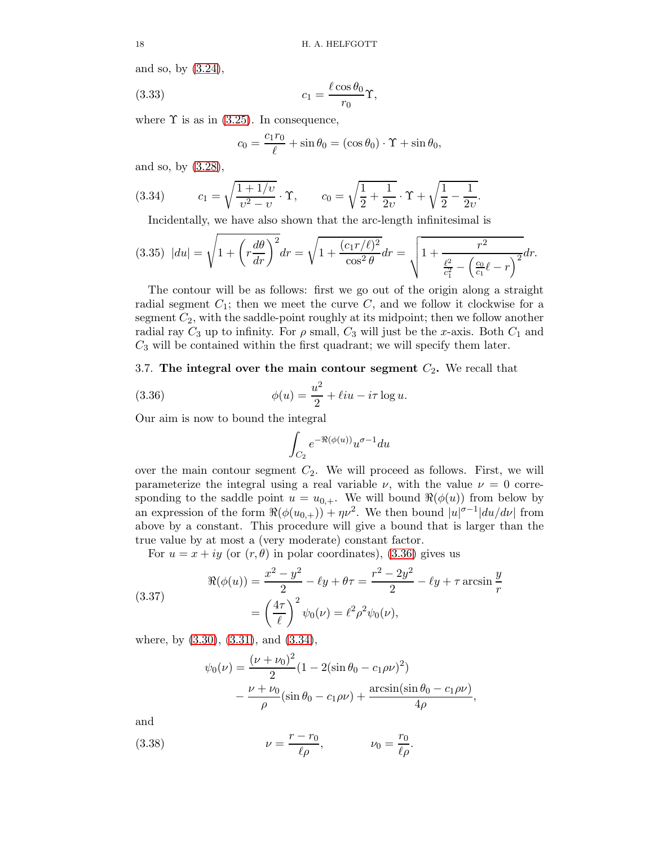and so, by [\(3.24\)](#page-15-0),

(3.33) 
$$
c_1 = \frac{\ell \cos \theta_0}{r_0} \Upsilon,
$$

where  $\Upsilon$  is as in [\(3.25\)](#page-15-1). In consequence,

$$
c_0 = \frac{c_1 r_0}{\ell} + \sin \theta_0 = (\cos \theta_0) \cdot \Upsilon + \sin \theta_0,
$$

and so, by [\(3.28\)](#page-15-4),

(3.34) 
$$
c_1 = \sqrt{\frac{1+1/v}{v^2-v}} \cdot \Upsilon, \qquad c_0 = \sqrt{\frac{1}{2} + \frac{1}{2v}} \cdot \Upsilon + \sqrt{\frac{1}{2} - \frac{1}{2v}}.
$$

<span id="page-17-2"></span>Incidentally, we have also shown that the arc-length infinitesimal is

<span id="page-17-4"></span>
$$
(3.35) |du| = \sqrt{1 + \left(r\frac{d\theta}{dr}\right)^2} dr = \sqrt{1 + \frac{(c_1 r/\ell)^2}{\cos^2 \theta}} dr = \sqrt{1 + \frac{r^2}{\frac{\ell^2}{c_1^2} - \left(\frac{c_0}{c_1}\ell - r\right)^2}} dr.
$$

The contour will be as follows: first we go out of the origin along a straight radial segment  $C_1$ ; then we meet the curve  $C$ , and we follow it clockwise for a segment  $C_2$ , with the saddle-point roughly at its midpoint; then we follow another radial ray  $C_3$  up to infinity. For  $\rho$  small,  $C_3$  will just be the x-axis. Both  $C_1$  and  $C_3$  will be contained within the first quadrant; we will specify them later.

# <span id="page-17-0"></span>3.7. The integral over the main contour segment  $C_2$ . We recall that

(3.36) 
$$
\phi(u) = \frac{u^2}{2} + \ell i u - i \tau \log u.
$$

Our aim is now to bound the integral

<span id="page-17-1"></span>
$$
\int_{C_2} e^{-\Re(\phi(u))} u^{\sigma-1} du
$$

over the main contour segment  $C_2$ . We will proceed as follows. First, we will parameterize the integral using a real variable  $\nu$ , with the value  $\nu = 0$  corresponding to the saddle point  $u = u_{0,+}$ . We will bound  $\Re(\phi(u))$  from below by an expression of the form  $\Re(\phi(u_{0,+})) + \eta \nu^2$ . We then bound  $|u|^{\sigma-1}|du/d\nu|$  from above by a constant. This procedure will give a bound that is larger than the true value by at most a (very moderate) constant factor.

For  $u = x + iy$  (or  $(r, \theta)$  in polar coordinates), [\(3.36\)](#page-17-1) gives us

(3.37)  

$$
\Re(\phi(u)) = \frac{x^2 - y^2}{2} - \ell y + \theta \tau = \frac{r^2 - 2y^2}{2} - \ell y + \tau \arcsin \frac{y}{r}
$$

$$
= \left(\frac{4\tau}{\ell}\right)^2 \psi_0(\nu) = \ell^2 \rho^2 \psi_0(\nu),
$$

where, by [\(3.30\)](#page-16-2), [\(3.31\)](#page-16-3), and [\(3.34\)](#page-17-2),

<span id="page-17-5"></span><span id="page-17-3"></span>
$$
\psi_0(\nu) = \frac{(\nu + \nu_0)^2}{2} (1 - 2(\sin \theta_0 - c_1 \rho \nu)^2) \n- \frac{\nu + \nu_0}{\rho} (\sin \theta_0 - c_1 \rho \nu) + \frac{\arcsin(\sin \theta_0 - c_1 \rho \nu)}{4\rho},
$$

and

(3.38) 
$$
\nu = \frac{r - r_0}{\ell \rho}, \qquad \nu_0 = \frac{r_0}{\ell \rho}.
$$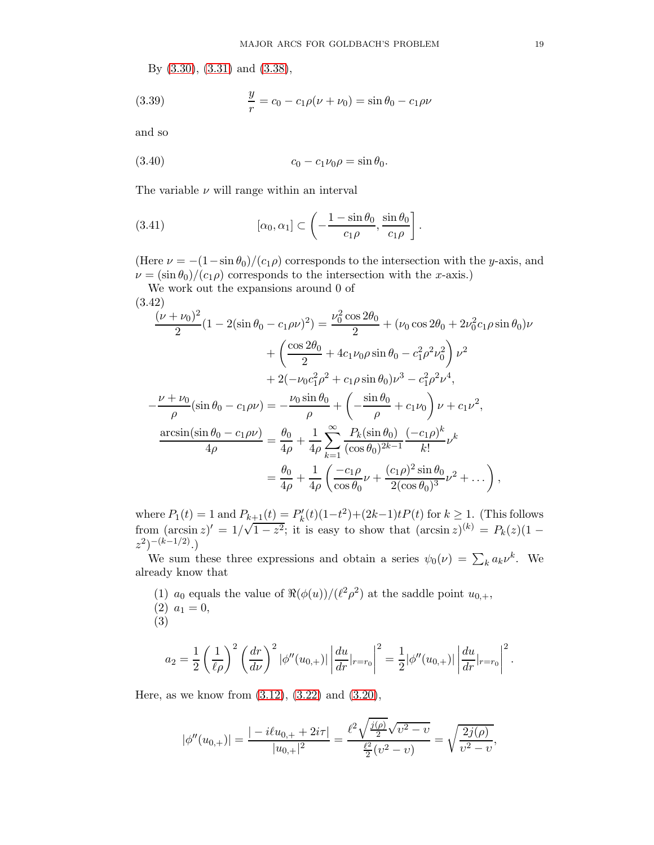By [\(3.30\)](#page-16-2), [\(3.31\)](#page-16-3) and [\(3.38\)](#page-17-3),

(3.39) 
$$
\frac{y}{r} = c_0 - c_1 \rho(\nu + \nu_0) = \sin \theta_0 - c_1 \rho \nu
$$

and so

<span id="page-18-2"></span>(3.40) 
$$
c_0 - c_1 \nu_0 \rho = \sin \theta_0.
$$

The variable  $\nu$  will range within an interval

<span id="page-18-1"></span>(3.41) 
$$
[\alpha_0, \alpha_1] \subset \left(-\frac{1-\sin\theta_0}{c_1\rho}, \frac{\sin\theta_0}{c_1\rho}\right].
$$

(Here  $\nu = -(1-\sin\theta_0)/(c_1\rho)$  corresponds to the intersection with the y-axis, and  $\nu = (\sin \theta_0)/(c_1 \rho)$  corresponds to the intersection with the x-axis.)

We work out the expansions around 0 of

<span id="page-18-0"></span>
$$
\frac{(\mu + \nu_0)^2}{2} (1 - 2(\sin \theta_0 - c_1 \rho \nu)^2) = \frac{\nu_0^2 \cos 2\theta_0}{2} + (\nu_0 \cos 2\theta_0 + 2\nu_0^2 c_1 \rho \sin \theta_0) \nu
$$

$$
+ \left(\frac{\cos 2\theta_0}{2} + 4c_1 \nu_0 \rho \sin \theta_0 - c_1^2 \rho^2 \nu_0^2\right) \nu^2
$$

$$
+ 2(-\nu_0 c_1^2 \rho^2 + c_1 \rho \sin \theta_0) \nu^3 - c_1^2 \rho^2 \nu^4,
$$

$$
- \frac{\nu + \nu_0}{\rho} (\sin \theta_0 - c_1 \rho \nu) = -\frac{\nu_0 \sin \theta_0}{\rho} + \left(-\frac{\sin \theta_0}{\rho} + c_1 \nu_0\right) \nu + c_1 \nu^2,
$$

$$
\frac{\arcsin(\sin \theta_0 - c_1 \rho \nu)}{4\rho} = \frac{\theta_0}{4\rho} + \frac{1}{4\rho} \sum_{k=1}^{\infty} \frac{P_k(\sin \theta_0)}{(\cos \theta_0)^{2k-1}} \frac{(-c_1 \rho)^k}{k!} \nu^k
$$

$$
= \frac{\theta_0}{4\rho} + \frac{1}{4\rho} \left(\frac{-c_1 \rho}{\cos \theta_0} \nu + \frac{(c_1 \rho)^2 \sin \theta_0}{2(\cos \theta_0)^3} \nu^2 + \dots\right),
$$

where  $P_1(t) = 1$  and  $P_{k+1}(t) = P'_k(t)(1-t^2) + (2k-1)tP(t)$  for  $k \ge 1$ . (This follows from  $(\arcsin z)' = 1/\sqrt{1-z^2}$ ; it is easy to show that  $(\arcsin z)^{(k)} = P_k(z)(1-\arcsin z)$  $(z^2)^{-(k-1/2)}$ .)

We sum these three expressions and obtain a series  $\psi_0(\nu) = \sum_k a_k \nu^k$ . We already know that

(1)  $a_0$  equals the value of  $\Re(\phi(u))/(\ell^2 \rho^2)$  at the saddle point  $u_{0,+}$ ,  $(2)$   $a_1 = 0$ , (3)

$$
a_2 = \frac{1}{2} \left(\frac{1}{\ell \rho}\right)^2 \left(\frac{dr}{d\nu}\right)^2 |\phi''(u_{0,+})| \left|\frac{du}{dr}|_{r=r_0}\right|^2 = \frac{1}{2} |\phi''(u_{0,+})| \left|\frac{du}{dr}|_{r=r_0}\right|^2.
$$

Here, as we know from [\(3.12\)](#page-12-5), [\(3.22\)](#page-14-1) and [\(3.20\)](#page-14-2),

$$
|\phi''(u_{0,+})| = \frac{| - i\ell u_{0,+} + 2i\tau |}{|u_{0,+}|^2} = \frac{\ell^2 \sqrt{\frac{j(\rho)}{2}} \sqrt{\nu^2 - \nu}}{\frac{\ell^2}{2} (\nu^2 - \nu)} = \sqrt{\frac{2j(\rho)}{\nu^2 - \nu}},
$$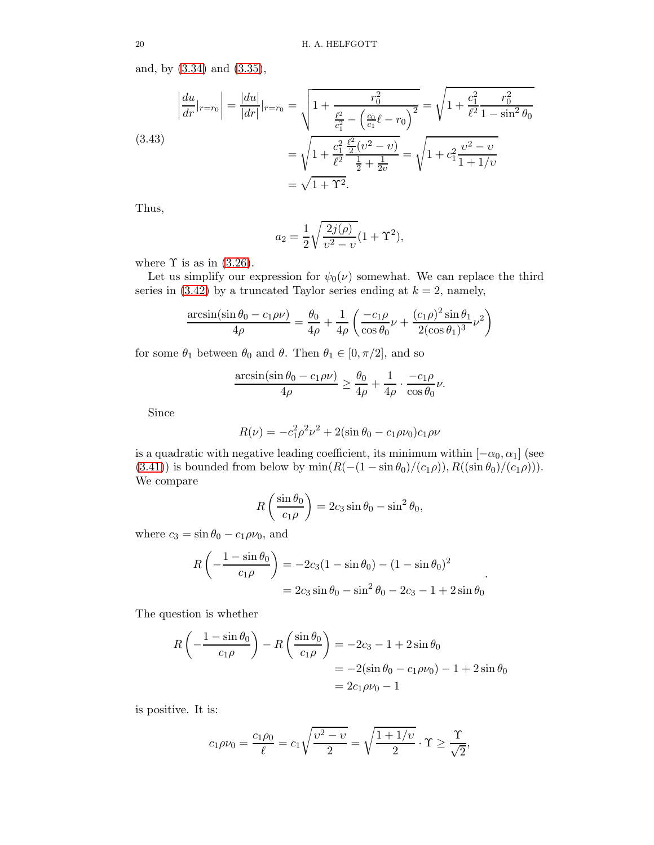and, by [\(3.34\)](#page-17-2) and [\(3.35\)](#page-17-4),

$$
\left| \frac{du}{dr} \right|_{r=r_0} = \frac{|du|}{|dr|} \Big|_{r=r_0} = \sqrt{1 + \frac{r_0^2}{\frac{\ell^2}{c_1^2} - \left(\frac{c_0}{c_1}\ell - r_0\right)^2}} = \sqrt{1 + \frac{c_1^2}{\ell^2} \frac{r_0^2}{1 - \sin^2 \theta_0}}
$$
\n
$$
= \sqrt{1 + \frac{c_1^2}{\ell^2} \frac{\frac{\ell^2}{2} (v^2 - v)}{\frac{1}{2} + \frac{1}{2v}}} = \sqrt{1 + c_1^2 \frac{v^2 - v}{1 + 1/v}}
$$
\n
$$
= \sqrt{1 + \Upsilon^2}.
$$

Thus,

$$
a_2 = \frac{1}{2} \sqrt{\frac{2j(\rho)}{v^2 - v}} (1 + \Upsilon^2),
$$

where  $\Upsilon$  is as in [\(3.26\)](#page-15-5).

Let us simplify our expression for  $\psi_0(\nu)$  somewhat. We can replace the third series in [\(3.42\)](#page-18-0) by a truncated Taylor series ending at  $k = 2$ , namely,

$$
\frac{\arcsin(\sin \theta_0 - c_1 \rho \nu)}{4\rho} = \frac{\theta_0}{4\rho} + \frac{1}{4\rho} \left( \frac{-c_1 \rho}{\cos \theta_0} \nu + \frac{(c_1 \rho)^2 \sin \theta_1}{2(\cos \theta_1)^3} \nu^2 \right)
$$

for some  $\theta_1$  between  $\theta_0$  and  $\theta$ . Then  $\theta_1 \in [0, \pi/2]$ , and so

$$
\frac{\arcsin(\sin \theta_0 - c_1 \rho \nu)}{4\rho} \ge \frac{\theta_0}{4\rho} + \frac{1}{4\rho} \cdot \frac{-c_1 \rho}{\cos \theta_0} \nu.
$$

Since

$$
R(\nu) = -c_1^2 \rho^2 \nu^2 + 2(\sin \theta_0 - c_1 \rho \nu_0)c_1 \rho \nu
$$

is a quadratic with negative leading coefficient, its minimum within  $[-\alpha_0, \alpha_1]$  (see [\(3.41\)](#page-18-1)) is bounded from below by  $\min(R(-(1-\sin\theta_0)/(c_1\rho)), R((\sin\theta_0)/(c_1\rho))).$ We compare

$$
R\left(\frac{\sin\theta_0}{c_1\rho}\right) = 2c_3\sin\theta_0 - \sin^2\theta_0,
$$

where  $c_3 = \sin \theta_0 - c_1 \rho \nu_0$ , and

$$
R\left(-\frac{1-\sin\theta_0}{c_1\rho}\right) = -2c_3(1-\sin\theta_0) - (1-\sin\theta_0)^2
$$

$$
= 2c_3\sin\theta_0 - \sin^2\theta_0 - 2c_3 - 1 + 2\sin\theta_0
$$

.

The question is whether

$$
R\left(-\frac{1-\sin\theta_{0}}{c_{1}\rho}\right) - R\left(\frac{\sin\theta_{0}}{c_{1}\rho}\right) = -2c_{3} - 1 + 2\sin\theta_{0}
$$
  
= -2(\sin\theta\_{0} - c\_{1}\rho\nu\_{0}) - 1 + 2\sin\theta\_{0}  
= 2c\_{1}\rho\nu\_{0} - 1

is positive. It is:

$$
c_1 \rho \nu_0 = \frac{c_1 \rho_0}{\ell} = c_1 \sqrt{\frac{\nu^2 - \nu}{2}} = \sqrt{\frac{1 + 1/\nu}{2}} \cdot \Upsilon \ge \frac{\Upsilon}{\sqrt{2}},
$$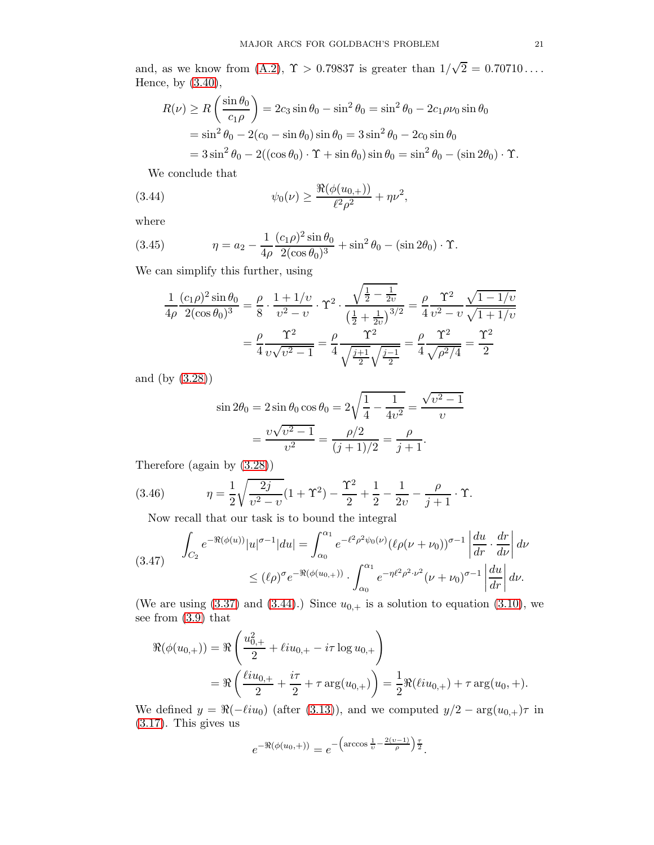and, as we know from [\(A.2\)](#page-60-0),  $\Upsilon > 0.79837$  is greater than  $1/\sqrt{2} = 0.70710...$ Hence, by [\(3.40\)](#page-18-2),

$$
R(\nu) \ge R\left(\frac{\sin \theta_0}{c_1 \rho}\right) = 2c_3 \sin \theta_0 - \sin^2 \theta_0 = \sin^2 \theta_0 - 2c_1 \rho \nu_0 \sin \theta_0
$$
  
=  $\sin^2 \theta_0 - 2(c_0 - \sin \theta_0) \sin \theta_0 = 3 \sin^2 \theta_0 - 2c_0 \sin \theta_0$   
=  $3 \sin^2 \theta_0 - 2((\cos \theta_0) \cdot \Upsilon + \sin \theta_0) \sin \theta_0 = \sin^2 \theta_0 - (\sin 2\theta_0) \cdot \Upsilon.$ 

<span id="page-20-0"></span>We conclude that

(3.44) 
$$
\psi_0(\nu) \ge \frac{\Re(\phi(u_{0,+}))}{\ell^2 \rho^2} + \eta \nu^2,
$$

where

(3.45) 
$$
\eta = a_2 - \frac{1}{4\rho} \frac{(c_1\rho)^2 \sin \theta_0}{2(\cos \theta_0)^3} + \sin^2 \theta_0 - (\sin 2\theta_0) \cdot \Upsilon.
$$

We can simplify this further, using

$$
\frac{1}{4\rho} \frac{(c_1 \rho)^2 \sin \theta_0}{2(\cos \theta_0)^3} = \frac{\rho}{8} \cdot \frac{1 + 1/v}{v^2 - v} \cdot \Upsilon^2 \cdot \frac{\sqrt{\frac{1}{2} - \frac{1}{2v}}}{\left(\frac{1}{2} + \frac{1}{2v}\right)^{3/2}} = \frac{\rho}{4} \frac{\Upsilon^2}{v^2 - v} \frac{\sqrt{1 - 1/v}}{\sqrt{1 + 1/v}}
$$

$$
= \frac{\rho}{4} \frac{\Upsilon^2}{v\sqrt{v^2 - 1}} = \frac{\rho}{4} \frac{\Upsilon^2}{\sqrt{\frac{j+1}{2}} \sqrt{\frac{j-1}{2}}} = \frac{\rho}{4} \frac{\Upsilon^2}{\sqrt{\rho^2/4}} = \frac{\Upsilon^2}{2}
$$

and (by [\(3.28\)](#page-15-4))

$$
\sin 2\theta_0 = 2\sin \theta_0 \cos \theta_0 = 2\sqrt{\frac{1}{4} - \frac{1}{4v^2}} = \frac{\sqrt{v^2 - 1}}{v}
$$

$$
= \frac{v\sqrt{v^2 - 1}}{v^2} = \frac{\rho/2}{(j+1)/2} = \frac{\rho}{j+1}.
$$

Therefore (again by [\(3.28\)](#page-15-4))

(3.46) 
$$
\eta = \frac{1}{2} \sqrt{\frac{2j}{v^2 - v}} (1 + \Upsilon^2) - \frac{\Upsilon^2}{2} + \frac{1}{2} - \frac{1}{2v} - \frac{\rho}{j+1} \cdot \Upsilon.
$$

<span id="page-20-2"></span>Now recall that our task is to bound the integral

<span id="page-20-1"></span>
$$
(3.47) \quad \int_{C_2} e^{-\Re(\phi(u))}|u|^{\sigma-1}|du = \int_{\alpha_0}^{\alpha_1} e^{-\ell^2 \rho^2 \psi_0(\nu)} (\ell \rho(\nu + \nu_0))^{\sigma-1} \left| \frac{du}{dr} \cdot \frac{dr}{d\nu} \right| d\nu
$$
  

$$
\leq (\ell \rho)^{\sigma} e^{-\Re(\phi(u_{0,+}))} \cdot \int_{\alpha_0}^{\alpha_1} e^{-\eta \ell^2 \rho^2 \cdot \nu^2} (\nu + \nu_0)^{\sigma-1} \left| \frac{du}{dr} \right| d\nu.
$$

(We are using  $(3.37)$  and  $(3.44)$ .) Since  $u_{0,+}$  is a solution to equation  $(3.10)$ , we see from [\(3.9\)](#page-12-6) that

$$
\begin{aligned} \Re(\phi(u_{0,+})) &= \Re\left(\frac{u_{0,+}^2}{2} + \ell i u_{0,+} - i\tau \log u_{0,+}\right) \\ &= \Re\left(\frac{\ell i u_{0,+}}{2} + \frac{i\tau}{2} + \tau \arg(u_{0,+})\right) = \frac{1}{2} \Re(\ell i u_{0,+}) + \tau \arg(u_{0,+}). \end{aligned}
$$

We defined  $y = \Re(-\ell i u_0)$  (after [\(3.13\)](#page-12-4)), and we computed  $y/2 - \arg(u_{0,+})\tau$  in [\(3.17\)](#page-13-3). This gives us

$$
e^{-\Re(\phi(u_0,+))} = e^{-\left(\arccos\frac{1}{v} - \frac{2(v-1)}{\rho}\right)\frac{\tau}{2}}.
$$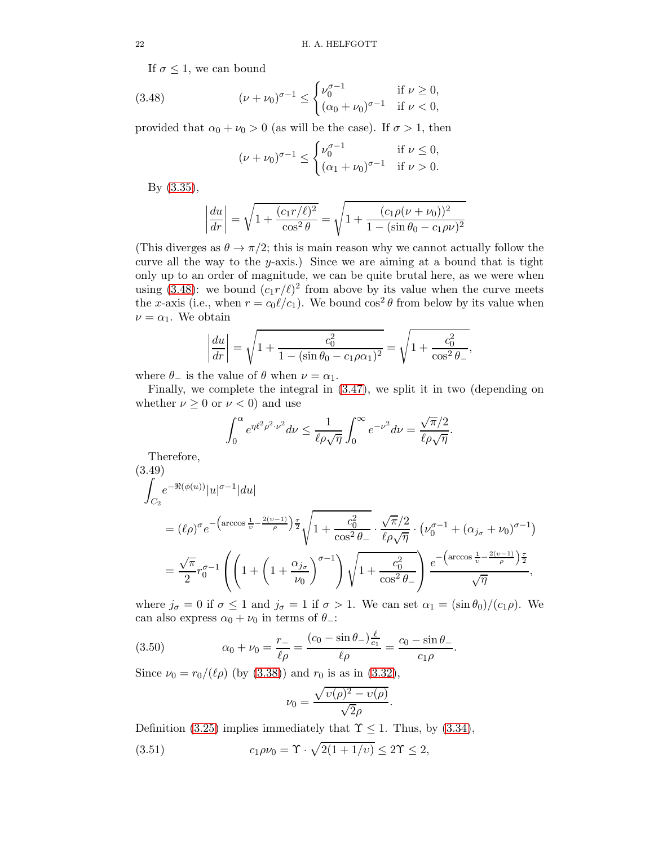If  $\sigma \leq 1$ , we can bound

(3.48) 
$$
(\nu + \nu_0)^{\sigma - 1} \leq \begin{cases} \nu_0^{\sigma - 1} & \text{if } \nu \geq 0, \\ (\alpha_0 + \nu_0)^{\sigma - 1} & \text{if } \nu < 0, \end{cases}
$$

provided that  $\alpha_0 + \nu_0 > 0$  (as will be the case). If  $\sigma > 1$ , then

<span id="page-21-0"></span>
$$
(\nu + \nu_0)^{\sigma - 1} \le \begin{cases} \nu_0^{\sigma - 1} & \text{if } \nu \le 0, \\ (\alpha_1 + \nu_0)^{\sigma - 1} & \text{if } \nu > 0. \end{cases}
$$

By [\(3.35\)](#page-17-4),

$$
\left| \frac{du}{dr} \right| = \sqrt{1 + \frac{(c_1 r/\ell)^2}{\cos^2 \theta}} = \sqrt{1 + \frac{(c_1 \rho(\nu + \nu_0))^2}{1 - (\sin \theta_0 - c_1 \rho \nu)^2}}
$$

(This diverges as  $\theta \to \pi/2$ ; this is main reason why we cannot actually follow the curve all the way to the y-axis.) Since we are aiming at a bound that is tight only up to an order of magnitude, we can be quite brutal here, as we were when using [\(3.48\)](#page-21-0): we bound  $(c_1 r/\ell)^2$  from above by its value when the curve meets the x-axis (i.e., when  $r = c_0 \ell/c_1$ ). We bound  $\cos^2 \theta$  from below by its value when  $\nu = \alpha_1$ . We obtain

$$
\left| \frac{du}{dr} \right| = \sqrt{1 + \frac{c_0^2}{1 - (\sin \theta_0 - c_1 \rho \alpha_1)^2}} = \sqrt{1 + \frac{c_0^2}{\cos^2 \theta_-}},
$$

where  $\theta_-\$  is the value of  $\theta$  when  $\nu = \alpha_1$ .

Finally, we complete the integral in [\(3.47\)](#page-20-1), we split it in two (depending on whether  $\nu \geq 0$  or  $\nu < 0$ ) and use

$$
\int_0^{\alpha} e^{\eta \ell^2 \rho^2 \cdot \nu^2} d\nu \le \frac{1}{\ell \rho \sqrt{\eta}} \int_0^{\infty} e^{-\nu^2} d\nu = \frac{\sqrt{\pi/2}}{\ell \rho \sqrt{\eta}}
$$

.

.

Therefore,

$$
\stackrel{(3.49)}{f}_{\mathcal{R}^{\prime}}
$$

$$
\int_{C_2} e^{-\Re(\phi(u))}|u|^{\sigma-1}|du|
$$
\n
$$
= (\ell \rho)^{\sigma} e^{-\left(\arccos \frac{1}{v} - \frac{2(v-1)}{\rho}\right) \frac{\tau}{2}} \sqrt{1 + \frac{c_0^2}{\cos^2 \theta_{-}} \cdot \frac{\sqrt{\pi}/2}{\ell \rho \sqrt{\eta}} \cdot \left(\nu_0^{\sigma-1} + (\alpha_{j\sigma} + \nu_0)^{\sigma-1}\right)}
$$
\n
$$
= \frac{\sqrt{\pi}}{2} r_0^{\sigma-1} \left( \left(1 + \left(1 + \frac{\alpha_{j\sigma}}{\nu_0}\right)^{\sigma-1}\right) \sqrt{1 + \frac{c_0^2}{\cos^2 \theta_{-}}}\right) \frac{e^{-\left(\arccos \frac{1}{v} - \frac{2(v-1)}{\rho}\right) \frac{\tau}{2}}}{\sqrt{\eta}},
$$

where  $j_{\sigma} = 0$  if  $\sigma \le 1$  and  $j_{\sigma} = 1$  if  $\sigma > 1$ . We can set  $\alpha_1 = (\sin \theta_0)/(c_1 \rho)$ . We can also express  $\alpha_0 + \nu_0$  in terms of  $\theta$ <sub>-</sub>:

(3.50) 
$$
\alpha_0 + \nu_0 = \frac{r_-}{\ell \rho} = \frac{(c_0 - \sin \theta_-)\frac{\ell}{c_1}}{\ell \rho} = \frac{c_0 - \sin \theta_-}{c_1 \rho}
$$

Since  $\nu_0 = r_0/(\ell \rho)$  (by [\(3.38\)](#page-17-3)) and  $r_0$  is as in [\(3.32\)](#page-16-4),

<span id="page-21-2"></span><span id="page-21-1"></span>
$$
\nu_0 = \frac{\sqrt{\upsilon(\rho)^2 - \upsilon(\rho)}}{\sqrt{2}\rho}.
$$

Definition [\(3.25\)](#page-15-1) implies immediately that  $\Upsilon \leq 1$ . Thus, by [\(3.34\)](#page-17-2), (3.51)  $c_1 \rho \nu_0 = \Upsilon \cdot \sqrt{2(1 + 1/\nu)} \le 2\Upsilon \le 2$ ,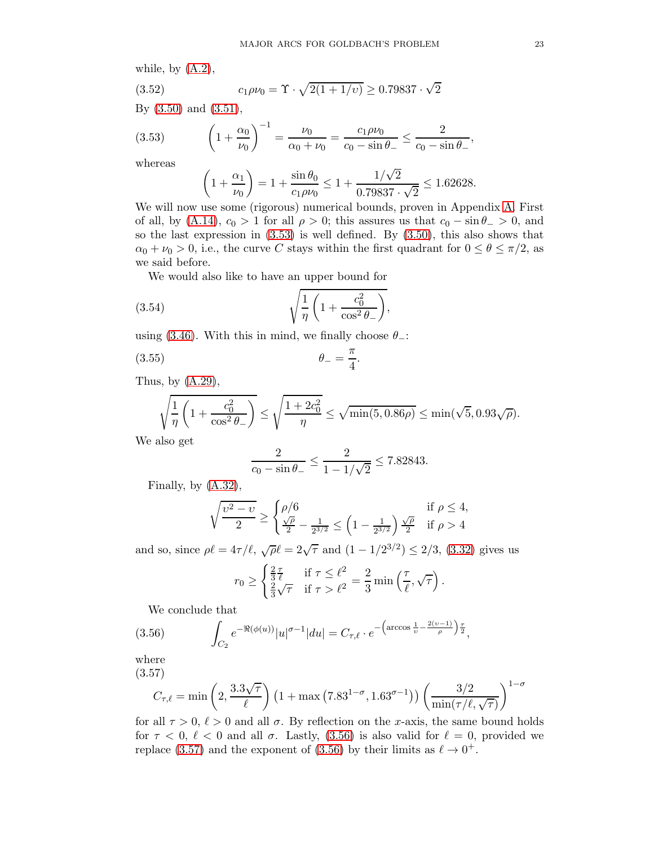while, by  $(A.2)$ ,

(3.52) 
$$
c_1 \rho \nu_0 = \Upsilon \cdot \sqrt{2(1 + 1/\nu)} \ge 0.79837 \cdot \sqrt{2}
$$

By [\(3.50\)](#page-21-1) and [\(3.51\)](#page-21-2),

(3.53) 
$$
\left(1+\frac{\alpha_0}{\nu_0}\right)^{-1} = \frac{\nu_0}{\alpha_0+\nu_0} = \frac{c_1\rho\nu_0}{c_0-\sin\theta_-} \le \frac{2}{c_0-\sin\theta_-},
$$

whereas

<span id="page-22-0"></span>
$$
\left(1 + \frac{\alpha_1}{\nu_0}\right) = 1 + \frac{\sin \theta_0}{c_1 \rho \nu_0} \le 1 + \frac{1/\sqrt{2}}{0.79837 \cdot \sqrt{2}} \le 1.62628.
$$

We will now use some (rigorous) numerical bounds, proven in Appendix [A.](#page-59-0) First of all, by  $(A.14)$ ,  $c_0 > 1$  for all  $\rho > 0$ ; this assures us that  $c_0 - \sin \theta > 0$ , and so the last expression in [\(3.53\)](#page-22-0) is well defined. By [\(3.50\)](#page-21-1), this also shows that  $\alpha_0 + \nu_0 > 0$ , i.e., the curve C stays within the first quadrant for  $0 \le \theta \le \pi/2$ , as we said before.

We would also like to have an upper bound for

(3.54) 
$$
\sqrt{\frac{1}{\eta} \left(1 + \frac{c_0^2}{\cos^2 \theta_-}\right)},
$$

using [\(3.46\)](#page-20-2). With this in mind, we finally choose  $\theta$ <sub>-</sub>:

$$
\theta_- = \frac{\pi}{4}.
$$

Thus, by [\(A.29\)](#page-65-0),

$$
\sqrt{\frac{1}{\eta} \left(1 + \frac{c_0^2}{\cos^2 \theta_-}\right)} \le \sqrt{\frac{1 + 2c_0^2}{\eta}} \le \sqrt{\min(5, 0.86\rho)} \le \min(\sqrt{5}, 0.93\sqrt{\rho}).
$$

We also get

$$
\frac{2}{c_0 - \sin \theta_-} \le \frac{2}{1 - 1/\sqrt{2}} \le 7.82843.
$$

Finally, by  $(A.32)$ ,

$$
\sqrt{\frac{\upsilon^2 - \upsilon}{2}} \ge \begin{cases} \rho/6 & \text{if } \rho \le 4, \\ \frac{\sqrt{\rho}}{2} - \frac{1}{2^{3/2}} \le \left(1 - \frac{1}{2^{3/2}}\right) \frac{\sqrt{\rho}}{2} & \text{if } \rho > 4 \end{cases}
$$

and so, since  $\rho \ell = 4\tau/\ell$ ,  $\sqrt{\rho} \ell = 2\sqrt{\tau}$  and  $(1 - 1/2^{3/2}) \le 2/3$ , [\(3.32\)](#page-16-4) gives us

$$
r_0 \ge \begin{cases} \frac{2}{3}\frac{\tau}{\ell} & \text{if } \tau \le \ell^2 \\ \frac{2}{3}\sqrt{\tau} & \text{if } \tau > \ell^2 \end{cases} = \frac{2}{3}\min\left(\frac{\tau}{\ell}, \sqrt{\tau}\right).
$$

<span id="page-22-1"></span>We conclude that

(3.56) 
$$
\int_{C_2} e^{-\Re(\phi(u))}|u|^{\sigma-1}|du| = C_{\tau,\ell} \cdot e^{-\left(\arccos\frac{1}{v} - \frac{2(v-1)}{\rho}\right)\frac{\tau}{2}},
$$

where

(3.57)

<span id="page-22-2"></span>
$$
C_{\tau,\ell} = \min\left(2, \frac{3.3\sqrt{\tau}}{\ell}\right) \left(1 + \max\left(7.83^{1-\sigma}, 1.63^{\sigma-1}\right)\right) \left(\frac{3/2}{\min(\tau/\ell, \sqrt{\tau})}\right)^{1-\sigma}
$$

for all  $\tau > 0$ ,  $\ell > 0$  and all  $\sigma$ . By reflection on the x-axis, the same bound holds for  $\tau < 0$ ,  $\ell < 0$  and all  $\sigma$ . Lastly, [\(3.56\)](#page-22-1) is also valid for  $\ell = 0$ , provided we replace [\(3.57\)](#page-22-2) and the exponent of [\(3.56\)](#page-22-1) by their limits as  $\ell \to 0^+$ .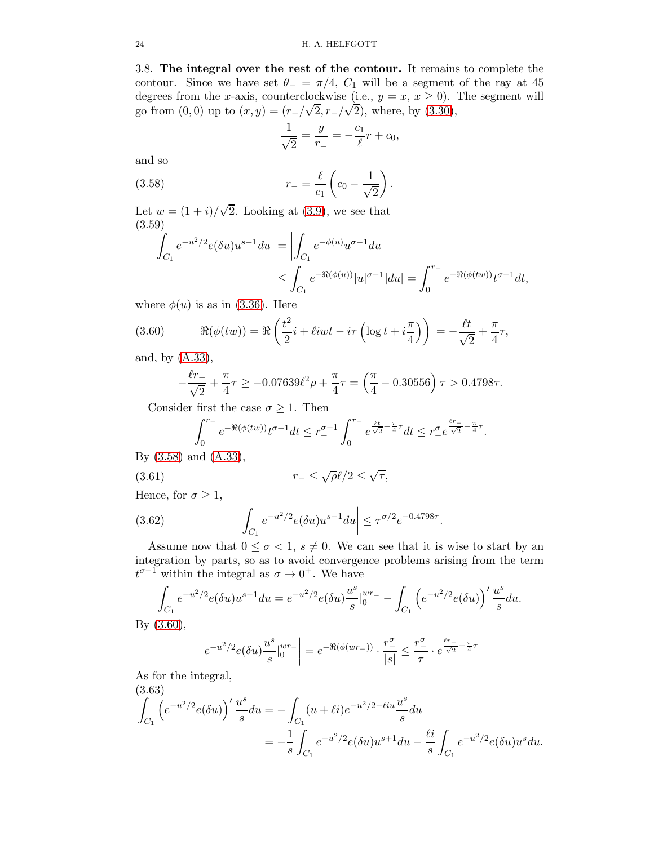<span id="page-23-0"></span>3.8. The integral over the rest of the contour. It remains to complete the contour. Since we have set  $\theta = \pi/4$ ,  $C_1$  will be a segment of the ray at 45 degrees from the x-axis, counterclockwise (i.e.,  $y = x, x \ge 0$ ). The segment will go from  $(0,0)$  up to  $(x, y) = (r_-/\sqrt{2}, r_-/\sqrt{2})$ , where, by  $(3.30)$ ,

<span id="page-23-1"></span>
$$
\frac{1}{\sqrt{2}} = \frac{y}{r_-} = -\frac{c_1}{\ell}r + c_0,
$$

and so

(3.58) 
$$
r_{-} = \frac{\ell}{c_1} \left( c_0 - \frac{1}{\sqrt{2}} \right).
$$

Let  $w = (1 + i)/\sqrt{2}$ . Looking at [\(3.9\)](#page-12-6), we see that (3.59)

<span id="page-23-3"></span>
$$
\left| \int_{C_1} e^{-u^2/2} e(\delta u) u^{s-1} du \right| = \left| \int_{C_1} e^{-\phi(u)} u^{\sigma-1} du \right|
$$
  

$$
\leq \int_{C_1} e^{-\Re(\phi(u))} |u|^{\sigma-1} |du| = \int_0^{r-1} e^{-\Re(\phi(tw))} t^{\sigma-1} dt,
$$

where  $\phi(u)$  is as in [\(3.36\)](#page-17-1). Here

(3.60) 
$$
\Re(\phi(tw)) = \Re\left(\frac{t^2}{2}i + \ell iwt - i\tau\left(\log t + i\frac{\pi}{4}\right)\right) = -\frac{\ell t}{\sqrt{2}} + \frac{\pi}{4}\tau,
$$

and, by [\(A.33\)](#page-66-1),

<span id="page-23-2"></span>
$$
-\frac{\ell r_-}{\sqrt{2}} + \frac{\pi}{4}\tau \ge -0.07639 \ell^2 \rho + \frac{\pi}{4}\tau = \left(\frac{\pi}{4} - 0.30556\right)\tau > 0.4798\tau.
$$

Consider first the case  $\sigma \geq 1$ . Then

<span id="page-23-4"></span>
$$
\int_0^{r_-} e^{-\Re(\phi(tw))} t^{\sigma-1} dt \le r_-^{\sigma-1} \int_0^{r_-} e^{\frac{\ell t}{\sqrt{2}} - \frac{\pi}{4} \tau} dt \le r_-^{\sigma} e^{\frac{\ell r_-}{\sqrt{2}} - \frac{\pi}{4} \tau}.
$$

By [\(3.58\)](#page-23-1) and [\(A.33\)](#page-66-1),

(3.61) 
$$
r_{-} \leq \sqrt{\rho} \ell / 2 \leq \sqrt{\tau},
$$

Hence, for  $\sigma \geq 1$ ,

<span id="page-23-5"></span>(3.62) 
$$
\left| \int_{C_1} e^{-u^2/2} e(\delta u) u^{s-1} du \right| \leq \tau^{\sigma/2} e^{-0.4798\tau}.
$$

Assume now that  $0 \leq \sigma < 1$ ,  $s \neq 0$ . We can see that it is wise to start by an integration by parts, so as to avoid convergence problems arising from the term  $t^{\sigma-1}$  within the integral as  $\sigma \to 0^+$ . We have

$$
\int_{C_1} e^{-u^2/2} e(\delta u) u^{s-1} du = e^{-u^2/2} e(\delta u) \frac{u^s}{s} \Big|_0^{wr-1} - \int_{C_1} \left( e^{-u^2/2} e(\delta u) \right)' \frac{u^s}{s} du.
$$

By [\(3.60\)](#page-23-2),

$$
\left| e^{-u^2/2} e(\delta u) \frac{u^s}{s} \Big|_0^{wr_-} \right| = e^{-\Re(\phi(wr_-))} \cdot \frac{r_-^{\sigma}}{|s|} \le \frac{r_-^{\sigma}}{\tau} \cdot e^{\frac{\ell r_-}{\sqrt{2}} - \frac{\pi}{4}\tau}
$$

As for the integral,  $(9.63)$ 

(3.63)  
\n
$$
\int_{C_1} \left( e^{-u^2/2} e(\delta u) \right)' \frac{u^s}{s} du = - \int_{C_1} (u + \ell i) e^{-u^2/2 - \ell i u} \frac{u^s}{s} du
$$
\n
$$
= -\frac{1}{s} \int_{C_1} e^{-u^2/2} e(\delta u) u^{s+1} du - \frac{\ell i}{s} \int_{C_1} e^{-u^2/2} e(\delta u) u^s du.
$$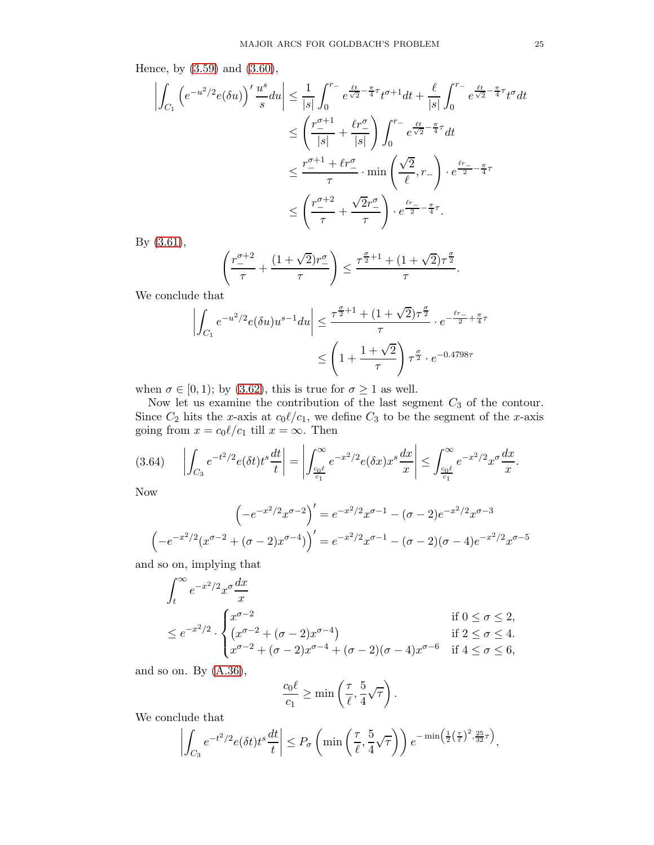Hence, by [\(3.59\)](#page-23-3) and [\(3.60\)](#page-23-2),

$$
\left| \int_{C_1} \left( e^{-u^2/2} e(\delta u) \right)' \frac{u^s}{s} du \right| \leq \frac{1}{|s|} \int_0^{r_-} e^{\frac{\ell t}{\sqrt{2}} - \frac{\pi}{4} \tau} t^{\sigma+1} dt + \frac{\ell}{|s|} \int_0^{r_-} e^{\frac{\ell t}{\sqrt{2}} - \frac{\pi}{4} \tau} t^{\sigma} dt
$$
  

$$
\leq \left( \frac{r_-^{\sigma+1}}{|s|} + \frac{\ell r_-^{\sigma}}{|s|} \right) \int_0^{r_-} e^{\frac{\ell t}{\sqrt{2}} - \frac{\pi}{4} \tau} dt
$$
  

$$
\leq \frac{r_-^{\sigma+1} + \ell r_-^{\sigma}}{\tau} \cdot \min \left( \frac{\sqrt{2}}{\ell}, r_- \right) \cdot e^{\frac{\ell r_-}{2} - \frac{\pi}{4} \tau}
$$
  

$$
\leq \left( \frac{r_-^{\sigma+2}}{\tau} + \frac{\sqrt{2} r_-^{\sigma}}{\tau} \right) \cdot e^{\frac{\ell r_-}{2} - \frac{\pi}{4} \tau}.
$$

By [\(3.61\)](#page-23-4),

$$
\left(\frac{r_-^{\sigma+2}}{\tau} + \frac{(1+\sqrt{2})r_-^{\sigma}}{\tau}\right) \le \frac{\tau^{\frac{\sigma}{2}+1} + (1+\sqrt{2})\tau^{\frac{\sigma}{2}}}{\tau}.
$$

We conclude that

$$
\left| \int_{C_1} e^{-u^2/2} e(\delta u) u^{s-1} du \right| \le \frac{\tau^{\frac{\sigma}{2}+1} + (1+\sqrt{2})\tau^{\frac{\sigma}{2}}}{\tau} \cdot e^{-\frac{\ell r_-}{2} + \frac{\pi}{4}\tau}
$$

$$
\le \left(1 + \frac{1+\sqrt{2}}{\tau}\right) \tau^{\frac{\sigma}{2}} \cdot e^{-0.4798\tau}
$$

when  $\sigma \in [0, 1)$ ; by [\(3.62\)](#page-23-5), this is true for  $\sigma \ge 1$  as well.

Now let us examine the contribution of the last segment  $C_3$  of the contour. Since  $C_2$  hits the x-axis at  $c_0 \ell/c_1$ , we define  $C_3$  to be the segment of the x-axis going from  $x = c_0 \ell/c_1$  till  $x = \infty$ . Then

$$
(3.64) \qquad \left| \int_{C_3} e^{-t^2/2} e(\delta t) t^s \frac{dt}{t} \right| = \left| \int_{\frac{c_0 \ell}{c_1}}^{\infty} e^{-x^2/2} e(\delta x) x^s \frac{dx}{x} \right| \le \int_{\frac{c_0 \ell}{c_1}}^{\infty} e^{-x^2/2} x^{\sigma} \frac{dx}{x}.
$$

Now

$$
\left(-e^{-x^2/2}x^{\sigma-2}\right)' = e^{-x^2/2}x^{\sigma-1} - (\sigma-2)e^{-x^2/2}x^{\sigma-3}
$$

$$
\left(-e^{-x^2/2}(x^{\sigma-2} + (\sigma-2)x^{\sigma-4})\right)' = e^{-x^2/2}x^{\sigma-1} - (\sigma-2)(\sigma-4)e^{-x^2/2}x^{\sigma-5}
$$

and so on, implying that

$$
\int_{t}^{\infty} e^{-x^{2}/2} x^{\sigma} \frac{dx}{x}
$$
\n
$$
\leq e^{-x^{2}/2} \cdot \begin{cases}\nx^{\sigma-2} & \text{if } 0 \leq \sigma \leq 2, \\
(x^{\sigma-2} + (\sigma-2)x^{\sigma-4}) & \text{if } 2 \leq \sigma \leq 4. \\
x^{\sigma-2} + (\sigma-2)x^{\sigma-4} + (\sigma-2)(\sigma-4)x^{\sigma-6} & \text{if } 4 \leq \sigma \leq 6,\n\end{cases}
$$

and so on. By  $(A.36)$ ,

$$
\frac{c_0 \ell}{c_1} \ge \min\left(\frac{\tau}{\ell}, \frac{5}{4}\sqrt{\tau}\right).
$$

We conclude that

$$
\left| \int_{C_3} e^{-t^2/2} e(\delta t) t^s \frac{dt}{t} \right| \leq P_{\sigma} \left( \min \left( \frac{\tau}{\ell}, \frac{5}{4} \sqrt{\tau} \right) \right) e^{-\min \left( \frac{1}{2} \left( \frac{\tau}{\ell} \right)^2, \frac{25}{32} \tau \right)},
$$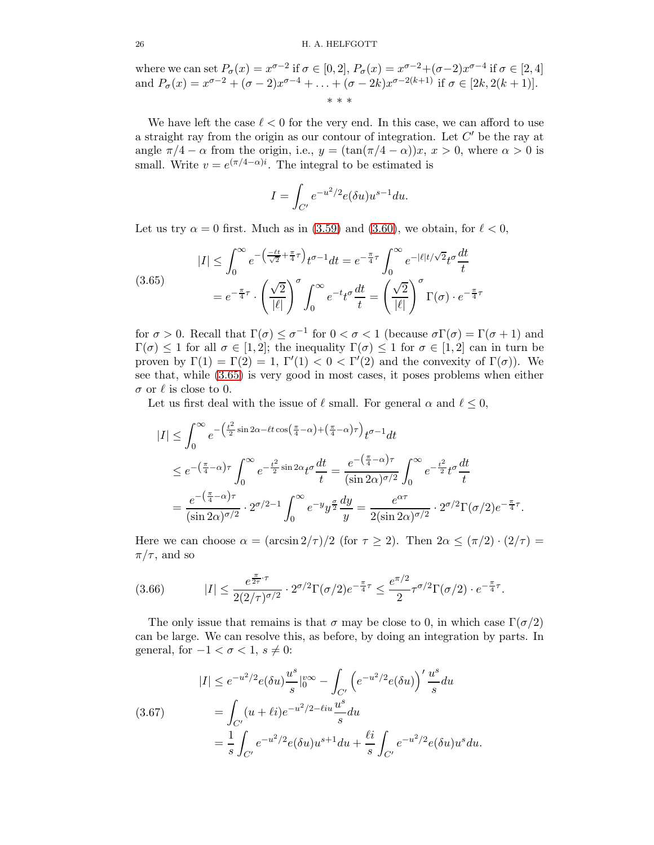where we can set  $P_{\sigma}(x) = x^{\sigma-2}$  if  $\sigma \in [0,2]$ ,  $P_{\sigma}(x) = x^{\sigma-2} + (\sigma-2)x^{\sigma-4}$  if  $\sigma \in [2,4]$ and  $P_{\sigma}(x) = x^{\sigma-2} + (\sigma - 2)x^{\sigma-4} + \ldots + (\sigma - 2k)x^{\sigma-2(k+1)}$  if  $\sigma \in [2k, 2(k+1)].$ \* \* \*

We have left the case  $\ell < 0$  for the very end. In this case, we can afford to use a straight ray from the origin as our contour of integration. Let  $C'$  be the ray at angle  $\pi/4 - \alpha$  from the origin, i.e.,  $y = (\tan(\pi/4 - \alpha))x$ ,  $x > 0$ , where  $\alpha > 0$  is small. Write  $v = e^{(\pi/4 - \alpha)i}$ . The integral to be estimated is

$$
I=\int_{C'}e^{-u^2/2}e(\delta u)u^{s-1}du.
$$

Let us try  $\alpha = 0$  first. Much as in [\(3.59\)](#page-23-3) and [\(3.60\)](#page-23-2), we obtain, for  $\ell < 0$ ,

<span id="page-25-0"></span>(3.65)  

$$
|I| \leq \int_0^\infty e^{-\left(\frac{-\ell t}{\sqrt{2}} + \frac{\pi}{4}\tau\right)} t^{\sigma - 1} dt = e^{-\frac{\pi}{4}\tau} \int_0^\infty e^{-|\ell|t/\sqrt{2}} t^{\sigma} \frac{dt}{t}
$$

$$
= e^{-\frac{\pi}{4}\tau} \cdot \left(\frac{\sqrt{2}}{|\ell|}\right)^{\sigma} \int_0^\infty e^{-t} t^{\sigma} \frac{dt}{t} = \left(\frac{\sqrt{2}}{|\ell|}\right)^{\sigma} \Gamma(\sigma) \cdot e^{-\frac{\pi}{4}\tau}
$$

for  $\sigma > 0$ . Recall that  $\Gamma(\sigma) \leq \sigma^{-1}$  for  $0 < \sigma < 1$  (because  $\sigma \Gamma(\sigma) = \Gamma(\sigma + 1)$ ) and  $\Gamma(\sigma) \leq 1$  for all  $\sigma \in [1,2]$ ; the inequality  $\Gamma(\sigma) \leq 1$  for  $\sigma \in [1,2]$  can in turn be proven by  $\Gamma(1) = \Gamma(2) = 1$ ,  $\Gamma'(1) < 0 < \Gamma'(2)$  and the convexity of  $\Gamma(\sigma)$ ). We see that, while [\(3.65\)](#page-25-0) is very good in most cases, it poses problems when either  $\sigma$  or  $\ell$  is close to 0.

Let us first deal with the issue of  $\ell$  small. For general  $\alpha$  and  $\ell \leq 0$ ,

$$
|I| \leq \int_0^\infty e^{-\left(\frac{t^2}{2}\sin 2\alpha - \ell t \cos\left(\frac{\pi}{4} - \alpha\right) + \left(\frac{\pi}{4} - \alpha\right)\tau\right)} t^{\sigma - 1} dt
$$
  
\n
$$
\leq e^{-\left(\frac{\pi}{4} - \alpha\right)\tau} \int_0^\infty e^{-\frac{t^2}{2}\sin 2\alpha} t^{\sigma} \frac{dt}{t} = \frac{e^{-\left(\frac{\pi}{4} - \alpha\right)\tau}}{(\sin 2\alpha)^{\sigma/2}} \int_0^\infty e^{-\frac{t^2}{2}} t^{\sigma} \frac{dt}{t}
$$
  
\n
$$
= \frac{e^{-\left(\frac{\pi}{4} - \alpha\right)\tau}}{(\sin 2\alpha)^{\sigma/2}} \cdot 2^{\sigma/2 - 1} \int_0^\infty e^{-y} y^{\frac{\sigma}{2}} \frac{dy}{y} = \frac{e^{\alpha \tau}}{2(\sin 2\alpha)^{\sigma/2}} \cdot 2^{\sigma/2} \Gamma(\sigma/2) e^{-\frac{\pi}{4}\tau}.
$$

Here we can choose  $\alpha = (\arcsin 2/\tau)/2$  (for  $\tau \geq 2$ ). Then  $2\alpha \leq (\pi/2) \cdot (2/\tau) =$  $\pi/\tau$ , and so

<span id="page-25-1"></span>(3.66) 
$$
|I| \leq \frac{e^{\frac{\pi}{2\tau}\cdot\tau}}{2(2/\tau)^{\sigma/2}} \cdot 2^{\sigma/2} \Gamma(\sigma/2) e^{-\frac{\pi}{4}\tau} \leq \frac{e^{\pi/2}}{2} \tau^{\sigma/2} \Gamma(\sigma/2) \cdot e^{-\frac{\pi}{4}\tau}.
$$

The only issue that remains is that  $\sigma$  may be close to 0, in which case  $\Gamma(\sigma/2)$ can be large. We can resolve this, as before, by doing an integration by parts. In general, for  $-1 < \sigma < 1$ ,  $s \neq 0$ :

<span id="page-25-2"></span>(3.67) 
$$
|I| \le e^{-u^2/2} e(\delta u) \frac{u^s}{s} |_{0}^{\infty} - \int_{C'} \left( e^{-u^2/2} e(\delta u) \right)' \frac{u^s}{s} du
$$

$$
= \int_{C'} (u + \ell i) e^{-u^2/2 - \ell i u} \frac{u^s}{s} du
$$

$$
= \frac{1}{s} \int_{C'} e^{-u^2/2} e(\delta u) u^{s+1} du + \frac{\ell i}{s} \int_{C'} e^{-u^2/2} e(\delta u) u^s du.
$$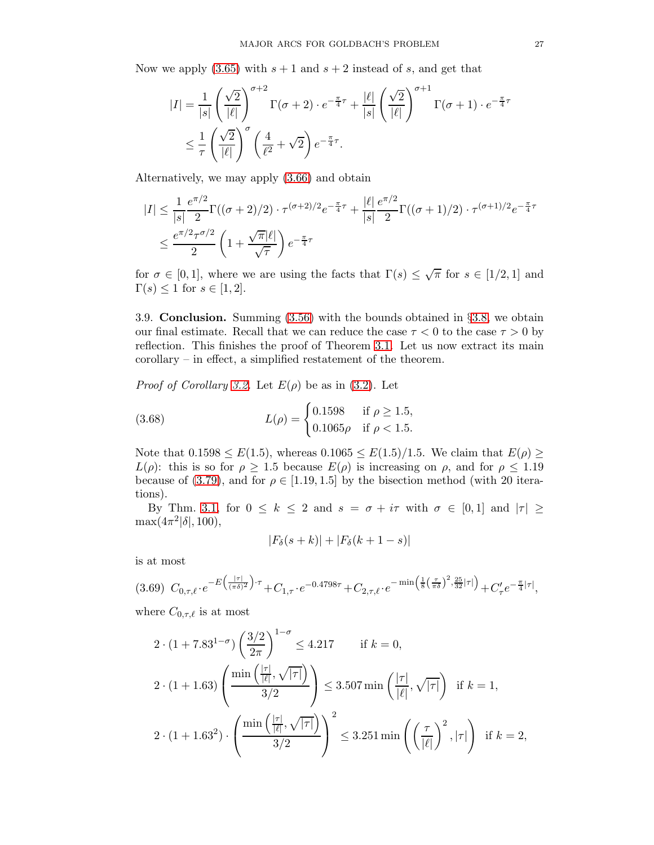Now we apply  $(3.65)$  with  $s + 1$  and  $s + 2$  instead of s, and get that

$$
|I| = \frac{1}{|s|} \left(\frac{\sqrt{2}}{|\ell|}\right)^{\sigma+2} \Gamma(\sigma+2) \cdot e^{-\frac{\pi}{4}\tau} + \frac{|\ell|}{|s|} \left(\frac{\sqrt{2}}{|\ell|}\right)^{\sigma+1} \Gamma(\sigma+1) \cdot e^{-\frac{\pi}{4}\tau}
$$

$$
\leq \frac{1}{\tau} \left(\frac{\sqrt{2}}{|\ell|}\right)^{\sigma} \left(\frac{4}{\ell^2} + \sqrt{2}\right) e^{-\frac{\pi}{4}\tau}.
$$

Alternatively, we may apply [\(3.66\)](#page-25-1) and obtain

$$
|I| \leq \frac{1}{|s|} \frac{e^{\pi/2}}{2} \Gamma((\sigma+2)/2) \cdot \tau^{(\sigma+2)/2} e^{-\frac{\pi}{4}\tau} + \frac{|\ell|}{|s|} \frac{e^{\pi/2}}{2} \Gamma((\sigma+1)/2) \cdot \tau^{(\sigma+1)/2} e^{-\frac{\pi}{4}\tau}
$$
  

$$
\leq \frac{e^{\pi/2} \tau^{\sigma/2}}{2} \left(1 + \frac{\sqrt{\pi}|\ell|}{\sqrt{\tau}}\right) e^{-\frac{\pi}{4}\tau}
$$

for  $\sigma \in [0,1]$ , where we are using the facts that  $\Gamma(s) \leq \sqrt{\pi}$  for  $s \in [1/2,1]$  and  $\Gamma(s) \leq 1$  for  $s \in [1,2]$ .

<span id="page-26-0"></span>3.9. Conclusion. Summing [\(3.56\)](#page-22-1) with the bounds obtained in §[3.8,](#page-23-0) we obtain our final estimate. Recall that we can reduce the case  $\tau < 0$  to the case  $\tau > 0$  by reflection. This finishes the proof of Theorem [3.1.](#page-8-1) Let us now extract its main corollary – in effect, a simplified restatement of the theorem.

*Proof of Corollary [3.2.](#page-9-0)* Let  $E(\rho)$  be as in [\(3.2\)](#page-9-1). Let

(3.68) 
$$
L(\rho) = \begin{cases} 0.1598 & \text{if } \rho \ge 1.5, \\ 0.1065\rho & \text{if } \rho < 1.5. \end{cases}
$$

Note that  $0.1598 \leq E(1.5)$ , whereas  $0.1065 \leq E(1.5)/1.5$ . We claim that  $E(\rho) \geq$  $L(\rho)$ : this is so for  $\rho \geq 1.5$  because  $E(\rho)$  is increasing on  $\rho$ , and for  $\rho \leq 1.19$ because of [\(3.79\)](#page-28-0), and for  $\rho \in [1.19, 1.5]$  by the bisection method (with 20 iterations).

By Thm. [3.1,](#page-8-1) for  $0 \leq k \leq 2$  and  $s = \sigma + i\tau$  with  $\sigma \in [0,1]$  and  $|\tau| \geq$  $\max(4\pi^2|\delta|, 100),$ 

<span id="page-26-1"></span>
$$
|F_{\delta}(s+k)| + |F_{\delta}(k+1-s)|
$$

is at most

<span id="page-26-2"></span>
$$
(3.69) \ C_{0,\tau,\ell} \cdot e^{-E\left(\frac{|\tau|}{(\pi\delta)^2}\right)\cdot\tau} + C_{1,\tau} \cdot e^{-0.4798\tau} + C_{2,\tau,\ell} \cdot e^{-\min\left(\frac{1}{8}\left(\frac{\tau}{\pi\delta}\right)^2, \frac{25}{32}|\tau|\right)} + C_{\tau}' e^{-\frac{\pi}{4}|\tau|},
$$

where  $C_{0,\tau,\ell}$  is at most

$$
2 \cdot (1 + 7.83^{1-\sigma}) \left(\frac{3/2}{2\pi}\right)^{1-\sigma} \le 4.217 \quad \text{if } k = 0,
$$
  

$$
2 \cdot (1 + 1.63) \left(\frac{\min\left(\frac{|\tau|}{|\ell|}, \sqrt{|\tau|}\right)}{3/2}\right) \le 3.507 \min\left(\frac{|\tau|}{|\ell|}, \sqrt{|\tau|}\right) \quad \text{if } k = 1,
$$
  

$$
2 \cdot (1 + 1.63^2) \cdot \left(\frac{\min\left(\frac{|\tau|}{|\ell|}, \sqrt{|\tau|}\right)}{3/2}\right)^2 \le 3.251 \min\left(\left(\frac{\tau}{|\ell|}\right)^2, |\tau|\right) \quad \text{if } k = 2,
$$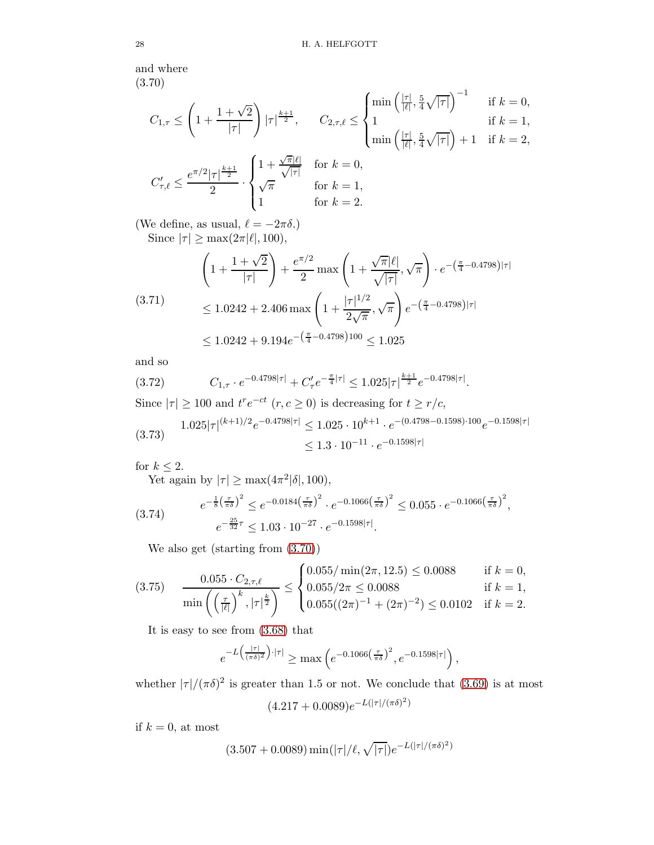and where (3.70)

<span id="page-27-0"></span>
$$
C_{1,\tau} \le \left(1 + \frac{1 + \sqrt{2}}{|\tau|}\right) |\tau|^{\frac{k+1}{2}}, \quad C_{2,\tau,\ell} \le \begin{cases} \min\left(\frac{|\tau|}{|\ell|}, \frac{5}{4}\sqrt{|\tau|}\right)^{-1} & \text{if } k = 0, \\ 1 & \text{if } k = 1, \\ \min\left(\frac{|\tau|}{|\ell|}, \frac{5}{4}\sqrt{|\tau|}\right) + 1 & \text{if } k = 2, \end{cases}
$$

$$
C_{\tau,\ell}' \le \frac{e^{\pi/2} |\tau|^{\frac{k+1}{2}}}{2} \cdot \begin{cases} 1 + \frac{\sqrt{\pi}|\ell|}{\sqrt{|\tau|}} & \text{for } k = 0, \\ \sqrt{\pi} & \text{for } k = 1, \\ 1 & \text{for } k = 2. \end{cases}
$$

(We define, as usual,  $\ell = -2\pi\delta$ .) Since  $|\tau| \ge \max(2\pi|\ell|, 100)$ ,

$$
\left(1 + \frac{1 + \sqrt{2}}{|\tau|}\right) + \frac{e^{\pi/2}}{2} \max\left(1 + \frac{\sqrt{\pi}|\ell|}{\sqrt{|\tau|}}, \sqrt{\pi}\right) \cdot e^{-\left(\frac{\pi}{4} - 0.4798\right)|\tau|}
$$
\n
$$
\leq 1.0242 + 2.406 \max\left(1 + \frac{|\tau|^{1/2}}{2\sqrt{\pi}}, \sqrt{\pi}\right) e^{-\left(\frac{\pi}{4} - 0.4798\right)|\tau|}
$$
\n
$$
\leq 1.0242 + 9.194e^{-\left(\frac{\pi}{4} - 0.4798\right)100} \leq 1.025
$$

and so

$$
(3.72) \t C_{1,\tau} \cdot e^{-0.4798|\tau|} + C_{\tau}' e^{-\frac{\pi}{4}|\tau|} \le 1.025|\tau|^{\frac{k+1}{2}} e^{-0.4798|\tau|}.
$$

Since  $|\tau| \ge 100$  and  $t^r e^{-ct}$   $(r, c \ge 0)$  is decreasing for  $t \ge r/c$ ,

<span id="page-27-1"></span>
$$
(3.73) \quad 1.025|\tau|^{(k+1)/2}e^{-0.4798|\tau|} \le 1.025 \cdot 10^{k+1} \cdot e^{-(0.4798-0.1598)\cdot 100}e^{-0.1598|\tau|}
$$
\n
$$
\le 1.3 \cdot 10^{-11} \cdot e^{-0.1598|\tau|}
$$

for  $k \leq 2$ .

Yet again by  $|\tau| \ge \max(4\pi^2|\delta|, 100)$ ,

$$
(3.74) \qquad e^{-\frac{1}{8} \left(\frac{\tau}{\pi \delta}\right)^2} \le e^{-0.0184 \left(\frac{\tau}{\pi \delta}\right)^2} \cdot e^{-0.1066 \left(\frac{\tau}{\pi \delta}\right)^2} \le 0.055 \cdot e^{-0.1066 \left(\frac{\tau}{\pi \delta}\right)^2},
$$
\n
$$
e^{-\frac{25}{32}\tau} \le 1.03 \cdot 10^{-27} \cdot e^{-0.1598|\tau|}.
$$

<span id="page-27-2"></span>We also get (starting from [\(3.70\)](#page-27-0))

<span id="page-27-3"></span>
$$
(3.75) \quad \frac{0.055 \cdot C_{2,\tau,\ell}}{\min\left(\left(\frac{\tau}{|\ell|}\right)^k, |\tau|^{\frac{k}{2}}\right)} \leq \begin{cases} 0.055/\min(2\pi, 12.5) \leq 0.0088 & \text{if } k = 0, \\ 0.055/2\pi \leq 0.0088 & \text{if } k = 1, \\ 0.055((2\pi)^{-1} + (2\pi)^{-2}) \leq 0.0102 & \text{if } k = 2. \end{cases}
$$

It is easy to see from [\(3.68\)](#page-26-1) that

$$
e^{-L\left(\frac{|\tau|}{(\pi\delta)^2}\right)\cdot|\tau|} \ge \max\left(e^{-0.1066\left(\frac{\tau}{\pi\delta}\right)^2}, e^{-0.1598|\tau|}\right),
$$

whether  $|\tau|/(\pi\delta)^2$  is greater than 1.5 or not. We conclude that [\(3.69\)](#page-26-2) is at most

$$
(4.217 + 0.0089)e^{-L(|\tau|/(\pi\delta)^2)}
$$

if  $k = 0$ , at most

$$
(3.507 + 0.0089)\min(|\tau|/\ell,\sqrt{|\tau|})e^{-L(|\tau|/(\pi\delta)^2)}
$$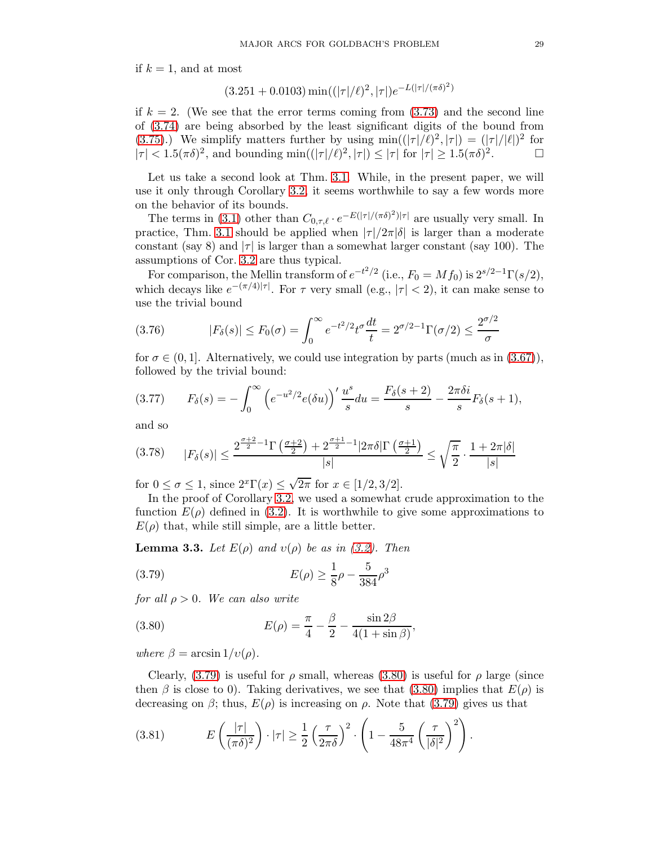if  $k = 1$ , and at most

$$
(3.251 + 0.0103)\min((|\tau|/\ell)^2, |\tau|)e^{-L(|\tau|/(\pi\delta)^2)}
$$

 $22.21 + 12.280$ 

if  $k = 2$ . (We see that the error terms coming from  $(3.73)$  and the second line of [\(3.74\)](#page-27-2) are being absorbed by the least significant digits of the bound from [\(3.75\)](#page-27-3).) We simplify matters further by using  $\min((|\tau|/\ell)^2, |\tau|) = (|\tau|/|\ell|)^2$  for  $|\tau| < 1.5(\pi\delta)^2$ , and bounding min $((|\tau|/\ell)^2, |\tau|) \le |\tau|$  for  $|\tau| \ge 1.5(\pi\delta)^2$  $\Box$ 

Let us take a second look at Thm. [3.1.](#page-8-1) While, in the present paper, we will use it only through Corollary [3.2,](#page-9-0) it seems worthwhile to say a few words more on the behavior of its bounds.

The terms in [\(3.1\)](#page-8-2) other than  $C_{0,\tau,\ell} \cdot e^{-E(|\tau|/(\pi\delta)^2)|\tau|}$  are usually very small. In practice, Thm. [3.1](#page-8-1) should be applied when  $|\tau|/2\pi|\delta|$  is larger than a moderate constant (say 8) and  $|\tau|$  is larger than a somewhat larger constant (say 100). The assumptions of Cor. [3.2](#page-9-0) are thus typical.

For comparison, the Mellin transform of  $e^{-t^2/2}$  (i.e.,  $F_0 = Mf_0$ ) is  $2^{s/2-1}\Gamma(s/2)$ , which decays like  $e^{-(\pi/4)|\tau|}$ . For  $\tau$  very small (e.g.,  $|\tau| < 2$ ), it can make sense to use the trivial bound

(3.76) 
$$
|F_{\delta}(s)| \le F_0(\sigma) = \int_0^{\infty} e^{-t^2/2} t^{\sigma} \frac{dt}{t} = 2^{\sigma/2 - 1} \Gamma(\sigma/2) \le \frac{2^{\sigma/2}}{\sigma}
$$

for  $\sigma \in (0,1]$ . Alternatively, we could use integration by parts (much as in [\(3.67\)](#page-25-2)), followed by the trivial bound:

$$
(3.77) \tF_{\delta}(s) = -\int_0^{\infty} \left( e^{-u^2/2} e(\delta u) \right)' \frac{u^s}{s} du = \frac{F_{\delta}(s+2)}{s} - \frac{2\pi \delta i}{s} F_{\delta}(s+1),
$$

and so

$$
(3.78)\qquad |F_{\delta}(s)| \le \frac{2^{\frac{\sigma+2}{2}-1}\Gamma\left(\frac{\sigma+2}{2}\right)+2^{\frac{\sigma+1}{2}-1}|2\pi\delta|\Gamma\left(\frac{\sigma+1}{2}\right)}{|s|} \le \sqrt{\frac{\pi}{2}} \cdot \frac{1+2\pi|\delta|}{|s|}
$$

for  $0 \leq \sigma \leq 1$ , since  $2^x \Gamma(x) \leq \sqrt{2\pi}$  for  $x \in [1/2, 3/2]$ .

In the proof of Corollary [3.2,](#page-9-0) we used a somewhat crude approximation to the function  $E(\rho)$  defined in [\(3.2\)](#page-9-1). It is worthwhile to give some approximations to  $E(\rho)$  that, while still simple, are a little better.

**Lemma 3.3.** Let  $E(\rho)$  and  $v(\rho)$  be as in [\(3.2\)](#page-9-1). Then

<span id="page-28-0"></span>(3.79) 
$$
E(\rho) \ge \frac{1}{8}\rho - \frac{5}{384}\rho^3
$$

for all  $\rho > 0$ . We can also write

<span id="page-28-1"></span>(3.80) 
$$
E(\rho) = \frac{\pi}{4} - \frac{\beta}{2} - \frac{\sin 2\beta}{4(1 + \sin \beta)},
$$

where  $\beta = \arcsin(1/v(\rho)).$ 

Clearly,  $(3.79)$  is useful for  $\rho$  small, whereas  $(3.80)$  is useful for  $\rho$  large (since then  $\beta$  is close to 0). Taking derivatives, we see that [\(3.80\)](#page-28-1) implies that  $E(\rho)$  is decreasing on  $\beta$ ; thus,  $E(\rho)$  is increasing on  $\rho$ . Note that [\(3.79\)](#page-28-0) gives us that

(3.81) 
$$
E\left(\frac{|\tau|}{(\pi\delta)^2}\right) \cdot |\tau| \ge \frac{1}{2} \left(\frac{\tau}{2\pi\delta}\right)^2 \cdot \left(1 - \frac{5}{48\pi^4} \left(\frac{\tau}{|\delta|^2}\right)^2\right).
$$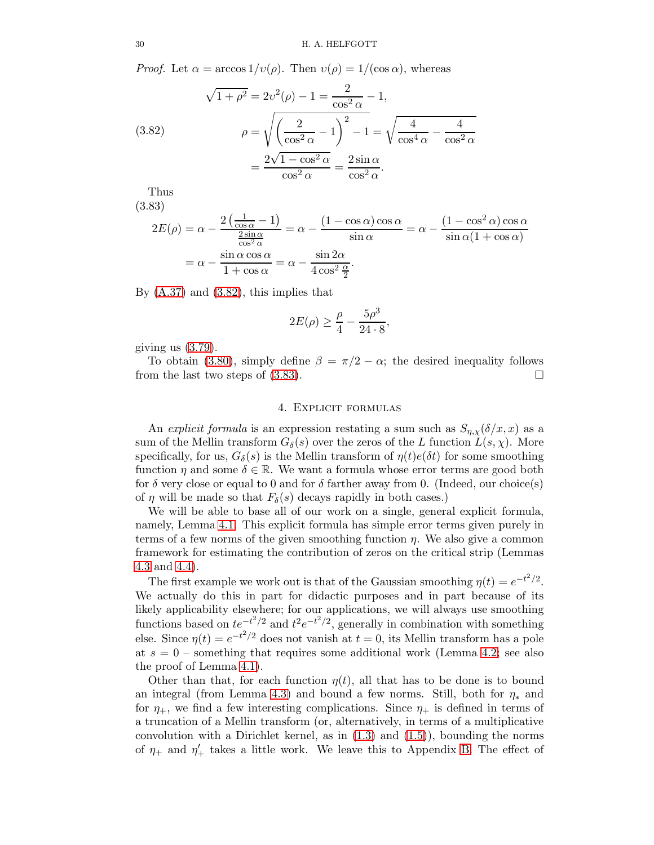*Proof.* Let  $\alpha = \arccos 1/v(\rho)$ . Then  $v(\rho) = 1/(\cos \alpha)$ , whereas

<span id="page-29-1"></span>(3.82)  
\n
$$
\sqrt{1+\rho^2} = 2v^2(\rho) - 1 = \frac{2}{\cos^2 \alpha} - 1,
$$
\n
$$
\rho = \sqrt{\left(\frac{2}{\cos^2 \alpha} - 1\right)^2 - 1} = \sqrt{\frac{4}{\cos^4 \alpha} - \frac{4}{\cos^2 \alpha}}
$$
\n
$$
= \frac{2\sqrt{1 - \cos^2 \alpha}}{\cos^2 \alpha} = \frac{2\sin \alpha}{\cos^2 \alpha}.
$$

Thus (3.83)

<span id="page-29-2"></span>
$$
2E(\rho) = \alpha - \frac{2\left(\frac{1}{\cos\alpha} - 1\right)}{\frac{2\sin\alpha}{\cos^2\alpha}} = \alpha - \frac{(1 - \cos\alpha)\cos\alpha}{\sin\alpha} = \alpha - \frac{(1 - \cos^2\alpha)\cos\alpha}{\sin\alpha(1 + \cos\alpha)}
$$

$$
= \alpha - \frac{\sin\alpha\cos\alpha}{1 + \cos\alpha} = \alpha - \frac{\sin 2\alpha}{4\cos^2\frac{\alpha}{2}}.
$$

By  $(A.37)$  and  $(3.82)$ , this implies that

$$
2E(\rho) \ge \frac{\rho}{4} - \frac{5\rho^3}{24 \cdot 8},
$$

giving us  $(3.79)$ .

To obtain [\(3.80\)](#page-28-1), simply define  $\beta = \pi/2 - \alpha$ ; the desired inequality follows om the last two steps of (3.83) from the last two steps of [\(3.83\)](#page-29-2).

#### 4. Explicit formulas

<span id="page-29-0"></span>An explicit formula is an expression restating a sum such as  $S_{\eta,\chi}(\delta/x, x)$  as a sum of the Mellin transform  $G_{\delta}(s)$  over the zeros of the L function  $L(s, \chi)$ . More specifically, for us,  $G_{\delta}(s)$  is the Mellin transform of  $\eta(t)e(\delta t)$  for some smoothing function  $\eta$  and some  $\delta \in \mathbb{R}$ . We want a formula whose error terms are good both for  $\delta$  very close or equal to 0 and for  $\delta$  farther away from 0. (Indeed, our choice(s) of  $\eta$  will be made so that  $F_{\delta}(s)$  decays rapidly in both cases.)

We will be able to base all of our work on a single, general explicit formula, namely, Lemma [4.1.](#page-30-1) This explicit formula has simple error terms given purely in terms of a few norms of the given smoothing function  $\eta$ . We also give a common framework for estimating the contribution of zeros on the critical strip (Lemmas [4.3](#page-36-0) and [4.4\)](#page-37-0).

The first example we work out is that of the Gaussian smoothing  $\eta(t) = e^{-t^2/2}$ . We actually do this in part for didactic purposes and in part because of its likely applicability elsewhere; for our applications, we will always use smoothing functions based on  $te^{-t^2/2}$  and  $t^2e^{-t^2/2}$ , generally in combination with something else. Since  $\eta(t) = e^{-t^2/2}$  does not vanish at  $t = 0$ , its Mellin transform has a pole at  $s = 0$  – something that requires some additional work (Lemma [4.2;](#page-34-0) see also the proof of Lemma [4.1\)](#page-30-1).

Other than that, for each function  $\eta(t)$ , all that has to be done is to bound an integral (from Lemma [4.3\)](#page-36-0) and bound a few norms. Still, both for  $\eta_*$  and for  $\eta_{+}$ , we find a few interesting complications. Since  $\eta_{+}$  is defined in terms of a truncation of a Mellin transform (or, alternatively, in terms of a multiplicative convolution with a Dirichlet kernel, as in  $(1.3)$  and  $(1.5)$ , bounding the norms of  $\eta_+$  and  $\eta'_+$  takes a little work. We leave this to Appendix [B.](#page-67-0) The effect of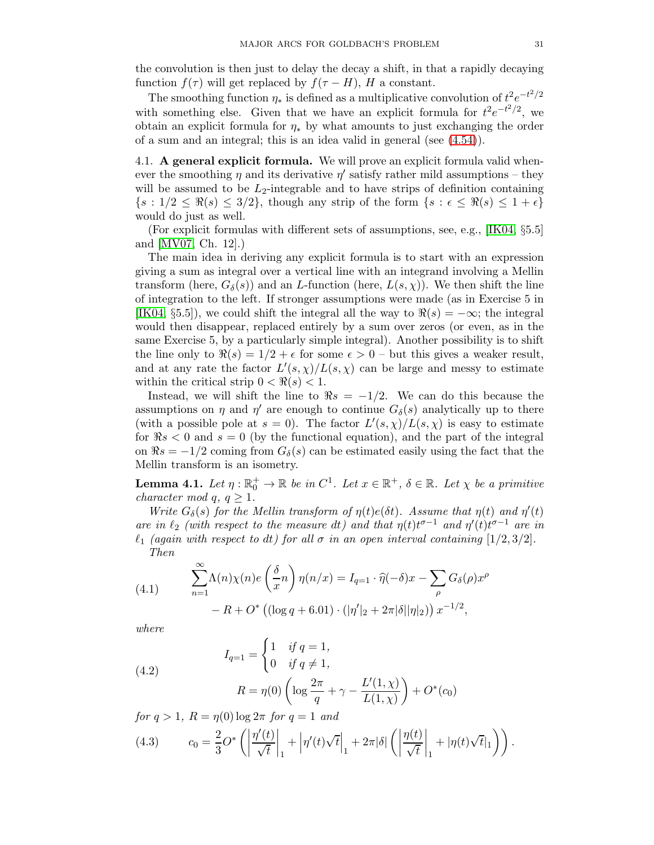the convolution is then just to delay the decay a shift, in that a rapidly decaying function  $f(\tau)$  will get replaced by  $f(\tau - H)$ , H a constant.

The smoothing function  $\eta_*$  is defined as a multiplicative convolution of  $t^2 e^{-t^2/2}$ with something else. Given that we have an explicit formula for  $t^2 e^{-t^2/2}$ , we obtain an explicit formula for  $\eta_*$  by what amounts to just exchanging the order of a sum and an integral; this is an idea valid in general (see [\(4.54\)](#page-46-0)).

<span id="page-30-0"></span>4.1. A general explicit formula. We will prove an explicit formula valid whenever the smoothing  $\eta$  and its derivative  $\eta'$  satisfy rather mild assumptions – they will be assumed to be  $L_2$ -integrable and to have strips of definition containing  $\{s: 1/2 \leq \Re(s) \leq 3/2\}$ , though any strip of the form  $\{s: \epsilon \leq \Re(s) \leq 1+\epsilon\}$ would do just as well.

(For explicit formulas with different sets of assumptions, see, e.g., [\[IK04,](#page-77-20) §5.5] and [\[MV07,](#page-77-12) Ch. 12].)

The main idea in deriving any explicit formula is to start with an expression giving a sum as integral over a vertical line with an integrand involving a Mellin transform (here,  $G_{\delta}(s)$ ) and an L-function (here,  $L(s, \chi)$ ). We then shift the line of integration to the left. If stronger assumptions were made (as in Exercise 5 in [\[IK04,](#page-77-20) §5.5]), we could shift the integral all the way to  $\Re(s) = -\infty$ ; the integral would then disappear, replaced entirely by a sum over zeros (or even, as in the same Exercise 5, by a particularly simple integral). Another possibility is to shift the line only to  $\Re(s) = 1/2 + \epsilon$  for some  $\epsilon > 0$  – but this gives a weaker result, and at any rate the factor  $L'(s,\chi)/L(s,\chi)$  can be large and messy to estimate within the critical strip  $0 < \Re(s) < 1$ .

Instead, we will shift the line to  $\Re s = -1/2$ . We can do this because the assumptions on  $\eta$  and  $\eta'$  are enough to continue  $G_{\delta}(s)$  analytically up to there (with a possible pole at  $s = 0$ ). The factor  $L'(s, \chi)/L(s, \chi)$  is easy to estimate for  $\Re s < 0$  and  $s = 0$  (by the functional equation), and the part of the integral on  $\Re s = -1/2$  coming from  $G_{\delta}(s)$  can be estimated easily using the fact that the Mellin transform is an isometry.

<span id="page-30-1"></span>**Lemma 4.1.** Let  $\eta: \mathbb{R}_0^+ \to \mathbb{R}$  be in  $C^1$ . Let  $x \in \mathbb{R}^+$ ,  $\delta \in \mathbb{R}$ . Let  $\chi$  be a primitive character mod q,  $q \geq 1$ .

Write  $G_{\delta}(s)$  for the Mellin transform of  $\eta(t)e(\delta t)$ . Assume that  $\eta(t)$  and  $\eta'(t)$ are in  $\ell_2$  (with respect to the measure dt) and that  $\eta(t)t^{\sigma-1}$  and  $\eta'(t)t^{\sigma-1}$  are in  $\ell_1$  (again with respect to dt) for all  $\sigma$  in an open interval containing [1/2, 3/2]. Then

(4.1) 
$$
\sum_{n=1}^{\infty} \Lambda(n)\chi(n)e\left(\frac{\delta}{x}n\right)\eta(n/x) = I_{q=1} \cdot \hat{\eta}(-\delta)x - \sum_{\rho} G_{\delta}(\rho)x^{\rho} - R + O^*\left((\log q + 6.01) \cdot (|\eta'|_2 + 2\pi|\delta||\eta|_2)\right)x^{-1/2},
$$

where

(4.2)  
\n
$$
I_{q=1} = \begin{cases} 1 & \text{if } q = 1, \\ 0 & \text{if } q \neq 1, \end{cases}
$$
\n
$$
R = \eta(0) \left( \log \frac{2\pi}{q} + \gamma - \frac{L'(1, \chi)}{L(1, \chi)} \right) + O^*(c_0)
$$
\n
$$
f_{\Omega_0} g \ge 1 - R - \eta(0) \log 2\pi \text{ for } q = 1 \text{ and}
$$

for  $q > 1$ ,  $R = \eta(0) \log 2\pi$  for  $q = 1$  and

(4.3) 
$$
c_0 = \frac{2}{3}O^*\left(\left|\frac{\eta'(t)}{\sqrt{t}}\right|_1 + \left|\eta'(t)\sqrt{t}\right|_1 + 2\pi|\delta|\left(\left|\frac{\eta(t)}{\sqrt{t}}\right|_1 + |\eta(t)\sqrt{t}|_1\right)\right).
$$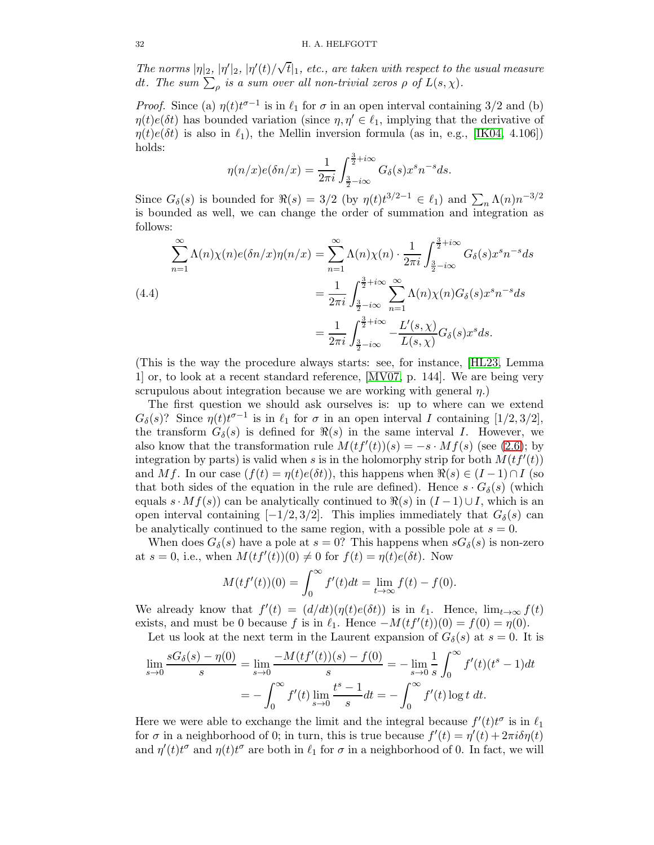The norms  $|\eta|_2$ ,  $|\eta'|_2$ ,  $|\eta'(t)/\sqrt{t}|_1$ , etc., are taken with respect to the usual measure dt. The sum  $\sum_{\rho}$  is a sum over all non-trivial zeros  $\rho$  of  $L(s, \chi)$ .

*Proof.* Since (a)  $\eta(t)t^{\sigma-1}$  is in  $\ell_1$  for  $\sigma$  in an open interval containing 3/2 and (b)  $\eta(t)e(\delta t)$  has bounded variation (since  $\eta, \eta' \in \ell_1$ , implying that the derivative of  $\eta(t)e(\delta t)$  is also in  $\ell_1$ , the Mellin inversion formula (as in, e.g., [\[IK04,](#page-77-20) 4.106]) holds:

$$
\eta(n/x)e(\delta n/x) = \frac{1}{2\pi i} \int_{\frac{3}{2} - i\infty}^{\frac{3}{2} + i\infty} G_{\delta}(s) x^s n^{-s} ds.
$$

Since  $G_{\delta}(s)$  is bounded for  $\Re(s) = 3/2$  (by  $\eta(t)t^{3/2-1} \in \ell_1$ ) and  $\sum_{n} \Lambda(n) n^{-3/2}$ is bounded as well, we can change the order of summation and integration as follows:

<span id="page-31-0"></span>
$$
\sum_{n=1}^{\infty} \Lambda(n)\chi(n)e(\delta n/x)\eta(n/x) = \sum_{n=1}^{\infty} \Lambda(n)\chi(n) \cdot \frac{1}{2\pi i} \int_{\frac{3}{2}-i\infty}^{\frac{3}{2}+i\infty} G_{\delta}(s)x^{s}n^{-s}ds
$$
\n
$$
= \frac{1}{2\pi i} \int_{\frac{3}{2}-i\infty}^{\frac{3}{2}+i\infty} \sum_{n=1}^{\infty} \Lambda(n)\chi(n)G_{\delta}(s)x^{s}n^{-s}ds
$$
\n
$$
= \frac{1}{2\pi i} \int_{\frac{3}{2}-i\infty}^{\frac{3}{2}+i\infty} -\frac{L'(s,\chi)}{L(s,\chi)}G_{\delta}(s)x^{s}ds.
$$

(This is the way the procedure always starts: see, for instance, [\[HL23,](#page-77-1) Lemma 1] or, to look at a recent standard reference, [\[MV07,](#page-77-12) p. 144]. We are being very scrupulous about integration because we are working with general  $\eta$ .)

The first question we should ask ourselves is: up to where can we extend  $G_{\delta}(s)$ ? Since  $\eta(t)t^{\sigma-1}$  is in  $\ell_1$  for  $\sigma$  in an open interval I containing  $[1/2,3/2]$ , the transform  $G_{\delta}(s)$  is defined for  $\Re(s)$  in the same interval I. However, we also know that the transformation rule  $M(t f'(t)) (s) = -s \cdot M f(s)$  (see [\(2.6\)](#page-8-3); by integration by parts) is valid when s is in the holomorphy strip for both  $M(t f'(t))$ and Mf. In our case  $(f(t) = \eta(t)e(\delta t))$ , this happens when  $\Re(s) \in (I-1) \cap I$  (so that both sides of the equation in the rule are defined). Hence  $s \cdot G_{\delta}(s)$  (which equals  $s \cdot Mf(s)$  can be analytically continued to  $\Re(s)$  in  $(I-1) \cup I$ , which is an open interval containing  $[-1/2, 3/2]$ . This implies immediately that  $G_{\delta}(s)$  can be analytically continued to the same region, with a possible pole at  $s = 0$ .

When does  $G_{\delta}(s)$  have a pole at  $s = 0$ ? This happens when  $sG_{\delta}(s)$  is non-zero at  $s = 0$ , i.e., when  $M(t f'(t)) (0) \neq 0$  for  $f(t) = \eta(t) e(\delta t)$ . Now

$$
M(t f'(t)) (0) = \int_0^\infty f'(t) dt = \lim_{t \to \infty} f(t) - f(0).
$$

We already know that  $f'(t) = (d/dt)(\eta(t)e(\delta t))$  is in  $\ell_1$ . Hence,  $\lim_{t\to\infty} f(t)$ exists, and must be 0 because f is in  $\ell_1$ . Hence  $-M(t f'(t))(0) = f(0) = \eta(0)$ .

Let us look at the next term in the Laurent expansion of  $G_{\delta}(s)$  at  $s = 0$ . It is

$$
\lim_{s \to 0} \frac{sG_{\delta}(s) - \eta(0)}{s} = \lim_{s \to 0} \frac{-M(t f'(t))(s) - f(0)}{s} = -\lim_{s \to 0} \frac{1}{s} \int_0^{\infty} f'(t)(t^s - 1)dt
$$

$$
= -\int_0^{\infty} f'(t) \lim_{s \to 0} \frac{t^s - 1}{s} dt = -\int_0^{\infty} f'(t) \log t dt.
$$

Here we were able to exchange the limit and the integral because  $f'(t)t^{\sigma}$  is in  $\ell_1$ for  $\sigma$  in a neighborhood of 0; in turn, this is true because  $f'(t) = \eta'(t) + 2\pi i \delta \eta(t)$ and  $\eta'(t)t^{\sigma}$  and  $\eta(t)t^{\sigma}$  are both in  $\ell_1$  for  $\sigma$  in a neighborhood of 0. In fact, we will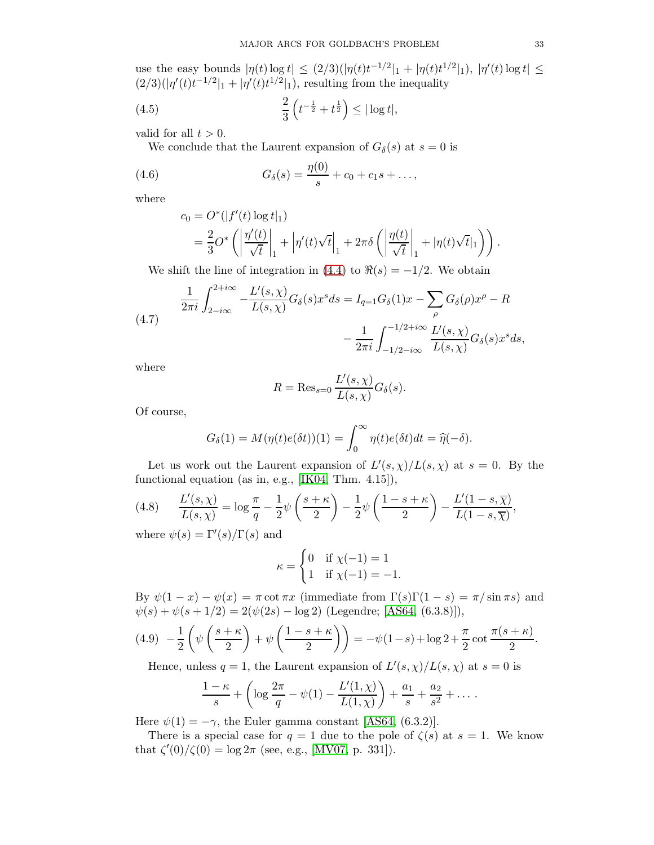use the easy bounds  $|\eta(t) \log t| \leq (2/3)(|\eta(t)t^{-1/2}|_1 + |\eta(t)t^{1/2}|_1), |\eta'(t) \log t| \leq$  $(2/3)(|\eta'(t)t^{-1/2}|_1 + |\eta'(t)t^{1/2}|_1)$ , resulting from the inequality

(4.5) 
$$
\frac{2}{3} \left( t^{-\frac{1}{2}} + t^{\frac{1}{2}} \right) \le |\log t|,
$$

valid for all  $t > 0$ .

We conclude that the Laurent expansion of  $G_{\delta}(s)$  at  $s = 0$  is

(4.6) 
$$
G_{\delta}(s) = \frac{\eta(0)}{s} + c_0 + c_1 s + \dots,
$$

where

<span id="page-32-0"></span>
$$
c_0 = O^*(|f'(t)\log t|_1)
$$
  
=  $\frac{2}{3}O^*\left(\left|\frac{\eta'(t)}{\sqrt{t}}\right|_1 + \left|\eta'(t)\sqrt{t}\right|_1 + 2\pi\delta\left(\left|\frac{\eta(t)}{\sqrt{t}}\right|_1 + |\eta(t)\sqrt{t}|_1\right)\right).$ 

We shift the line of integration in  $(4.4)$  to  $\Re(s) = -1/2$ . We obtain

<span id="page-32-1"></span>(4.7) 
$$
\frac{1}{2\pi i} \int_{2-i\infty}^{2+i\infty} -\frac{L'(s,\chi)}{L(s,\chi)} G_{\delta}(s) x^s ds = I_{q=1} G_{\delta}(1) x - \sum_{\rho} G_{\delta}(\rho) x^{\rho} - R - \frac{1}{2\pi i} \int_{-1/2 - i\infty}^{-1/2 + i\infty} \frac{L'(s,\chi)}{L(s,\chi)} G_{\delta}(s) x^s ds,
$$

where

$$
R = \text{Res}_{s=0} \frac{L'(s, \chi)}{L(s, \chi)} G_{\delta}(s).
$$

Of course,

$$
G_{\delta}(1) = M(\eta(t)e(\delta t))(1) = \int_0^\infty \eta(t)e(\delta t)dt = \hat{\eta}(-\delta).
$$

Let us work out the Laurent expansion of  $L'(s, \chi)/L(s, \chi)$  at  $s = 0$ . By the functional equation (as in, e.g., [\[IK04,](#page-77-20) Thm. 4.15]),

<span id="page-32-2"></span>(4.8) 
$$
\frac{L'(s,\chi)}{L(s,\chi)} = \log \frac{\pi}{q} - \frac{1}{2}\psi\left(\frac{s+\kappa}{2}\right) - \frac{1}{2}\psi\left(\frac{1-s+\kappa}{2}\right) - \frac{L'(1-s,\overline{\chi})}{L(1-s,\overline{\chi})},
$$

where  $\psi(s) = \Gamma'(s)/\Gamma(s)$  and

$$
\kappa = \begin{cases} 0 & \text{if } \chi(-1) = 1 \\ 1 & \text{if } \chi(-1) = -1. \end{cases}
$$

By  $\psi(1-x) - \psi(x) = \pi \cot \pi x$  (immediate from  $\Gamma(s)\Gamma(1-s) = \pi/\sin \pi s$ ) and  $\psi(s) + \psi(s+1/2) = 2(\psi(2s) - \log 2)$  (Legendre; [\[AS64,](#page-77-13) (6.3.8)]),

<span id="page-32-3"></span>
$$
(4.9) \quad -\frac{1}{2}\left(\psi\left(\frac{s+\kappa}{2}\right)+\psi\left(\frac{1-s+\kappa}{2}\right)\right)=-\psi(1-s)+\log 2+\frac{\pi}{2}\cot\frac{\pi(s+\kappa)}{2}.
$$

Hence, unless  $q = 1$ , the Laurent expansion of  $L'(s, \chi)/L(s, \chi)$  at  $s = 0$  is

$$
\frac{1-\kappa}{s} + \left(\log\frac{2\pi}{q} - \psi(1) - \frac{L'(1,\chi)}{L(1,\chi)}\right) + \frac{a_1}{s} + \frac{a_2}{s^2} + \dots
$$

Here  $\psi(1) = -\gamma$ , the Euler gamma constant [\[AS64,](#page-77-13) (6.3.2)].

There is a special case for  $q = 1$  due to the pole of  $\zeta(s)$  at  $s = 1$ . We know that  $\zeta'(0)/\zeta(0) = \log 2\pi$  (see, e.g., [\[MV07,](#page-77-12) p. 331]).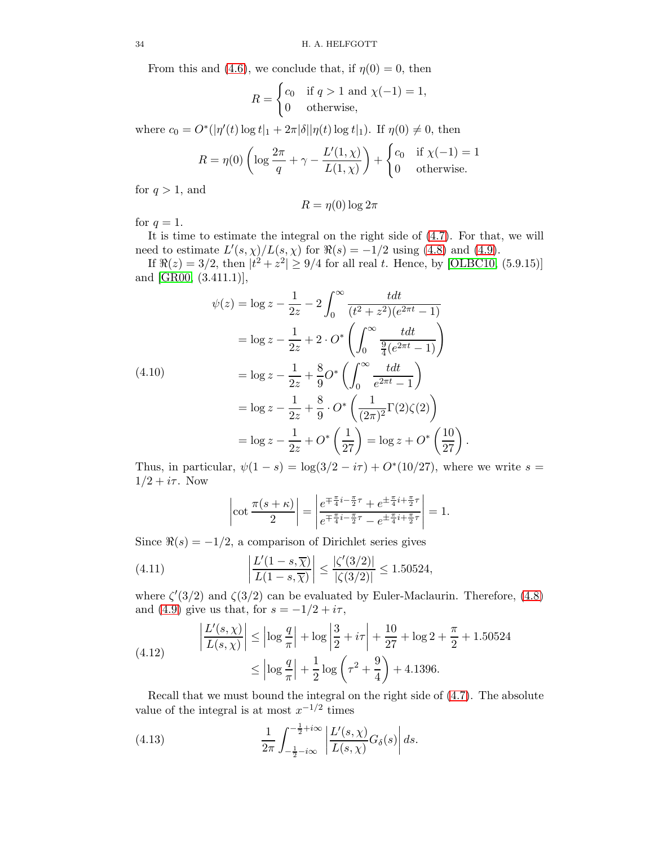From this and [\(4.6\)](#page-32-0), we conclude that, if  $\eta(0) = 0$ , then

$$
R = \begin{cases} c_0 & \text{if } q > 1 \text{ and } \chi(-1) = 1, \\ 0 & \text{otherwise,} \end{cases}
$$

where  $c_0 = O^*(|\eta'(t) \log t|_1 + 2\pi |\delta||\eta(t) \log t|_1)$ . If  $\eta(0) \neq 0$ , then

$$
R = \eta(0) \left( \log \frac{2\pi}{q} + \gamma - \frac{L'(1,\chi)}{L(1,\chi)} \right) + \begin{cases} c_0 & \text{if } \chi(-1) = 1 \\ 0 & \text{otherwise.} \end{cases}
$$

for  $q > 1$ , and

$$
R = \eta(0) \log 2\pi
$$

for  $q=1$ .

It is time to estimate the integral on the right side of [\(4.7\)](#page-32-1). For that, we will need to estimate  $L'(s, \chi)/L(s, \chi)$  for  $\Re(s) = -1/2$  using [\(4.8\)](#page-32-2) and [\(4.9\)](#page-32-3).

If  $\Re(z) = 3/2$ , then  $|t^2 + z^2| \ge 9/4$  for all real t. Hence, by [\[OLBC10,](#page-77-21) (5.9.15)] and [\[GR00,](#page-77-8) (3.411.1)],

$$
\psi(z) = \log z - \frac{1}{2z} - 2 \int_0^\infty \frac{t dt}{(t^2 + z^2)(e^{2\pi t} - 1)}
$$

$$
= \log z - \frac{1}{2z} + 2 \cdot O^* \left( \int_0^\infty \frac{t dt}{\frac{9}{4}(e^{2\pi t} - 1)} \right)
$$

$$
= \log z - \frac{1}{2z} + \frac{8}{9}O^* \left( \int_0^\infty \frac{t dt}{e^{2\pi t} - 1} \right)
$$

(4.10)

$$
= \log z - \frac{1}{2z} + \frac{8}{9}C \left( \int_0^z \frac{e^{2\pi t} - 1}{e^{2\pi t} - 1} \right)
$$
  
=  $\log z - \frac{1}{2z} + \frac{8}{9} \cdot C^* \left( \frac{1}{(2\pi)^2} \Gamma(2) \zeta(2) \right)$   
=  $\log z - \frac{1}{2z} + C^* \left( \frac{1}{27} \right) = \log z + C^* \left( \frac{10}{27} \right)$ 

.

Thus, in particular,  $\psi(1-s) = \log(3/2 - i\tau) + O^*(10/27)$ , where we write  $s =$  $1/2 + i\tau$ . Now

$$
\left|\cot\frac{\pi(s+\kappa)}{2}\right| = \left|\frac{e^{\mp\frac{\pi}{4}i - \frac{\pi}{2}\tau} + e^{\pm\frac{\pi}{4}i + \frac{\pi}{2}\tau}}{e^{\mp\frac{\pi}{4}i - \frac{\pi}{2}\tau} - e^{\pm\frac{\pi}{4}i + \frac{\pi}{2}\tau}}\right| = 1.
$$

Since  $\Re(s) = -1/2$ , a comparison of Dirichlet series gives

(4.11) 
$$
\left| \frac{L'(1-s,\overline{\chi})}{L(1-s,\overline{\chi})} \right| \le \frac{|\zeta'(3/2)|}{|\zeta(3/2)|} \le 1.50524,
$$

where  $\zeta'(3/2)$  and  $\zeta(3/2)$  can be evaluated by Euler-Maclaurin. Therefore, [\(4.8\)](#page-32-2) and [\(4.9\)](#page-32-3) give us that, for  $s = -1/2 + i\tau$ ,

<span id="page-33-0"></span>(4.12) 
$$
\left| \frac{L'(s, \chi)}{L(s, \chi)} \right| \le \left| \log \frac{q}{\pi} \right| + \log \left| \frac{3}{2} + i\tau \right| + \frac{10}{27} + \log 2 + \frac{\pi}{2} + 1.50524
$$

$$
\le \left| \log \frac{q}{\pi} \right| + \frac{1}{2} \log \left( \tau^2 + \frac{9}{4} \right) + 4.1396.
$$

Recall that we must bound the integral on the right side of [\(4.7\)](#page-32-1). The absolute value of the integral is at most  $x^{-1/2}$  times

<span id="page-33-1"></span>(4.13) 
$$
\frac{1}{2\pi} \int_{-\frac{1}{2}-i\infty}^{-\frac{1}{2}+i\infty} \left| \frac{L'(s,\chi)}{L(s,\chi)} G_{\delta}(s) \right| ds.
$$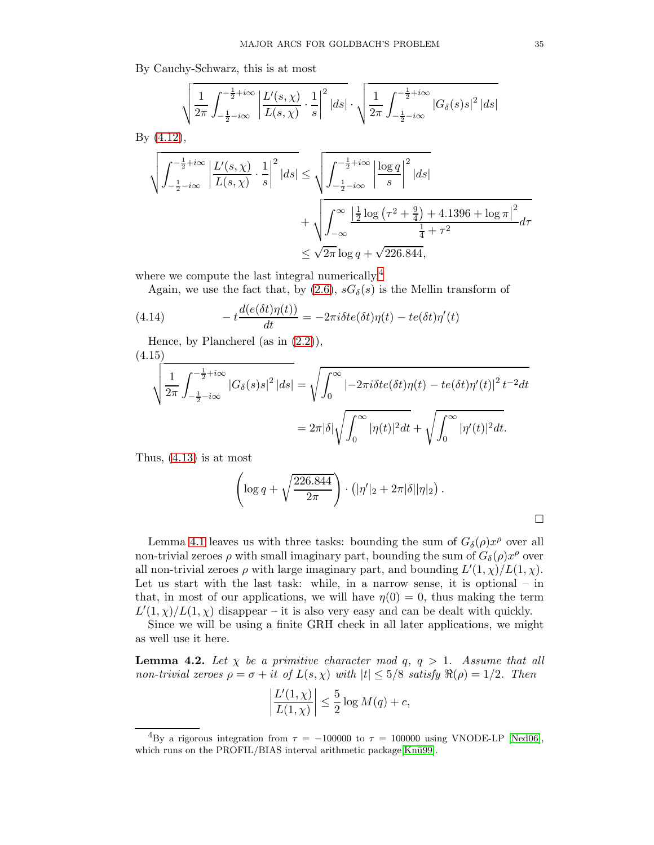By Cauchy-Schwarz, this is at most

$$
\sqrt{\frac{1}{2\pi}\int_{-\frac{1}{2}-i\infty}^{-\frac{1}{2}+i\infty}\left|\frac{L'(s,\chi)}{L(s,\chi)}\cdot\frac{1}{s}\right|^2|ds|}\cdot\sqrt{\frac{1}{2\pi}\int_{-\frac{1}{2}-i\infty}^{-\frac{1}{2}+i\infty}|G_\delta(s)s|^2\, |ds|}
$$

By [\(4.12\)](#page-33-0),

$$
\sqrt{\int_{-\frac{1}{2}-i\infty}^{-\frac{1}{2}+i\infty} \left|\frac{L'(s,\chi)}{L(s,\chi)}\cdot\frac{1}{s}\right|^2 |ds|} \le \sqrt{\int_{-\frac{1}{2}-i\infty}^{-\frac{1}{2}+i\infty} \left|\frac{\log q}{s}\right|^2 |ds|}
$$

$$
+ \sqrt{\int_{-\infty}^{\infty} \frac{\left|\frac{1}{2}\log\left(\tau^2 + \frac{9}{4}\right) + 4.1396 + \log \pi\right|^2}{\frac{1}{4} + \tau^2}} d\tau
$$

$$
\le \sqrt{2\pi} \log q + \sqrt{226.844},
$$

where we compute the last integral numerically.<sup>[4](#page-34-1)</sup>

Again, we use the fact that, by  $(2.6)$ ,  $sG_{\delta}(s)$  is the Mellin transform of

(4.14) 
$$
-t\frac{d(e(\delta t)\eta(t))}{dt} = -2\pi i \delta t e(\delta t)\eta(t) - te(\delta t)\eta'(t)
$$

Hence, by Plancherel (as in  $(2.2)$ ),

(4.15)

$$
\sqrt{\frac{1}{2\pi} \int_{-\frac{1}{2} - i\infty}^{-\frac{1}{2} + i\infty} |G_{\delta}(s)s|^2 |ds|} = \sqrt{\int_0^{\infty} |-2\pi i \delta t e(\delta t)\eta(t) - t e(\delta t)\eta'(t)|^2 t^{-2} dt}
$$
  
=  $2\pi |\delta| \sqrt{\int_0^{\infty} |\eta(t)|^2 dt} + \sqrt{\int_0^{\infty} |\eta'(t)|^2 dt}.$ 

Thus, [\(4.13\)](#page-33-1) is at most

$$
\left(\log q + \sqrt{\frac{226.844}{2\pi}}\right) \cdot \left(|\eta'|_2 + 2\pi|\delta||\eta|_2\right).
$$

Lemma [4.1](#page-30-1) leaves us with three tasks: bounding the sum of  $G_{\delta}(\rho)x^{\rho}$  over all non-trivial zeroes  $\rho$  with small imaginary part, bounding the sum of  $G_{\delta}(\rho)x^{\rho}$  over all non-trivial zeroes  $\rho$  with large imaginary part, and bounding  $L'(1,\chi)/L(1,\chi)$ . Let us start with the last task: while, in a narrow sense, it is optional – in that, in most of our applications, we will have  $\eta(0) = 0$ , thus making the term  $L'(1,\chi)/L(1,\chi)$  disappear – it is also very easy and can be dealt with quickly.

Since we will be using a finite GRH check in all later applications, we might as well use it here.

<span id="page-34-0"></span>**Lemma 4.2.** Let  $\chi$  be a primitive character mod q,  $q > 1$ . Assume that all non-trivial zeroes  $\rho = \sigma + it$  of  $L(s, \chi)$  with  $|t| \leq 5/8$  satisfy  $\Re(\rho) = 1/2$ . Then

$$
\left|\frac{L'(1,\chi)}{L(1,\chi)}\right| \le \frac{5}{2}\log M(q) + c,
$$

<span id="page-34-1"></span><sup>&</sup>lt;sup>4</sup>By a rigorous integration from  $\tau = -100000$  to  $\tau = 100000$  using VNODE-LP [\[Ned06\]](#page-77-22), which runs on the PROFIL/BIAS interval arithmetic package[Knü99].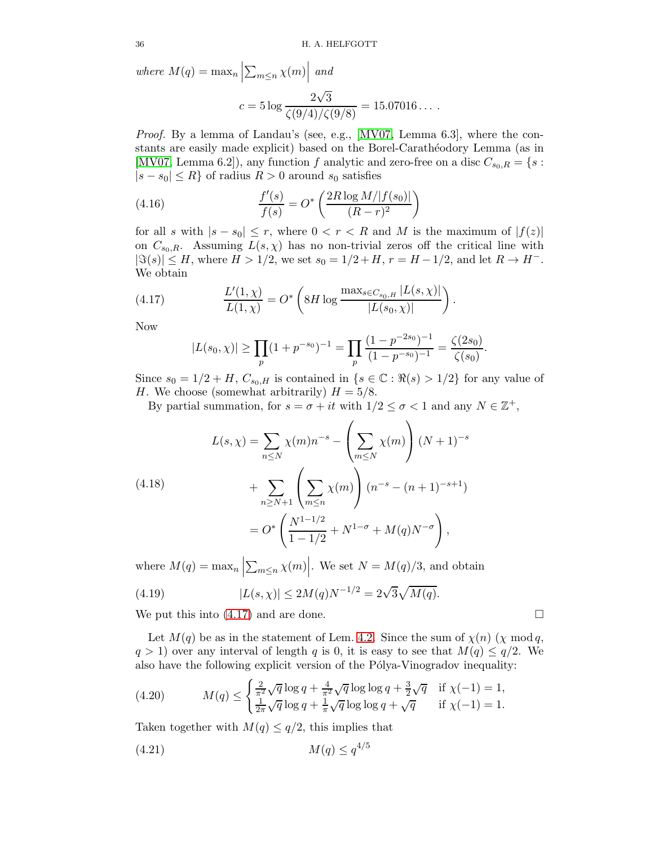where  $M(q) = \max_n$  $\sum_{m\leq n}\chi(m)\Big|\text{ and}$ 

$$
c = 5 \log \frac{2\sqrt{3}}{\zeta(9/4)/\zeta(9/8)} = 15.07016\dots.
$$

Proof. By a lemma of Landau's (see, e.g., [\[MV07,](#page-77-12) Lemma 6.3], where the constants are easily made explicit) based on the Borel-Carathéodory Lemma (as in [\[MV07,](#page-77-12) Lemma 6.2]), any function f analytic and zero-free on a disc  $C_{s_0,R} = \{s :$  $|s - s_0| \le R$  of radius  $R > 0$  around  $s_0$  satisfies

(4.16) 
$$
\frac{f'(s)}{f(s)} = O^* \left( \frac{2R \log M / |f(s_0)|}{(R - r)^2} \right)
$$

for all s with  $|s - s_0| \leq r$ , where  $0 < r < R$  and M is the maximum of  $|f(z)|$ on  $C_{s_0,R}$ . Assuming  $L(s,\chi)$  has no non-trivial zeros off the critical line with  $|\Im(s)| \leq H$ , where  $H > 1/2$ , we set  $s_0 = 1/2 + H$ ,  $r = H - 1/2$ , and let  $R \to H^-$ . We obtain

(4.17) 
$$
\frac{L'(1,\chi)}{L(1,\chi)} = O^* \left( 8H \log \frac{\max_{s \in C_{s_0,H}} |L(s,\chi)|}{|L(s_0,\chi)|} \right).
$$

Now

<span id="page-35-0"></span>
$$
|L(s_0, \chi)| \ge \prod_p (1 + p^{-s_0})^{-1} = \prod_p \frac{(1 - p^{-2s_0})^{-1}}{(1 - p^{-s_0})^{-1}} = \frac{\zeta(2s_0)}{\zeta(s_0)}
$$

Since  $s_0 = 1/2 + H$ ,  $C_{s_0,H}$  is contained in  $\{s \in \mathbb{C} : \Re(s) > 1/2\}$  for any value of H. We choose (somewhat arbitrarily)  $H = 5/8$ .

By partial summation, for  $s = \sigma + it$  with  $1/2 \leq \sigma < 1$  and any  $N \in \mathbb{Z}^+$ ,

(4.18)  

$$
L(s, \chi) = \sum_{n \le N} \chi(m) n^{-s} - \left(\sum_{m \le N} \chi(m)\right) (N+1)^{-s}
$$

$$
+ \sum_{n \ge N+1} \left(\sum_{m \le n} \chi(m)\right) (n^{-s} - (n+1)^{-s+1})
$$

$$
= O^* \left(\frac{N^{1-1/2}}{1-1/2} + N^{1-\sigma} + M(q)N^{-\sigma}\right),
$$

where  $M(q) = \max_n$  $\sum_{m \leq n} \chi(m)$ . We set  $N = M(q)/3$ , and obtain

(4.19) 
$$
|L(s,\chi)| \le 2M(q)N^{-1/2} = 2\sqrt{3}\sqrt{M(q)}.
$$

We put this into [\(4.17\)](#page-35-0) and are done.

Let  $M(q)$  be as in the statement of Lem. [4.2.](#page-34-0) Since the sum of  $\chi(n)$  ( $\chi \mod q$ ,  $q > 1$ ) over any interval of length q is 0, it is easy to see that  $M(q) \leq q/2$ . We also have the following explicit version of the Pólya-Vinogradov inequality:

(4.20) 
$$
M(q) \le \begin{cases} \frac{2}{\pi^2} \sqrt{q} \log q + \frac{4}{\pi^2} \sqrt{q} \log \log q + \frac{3}{2} \sqrt{q} & \text{if } \chi(-1) = 1, \\ \frac{1}{2\pi} \sqrt{q} \log q + \frac{1}{\pi} \sqrt{q} \log \log q + \sqrt{q} & \text{if } \chi(-1) = 1. \end{cases}
$$

Taken together with  $M(q) \leq q/2$ , this implies that

(4.21) M(q) ≤ q 4/5

$$
\qquad \qquad \Box
$$

.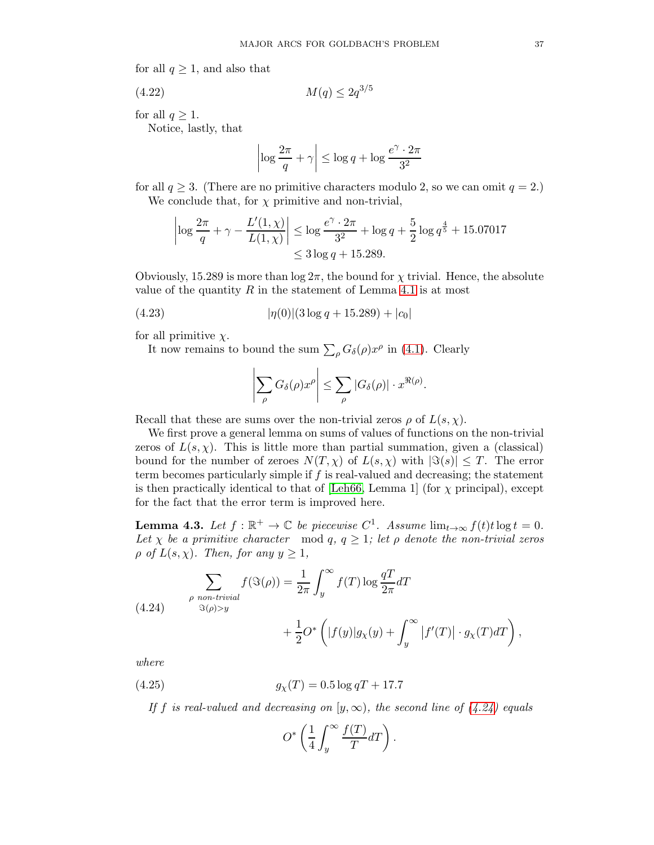for all  $q \geq 1$ , and also that

(4.22) M(q) ≤ 2q 3/5

for all  $q \geq 1$ .

Notice, lastly, that

$$
\left|\log\frac{2\pi}{q}+\gamma\right|\leq\log q+\log\frac{e^{\gamma}\cdot 2\pi}{3^2}
$$

for all  $q \geq 3$ . (There are no primitive characters modulo 2, so we can omit  $q = 2$ .) We conclude that, for  $\chi$  primitive and non-trivial,

$$
\left| \log \frac{2\pi}{q} + \gamma - \frac{L'(1,\chi)}{L(1,\chi)} \right| \le \log \frac{e^{\gamma} \cdot 2\pi}{3^2} + \log q + \frac{5}{2} \log q^{\frac{4}{5}} + 15.07017
$$
  

$$
\le 3 \log q + 15.289.
$$

Obviously, 15.289 is more than  $\log 2\pi$ , the bound for  $\chi$  trivial. Hence, the absolute value of the quantity  $R$  in the statement of Lemma [4.1](#page-30-0) is at most

(4.23) 
$$
|\eta(0)|(3\log q + 15.289) + |c_0|
$$

for all primitive  $\chi$ .

It now remains to bound the sum  $\sum_{\rho} G_{\delta}(\rho) x^{\rho}$  in [\(4.1\)](#page-30-1). Clearly

<span id="page-36-3"></span>
$$
\left|\sum_{\rho} G_{\delta}(\rho) x^{\rho}\right| \leq \sum_{\rho} |G_{\delta}(\rho)| \cdot x^{\Re(\rho)}.
$$

Recall that these are sums over the non-trivial zeros  $\rho$  of  $L(s, \chi)$ .

We first prove a general lemma on sums of values of functions on the non-trivial zeros of  $L(s, \chi)$ . This is little more than partial summation, given a (classical) bound for the number of zeroes  $N(T, \chi)$  of  $L(s, \chi)$  with  $|\Im(s)| \leq T$ . The error term becomes particularly simple if  $f$  is real-valued and decreasing; the statement is then practically identical to that of [\[Leh66,](#page-77-0) Lemma 1] (for  $\chi$  principal), except for the fact that the error term is improved here.

<span id="page-36-2"></span>**Lemma 4.3.** Let  $f : \mathbb{R}^+ \to \mathbb{C}$  be piecewise  $C^1$ . Assume  $\lim_{t \to \infty} f(t)t \log t = 0$ . Let  $\chi$  be a primitive character mod q,  $q \geq 1$ ; let  $\rho$  denote the non-trivial zeros  $\rho$  of  $L(s, \chi)$ . Then, for any  $y \geq 1$ ,

<span id="page-36-0"></span>(4.24) 
$$
\sum_{\rho \text{ non-trivial}} f(\Im(\rho)) = \frac{1}{2\pi} \int_{y}^{\infty} f(T) \log \frac{qT}{2\pi} dT + \frac{1}{2} O^* \left( |f(y)| g_{\chi}(y) + \int_{y}^{\infty} |f'(T)| \cdot g_{\chi}(T) dT \right),
$$

where

(4.25) 
$$
g_{\chi}(T) = 0.5 \log qT + 17.7
$$

If f is real-valued and decreasing on  $[y,\infty)$ , the second line of  $(4.24)$  equals

<span id="page-36-1"></span>
$$
O^*\left(\frac{1}{4}\int_y^\infty \frac{f(T)}{T} dT\right).
$$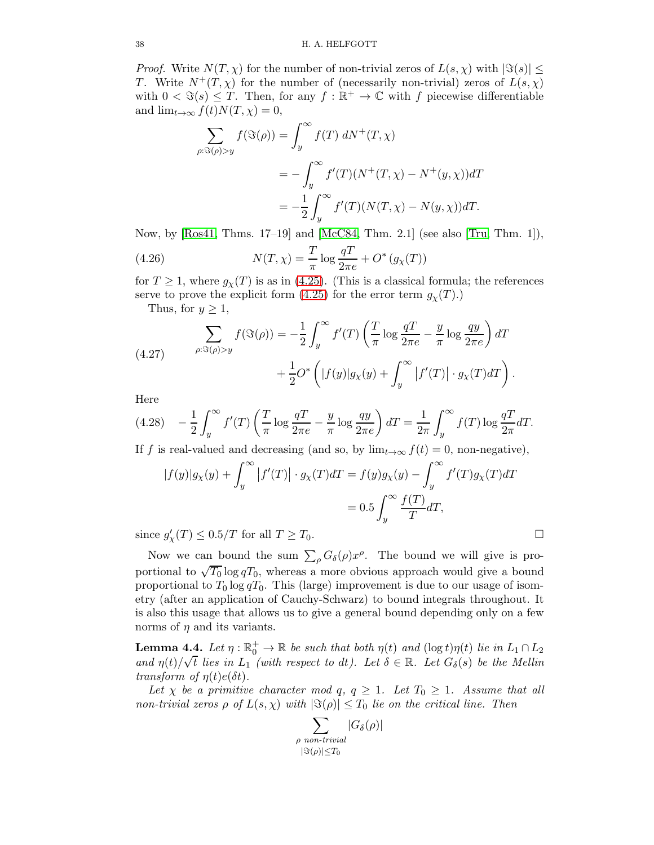*Proof.* Write  $N(T, \chi)$  for the number of non-trivial zeros of  $L(s, \chi)$  with  $|\Im(s)| \leq$ T. Write  $N^+(T,\chi)$  for the number of (necessarily non-trivial) zeros of  $L(s,\chi)$ with  $0 < \Im(s) \leq T$ . Then, for any  $f : \mathbb{R}^+ \to \mathbb{C}$  with f piecewise differentiable and  $\lim_{t\to\infty} f(t)N(T, \chi) = 0$ ,

$$
\sum_{\rho:\Im(\rho)>y} f(\Im(\rho)) = \int_y^\infty f(T) dN^+(T, \chi)
$$
  
= 
$$
- \int_y^\infty f'(T)(N^+(T, \chi) - N^+(y, \chi))dT
$$
  
= 
$$
- \frac{1}{2} \int_y^\infty f'(T)(N(T, \chi) - N(y, \chi))dT.
$$

Now, by [\[Ros41,](#page-78-0) Thms. 17–19] and [\[McC84,](#page-77-1) Thm. 2.1] (see also [\[Tru,](#page-78-1) Thm. 1]),

<span id="page-37-0"></span>(4.26) 
$$
N(T, \chi) = \frac{T}{\pi} \log \frac{qT}{2\pi e} + O^* (g_\chi(T))
$$

for  $T \geq 1$ , where  $g_{\chi}(T)$  is as in [\(4.25\)](#page-36-1). (This is a classical formula; the references serve to prove the explicit form [\(4.25\)](#page-36-1) for the error term  $g_{\chi}(T)$ .)

Thus, for  $y \geq 1$ ,

(4.27) 
$$
\sum_{\rho:\Im(\rho)>y} f(\Im(\rho)) = -\frac{1}{2} \int_y^\infty f'(T) \left(\frac{T}{\pi} \log \frac{qT}{2\pi e} - \frac{y}{\pi} \log \frac{qy}{2\pi e}\right) dT + \frac{1}{2} O^* \left(|f(y)|g_X(y) + \int_y^\infty |f'(T)| \cdot g_X(T) dT\right).
$$

Here

$$
(4.28)\quad -\frac{1}{2}\int_{y}^{\infty}f'(T)\left(\frac{T}{\pi}\log\frac{qT}{2\pi e}-\frac{y}{\pi}\log\frac{qy}{2\pi e}\right)dT=\frac{1}{2\pi}\int_{y}^{\infty}f(T)\log\frac{qT}{2\pi}dT.
$$

If f is real-valued and decreasing (and so, by  $\lim_{t\to\infty} f(t) = 0$ , non-negative),

$$
|f(y)|g_X(y) + \int_y^{\infty} |f'(T)| \cdot g_X(T)dT = f(y)g_X(y) - \int_y^{\infty} f'(T)g_X(T)dT
$$
  
= 0.5 
$$
\int_y^{\infty} \frac{f(T)}{T} dT,
$$

since  $g'_{\chi}(T) \leq 0.5/T$  for all  $T \geq T_0$ .

Now we can bound the sum  $\sum_{\rho} G_{\delta}(\rho) x^{\rho}$ . The bound we will give is proportional to  $\sqrt{T_0} \log q T_0$ , whereas a more obvious approach would give a bound proportional to  $T_0 \log qT_0$ . This (large) improvement is due to our usage of isometry (after an application of Cauchy-Schwarz) to bound integrals throughout. It is also this usage that allows us to give a general bound depending only on a few norms of  $\eta$  and its variants.

<span id="page-37-1"></span>**Lemma 4.4.** Let  $\eta : \mathbb{R}_0^+ \to \mathbb{R}$  be such that both  $\eta(t)$  and  $(\log t)\eta(t)$  lie in  $L_1 \cap L_2$ and  $\eta(t)/\sqrt{t}$  lies in  $L_1$  (with respect to dt). Let  $\delta \in \mathbb{R}$ . Let  $G_{\delta}(s)$  be the Mellin transform of  $\eta(t)e(\delta t)$ .

Let  $\chi$  be a primitive character mod q,  $q \geq 1$ . Let  $T_0 \geq 1$ . Assume that all non-trivial zeros  $\rho$  of  $L(s,\chi)$  with  $|\Im(\rho)| \leq T_0$  lie on the critical line. Then

$$
\sum_{\substack{\rho \text{ non-trivial} \\ |\Im(\rho)| \le T_0}} |G_{\delta}(\rho)|
$$

$$
\qquad \qquad \Box
$$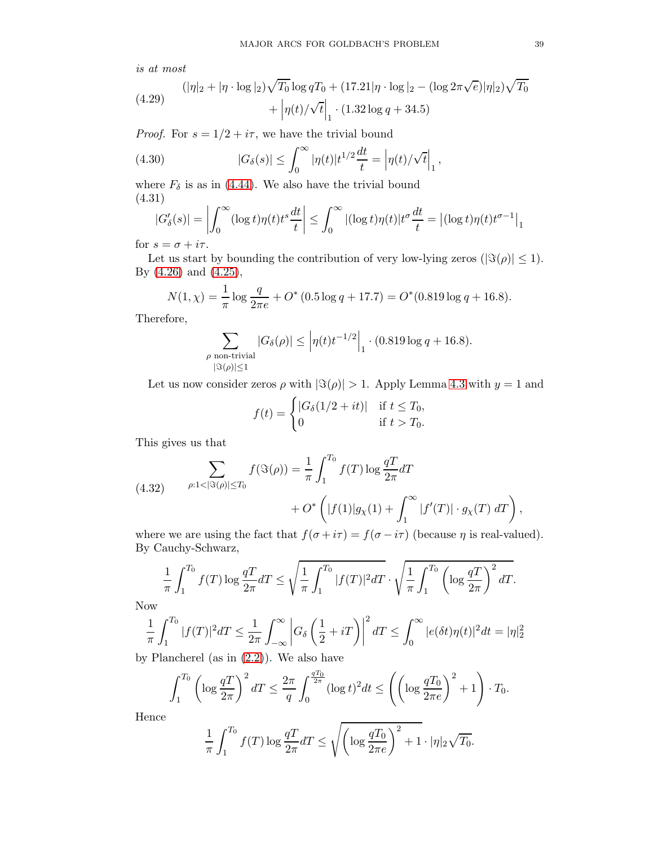is at most

<span id="page-38-2"></span>(4.29) 
$$
(|\eta|_2 + |\eta \cdot \log|_2) \sqrt{T_0} \log q T_0 + (17.21|\eta \cdot \log|_2 - (\log 2\pi \sqrt{e})|\eta|_2) \sqrt{T_0} + |\eta(t)/\sqrt{t}|_1 \cdot (1.32 \log q + 34.5)
$$

*Proof.* For  $s = 1/2 + i\tau$ , we have the trivial bound

(4.30) 
$$
|G_{\delta}(s)| \leq \int_0^{\infty} |\eta(t)| t^{1/2} \frac{dt}{t} = |\eta(t)/\sqrt{t}|_1,
$$

where  $F_{\delta}$  is as in [\(4.44\)](#page-43-0). We also have the trivial bound (4.31)

<span id="page-38-0"></span>
$$
|G'_{\delta}(s)| = \left| \int_0^{\infty} (\log t) \eta(t) t^s \frac{dt}{t} \right| \le \int_0^{\infty} |(\log t) \eta(t)| t^{\sigma} \frac{dt}{t} = |(\log t) \eta(t) t^{\sigma - 1}|_1
$$

for  $s = \sigma + i\tau$ .

Let us start by bounding the contribution of very low-lying zeros ( $|\Im(\rho)| \leq 1$ ). By [\(4.26\)](#page-37-0) and [\(4.25\)](#page-36-1),

$$
N(1,\chi) = \frac{1}{\pi} \log \frac{q}{2\pi e} + O^*(0.5 \log q + 17.7) = O^*(0.819 \log q + 16.8).
$$

Therefore,

$$
\sum_{\substack{\rho \text{ non-trivial} \\ |\Im(\rho)| \le 1}} |G_{\delta}(\rho)| \le \left| \eta(t) t^{-1/2} \right|_1 \cdot (0.819 \log q + 16.8).
$$

Let us now consider zeros  $\rho$  with  $|\Im(\rho)| > 1$ . Apply Lemma [4.3](#page-36-2) with  $y = 1$  and

$$
f(t) = \begin{cases} |G_{\delta}(1/2 + it)| & \text{if } t \leq T_0, \\ 0 & \text{if } t > T_0. \end{cases}
$$

This gives us that

<span id="page-38-1"></span>(4.32) 
$$
\sum_{\rho:1<|\Im(\rho)|\leq T_0} f(\Im(\rho)) = \frac{1}{\pi} \int_1^{T_0} f(T) \log \frac{qT}{2\pi} dT + O^* \left( |f(1)| g_\chi(1) + \int_1^\infty |f'(T)| \cdot g_\chi(T) dT \right),
$$

where we are using the fact that  $f(\sigma + i\tau) = f(\sigma - i\tau)$  (because  $\eta$  is real-valued). By Cauchy-Schwarz,

$$
\frac{1}{\pi} \int_{1}^{T_0} f(T) \log \frac{qT}{2\pi} dT \le \sqrt{\frac{1}{\pi} \int_{1}^{T_0} |f(T)|^2 dT} \cdot \sqrt{\frac{1}{\pi} \int_{1}^{T_0} \left( \log \frac{qT}{2\pi} \right)^2 dT}.
$$

Now

$$
\frac{1}{\pi} \int_1^{T_0} |f(T)|^2 dT \le \frac{1}{2\pi} \int_{-\infty}^{\infty} \left| G_\delta \left( \frac{1}{2} + iT \right) \right|^2 dT \le \int_0^{\infty} |e(\delta t)\eta(t)|^2 dt = |\eta|_2^2
$$

by Plancherel (as in [\(2.2\)](#page-7-0)). We also have

$$
\int_1^{T_0} \left( \log \frac{qT}{2\pi} \right)^2 dT \le \frac{2\pi}{q} \int_0^{\frac{qT_0}{2\pi}} (\log t)^2 dt \le \left( \left( \log \frac{qT_0}{2\pi e} \right)^2 + 1 \right) \cdot T_0.
$$

Hence

$$
\frac{1}{\pi} \int_{1}^{T_0} f(T) \log \frac{qT}{2\pi} dT \le \sqrt{\left(\log \frac{qT_0}{2\pi e}\right)^2 + 1} \cdot |\eta|_2 \sqrt{T_0}.
$$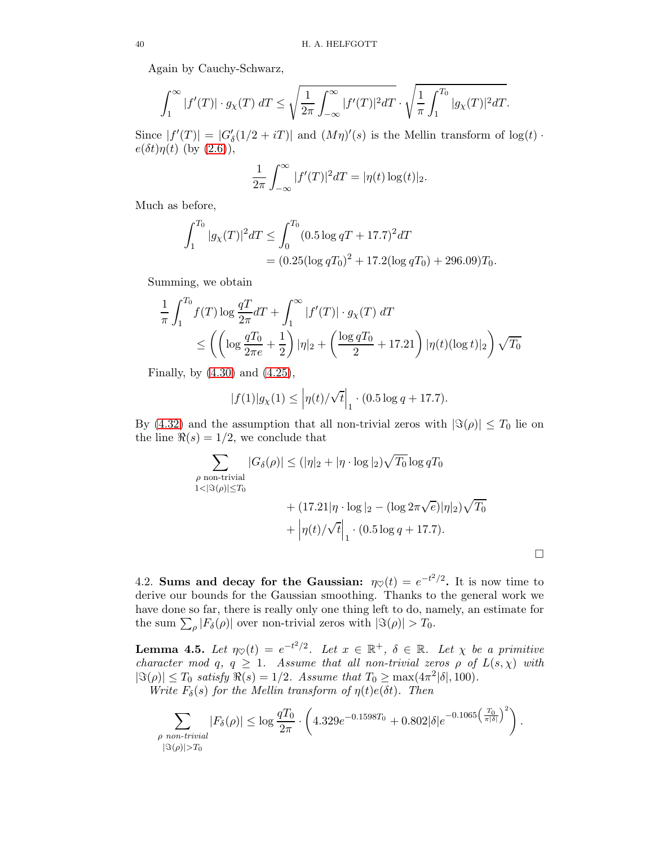Again by Cauchy-Schwarz,

$$
\int_1^\infty |f'(T)|\cdot g_\chi(T)\;dT \leq \sqrt{\frac{1}{2\pi}\int_{-\infty}^\infty |f'(T)|^2 dT}\cdot \sqrt{\frac{1}{\pi}\int_1^{T_0}|g_\chi(T)|^2 dT}.
$$

Since  $|f'(T)| = |G'_{\delta}(1/2 + iT)|$  and  $(M\eta)'(s)$  is the Mellin transform of  $log(t)$ .  $e(\delta t)\eta(t)$  (by  $(2.6)$ ),

$$
\frac{1}{2\pi} \int_{-\infty}^{\infty} |f'(T)|^2 dT = |\eta(t) \log(t)|_2.
$$

Much as before,

$$
\int_{1}^{T_0} |g_\chi(T)|^2 dT \le \int_{0}^{T_0} (0.5 \log qT + 17.7)^2 dT
$$
  
=  $(0.25(\log qT_0)^2 + 17.2(\log qT_0) + 296.09)T_0.$ 

Summing, we obtain

$$
\frac{1}{\pi} \int_{1}^{T_0} f(T) \log \frac{qT}{2\pi} dT + \int_{1}^{\infty} |f'(T)| \cdot g_{\chi}(T) dT
$$
\n
$$
\leq \left( \left( \log \frac{qT_0}{2\pi e} + \frac{1}{2} \right) |\eta|_2 + \left( \frac{\log qT_0}{2} + 17.21 \right) |\eta(t) (\log t)|_2 \right) \sqrt{T_0}
$$

Finally, by [\(4.30\)](#page-38-0) and [\(4.25\)](#page-36-1),

$$
|f(1)|g_{\chi}(1) \leq |\eta(t)/\sqrt{t}|_1 \cdot (0.5 \log q + 17.7).
$$

By [\(4.32\)](#page-38-1) and the assumption that all non-trivial zeros with  $|\Im(\rho)| \leq T_0$  lie on the line  $\Re(s) = 1/2$ , we conclude that

$$
\sum_{\rho \text{ non-trivial}} |G_{\delta}(\rho)| \le (|\eta|_2 + |\eta \cdot \log|_2) \sqrt{T_0} \log q T_0
$$
  

$$
1 < |\Im(\rho)| \le T_0
$$
  

$$
+ (17.21|\eta \cdot \log|_2 - (\log 2\pi \sqrt{e})|\eta|_2) \sqrt{T_0}
$$
  

$$
+ |\eta(t)/\sqrt{t}|_1 \cdot (0.5 \log q + 17.7).
$$

4.2. Sums and decay for the Gaussian:  $\eta_{\heartsuit}(t) = e^{-t^2/2}$ . It is now time to derive our bounds for the Gaussian smoothing. Thanks to the general work we have done so far, there is really only one thing left to do, namely, an estimate for the sum  $\sum_{\rho} |F_{\delta}(\rho)|$  over non-trivial zeros with  $|\Im(\rho)| > T_0$ .

<span id="page-39-0"></span>**Lemma 4.5.** Let  $\eta_{\heartsuit}(t) = e^{-t^2/2}$ . Let  $x \in \mathbb{R}^+$ ,  $\delta \in \mathbb{R}$ . Let  $\chi$  be a primitive character mod q,  $q \geq 1$ . Assume that all non-trivial zeros  $\rho$  of  $L(s,\chi)$  with  $|\Im(\rho)| \leq T_0$  satisfy  $\Re(s) = 1/2$ . Assume that  $T_0 \geq \max(4\pi^2|\delta|, 100)$ . Write  $F_{\delta}(s)$  for the Mellin transform of  $\eta(t)e(\delta t)$ . Then

 $\blacktriangledown$ ρ non-trivial  $|\Im(\rho)|>T_0$  $|F_\delta(\rho)| \leq \log \frac{qT_0}{2\pi}$ .  $\sqrt{ }$  $4.329e^{-0.1598T_0}+0.802\vert\delta\vert e^{-0.1065\left(\frac{T_0}{\pi\vert\delta\vert}\right)^2}\Bigg)$ .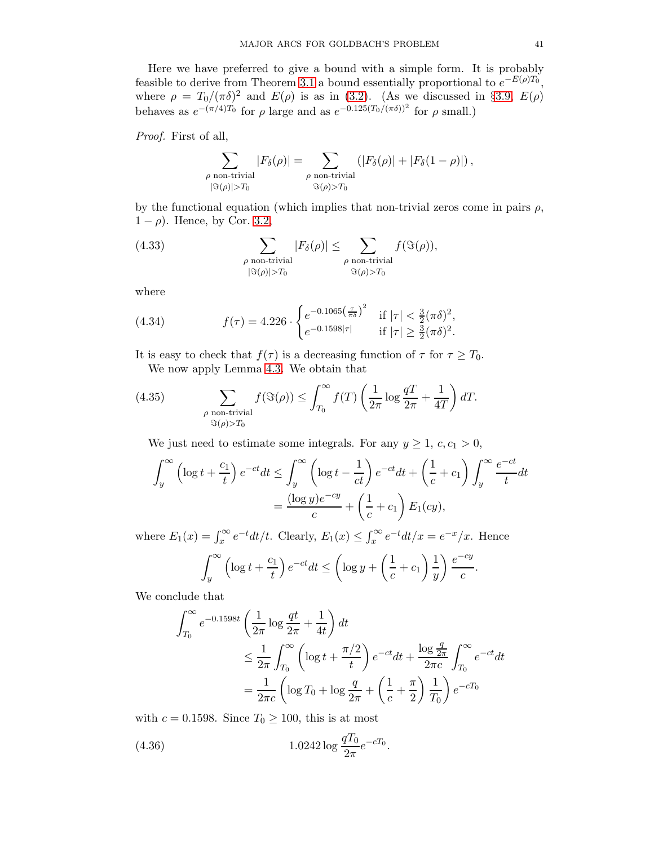Here we have preferred to give a bound with a simple form. It is probably feasible to derive from Theorem [3.1](#page-8-1) a bound essentially proportional to  $e^{-E(\rho)T_0}$ , where  $\rho = T_0/(\pi \delta)^2$  and  $E(\rho)$  is as in [\(3.2\)](#page-9-0). (As we discussed in §[3.9,](#page-26-0)  $E(\rho)$ behaves as  $e^{-(\pi/4)T_0}$  for  $\rho$  large and as  $e^{-0.125(T_0/(\pi\delta))^2}$  for  $\rho$  small.)

Proof. First of all,

$$
\sum_{\substack{\rho \text{ non-trivial} \\ |\Im(\rho)| > T_0}} |F_\delta(\rho)| = \sum_{\substack{\rho \text{ non-trivial} \\ \Im(\rho) > T_0}} (|F_\delta(\rho)| + |F_\delta(1 - \rho)|),
$$

by the functional equation (which implies that non-trivial zeros come in pairs  $\rho$ ,  $1 - \rho$ ). Hence, by Cor. [3.2,](#page-9-1)

(4.33) 
$$
\sum_{\substack{\rho \text{ non-trivial} \\ |\Im(\rho)| > T_0}} |F_{\delta}(\rho)| \leq \sum_{\substack{\rho \text{ non-trivial} \\ \Im(\rho) > T_0}} f(\Im(\rho)),
$$

where

<span id="page-40-1"></span>(4.34) 
$$
f(\tau) = 4.226 \cdot \begin{cases} e^{-0.1065 \left(\frac{\tau}{\pi \delta}\right)^2} & \text{if } |\tau| < \frac{3}{2} (\pi \delta)^2, \\ e^{-0.1598|\tau|} & \text{if } |\tau| \ge \frac{3}{2} (\pi \delta)^2. \end{cases}
$$

It is easy to check that  $f(\tau)$  is a decreasing function of  $\tau$  for  $\tau \geq T_0$ . We now apply Lemma [4.3.](#page-36-2) We obtain that

<span id="page-40-2"></span>(4.35) 
$$
\sum_{\substack{\rho \text{ non-trivial} \\ \Im(\rho) > T_0}} f(\Im(\rho)) \le \int_{T_0}^{\infty} f(T) \left( \frac{1}{2\pi} \log \frac{q}{2\pi} + \frac{1}{4T} \right) dT.
$$

We just need to estimate some integrals. For any  $y \ge 1$ ,  $c, c_1 > 0$ ,

$$
\int_{y}^{\infty} \left( \log t + \frac{c_1}{t} \right) e^{-ct} dt \le \int_{y}^{\infty} \left( \log t - \frac{1}{ct} \right) e^{-ct} dt + \left( \frac{1}{c} + c_1 \right) \int_{y}^{\infty} \frac{e^{-ct}}{t} dt
$$

$$
= \frac{(\log y)e^{-cy}}{c} + \left( \frac{1}{c} + c_1 \right) E_1(cy),
$$

where  $E_1(x) = \int_x^{\infty} e^{-t} dt/t$ . Clearly,  $E_1(x) \leq \int_x^{\infty} e^{-t} dt/x = e^{-x}/x$ . Hence

$$
\int_{y}^{\infty} \left( \log t + \frac{c_1}{t} \right) e^{-ct} dt \le \left( \log y + \left( \frac{1}{c} + c_1 \right) \frac{1}{y} \right) \frac{e^{-cy}}{c}.
$$

We conclude that

$$
\int_{T_0}^{\infty} e^{-0.1598t} \left( \frac{1}{2\pi} \log \frac{qt}{2\pi} + \frac{1}{4t} \right) dt
$$
  
\n
$$
\leq \frac{1}{2\pi} \int_{T_0}^{\infty} \left( \log t + \frac{\pi/2}{t} \right) e^{-ct} dt + \frac{\log \frac{q}{2\pi}}{2\pi c} \int_{T_0}^{\infty} e^{-ct} dt
$$
  
\n
$$
= \frac{1}{2\pi c} \left( \log T_0 + \log \frac{q}{2\pi} + \left( \frac{1}{c} + \frac{\pi}{2} \right) \frac{1}{T_0} \right) e^{-cT_0}
$$

with  $c = 0.1598$ . Since  $T_0 \ge 100$ , this is at most

<span id="page-40-0"></span>(4.36) 
$$
1.0242 \log \frac{qT_0}{2\pi} e^{-cT_0}.
$$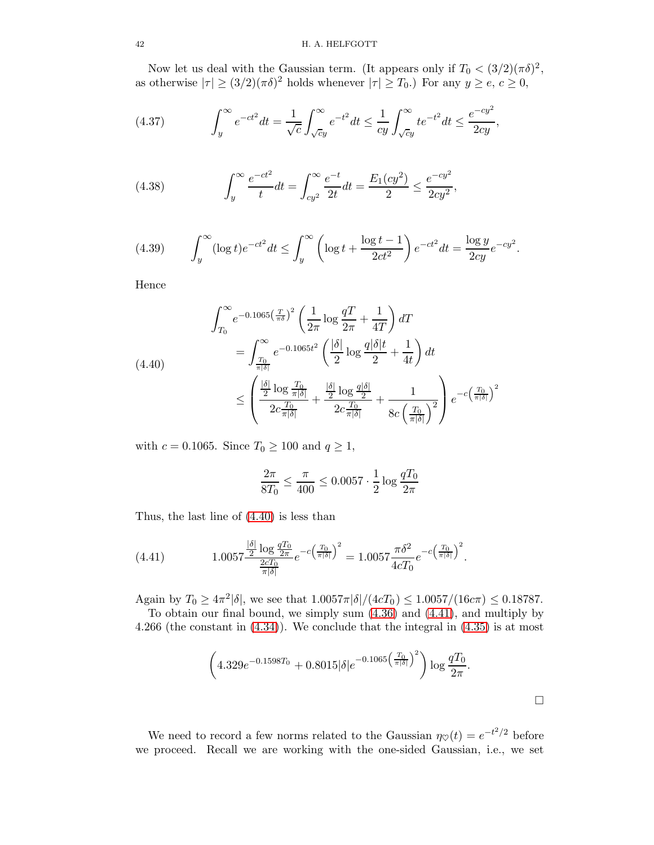## 42 H. A. HELFGOTT

Now let us deal with the Gaussian term. (It appears only if  $T_0 < (3/2)(\pi \delta)^2$ , as otherwise  $|\tau| \ge (3/2)(\pi \delta)^2$  holds whenever  $|\tau| \ge T_0$ .) For any  $y \ge e, c \ge 0$ ,

(4.37) 
$$
\int_{y}^{\infty} e^{-ct^{2}} dt = \frac{1}{\sqrt{c}} \int_{\sqrt{c}y}^{\infty} e^{-t^{2}} dt \le \frac{1}{cy} \int_{\sqrt{c}y}^{\infty} t e^{-t^{2}} dt \le \frac{e^{-cy^{2}}}{2cy},
$$

(4.38) 
$$
\int_{y}^{\infty} \frac{e^{-ct^{2}}}{t} dt = \int_{cy^{2}}^{\infty} \frac{e^{-t}}{2t} dt = \frac{E_{1}(cy^{2})}{2} \leq \frac{e^{-cy^{2}}}{2cy^{2}},
$$

(4.39) 
$$
\int_{y}^{\infty} (\log t) e^{-ct^2} dt \le \int_{y}^{\infty} \left( \log t + \frac{\log t - 1}{2ct^2} \right) e^{-ct^2} dt = \frac{\log y}{2cy} e^{-cy^2}.
$$

Hence

<span id="page-41-0"></span>
$$
\int_{T_0}^{\infty} e^{-0.1065\left(\frac{T}{\pi\delta}\right)^2} \left(\frac{1}{2\pi} \log \frac{qT}{2\pi} + \frac{1}{4T}\right) dT
$$
\n
$$
= \int_{\frac{T_0}{\pi|\delta|}}^{\infty} e^{-0.1065t^2} \left(\frac{|\delta|}{2} \log \frac{q|\delta|t}{2} + \frac{1}{4t}\right) dt
$$
\n
$$
\leq \left(\frac{\frac{|\delta|}{2} \log \frac{T_0}{\pi|\delta|}}{2c \frac{T_0}{\pi|\delta|}} + \frac{\frac{|\delta|}{2} \log \frac{q|\delta|}{2}}{2c \frac{T_0}{\pi|\delta|}} + \frac{1}{8c \left(\frac{T_0}{\pi|\delta\right)^2}}\right) e^{-c \left(\frac{T_0}{\pi|\delta\right)^2}}
$$

with  $c = 0.1065$ . Since  $T_0 \ge 100$  and  $q \ge 1$ ,

$$
\frac{2\pi}{8T_0} \le \frac{\pi}{400} \le 0.0057 \cdot \frac{1}{2} \log \frac{qT_0}{2\pi}
$$

Thus, the last line of [\(4.40\)](#page-41-0) is less than

<span id="page-41-1"></span>(4.41) 
$$
1.0057 \frac{\frac{|\delta|}{2} \log \frac{qT_0}{2\pi}}{\frac{2cT_0}{\pi |\delta|}} e^{-c \left(\frac{T_0}{\pi |\delta|}\right)^2} = 1.0057 \frac{\pi \delta^2}{4cT_0} e^{-c \left(\frac{T_0}{\pi |\delta|}\right)^2}.
$$

Again by  $T_0 \ge 4\pi^2 |\delta|$ , we see that  $1.0057\pi |\delta|/(4cT_0) \le 1.0057/(16c\pi) \le 0.18787$ .

To obtain our final bound, we simply sum [\(4.36\)](#page-40-0) and [\(4.41\)](#page-41-1), and multiply by 4.266 (the constant in [\(4.34\)](#page-40-1)). We conclude that the integral in [\(4.35\)](#page-40-2) is at most

$$
\left(4.329e^{-0.1598T_0} + 0.8015|\delta|e^{-0.1065\left(\frac{T_0}{\pi|\delta|}\right)^2}\right)\log\frac{qT_0}{2\pi}.
$$

We need to record a few norms related to the Gaussian  $\eta_{\heartsuit}(t) = e^{-t^2/2}$  before we proceed. Recall we are working with the one-sided Gaussian, i.e., we set

$$
\Box
$$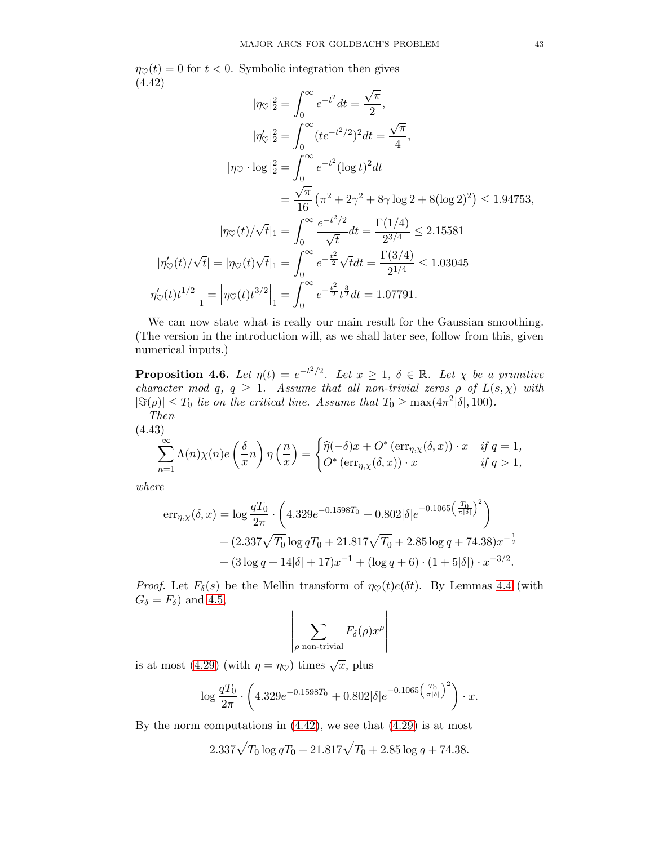$\eta_{\heartsuit}(t) = 0$  for  $t < 0$ . Symbolic integration then gives (4.42)

<span id="page-42-0"></span>
$$
|\eta_{\heartsuit}|_2^2 = \int_0^\infty e^{-t^2} dt = \frac{\sqrt{\pi}}{2},
$$
  
\n
$$
|\eta_{\heartsuit}'|_2^2 = \int_0^\infty (te^{-t^2/2})^2 dt = \frac{\sqrt{\pi}}{4},
$$
  
\n
$$
|\eta_{\heartsuit} \cdot \log|_2^2 = \int_0^\infty e^{-t^2} (\log t)^2 dt
$$
  
\n
$$
= \frac{\sqrt{\pi}}{16} (\pi^2 + 2\gamma^2 + 8\gamma \log 2 + 8(\log 2)^2) \le 1.94753,
$$
  
\n
$$
|\eta_{\heartsuit}(t)/\sqrt{t}|_1 = \int_0^\infty \frac{e^{-t^2/2}}{\sqrt{t}} dt = \frac{\Gamma(1/4)}{2^{3/4}} \le 2.15581
$$
  
\n
$$
|\eta_{\heartsuit}'(t)/\sqrt{t}| = |\eta_{\heartsuit}(t)\sqrt{t}|_1 = \int_0^\infty e^{-\frac{t^2}{2}} \sqrt{t} dt = \frac{\Gamma(3/4)}{2^{1/4}} \le 1.03045
$$
  
\n
$$
|\eta_{\heartsuit}'(t)t^{1/2}|_1 = |\eta_{\heartsuit}(t)t^{3/2}|_1 = \int_0^\infty e^{-\frac{t^2}{2}} t^{\frac{3}{2}} dt = 1.07791.
$$

We can now state what is really our main result for the Gaussian smoothing. (The version in the introduction will, as we shall later see, follow from this, given numerical inputs.)

<span id="page-42-1"></span>**Proposition 4.6.** Let  $\eta(t) = e^{-t^2/2}$ . Let  $x \geq 1$ ,  $\delta \in \mathbb{R}$ . Let  $\chi$  be a primitive character mod q,  $q \geq 1$ . Assume that all non-trivial zeros  $\rho$  of  $L(s, \chi)$  with  $|\Im(\rho)| \leq T_0$  lie on the critical line. Assume that  $T_0 \geq \max(4\pi^2|\delta|, 100)$ . Then

(4.43)

$$
\sum_{n=1}^{\infty} \Lambda(n)\chi(n)e\left(\frac{\delta}{x}n\right)\eta\left(\frac{n}{x}\right) = \begin{cases} \widehat{\eta}(-\delta)x + O^* \left(\text{err}_{\eta,\chi}(\delta,x)\right) \cdot x & \text{if } q=1, \\ O^* \left(\text{err}_{\eta,\chi}(\delta,x)\right) \cdot x & \text{if } q>1, \end{cases}
$$

where

$$
err_{\eta,\chi}(\delta,x) = \log \frac{qT_0}{2\pi} \cdot \left( 4.329e^{-0.1598T_0} + 0.802|\delta|e^{-0.1065\left(\frac{T_0}{\pi|\delta|}\right)^2} \right) + (2.337\sqrt{T_0}\log qT_0 + 21.817\sqrt{T_0} + 2.85\log q + 74.38)x^{-\frac{1}{2}} + (3\log q + 14|\delta| + 17)x^{-1} + (\log q + 6) \cdot (1 + 5|\delta|) \cdot x^{-3/2}.
$$

*Proof.* Let  $F_\delta(s)$  be the Mellin transform of  $\eta \circ (t) e(\delta t)$ . By Lemmas [4.4](#page-37-1) (with  $G_{\delta} = F_{\delta}$  and [4.5,](#page-39-0)

$$
\left|\sum_{\rho \text{ non-trivial}} F_{\delta}(\rho) x^{\rho}\right|
$$

is at most [\(4.29\)](#page-38-2) (with  $\eta = \eta_{\heartsuit}$ ) times  $\sqrt{x}$ , plus

$$
\log \frac{qT_0}{2\pi} \cdot \left(4.329e^{-0.1598T_0} + 0.802|\delta|e^{-0.1065\left(\frac{T_0}{\pi|\delta|}\right)^2}\right) \cdot x.
$$

By the norm computations in  $(4.42)$ , we see that  $(4.29)$  is at most

$$
2.337\sqrt{T_0}\log qT_0 + 21.817\sqrt{T_0} + 2.85\log q + 74.38.
$$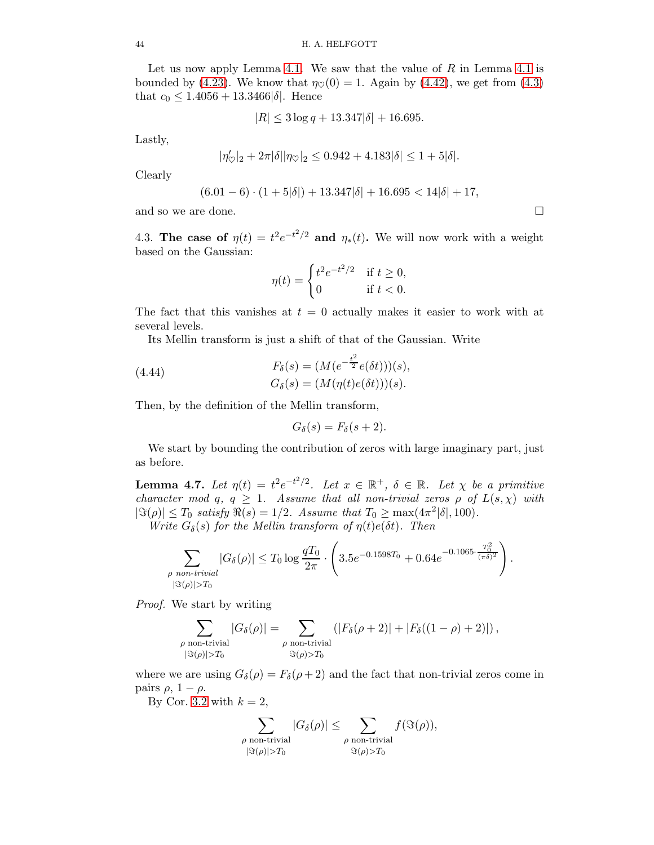Let us now apply Lemma [4.1.](#page-30-0) We saw that the value of  $R$  in Lemma [4.1](#page-30-0) is bounded by [\(4.23\)](#page-36-3). We know that  $\eta \circ (0) = 1$ . Again by [\(4.42\)](#page-42-0), we get from [\(4.3\)](#page-30-2) that  $c_0 \leq 1.4056 + 13.3466 |\delta|$ . Hence

$$
|R| \le 3\log q + 13.347|\delta| + 16.695.
$$

Lastly,

$$
|\eta'_{\heartsuit}|_2 + 2\pi|\delta||\eta_{\heartsuit}|_2 \le 0.942 + 4.183|\delta| \le 1 + 5|\delta|.
$$

Clearly

$$
(6.01-6)\cdot(1+5|\delta|)+13.347|\delta|+16.695<14|\delta|+17,
$$

and so we are done.

4.3. The case of  $\eta(t) = t^2 e^{-t^2/2}$  and  $\eta_*(t)$ . We will now work with a weight based on the Gaussian:

$$
\eta(t) = \begin{cases} t^2 e^{-t^2/2} & \text{if } t \ge 0, \\ 0 & \text{if } t < 0. \end{cases}
$$

The fact that this vanishes at  $t = 0$  actually makes it easier to work with at several levels.

Its Mellin transform is just a shift of that of the Gaussian. Write

(4.44) 
$$
F_{\delta}(s) = (M(e^{-\frac{t^2}{2}}e(\delta t)))(s),
$$

$$
G_{\delta}(s) = (M(\eta(t)e(\delta t)))(s).
$$

Then, by the definition of the Mellin transform,

<span id="page-43-0"></span>
$$
G_{\delta}(s) = F_{\delta}(s+2).
$$

We start by bounding the contribution of zeros with large imaginary part, just as before.

<span id="page-43-1"></span>**Lemma 4.7.** Let  $\eta(t) = t^2 e^{-t^2/2}$ . Let  $x \in \mathbb{R}^+$ ,  $\delta \in \mathbb{R}$ . Let  $\chi$  be a primitive character mod q,  $q \geq 1$ . Assume that all non-trivial zeros  $\rho$  of  $L(s,\chi)$  with  $|\Im(\rho)| \leq T_0$  satisfy  $\Re(s) = 1/2$ . Assume that  $T_0 \geq \max(4\pi^2|\delta|, 100)$ .

Write  $G_{\delta}(s)$  for the Mellin transform of  $\eta(t)e(\delta t)$ . Then

$$
\sum_{\substack{\rho \text{ non-trivial} \\ |\Im(\rho)| > T_0}} |G_{\delta}(\rho)| \le T_0 \log \frac{qT_0}{2\pi} \cdot \left(3.5e^{-0.1598T_0} + 0.64e^{-0.1065 \cdot \frac{T_0^2}{(\pi \delta)^2}}\right).
$$

Proof. We start by writing

$$
\sum_{\substack{\rho \text{ non-trivial} \\ |\Im(\rho)| > T_0}} |G_\delta(\rho)| = \sum_{\substack{\rho \text{ non-trivial} \\ \Im(\rho) > T_0}} (|F_\delta(\rho + 2)| + |F_\delta((1 - \rho) + 2)|),
$$

where we are using  $G_{\delta}(\rho) = F_{\delta}(\rho + 2)$  and the fact that non-trivial zeros come in pairs  $\rho$ ,  $1 - \rho$ .

By Cor. [3.2](#page-9-1) with  $k = 2$ ,

$$
\sum_{\substack{\rho \text{ non-trivial} \\ |\Im(\rho)| > T_0}} |G_\delta(\rho)| \le \sum_{\substack{\rho \text{ non-trivial} \\ \Im(\rho) > T_0}} f(\Im(\rho)),
$$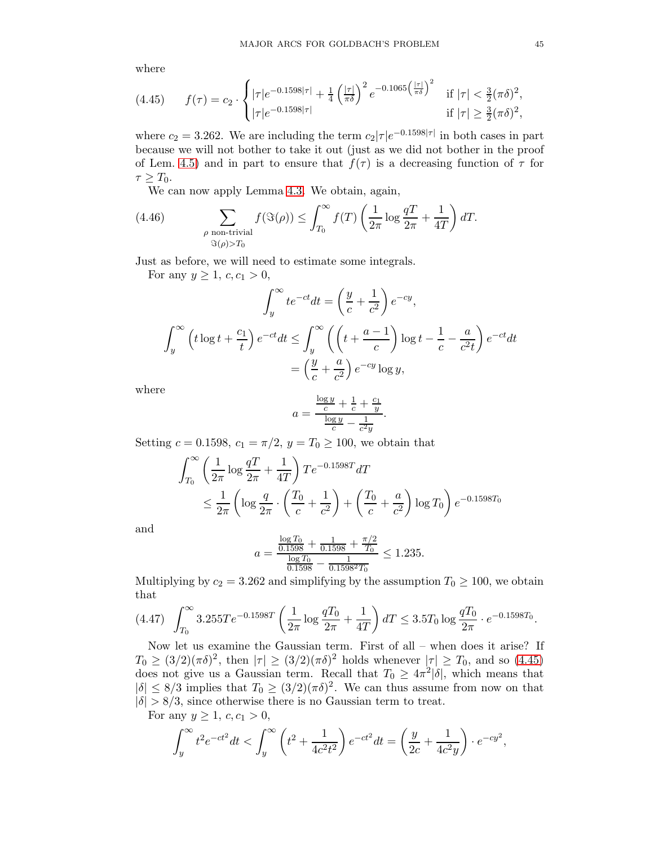where

<span id="page-44-0"></span>
$$
(4.45) \t f(\tau) = c_2 \cdot \begin{cases} |\tau|e^{-0.1598|\tau|} + \frac{1}{4} \left(\frac{|\tau|}{\pi \delta}\right)^2 e^{-0.1065 \left(\frac{|\tau|}{\pi \delta}\right)^2} & \text{if } |\tau| < \frac{3}{2} (\pi \delta)^2, \\ |\tau|e^{-0.1598|\tau|} & \text{if } |\tau| \ge \frac{3}{2} (\pi \delta)^2, \end{cases}
$$

where  $c_2 = 3.262$ . We are including the term  $c_2|\tau|e^{-0.1598|\tau|}$  in both cases in part because we will not bother to take it out (just as we did not bother in the proof of Lem. [4.5\)](#page-39-0) and in part to ensure that  $f(\tau)$  is a decreasing function of  $\tau$  for  $\tau > T_0$ .

We can now apply Lemma [4.3.](#page-36-2) We obtain, again,

(4.46) 
$$
\sum_{\substack{\rho \text{ non-trivial} \\ \Im(\rho) > T_0}} f(\Im(\rho)) \le \int_{T_0}^{\infty} f(T) \left( \frac{1}{2\pi} \log \frac{q}{2\pi} + \frac{1}{4T} \right) dT.
$$

Just as before, we will need to estimate some integrals.

For any  $y \ge 1, c, c_1 > 0$ ,

$$
\int_{y}^{\infty} te^{-ct}dt = \left(\frac{y}{c} + \frac{1}{c^2}\right)e^{-cy},
$$

$$
\int_{y}^{\infty} \left(t\log t + \frac{c_1}{t}\right)e^{-ct}dt \le \int_{y}^{\infty} \left(\left(t + \frac{a-1}{c}\right)\log t - \frac{1}{c} - \frac{a}{c^2t}\right)e^{-ct}dt
$$

$$
= \left(\frac{y}{c} + \frac{a}{c^2}\right)e^{-cy}\log y,
$$

where

$$
a = \frac{\frac{\log y}{c} + \frac{1}{c} + \frac{c_1}{y}}{\frac{\log y}{c} - \frac{1}{c^2 y}}.
$$

Setting  $c = 0.1598$ ,  $c_1 = \pi/2$ ,  $y = T_0 \ge 100$ , we obtain that

$$
\int_{T_0}^{\infty} \left( \frac{1}{2\pi} \log \frac{q}{2\pi} + \frac{1}{4T} \right) T e^{-0.1598T} dT
$$
  

$$
\leq \frac{1}{2\pi} \left( \log \frac{q}{2\pi} \cdot \left( \frac{T_0}{c} + \frac{1}{c^2} \right) + \left( \frac{T_0}{c} + \frac{a}{c^2} \right) \log T_0 \right) e^{-0.1598T_0}
$$

and

$$
a = \frac{\frac{\log T_0}{0.1598} + \frac{1}{0.1598} + \frac{\pi/2}{T_0}}{\frac{\log T_0}{0.1598} - \frac{1}{0.1598^2 T_0}} \le 1.235.
$$

Multiplying by  $c_2 = 3.262$  and simplifying by the assumption  $T_0 \ge 100$ , we obtain that

<span id="page-44-1"></span>
$$
(4.47) \quad \int_{T_0}^{\infty} 3.255Te^{-0.1598T} \left(\frac{1}{2\pi} \log \frac{qT_0}{2\pi} + \frac{1}{4T}\right) dT \le 3.5T_0 \log \frac{qT_0}{2\pi} \cdot e^{-0.1598T_0}.
$$

Now let us examine the Gaussian term. First of all – when does it arise? If  $T_0 \geq (3/2)(\pi\delta)^2$ , then  $|\tau| \geq (3/2)(\pi\delta)^2$  holds whenever  $|\tau| \geq T_0$ , and so [\(4.45\)](#page-44-0) does not give us a Gaussian term. Recall that  $T_0 \geq 4\pi^2 |\delta|$ , which means that  $|\delta| \leq 8/3$  implies that  $T_0 \geq (3/2)(\pi \delta)^2$ . We can thus assume from now on that  $|\delta| > 8/3$ , since otherwise there is no Gaussian term to treat.

For any  $y \ge 1, c, c_1 > 0$ ,

$$
\int_{y}^{\infty} t^{2} e^{-ct^{2}} dt < \int_{y}^{\infty} \left( t^{2} + \frac{1}{4c^{2}t^{2}} \right) e^{-ct^{2}} dt = \left( \frac{y}{2c} + \frac{1}{4c^{2}y} \right) \cdot e^{-cy^{2}},
$$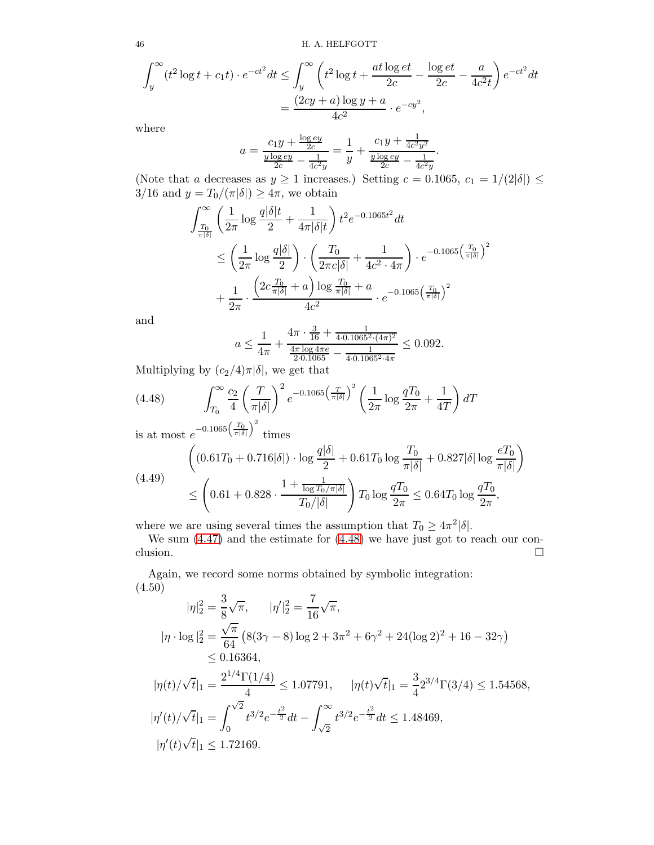46 H. A. HELFGOTT

$$
\int_{y}^{\infty} (t^2 \log t + c_1 t) \cdot e^{-ct^2} dt \le \int_{y}^{\infty} \left( t^2 \log t + \frac{at \log et}{2c} - \frac{\log et}{2c} - \frac{a}{4c^2 t} \right) e^{-ct^2} dt
$$

$$
= \frac{(2cy + a) \log y + a}{4c^2} \cdot e^{-cy^2},
$$

where

$$
a = \frac{c_1 y + \frac{\log ey}{2c}}{\frac{y \log ey}{2c} - \frac{1}{4c^2 y}} = \frac{1}{y} + \frac{c_1 y + \frac{1}{4c^2 y^2}}{\frac{y \log ey}{2c} - \frac{1}{4c^2 y}}
$$

.

(Note that a decreases as  $y \ge 1$  increases.) Setting  $c = 0.1065$ ,  $c_1 = 1/(2|\delta|) \le$  $3/16$  and  $y = T_0/(\pi|\delta|) \ge 4\pi$ , we obtain

$$
\int_{\frac{T_0}{\pi|\delta|}}^{\infty} \left( \frac{1}{2\pi} \log \frac{q|\delta|t}{2} + \frac{1}{4\pi|\delta|t} \right) t^2 e^{-0.1065t^2} dt
$$
\n
$$
\leq \left( \frac{1}{2\pi} \log \frac{q|\delta|}{2} \right) \cdot \left( \frac{T_0}{2\pi c|\delta|} + \frac{1}{4c^2 \cdot 4\pi} \right) \cdot e^{-0.1065 \left( \frac{T_0}{\pi|\delta|} \right)^2}
$$
\n
$$
+ \frac{1}{2\pi} \cdot \frac{\left( 2c \frac{T_0}{\pi|\delta|} + a \right) \log \frac{T_0}{\pi|\delta|} + a}{4c^2} \cdot e^{-0.1065 \left( \frac{T_0}{\pi|\delta|} \right)^2}
$$

and

$$
a \le \frac{1}{4\pi} + \frac{4\pi \cdot \frac{3}{16} + \frac{1}{4 \cdot 0.1065^2 \cdot (4\pi)^2}}{\frac{4\pi \log 4\pi e}{2 \cdot 0.1065} - \frac{1}{4 \cdot 0.1065^2 \cdot 4\pi}} \le 0.092.
$$

Multiplying by  $(c_2/4)\pi|\delta|$ , we get that

<span id="page-45-0"></span>(4.48) 
$$
\int_{T_0}^{\infty} \frac{c_2}{4} \left(\frac{T}{\pi |\delta|}\right)^2 e^{-0.1065 \left(\frac{T}{\pi |\delta|}\right)^2} \left(\frac{1}{2\pi} \log \frac{qT_0}{2\pi} + \frac{1}{4T}\right) dT
$$

is at most  $e^{-0.1065\left(\frac{T_0}{\pi|\delta|}\right)^2}$ times

$$
(4.49)
$$
\n
$$
\begin{aligned}\n\left( (0.61T_0 + 0.716|\delta|) \cdot \log \frac{q|\delta|}{2} + 0.61T_0 \log \frac{T_0}{\pi|\delta|} + 0.827|\delta| \log \frac{eT_0}{\pi|\delta|} \right) \\
&\le \left( 0.61 + 0.828 \cdot \frac{1 + \frac{1}{\log T_0/\pi|\delta|}}{T_0/|\delta|} \right) T_0 \log \frac{qT_0}{2\pi} \le 0.64T_0 \log \frac{qT_0}{2\pi},\n\end{aligned}
$$

where we are using several times the assumption that  $T_0 \geq 4\pi^2 |\delta|$ .

We sum [\(4.47\)](#page-44-1) and the estimate for [\(4.48\)](#page-45-0) we have just got to reach our conclusion.  $\Box$ 

Again, we record some norms obtained by symbolic integration: (4.50)

$$
|\eta|_2^2 = \frac{3}{8}\sqrt{\pi}, \qquad |\eta'|_2^2 = \frac{7}{16}\sqrt{\pi},
$$
  
\n
$$
|\eta \cdot \log|_2^2 = \frac{\sqrt{\pi}}{64} \left(8(3\gamma - 8)\log 2 + 3\pi^2 + 6\gamma^2 + 24(\log 2)^2 + 16 - 32\gamma\right)
$$
  
\n
$$
\leq 0.16364,
$$
  
\n
$$
|\eta(t)/\sqrt{t}|_1 = \frac{2^{1/4}\Gamma(1/4)}{4} \leq 1.07791, \qquad |\eta(t)\sqrt{t}|_1 = \frac{3}{4}2^{3/4}\Gamma(3/4) \leq 1.54568,
$$
  
\n
$$
|\eta'(t)/\sqrt{t}|_1 = \int_0^{\sqrt{2}} t^{3/2} e^{-\frac{t^2}{2}} dt - \int_{\sqrt{2}}^\infty t^{3/2} e^{-\frac{t^2}{2}} dt \leq 1.48469,
$$
  
\n
$$
|\eta'(t)\sqrt{t}|_1 \leq 1.72169.
$$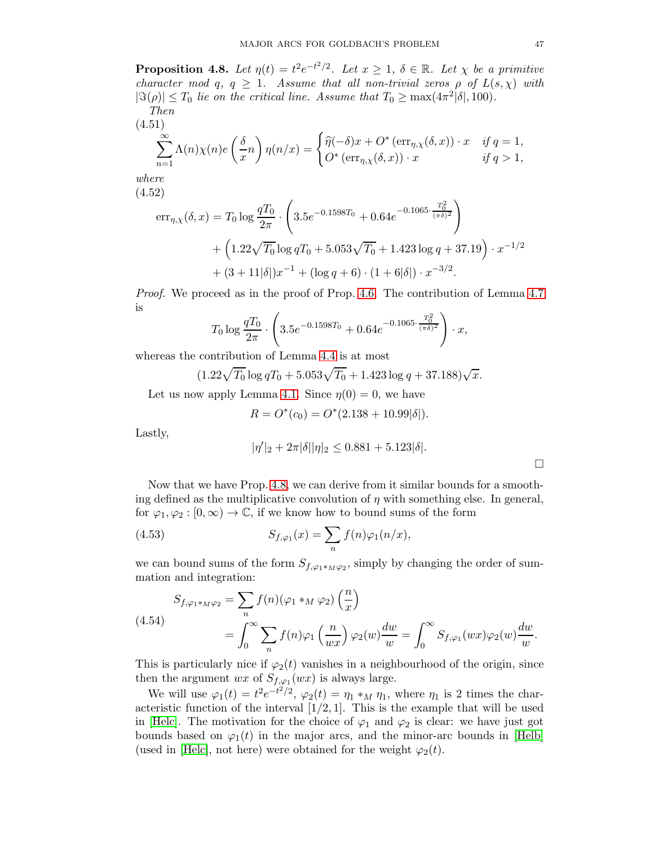<span id="page-46-0"></span>**Proposition 4.8.** Let  $\eta(t) = t^2 e^{-t^2/2}$ . Let  $x \geq 1$ ,  $\delta \in \mathbb{R}$ . Let  $\chi$  be a primitive character mod q,  $q \geq 1$ . Assume that all non-trivial zeros  $\rho$  of  $L(s,\chi)$  with  $|\Im(\rho)| \leq T_0$  lie on the critical line. Assume that  $T_0 \geq \max(4\pi^2|\delta|, 100)$ . Then

(4.51)  
\n
$$
\sum_{n=1}^{\infty} \Lambda(n)\chi(n)e\left(\frac{\delta}{x}n\right)\eta(n/x) = \begin{cases} \widehat{\eta}(-\delta)x + O^* \left(\operatorname{err}_{\eta,\chi}(\delta,x)\right) \cdot x & \text{if } q = 1, \\ O^* \left(\operatorname{err}_{\eta,\chi}(\delta,x)\right) \cdot x & \text{if } q > 1, \end{cases}
$$

where (4.52)

<span id="page-46-1"></span>
$$
err_{\eta,\chi}(\delta, x) = T_0 \log \frac{qT_0}{2\pi} \cdot \left( 3.5e^{-0.1598T_0} + 0.64e^{-0.1065 \cdot \frac{T_0^2}{(\pi \delta)^2}} \right) + \left( 1.22\sqrt{T_0} \log qT_0 + 5.053\sqrt{T_0} + 1.423 \log q + 37.19 \right) \cdot x^{-1/2} + (3 + 11|\delta|)x^{-1} + (\log q + 6) \cdot (1 + 6|\delta|) \cdot x^{-3/2}.
$$

Proof. We proceed as in the proof of Prop. [4.6.](#page-42-1) The contribution of Lemma [4.7](#page-43-1) is

$$
T_0 \log \frac{qT_0}{2\pi} \cdot \left(3.5e^{-0.1598T_0} + 0.64e^{-0.1065 \cdot \frac{T_0^2}{(\pi \delta)^2}}\right) \cdot x,
$$

whereas the contribution of Lemma [4.4](#page-37-1) is at most

$$
(1.22\sqrt{T_0}\log qT_0 + 5.053\sqrt{T_0} + 1.423\log q + 37.188)\sqrt{x}.
$$

Let us now apply Lemma [4.1.](#page-30-0) Since  $\eta(0) = 0$ , we have

$$
R = O^*(c_0) = O^*(2.138 + 10.99|\delta|).
$$

Lastly,

$$
|\eta'|_2 + 2\pi|\delta||\eta|_2 \le 0.881 + 5.123|\delta|.
$$

Now that we have Prop. [4.8,](#page-46-0) we can derive from it similar bounds for a smoothing defined as the multiplicative convolution of  $\eta$  with something else. In general, for  $\varphi_1, \varphi_2 : [0, \infty) \to \mathbb{C}$ , if we know how to bound sums of the form

(4.53) 
$$
S_{f,\varphi_1}(x) = \sum_n f(n)\varphi_1(n/x),
$$

we can bound sums of the form  $S_{f,\varphi_1*_M\varphi_2}$ , simply by changing the order of summation and integration:

$$
S_{f,\varphi_1 *_{M}\varphi_2} = \sum_{n} f(n)(\varphi_1 *_{M} \varphi_2) \left(\frac{n}{x}\right)
$$
  
= 
$$
\int_0^\infty \sum_{n} f(n)\varphi_1 \left(\frac{n}{wx}\right) \varphi_2(w) \frac{dw}{w} = \int_0^\infty S_{f,\varphi_1}(wx) \varphi_2(w) \frac{dw}{w}.
$$

This is particularly nice if  $\varphi_2(t)$  vanishes in a neighbourhood of the origin, since then the argument  $wx$  of  $S_{f,\varphi_1}(wx)$  is always large.

We will use  $\varphi_1(t) = t^2 e^{-t^2/2}$ ,  $\varphi_2(t) = \eta_1 *_M \eta_1$ , where  $\eta_1$  is 2 times the characteristic function of the interval  $[1/2, 1]$ . This is the example that will be used in [\[Helc\]](#page-77-2). The motivation for the choice of  $\varphi_1$  and  $\varphi_2$  is clear: we have just got bounds based on  $\varphi_1(t)$  in the major arcs, and the minor-arc bounds in [\[Helb\]](#page-77-3) (used in [\[Helc\]](#page-77-2), not here) were obtained for the weight  $\varphi_2(t)$ .

 $\Box$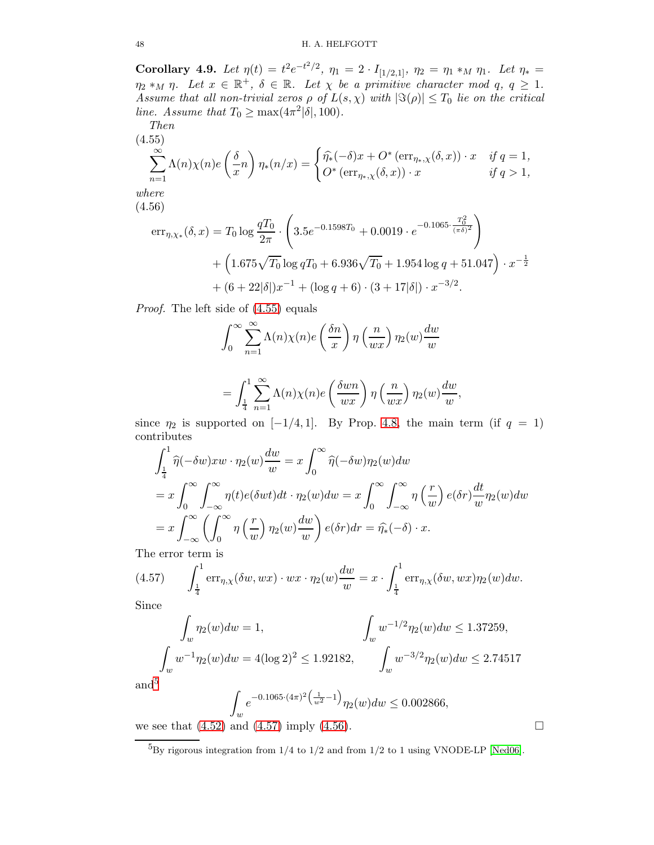<span id="page-47-4"></span>Corollary 4.9. Let  $\eta(t) = t^2 e^{-t^2/2}$ ,  $\eta_1 = 2 \cdot I_{[1/2,1]}$ ,  $\eta_2 = \eta_1 *_M \eta_1$ . Let  $\eta_* =$  $\eta_2 *_M \eta$ . Let  $x \in \mathbb{R}^+, \delta \in \mathbb{R}$ . Let  $\chi$  be a primitive character mod  $q, q \geq 1$ . Assume that all non-trivial zeros  $\rho$  of  $L(s,\chi)$  with  $|\Im(\rho)| \leq T_0$  lie on the critical line. Assume that  $T_0 \ge \max(4\pi^2|\delta|, 100)$ .

$$
Then\n(4.55)
$$

<span id="page-47-0"></span>
$$
\sum_{n=1}^{\infty} \Lambda(n)\chi(n)e\left(\frac{\delta}{x}n\right)\eta_*(n/x) = \begin{cases} \widehat{\eta_*}(-\delta)x + O^* \left(\text{err}_{\eta_*,\chi}(\delta,x)\right) \cdot x & \text{if } q=1, \\ O^* \left(\text{err}_{\eta_*,\chi}(\delta,x)\right) \cdot x & \text{if } q>1, \end{cases}
$$
  
where

(4.56)

<span id="page-47-3"></span>
$$
err_{\eta,\chi_{*}}(\delta,x) = T_0 \log \frac{qT_0}{2\pi} \cdot \left( 3.5e^{-0.1598T_0} + 0.0019 \cdot e^{-0.1065 \cdot \frac{T_0^2}{(\pi \delta)^2}} \right) + \left( 1.675\sqrt{T_0} \log qT_0 + 6.936\sqrt{T_0} + 1.954 \log q + 51.047 \right) \cdot x^{-\frac{1}{2}} + (6 + 22|\delta|)x^{-1} + (\log q + 6) \cdot (3 + 17|\delta|) \cdot x^{-3/2}.
$$

Proof. The left side of [\(4.55\)](#page-47-0) equals

$$
\int_0^\infty \sum_{n=1}^\infty \Lambda(n)\chi(n)e\left(\frac{\delta n}{x}\right)\eta\left(\frac{n}{wx}\right)\eta_2(w)\frac{dw}{w}
$$

$$
= \int_{\frac{1}{4}}^{1} \sum_{n=1}^{\infty} \Lambda(n) \chi(n) e\left(\frac{\delta w n}{w x}\right) \eta\left(\frac{n}{w x}\right) \eta_2(w) \frac{dw}{w},
$$

since  $\eta_2$  is supported on [−1/4, 1]. By Prop. [4.8,](#page-46-0) the main term (if  $q = 1$ ) contributes

$$
\int_{\frac{1}{4}}^1 \hat{\eta}(-\delta w) xw \cdot \eta_2(w) \frac{dw}{w} = x \int_0^\infty \hat{\eta}(-\delta w) \eta_2(w) dw
$$
  
=  $x \int_0^\infty \int_{-\infty}^\infty \eta(t) e(\delta wt) dt \cdot \eta_2(w) dw = x \int_0^\infty \int_{-\infty}^\infty \eta\left(\frac{r}{w}\right) e(\delta r) \frac{dt}{w} \eta_2(w) dw$   
=  $x \int_{-\infty}^\infty \left(\int_0^\infty \eta\left(\frac{r}{w}\right) \eta_2(w) \frac{dw}{w}\right) e(\delta r) dr = \hat{\eta_2}(-\delta) \cdot x.$ 

The error term is

(4.57) 
$$
\int_{\frac{1}{4}}^{1} \operatorname{err}_{\eta, \chi}(\delta w, wx) \cdot wx \cdot \eta_2(w) \frac{dw}{w} = x \cdot \int_{\frac{1}{4}}^{1} \operatorname{err}_{\eta, \chi}(\delta w, wx) \eta_2(w) dw.
$$

Since

<span id="page-47-2"></span>
$$
\int_{w} \eta_2(w) dw = 1,
$$
\n
$$
\int_{w} w^{-1/2} \eta_2(w) dw \le 1.37259,
$$
\n
$$
\int_{w} w^{-1} \eta_2(w) dw = 4(\log 2)^2 \le 1.92182,
$$
\n
$$
\int_{w} w^{-3/2} \eta_2(w) dw \le 2.74517
$$

and<sup>[5](#page-47-1)</sup>

$$
\int_{w} e^{-0.1065 \cdot (4\pi)^2 \left(\frac{1}{w^2} - 1\right)} \eta_2(w) dw \le 0.002866,
$$

we see that  $(4.52)$  and  $(4.57)$  imply  $(4.56)$ .

$$
\lfloor
$$

<span id="page-47-1"></span> $^{5}\mathrm{By}$  rigorous integration from 1/4 to 1/2 and from 1/2 to 1 using VNODE-LP [\[Ned06\]](#page-77-4).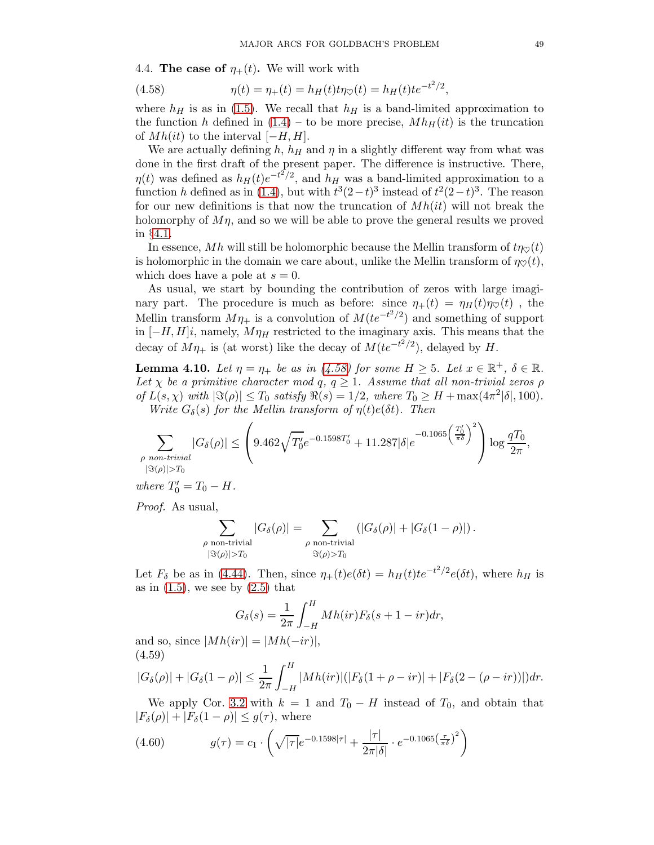4.4. The case of  $\eta_+(t)$ . We will work with

<span id="page-48-0"></span>(4.58) 
$$
\eta(t) = \eta_+(t) = h_H(t)t\eta_{\heartsuit}(t) = h_H(t)te^{-t^2/2},
$$

where  $h_H$  is as in [\(1.5\)](#page-3-0). We recall that  $h_H$  is a band-limited approximation to the function h defined in  $(1.4)$  – to be more precise,  $Mh_H(it)$  is the truncation of  $Mh(it)$  to the interval  $[-H, H]$ .

We are actually defining h,  $h_H$  and  $\eta$  in a slightly different way from what was done in the first draft of the present paper. The difference is instructive. There,  $\eta(t)$  was defined as  $h_H(t)e^{-t^2/2}$ , and  $h_H$  was a band-limited approximation to a function h defined as in [\(1.4\)](#page-3-1), but with  $t^3(2-t)^3$  instead of  $t^2(2-t)^3$ . The reason for our new definitions is that now the truncation of  $Mh(it)$  will not break the holomorphy of  $M\eta$ , and so we will be able to prove the general results we proved in §[4.1.](#page-30-3)

In essence, Mh will still be holomorphic because the Mellin transform of  $t\eta_{\heartsuit}(t)$ is holomorphic in the domain we care about, unlike the Mellin transform of  $\eta \circ (t)$ , which does have a pole at  $s = 0$ .

As usual, we start by bounding the contribution of zeros with large imaginary part. The procedure is much as before: since  $\eta_+(t) = \eta_H(t)\eta_{\heartsuit}(t)$ , the Mellin transform  $M\eta_+$  is a convolution of  $M(te^{-t^2/2})$  and something of support in  $[-H, H]i$ , namely,  $M\eta_H$  restricted to the imaginary axis. This means that the decay of  $M\eta_+$  is (at worst) like the decay of  $M(te^{-t^2/2})$ , delayed by H.

<span id="page-48-3"></span>**Lemma 4.10.** Let  $\eta = \eta_+$  be as in [\(4.58\)](#page-48-0) for some  $H \geq 5$ . Let  $x \in \mathbb{R}^+$ ,  $\delta \in \mathbb{R}$ . Let  $\chi$  be a primitive character mod q,  $q \geq 1$ . Assume that all non-trivial zeros  $\rho$ of  $L(s, \chi)$  with  $|\Im(\rho)| \leq T_0$  satisfy  $\Re(s) = 1/2$ , where  $T_0 \geq H + \max(4\pi^2|\delta|, 100)$ . Write  $G_{\delta}(s)$  for the Mellin transform of  $\eta(t)e(\delta t)$ . Then

$$
\sum_{\substack{\rho \text{ non-trivial} \\ |\Im(\rho)| > T_0}} |G_\delta(\rho)| \le \left(9.462 \sqrt{T'_0} e^{-0.1598T'_0} + 11.287 |\delta| e^{-0.1065 \left(\frac{T'_0}{\pi \delta}\right)^2}\right) \log \frac{qT_0}{2\pi},
$$

where  $T'_0 = T_0 - H$ .

Proof. As usual,

$$
\sum_{\substack{\rho \text{ non-trivial} \\ |\Im(\rho)| > T_0}} |G_\delta(\rho)| = \sum_{\substack{\rho \text{ non-trivial} \\ \Im(\rho) > T_0}} (|G_\delta(\rho)| + |G_\delta(1 - \rho)|).
$$

Let  $F_\delta$  be as in [\(4.44\)](#page-43-0). Then, since  $\eta_+(t)e(\delta t) = h_H(t)te^{-t^2/2}e(\delta t)$ , where  $h_H$  is as in  $(1.5)$ , we see by  $(2.5)$  that

$$
G_{\delta}(s) = \frac{1}{2\pi} \int_{-H}^{H} Mh(ir) F_{\delta}(s+1-ir) dr,
$$

and so, since  $|Mh(ir)| = |Mh(-ir)|$ , (4.59)

<span id="page-48-1"></span>
$$
|G_{\delta}(\rho)| + |G_{\delta}(1 - \rho)| \le \frac{1}{2\pi} \int_{-H}^{H} |Mh(ir)| (|F_{\delta}(1 + \rho - ir)| + |F_{\delta}(2 - (\rho - ir))|) dr.
$$

We apply Cor. [3.2](#page-9-1) with  $k = 1$  and  $T_0 - H$  instead of  $T_0$ , and obtain that  $|F_\delta(\rho)| + |F_\delta(1-\rho)| \leq g(\tau)$ , where

<span id="page-48-2"></span>(4.60) 
$$
g(\tau) = c_1 \cdot \left( \sqrt{|\tau|} e^{-0.1598|\tau|} + \frac{|\tau|}{2\pi|\delta|} \cdot e^{-0.1065\left(\frac{\tau}{\pi\delta}\right)^2} \right)
$$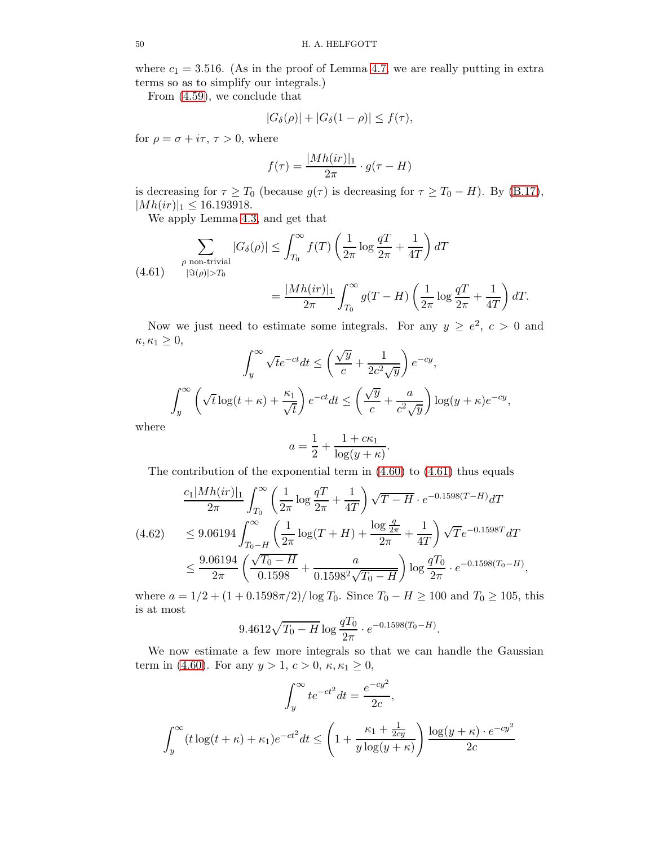where  $c_1 = 3.516$ . (As in the proof of Lemma [4.7,](#page-43-1) we are really putting in extra terms so as to simplify our integrals.)

From [\(4.59\)](#page-48-1), we conclude that

$$
|G_{\delta}(\rho)|+|G_{\delta}(1-\rho)|\leq f(\tau),
$$

for  $\rho = \sigma + i\tau$ ,  $\tau > 0$ , where

$$
f(\tau) = \frac{|Mh(ir)|_1}{2\pi} \cdot g(\tau - H)
$$

is decreasing for  $\tau \geq T_0$  (because  $g(\tau)$  is decreasing for  $\tau \geq T_0 - H$ ). By [\(B.17\)](#page-71-0),  $|Mh(ir)|_1 \leq 16.193918.$ 

We apply Lemma [4.3,](#page-36-2) and get that

<span id="page-49-0"></span>
$$
\sum_{\substack{\rho \text{ non-trivial} \\ |\Im(\rho)| > T_0}} |G_{\delta}(\rho)| \le \int_{T_0}^{\infty} f(T) \left(\frac{1}{2\pi} \log \frac{q}{2\pi} + \frac{1}{4T}\right) dT
$$
\n
$$
= \frac{|Mh(ir)|_1}{2\pi} \int_{T_0}^{\infty} g(T - H) \left(\frac{1}{2\pi} \log \frac{q}{2\pi} + \frac{1}{4T}\right) dT.
$$

Now we just need to estimate some integrals. For any  $y \ge e^2$ ,  $c > 0$  and  $\kappa, \kappa_1 \geq 0,$ 

$$
\int_{y}^{\infty} \sqrt{t}e^{-ct}dt \le \left(\frac{\sqrt{y}}{c} + \frac{1}{2c^2\sqrt{y}}\right)e^{-cy},
$$

$$
\int_{y}^{\infty} \left(\sqrt{t}\log(t+\kappa) + \frac{\kappa_1}{\sqrt{t}}\right)e^{-ct}dt \le \left(\frac{\sqrt{y}}{c} + \frac{a}{c^2\sqrt{y}}\right)\log(y+\kappa)e^{-cy},
$$

where

$$
a = \frac{1}{2} + \frac{1 + c\kappa_1}{\log(y + \kappa)}.
$$

The contribution of the exponential term in  $(4.60)$  to  $(4.61)$  thus equals

$$
(4.62) \frac{c_1 |Mh(ir)|_1}{2\pi} \int_{T_0}^{\infty} \left(\frac{1}{2\pi} \log \frac{qT}{2\pi} + \frac{1}{4T}\right) \sqrt{T - H} \cdot e^{-0.1598(T - H)} dT
$$
  

$$
(4.62) \le 9.06194 \int_{T_0 - H}^{\infty} \left(\frac{1}{2\pi} \log(T + H) + \frac{\log \frac{q}{2\pi}}{2\pi} + \frac{1}{4T}\right) \sqrt{T} e^{-0.1598T} dT
$$
  

$$
\le \frac{9.06194}{2\pi} \left(\frac{\sqrt{T_0 - H}}{0.1598} + \frac{a}{0.1598^2 \sqrt{T_0 - H}}\right) \log \frac{qT_0}{2\pi} \cdot e^{-0.1598(T_0 - H)},
$$

where  $a = 1/2 + (1 + 0.1598\pi/2)/\log T_0$ . Since  $T_0 - H \ge 100$  and  $T_0 \ge 105$ , this is at most

$$
9.4612\sqrt{T_0 - H} \log \frac{qT_0}{2\pi} \cdot e^{-0.1598(T_0 - H)}.
$$

We now estimate a few more integrals so that we can handle the Gaussian term in [\(4.60\)](#page-48-2). For any  $y > 1, c > 0, \kappa, \kappa_1 \geq 0$ ,

$$
\int_{y}^{\infty} te^{-ct^{2}} dt = \frac{e^{-cy^{2}}}{2c},
$$

$$
\int_{y}^{\infty} (t \log(t + \kappa) + \kappa_{1}) e^{-ct^{2}} dt \le \left(1 + \frac{\kappa_{1} + \frac{1}{2cy}}{y \log(y + \kappa)}\right) \frac{\log(y + \kappa) \cdot e^{-cy^{2}}}{2c}
$$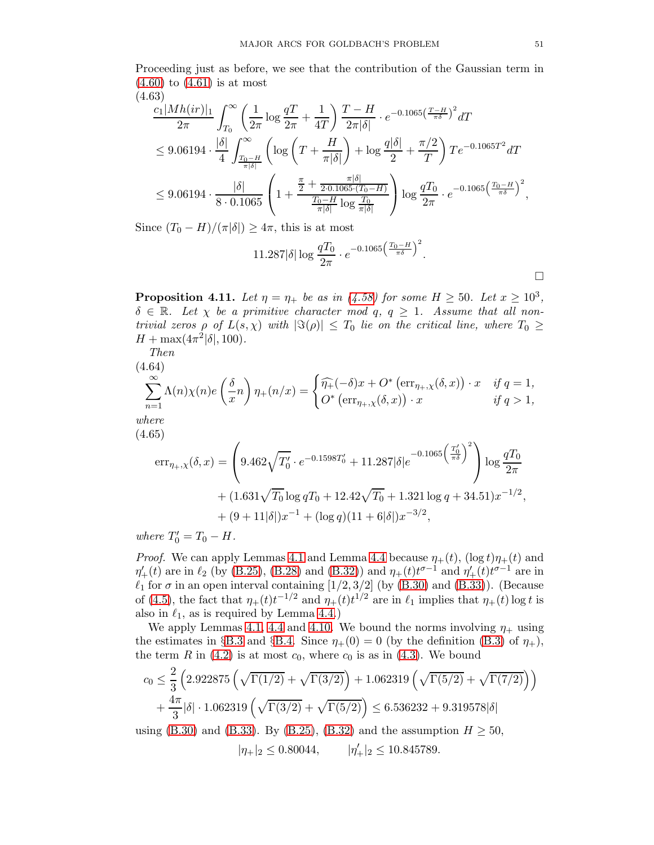Proceeding just as before, we see that the contribution of the Gaussian term in  $(4.60)$  to  $(4.61)$  is at most (4.63)

$$
\frac{c_1 |Mh(ir)|_1}{2\pi} \int_{T_0}^{\infty} \left(\frac{1}{2\pi} \log \frac{q}{2\pi} + \frac{1}{4T}\right) \frac{T - H}{2\pi |\delta|} \cdot e^{-0.1065\left(\frac{T - H}{\pi \delta}\right)^2} dT
$$
\n
$$
\leq 9.06194 \cdot \frac{|\delta|}{4} \int_{\frac{T_0 - H}{\pi |\delta|}}^{\infty} \left(\log \left(T + \frac{H}{\pi |\delta|}\right) + \log \frac{q |\delta|}{2} + \frac{\pi/2}{T}\right) T e^{-0.1065T^2} dT
$$
\n
$$
\leq 9.06194 \cdot \frac{|\delta|}{8 \cdot 0.1065} \left(1 + \frac{\frac{\pi}{2} + \frac{\pi |\delta|}{2 \cdot 0.1065 \cdot (T_0 - H)}}{\frac{T_0 - H}{\pi |\delta|} \log \frac{T_0}{\pi |\delta|}}\right) \log \frac{qT_0}{2\pi} \cdot e^{-0.1065\left(\frac{T_0 - H}{\pi \delta}\right)^2},
$$

Since  $(T_0 - H)/(\pi|\delta|) \geq 4\pi$ , this is at most

$$
11.287|\delta|\log\frac{qT_0}{2\pi} \cdot e^{-0.1065\left(\frac{T_0 - H}{\pi\delta}\right)^2}.
$$

**Proposition 4.11.** Let  $\eta = \eta_+$  be as in [\(4.58\)](#page-48-0) for some  $H \ge 50$ . Let  $x \ge 10^3$ ,  $\delta \in \mathbb{R}$ . Let  $\chi$  be a primitive character mod q,  $q \geq 1$ . Assume that all nontrivial zeros  $\rho$  of  $L(s,\chi)$  with  $|\Im(\rho)| \leq T_0$  lie on the critical line, where  $T_0 \geq$  $H + \max(4\pi^2|\delta|, 100).$ 

Then  
\n
$$
(4.64)
$$
\n
$$
\sum_{n=1}^{\infty} \Lambda(n)\chi(n)e\left(\frac{\delta}{x}n\right)\eta_{+}(n/x) = \begin{cases} \widehat{\eta_{+}}(-\delta)x + O^{*}\left(\text{err}_{\eta_{+},\chi}(\delta,x)\right) \cdot x & \text{if } q=1, \\ O^{*}\left(\text{err}_{\eta_{+},\chi}(\delta,x)\right) \cdot x & \text{if } q>1, \end{cases}
$$
\nwhere

(4.65)

 $($ 

<span id="page-50-0"></span>
$$
\begin{split} \text{err}_{\eta_{+},\chi}(\delta,x) &= \left( 9.462\sqrt{T_0'} \cdot e^{-0.1598T_0'} + 11.287|\delta|e^{-0.1065\left(\frac{T_0'}{\pi\delta}\right)^2} \right) \log\frac{qT_0}{2\pi} \\ &+ (1.631\sqrt{T_0}\log qT_0 + 12.42\sqrt{T_0} + 1.321\log q + 34.51)x^{-1/2}, \\ &+ (9+11|\delta|)x^{-1} + (\log q)(11+6|\delta|)x^{-3/2}, \end{split}
$$

where  $T'_0 = T_0 - H$ .

*Proof.* We can apply Lemmas [4.1](#page-30-0) and Lemma [4.4](#page-37-1) because  $\eta_+(t)$ ,  $(\log t)\eta_+(t)$  and  $\eta'_{+}(t)$  are in  $\ell_2$  (by [\(B.25\)](#page-72-0), [\(B.28\)](#page-73-0) and [\(B.32\)](#page-74-0)) and  $\eta_{+}(t)t^{\sigma-1}$  and  $\eta'_{+}(t)t^{\sigma-1}$  are in  $\ell_1$  for  $\sigma$  in an open interval containing [1/2, 3/2] (by [\(B.30\)](#page-73-1) and [\(B.33\)](#page-75-0)). (Because of [\(4.5\)](#page-32-0), the fact that  $\eta_+(t)t^{-1/2}$  and  $\eta_+(t)t^{1/2}$  are in  $\ell_1$  implies that  $\eta_+(t)$  log t is also in  $\ell_1$ , as is required by Lemma [4.4.](#page-37-1))

We apply Lemmas [4.1,](#page-30-0) [4.4](#page-37-1) and [4.10.](#page-48-3) We bound the norms involving  $\eta_+$  using the estimates in §[B.3](#page-72-1) and §[B.4.](#page-73-2) Since  $\eta_+(0) = 0$  (by the definition [\(B.3\)](#page-68-0) of  $\eta_+$ ), the term R in  $(4.2)$  is at most  $c_0$ , where  $c_0$  is as in  $(4.3)$ . We bound

$$
c_0 \le \frac{2}{3} \left( 2.922875 \left( \sqrt{\Gamma(1/2)} + \sqrt{\Gamma(3/2)} \right) + 1.062319 \left( \sqrt{\Gamma(5/2)} + \sqrt{\Gamma(7/2)} \right) \right) + \frac{4\pi}{3} |\delta| \cdot 1.062319 \left( \sqrt{\Gamma(3/2)} + \sqrt{\Gamma(5/2)} \right) \le 6.536232 + 9.319578|\delta| using (B.30) and (B.33). By (B.25), (B.32) and the assumption  $H \ge 50$ ,
$$

$$
|\eta_+|_2 \le 0.80044, \qquad |\eta'_+|_2 \le 10.845789.
$$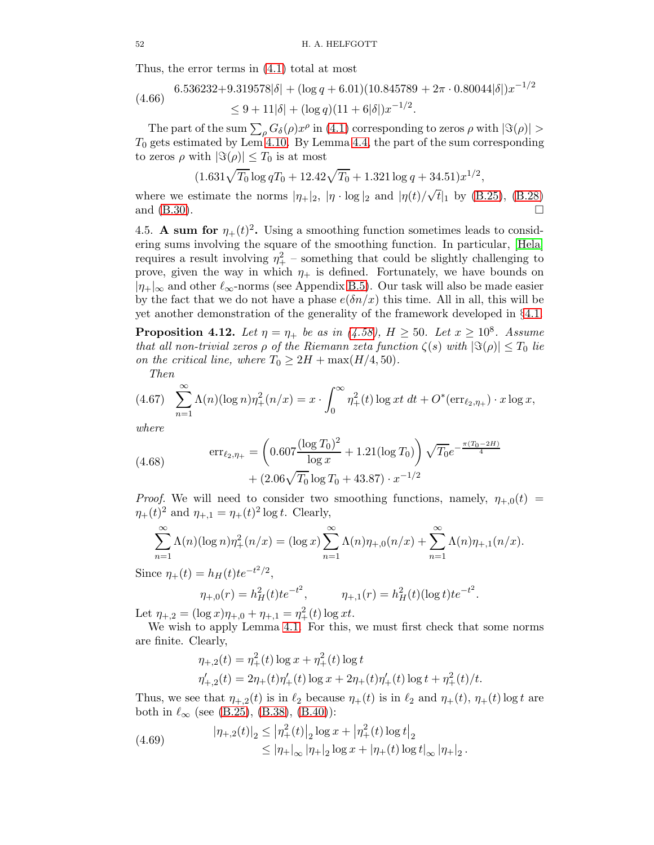Thus, the error terms in [\(4.1\)](#page-30-1) total at most

$$
(4.66) \quad 6.536232 + 9.319578|\delta| + (\log q + 6.01)(10.845789 + 2\pi \cdot 0.80044|\delta|)x^{-1/2}
$$
  

$$
\leq 9 + 11|\delta| + (\log q)(11 + 6|\delta|)x^{-1/2}.
$$

The part of the sum  $\sum_{\rho} G_{\delta}(\rho) x^{\rho}$  in [\(4.1\)](#page-30-1) corresponding to zeros  $\rho$  with  $|\Im(\rho)| >$  $T_0$  gets estimated by Lem [4.10.](#page-48-3) By Lemma [4.4,](#page-37-1) the part of the sum corresponding to zeros  $\rho$  with  $|\Im(\rho)| \leq T_0$  is at most

$$
(1.631\sqrt{T_0}\log qT_0 + 12.42\sqrt{T_0} + 1.321\log q + 34.51)x^{1/2},
$$

where we estimate the norms  $|\eta_+|_2$ ,  $|\eta \cdot \log|_2$  and  $|\eta(t)/\sqrt{t}|_1$  by [\(B.25\)](#page-72-0), [\(B.28\)](#page-73-0) and  $(B.30)$ .

4.5. A sum for  $\eta_+(t)^2$ . Using a smoothing function sometimes leads to considering sums involving the square of the smoothing function. In particular, [\[Hela\]](#page-77-5) requires a result involving  $\eta_+^2$  – something that could be slightly challenging to prove, given the way in which  $\eta_+$  is defined. Fortunately, we have bounds on  $|\eta_{+}|_{\infty}$  and other  $\ell_{\infty}$ -norms (see Appendix [B.5\)](#page-75-1). Our task will also be made easier by the fact that we do not have a phase  $e(\delta n/x)$  this time. All in all, this will be yet another demonstration of the generality of the framework developed in §[4.1.](#page-30-3)

<span id="page-51-3"></span>**Proposition 4.12.** Let  $\eta = \eta_+$  be as in [\(4.58\)](#page-48-0),  $H \ge 50$ . Let  $x \ge 10^8$ . Assume that all non-trivial zeros  $\rho$  of the Riemann zeta function  $\zeta(s)$  with  $|\Im(\rho)| \leq T_0$  lie on the critical line, where  $T_0 \geq 2H + \max(H/4, 50)$ .

<span id="page-51-1"></span>Then

$$
(4.67) \sum_{n=1}^{\infty} \Lambda(n) (\log n) \eta_+^2(n/x) = x \cdot \int_0^{\infty} \eta_+^2(t) \log xt \, dt + O^*(\text{err}_{\ell_2, \eta_+}) \cdot x \log x,
$$

where

<span id="page-51-2"></span>(4.68) 
$$
\begin{aligned} \n\text{err}_{\ell_2,\eta_+} &= \left( 0.607 \frac{(\log T_0)^2}{\log x} + 1.21 (\log T_0) \right) \sqrt{T_0} e^{-\frac{\pi (T_0 - 2H)}{4}} \\ \n&\quad + (2.06\sqrt{T_0} \log T_0 + 43.87) \cdot x^{-1/2} \n\end{aligned}
$$

*Proof.* We will need to consider two smoothing functions, namely,  $\eta_{+,0}(t)$  =  $\eta_{+}(t)^{2}$  and  $\eta_{+,1} = \eta_{+}(t)^{2} \log t$ . Clearly,

$$
\sum_{n=1}^{\infty} \Lambda(n) (\log n) \eta_{+}^{2}(n/x) = (\log x) \sum_{n=1}^{\infty} \Lambda(n) \eta_{+,0}(n/x) + \sum_{n=1}^{\infty} \Lambda(n) \eta_{+,1}(n/x).
$$

Since  $\eta_{+}(t) = h_H(t) t e^{-t^2/2}$ ,

$$
\eta_{+,0}(r) = h_H^2(t) t e^{-t^2}, \qquad \eta_{+,1}(r) = h_H^2(t) (\log t) t e^{-t^2}.
$$

Let  $\eta_{+,2} = (\log x)\eta_{+,0} + \eta_{+,1} = \eta_+^2(t) \log xt.$ 

We wish to apply Lemma [4.1.](#page-30-0) For this, we must first check that some norms are finite. Clearly,

$$
\eta_{+,2}(t) = \eta_+^2(t) \log x + \eta_+^2(t) \log t
$$
  

$$
\eta_{+,2}'(t) = 2\eta_+(t)\eta_+'(t) \log x + 2\eta_+(t)\eta_+'(t) \log t + \eta_+^2(t)/t.
$$

Thus, we see that  $\eta_{+2}(t)$  is in  $\ell_2$  because  $\eta_{+}(t)$  is in  $\ell_2$  and  $\eta_{+}(t)$ ,  $\eta_{+}(t)$  log t are both in  $\ell_{\infty}$  (see [\(B.25\)](#page-72-0), [\(B.38\)](#page-76-0), [\(B.40\)](#page-76-1)):

<span id="page-51-0"></span>(4.69) 
$$
|\eta_{+,2}(t)|_2 \le |\eta_+^2(t)|_2 \log x + |\eta_+^2(t) \log t|_2
$$

$$
\le |\eta_+|_\infty |\eta_+|_2 \log x + |\eta_+(t) \log t|_\infty |\eta_+|_2.
$$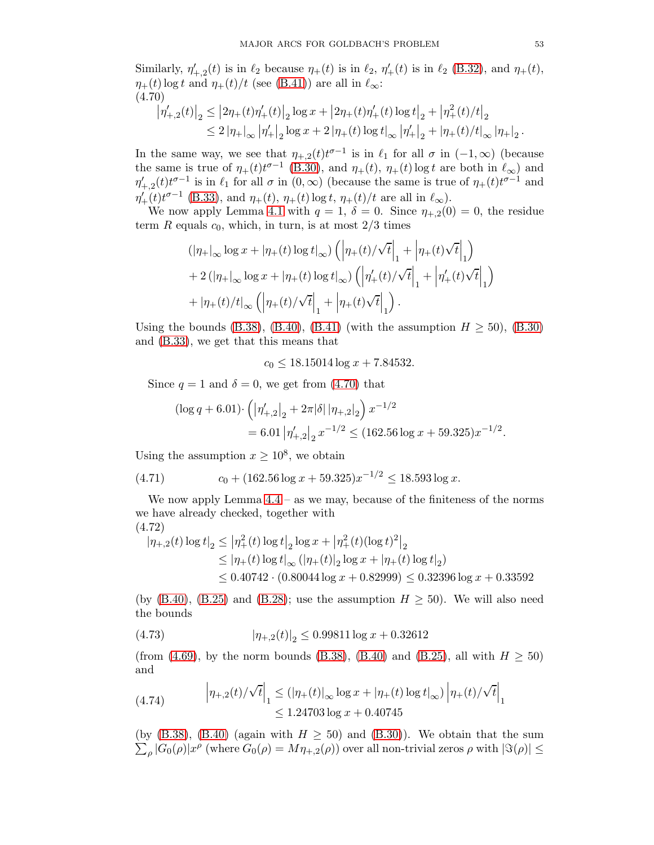Similarly,  $\eta'_{+,2}(t)$  is in  $\ell_2$  because  $\eta_+(t)$  is in  $\ell_2$ ,  $\eta'_+(t)$  is in  $\ell_2$  [\(B.32\)](#page-74-0), and  $\eta_+(t)$ ,  $\eta_+(t)$  log t and  $\eta_+(t)/t$  (see [\(B.41\)](#page-76-2)) are all in  $\ell_\infty$ : (4.70)

<span id="page-52-0"></span>
$$
\begin{aligned} \left| \eta'_{+,2}(t) \right|_2 &\leq \left| 2\eta_+(t) \eta'_+(t) \right|_2 \log x + \left| 2\eta_+(t) \eta'_+(t) \log t \right|_2 + \left| \eta_+^2(t)/t \right|_2 \\ &\leq 2 \left| \eta_+ \right|_\infty \left| \eta'_+ \right|_2 \log x + 2 \left| \eta_+(t) \log t \right|_\infty \left| \eta'_+ \right|_2 + \left| \eta_+(t)/t \right|_\infty \left| \eta_+ \right|_2. \end{aligned}
$$

In the same way, we see that  $\eta_{+,2}(t)t^{\sigma-1}$  is in  $\ell_1$  for all  $\sigma$  in  $(-1,\infty)$  (because the same is true of  $\eta_+(t)t^{\sigma-1}$  [\(B.30\)](#page-73-1), and  $\eta_+(t)$ ,  $\eta_+(t)$  log t are both in  $\ell_{\infty}$ ) and  $\eta'_{+,2}(t)t^{\sigma-1}$  is in  $\ell_1$  for all  $\sigma$  in  $(0,\infty)$  (because the same is true of  $\eta_+(t)t^{\sigma-1}$  and  $\eta'_{+}(t)t^{\sigma-1}$  [\(B.33\)](#page-75-0), and  $\eta_{+}(t)$ ,  $\eta_{+}(t)$  log t,  $\eta_{+}(t)/t$  are all in  $\ell_{\infty}$ ).

We now apply Lemma [4.1](#page-30-0) with  $q = 1$ ,  $\delta = 0$ . Since  $\eta_{+2}(0) = 0$ , the residue term R equals  $c_0$ , which, in turn, is at most  $2/3$  times

$$
\begin{aligned} &\left(|\eta_+|_\infty \log x+|\eta_+(t)\log t|_\infty\right)\left(\left|\eta_+(t)/\sqrt{t}\right|_1+\left|\eta_+(t)\sqrt{t}\right|_1\right)\\ &+2\left(|\eta_+|_\infty \log x+|\eta_+(t)\log t|_\infty\right)\left(\left|\eta_+'(t)/\sqrt{t}\right|_1+\left|\eta_+'(t)\sqrt{t}\right|_1\right)\\ &+|\eta_+(t)/t|_\infty\left(\left|\eta_+(t)/\sqrt{t}\right|_1+\left|\eta_+(t)\sqrt{t}\right|_1\right). \end{aligned}
$$

Using the bounds [\(B.38\)](#page-76-0), [\(B.40\)](#page-76-1), [\(B.41\)](#page-76-2) (with the assumption  $H \ge 50$ ), [\(B.30\)](#page-73-1) and [\(B.33\)](#page-75-0), we get that this means that

 $c_0 \leq 18.15014 \log x + 7.84532.$ 

Since  $q = 1$  and  $\delta = 0$ , we get from [\(4.70\)](#page-52-0) that

$$
\begin{aligned} \left(\log q + 6.01\right) \cdot \left(\left|\eta_{+,2}'\right|_2 + 2\pi |\delta| \left|\eta_{+,2}\right|_2\right) x^{-1/2} \\ &= 6.01 \left|\eta_{+,2}'\right|_2 x^{-1/2} \le (162.56 \log x + 59.325) x^{-1/2} .\end{aligned}
$$

Using the assumption  $x \ge 10^8$ , we obtain

<span id="page-52-4"></span>(4.71) 
$$
c_0 + (162.56 \log x + 59.325)x^{-1/2} \le 18.593 \log x.
$$

We now apply Lemma  $4.4$  – as we may, because of the finiteness of the norms we have already checked, together with

<span id="page-52-2"></span>
$$
(4.72)
$$
  
\n
$$
|\eta_{+,2}(t)\log t|_2 \le |\eta_+^2(t)\log t|_2 \log x + |\eta_+^2(t)(\log t)^2|_2
$$
  
\n
$$
\le |\eta_+(t)\log t|_\infty (|\eta_+(t)|_2 \log x + |\eta_+(t)\log t|_2)
$$
  
\n
$$
\le 0.40742 \cdot (0.80044 \log x + 0.82999) \le 0.32396 \log x + 0.33592
$$

(by  $(B.40)$ ,  $(B.25)$  and  $(B.28)$ ; use the assumption  $H \geq 50$ ). We will also need the bounds

<span id="page-52-1"></span>(4.73) 
$$
|\eta_{+,2}(t)|_2 \le 0.99811 \log x + 0.32612
$$

(from [\(4.69\)](#page-51-0), by the norm bounds [\(B.38\)](#page-76-0), [\(B.40\)](#page-76-1) and [\(B.25\)](#page-72-0), all with  $H \ge 50$ ) and

<span id="page-52-3"></span>(4.74) 
$$
\left|\eta_{+,2}(t)/\sqrt{t}\right|_{1} \leq (|\eta_{+}(t)|_{\infty} \log x + |\eta_{+}(t) \log t|_{\infty}) \left|\eta_{+}(t)/\sqrt{t}\right|_{1}
$$

$$
\leq 1.24703 \log x + 0.40745
$$

(by  $(B.38)$ ,  $(B.40)$  (again with  $H \ge 50$ ) and  $(B.30)$ ). We obtain that the sum  $\sum_{\rho} |G_0(\rho)| x^{\rho}$  (where  $G_0(\rho) = M\eta_{+,2}(\rho)$ ) over all non-trivial zeros  $\rho$  with  $|\Im(\rho)| \le$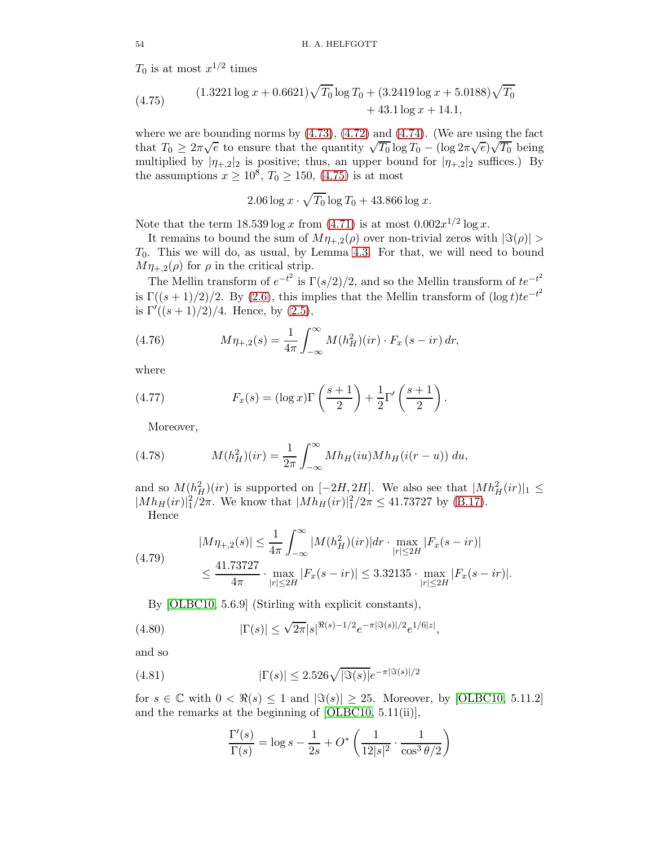$T_0$  is at most  $x^{1/2}$  times

<span id="page-53-0"></span>(4.75) 
$$
(1.3221 \log x + 0.6621)\sqrt{T_0} \log T_0 + (3.2419 \log x + 5.0188)\sqrt{T_0} + 43.1 \log x + 14.1,
$$

where we are bounding norms by  $(4.73)$ ,  $(4.72)$  and  $(4.74)$ . (We are using the fact that  $T_0 \geq 2\pi\sqrt{e}$  to ensure that the quantity  $\sqrt{T_0} \log T_0 - (\log 2\pi\sqrt{e})\sqrt{T_0}$  being multiplied by  $|\eta_{+,2}|_2$  is positive; thus, an upper bound for  $|\eta_{+,2}|_2$  suffices.) By the assumptions  $x \ge 10^8$ ,  $T_0 \ge 150$ , [\(4.75\)](#page-53-0) is at most

$$
2.06 \log x \cdot \sqrt{T_0} \log T_0 + 43.866 \log x.
$$

Note that the term  $18.539 \log x$  from  $(4.71)$  is at most  $0.002x^{1/2} \log x$ .

It remains to bound the sum of  $M\eta_{+2}(\rho)$  over non-trivial zeros with  $|\Im(\rho)| >$  $T_0$ . This we will do, as usual, by Lemma [4.3.](#page-36-2) For that, we will need to bound  $M\eta_{+2}(\rho)$  for  $\rho$  in the critical strip.

The Mellin transform of  $e^{-t^2}$  is  $\Gamma(s/2)/2$ , and so the Mellin transform of  $te^{-t^2}$ is  $\Gamma((s+1)/2)/2$ . By [\(2.6\)](#page-8-0), this implies that the Mellin transform of  $(\log t)te^{-t^2}$ is  $\Gamma'((s+1)/2)/4$ . Hence, by  $(2.5)$ ,

(4.76) 
$$
M\eta_{+,2}(s) = \frac{1}{4\pi} \int_{-\infty}^{\infty} M(h_H^2)(ir) \cdot F_x(s - ir) dr,
$$

where

(4.77) 
$$
F_x(s) = (\log x) \Gamma\left(\frac{s+1}{2}\right) + \frac{1}{2} \Gamma'\left(\frac{s+1}{2}\right).
$$

Moreover,

(4.78) 
$$
M(h_H^2)(ir) = \frac{1}{2\pi} \int_{-\infty}^{\infty} Mh_H(iu)Mh_H(i(r-u)) du,
$$

and so  $M(h_H^2)(ir)$  is supported on  $[-2H, 2H]$ . We also see that  $|Mh_H^2(ir)|_1 \le$  $|Mh_H(ir)|_1^2/2\pi$ . We know that  $|Mh_H(ir)|_1^2/2\pi \le 41.73727$  by [\(B.17\)](#page-71-0). Hence

$$
|M\eta_{+,2}(s)| \le \frac{1}{4\pi} \int_{-\infty}^{\infty} |M(h_H^2)(ir)| dr \cdot \max_{|r| \le 2H} |F_x(s - ir)|
$$
  

$$
\le \frac{41.73727}{4\pi} \cdot \max_{|r| \le 2H} |F_x(s - ir)| \le 3.32135 \cdot \max_{|r| \le 2H} |F_x(s - ir)|.
$$

<span id="page-53-1"></span>By [\[OLBC10,](#page-77-6) 5.6.9] (Stirling with explicit constants),

(4.80) 
$$
|\Gamma(s)| \leq \sqrt{2\pi}|s|^{\Re(s)-1/2}e^{-\pi|\Im(s)|/2}e^{1/6|z|},
$$

and so

(4.81) 
$$
|\Gamma(s)| \le 2.526 \sqrt{|\Im(s)|} e^{-\pi |\Im(s)|/2}
$$

for  $s \in \mathbb{C}$  with  $0 < \Re(s) \leq 1$  and  $|\Im(s)| \geq 25$ . Moreover, by [\[OLBC10,](#page-77-6) 5.11.2] and the remarks at the beginning of [\[OLBC10,](#page-77-6) 5.11(ii)],

$$
\frac{\Gamma'(s)}{\Gamma(s)} = \log s - \frac{1}{2s} + O^* \left( \frac{1}{12|s|^2} \cdot \frac{1}{\cos^3 \theta/2} \right)
$$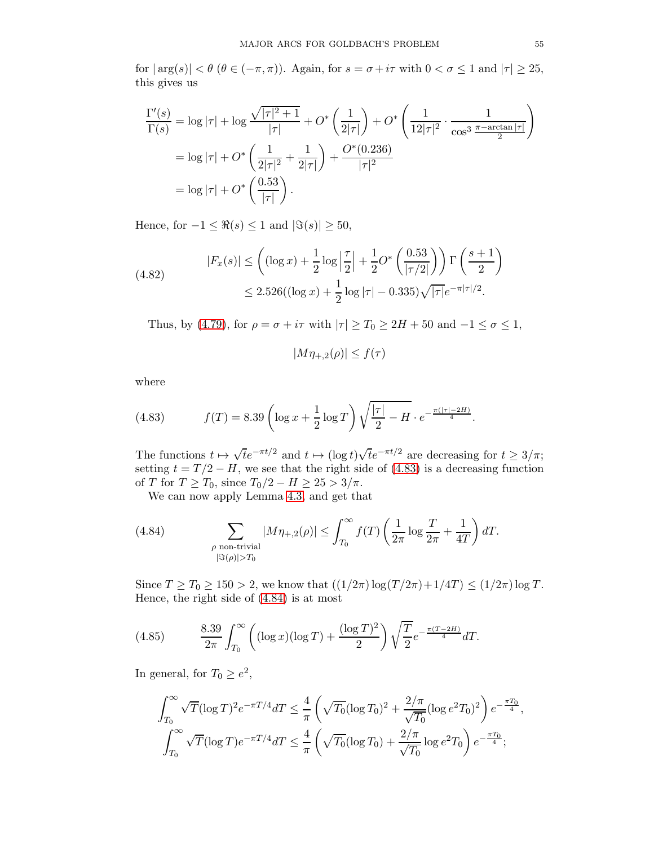for  $|\arg(s)| < \theta$  ( $\theta \in (-\pi, \pi)$ ). Again, for  $s = \sigma + i\tau$  with  $0 < \sigma \leq 1$  and  $|\tau| \geq 25$ , this gives us

$$
\frac{\Gamma'(s)}{\Gamma(s)} = \log |\tau| + \log \frac{\sqrt{|\tau|^2 + 1}}{|\tau|} + O^* \left(\frac{1}{2|\tau|}\right) + O^* \left(\frac{1}{12|\tau|^2} \cdot \frac{1}{\cos^3 \frac{\pi - \arctan |\tau|}{2}}\right)
$$

$$
= \log |\tau| + O^* \left(\frac{1}{2|\tau|^2} + \frac{1}{2|\tau|}\right) + \frac{O^*(0.236)}{|\tau|^2}
$$

$$
= \log |\tau| + O^* \left(\frac{0.53}{|\tau|}\right).
$$

Hence, for  $-1 \leq \Re(s) \leq 1$  and  $|\Im(s)| \geq 50$ ,

(4.82) 
$$
|F_x(s)| \le \left( (\log x) + \frac{1}{2} \log \left| \frac{\tau}{2} \right| + \frac{1}{2} O^* \left( \frac{0.53}{|\tau/2|} \right) \right) \Gamma \left( \frac{s+1}{2} \right) \le 2.526 ((\log x) + \frac{1}{2} \log |\tau| - 0.335) \sqrt{|\tau|} e^{-\pi |\tau|/2}.
$$

Thus, by [\(4.79\)](#page-53-1), for  $\rho = \sigma + i\tau$  with  $|\tau| \ge T_0 \ge 2H + 50$  and  $-1 \le \sigma \le 1$ ,

$$
|M\eta_{+,2}(\rho)| \le f(\tau)
$$

where

<span id="page-54-0"></span>(4.83) 
$$
f(T) = 8.39 \left( \log x + \frac{1}{2} \log T \right) \sqrt{\frac{|\tau|}{2} - H} \cdot e^{-\frac{\pi (|\tau| - 2H)}{4}}.
$$

The functions  $t \mapsto \sqrt{t}e^{-\pi t/2}$  and  $t \mapsto (\log t)\sqrt{t}e^{-\pi t/2}$  are decreasing for  $t \ge 3/\pi$ ; setting  $t = T/2 - H$ , we see that the right side of [\(4.83\)](#page-54-0) is a decreasing function of T for  $T \geq T_0$ , since  $T_0/2 - H \geq 25 > 3/\pi$ .

<span id="page-54-1"></span>We can now apply Lemma [4.3,](#page-36-2) and get that

(4.84) 
$$
\sum_{\substack{\rho \text{ non-trivial} \\ |\Im(\rho)| > T_0}} |M\eta_{+,2}(\rho)| \le \int_{T_0}^{\infty} f(T) \left(\frac{1}{2\pi} \log \frac{T}{2\pi} + \frac{1}{4T}\right) dT.
$$

Since  $T \geq T_0 \geq 150 > 2$ , we know that  $((1/2\pi) \log(T/2\pi) + 1/4T) \leq (1/2\pi) \log T$ . Hence, the right side of [\(4.84\)](#page-54-1) is at most

<span id="page-54-2"></span>(4.85) 
$$
\frac{8.39}{2\pi} \int_{T_0}^{\infty} \left( (\log x)(\log T) + \frac{(\log T)^2}{2} \right) \sqrt{\frac{T}{2}} e^{-\frac{\pi (T - 2H)}{4}} dT.
$$

In general, for  $T_0 \ge e^2$ ,

$$
\int_{T_0}^{\infty} \sqrt{T} (\log T)^2 e^{-\pi T/4} dT \le \frac{4}{\pi} \left( \sqrt{T_0} (\log T_0)^2 + \frac{2/\pi}{\sqrt{T_0}} (\log e^2 T_0)^2 \right) e^{-\frac{\pi T_0}{4}},
$$
  

$$
\int_{T_0}^{\infty} \sqrt{T} (\log T) e^{-\pi T/4} dT \le \frac{4}{\pi} \left( \sqrt{T_0} (\log T_0) + \frac{2/\pi}{\sqrt{T_0}} \log e^2 T_0 \right) e^{-\frac{\pi T_0}{4}};
$$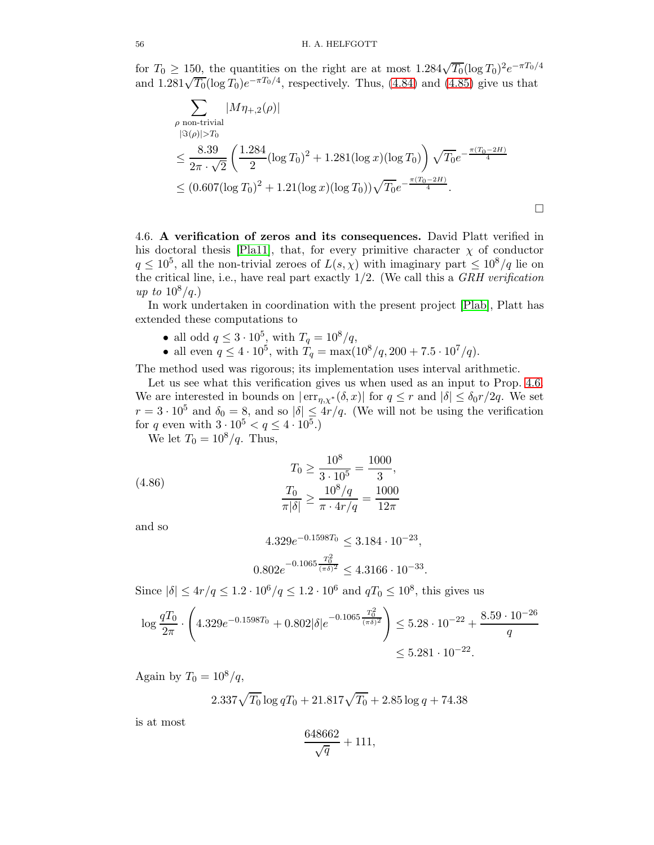for  $T_0 \ge 150$ , the quantities on the right are at most  $1.284\sqrt{T_0}(\log T_0)^2e^{-\pi T_0/4}$ and  $1.281\sqrt{T_0}(\log T_0)e^{-\pi T_0/4}$ , respectively. Thus, [\(4.84\)](#page-54-1) and [\(4.85\)](#page-54-2) give us that

$$
\sum_{\rho \text{ non-trivial}} |M\eta_{+,2}(\rho)|
$$
\n
$$
\beta(\rho)|>T_0
$$
\n
$$
\leq \frac{8.39}{2\pi \cdot \sqrt{2}} \left( \frac{1.284}{2} (\log T_0)^2 + 1.281 (\log x)(\log T_0) \right) \sqrt{T_0} e^{-\frac{\pi (T_0 - 2H)}{4}}
$$
\n
$$
\leq (0.607 (\log T_0)^2 + 1.21 (\log x)(\log T_0)) \sqrt{T_0} e^{-\frac{\pi (T_0 - 2H)}{4}}.
$$

4.6. A verification of zeros and its consequences. David Platt verified in his doctoral thesis [\[Pla11\]](#page-78-2), that, for every primitive character  $\chi$  of conductor  $q \leq 10^5$ , all the non-trivial zeroes of  $L(s,\chi)$  with imaginary part  $\leq 10^8/q$  lie on the critical line, i.e., have real part exactly 1/2. (We call this a GRH verification up to  $10^8/q$ .)

In work undertaken in coordination with the present project [\[Plab\]](#page-78-3), Platt has extended these computations to

- all odd  $q \leq 3 \cdot 10^5$ , with  $T_q = 10^8/q$ ,
- all even  $q \leq 4 \cdot 10^5$ , with  $T_q = \max(10^8/q, 200 + 7.5 \cdot 10^7/q)$ .

The method used was rigorous; its implementation uses interval arithmetic.

Let us see what this verification gives us when used as an input to Prop. [4.6.](#page-42-1) We are interested in bounds on  $|\text{err}_{\eta,\chi^*}(\delta,x)|$  for  $q \leq r$  and  $|\delta| \leq \delta_0 r/2q$ . We set  $r = 3 \cdot 10^5$  and  $\delta_0 = 8$ , and so  $|\delta| \leq 4r/q$ . (We will not be using the verification for q even with  $3 \cdot 10^5 < q \le 4 \cdot 10^5$ .

We let  $T_0 = 10^8/q$ . Thus,

(4.86) 
$$
T_0 \ge \frac{10^8}{3 \cdot 10^5} = \frac{1000}{3},
$$

$$
\frac{T_0}{\pi |\delta|} \ge \frac{10^8/q}{\pi \cdot 4r/q} = \frac{1000}{12\pi}
$$

and so

<span id="page-55-0"></span>
$$
4.329e^{-0.1598T_0} \le 3.184 \cdot 10^{-23},
$$

$$
0.802e^{-0.1065\frac{T_0^2}{(\pi\delta)^2}} \le 4.3166 \cdot 10^{-33}.
$$

Since  $|\delta| \le 4r/q \le 1.2 \cdot 10^6/q \le 1.2 \cdot 10^6$  and  $qT_0 \le 10^8$ , this gives us

$$
\log \frac{qT_0}{2\pi} \cdot \left( 4.329e^{-0.1598T_0} + 0.802|\delta|e^{-0.1065\frac{T_0^2}{(\pi\delta)^2}} \right) \le 5.28 \cdot 10^{-22} + \frac{8.59 \cdot 10^{-26}}{q}
$$
  

$$
\le 5.281 \cdot 10^{-22}.
$$

Again by  $T_0 = 10^8/q$ ,

$$
2.337\sqrt{T_0}\log qT_0 + 21.817\sqrt{T_0} + 2.85\log q + 74.38
$$

is at most

$$
\frac{648662}{\sqrt{q}} + 111,
$$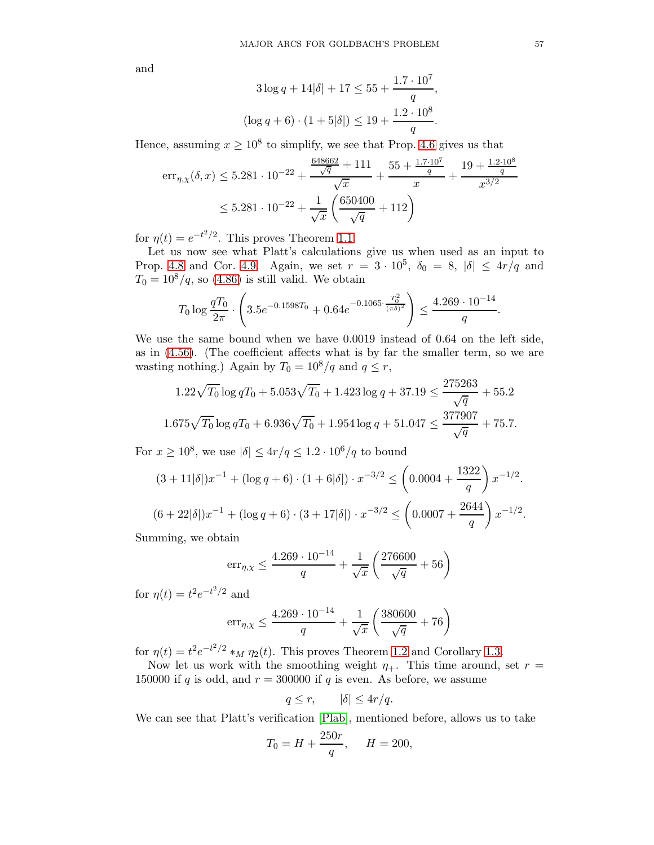and

$$
3\log q + 14|\delta| + 17 \le 55 + \frac{1.7 \cdot 10^7}{q},
$$
  

$$
(\log q + 6) \cdot (1 + 5|\delta|) \le 19 + \frac{1.2 \cdot 10^8}{q}.
$$

Hence, assuming  $x \ge 10^8$  to simplify, we see that Prop. [4.6](#page-42-1) gives us that

$$
err_{\eta,\chi}(\delta, x) \le 5.281 \cdot 10^{-22} + \frac{\frac{648662}{\sqrt{q}} + 111}{\sqrt{x}} + \frac{55 + \frac{1.7 \cdot 10^7}{q}}{x} + \frac{19 + \frac{1.2 \cdot 10^8}{q}}{x^{3/2}}
$$

$$
\le 5.281 \cdot 10^{-22} + \frac{1}{\sqrt{x}} \left(\frac{650400}{\sqrt{q}} + 112\right)
$$

for  $\eta(t) = e^{-t^2/2}$ . This proves Theorem [1.1.](#page-2-0)

Let us now see what Platt's calculations give us when used as an input to Prop. [4.8](#page-46-0) and Cor. [4.9.](#page-47-4) Again, we set  $r = 3 \cdot 10^5$ ,  $\delta_0 = 8$ ,  $|\delta| \leq 4r/q$  and  $T_0 = 10^8/q$ , so [\(4.86\)](#page-55-0) is still valid. We obtain

$$
T_0 \log \frac{qT_0}{2\pi} \cdot \left(3.5e^{-0.1598T_0} + 0.64e^{-0.1065 \cdot \frac{T_0^2}{(\pi \delta)^2}}\right) \le \frac{4.269 \cdot 10^{-14}}{q}.
$$

We use the same bound when we have 0.0019 instead of 0.64 on the left side, as in [\(4.56\)](#page-47-3). (The coefficient affects what is by far the smaller term, so we are wasting nothing.) Again by  $T_0 = 10^8/q$  and  $q \leq r$ ,

$$
1.22\sqrt{T_0}\log qT_0 + 5.053\sqrt{T_0} + 1.423\log q + 37.19 \le \frac{275263}{\sqrt{q}} + 55.2
$$
  

$$
1.675\sqrt{T_0}\log qT_0 + 6.936\sqrt{T_0} + 1.954\log q + 51.047 \le \frac{377907}{\sqrt{q}} + 75.7.
$$

For  $x \ge 10^8$ , we use  $|\delta| \le 4r/q \le 1.2 \cdot 10^6/q$  to bound

$$
(3+11|\delta|)x^{-1} + (\log q + 6) \cdot (1+6|\delta|) \cdot x^{-3/2} \le \left(0.0004 + \frac{1322}{q}\right)x^{-1/2}.
$$
  

$$
(6+22|\delta|)x^{-1} + (\log q + 6) \cdot (3+17|\delta|) \cdot x^{-3/2} \le \left(0.0007 + \frac{2644}{q}\right)x^{-1/2}.
$$

Summing, we obtain

$$
err_{\eta,\chi} \le \frac{4.269 \cdot 10^{-14}}{q} + \frac{1}{\sqrt{x}} \left( \frac{276600}{\sqrt{q}} + 56 \right)
$$

for  $\eta(t) = t^2 e^{-t^2/2}$  and

$$
\mathrm{err}_{\eta,\chi} \le \frac{4.269 \cdot 10^{-14}}{q} + \frac{1}{\sqrt{x}} \left( \frac{380600}{\sqrt{q}} + 76 \right)
$$

for  $\eta(t) = t^2 e^{-t^2/2} *_{M} \eta_2(t)$ . This proves Theorem [1.2](#page-2-1) and Corollary [1.3.](#page-2-2)

Now let us work with the smoothing weight  $\eta_+$ . This time around, set  $r =$ 150000 if q is odd, and  $r = 300000$  if q is even. As before, we assume

$$
q \le r, \qquad |\delta| \le 4r/q.
$$

We can see that Platt's verification [\[Plab\]](#page-78-3), mentioned before, allows us to take

$$
T_0 = H + \frac{250r}{q}, \quad H = 200,
$$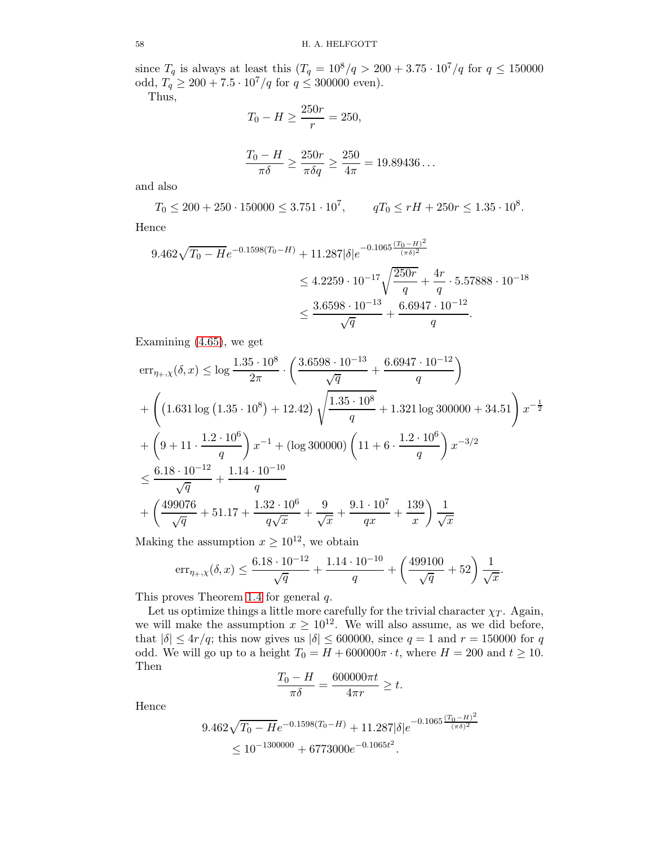since  $T_q$  is always at least this  $(T_q = 10^8/q > 200 + 3.75 \cdot 10^7/q$  for  $q \le 150000$ odd,  $T_q \ge 200 + 7.5 \cdot 10^7/q$  for  $q \le 300000$  even).

Thus,

$$
T_0 - H \ge \frac{250r}{r} = 250,
$$

$$
\frac{T_0 - H}{\pi \delta} \ge \frac{250r}{\pi \delta q} \ge \frac{250}{4\pi} = 19.89436...
$$

and also

 $T_0 \leq 200 + 250 \cdot 150000 \leq 3.751 \cdot 10^7$ ,  $qT_0 \leq rH + 250r \leq 1.35 \cdot 10^8$ . Hence

$$
9.462\sqrt{T_0 - He^{-0.1598(T_0 - H)} + 11.287|\delta|e^{-0.1065\frac{(T_0 - H)^2}{(\pi \delta)^2}}} \le 4.2259 \cdot 10^{-17} \sqrt{\frac{250r}{q} + \frac{4r}{q}} \cdot 5.57888 \cdot 10^{-18}
$$
  

$$
\le \frac{3.6598 \cdot 10^{-13}}{\sqrt{q}} + \frac{6.6947 \cdot 10^{-12}}{q}.
$$

Examining [\(4.65\)](#page-50-0), we get

$$
\begin{split} & \text{err}_{\eta_{+},\chi}(\delta,x) \leq \log \frac{1.35 \cdot 10^8}{2\pi} \cdot \left( \frac{3.6598 \cdot 10^{-13}}{\sqrt{q}} + \frac{6.6947 \cdot 10^{-12}}{q} \right) \\ & + \left( \left( 1.631 \log \left( 1.35 \cdot 10^8 \right) + 12.42 \right) \sqrt{\frac{1.35 \cdot 10^8}{q}} + 1.321 \log 300000 + 34.51 \right) x^{-\frac{1}{2}} \\ & + \left( 9 + 11 \cdot \frac{1.2 \cdot 10^6}{q} \right) x^{-1} + \left( \log 300000 \right) \left( 11 + 6 \cdot \frac{1.2 \cdot 10^6}{q} \right) x^{-3/2} \\ & \leq \frac{6.18 \cdot 10^{-12}}{\sqrt{q}} + \frac{1.14 \cdot 10^{-10}}{q} \\ & + \left( \frac{499076}{\sqrt{q}} + 51.17 + \frac{1.32 \cdot 10^6}{q \sqrt{x}} + \frac{9}{\sqrt{x}} + \frac{9.1 \cdot 10^7}{qx} + \frac{139}{x} \right) \frac{1}{\sqrt{x}} \end{split}
$$

Making the assumption  $x \ge 10^{12}$ , we obtain

$$
err_{\eta_+, \chi}(\delta, x) \le \frac{6.18 \cdot 10^{-12}}{\sqrt{q}} + \frac{1.14 \cdot 10^{-10}}{q} + \left(\frac{499100}{\sqrt{q}} + 52\right) \frac{1}{\sqrt{x}}.
$$

This proves Theorem [1.4](#page-3-2) for general q.

Let us optimize things a little more carefully for the trivial character  $\chi_T$ . Again, we will make the assumption  $x \geq 10^{12}$ . We will also assume, as we did before, that  $|\delta| \leq 4r/q$ ; this now gives us  $|\delta| \leq 600000$ , since  $q = 1$  and  $r = 150000$  for q odd. We will go up to a height  $T_0 = H + 600000\pi \cdot t$ , where  $H = 200$  and  $t \ge 10$ . Then

$$
\frac{T_0 - H}{\pi \delta} = \frac{600000 \pi t}{4 \pi r} \ge t.
$$

Hence

$$
9.462\sqrt{T_0 - He^{-0.1598(T_0 - H)} + 11.287|\delta|e^{-0.1065\frac{(T_0 - H)^2}{(\pi \delta)^2}}}
$$
  
\$\leq 10^{-1300000} + 6773000e^{-0.1065t^2}\$.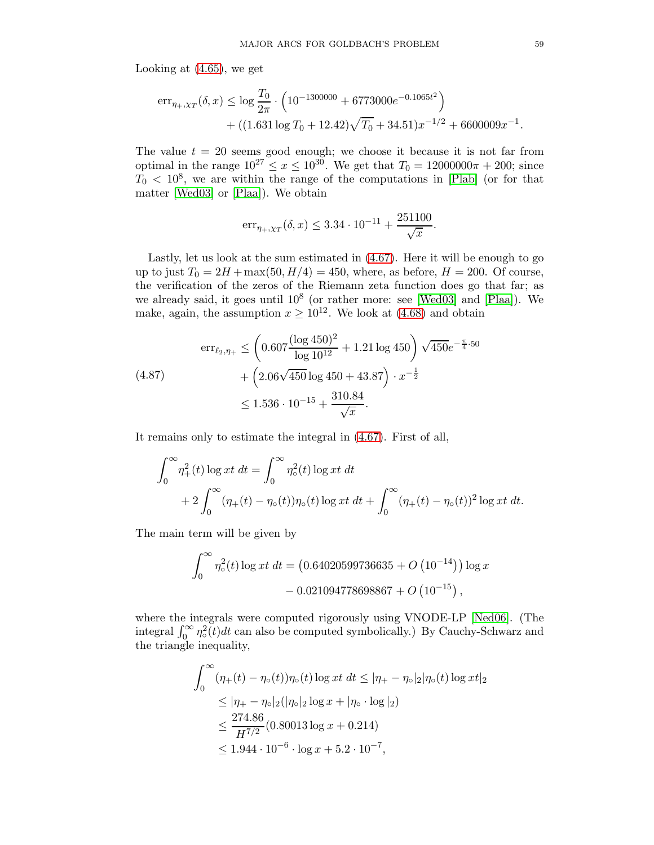Looking at [\(4.65\)](#page-50-0), we get

$$
err_{\eta_+, \chi_T}(\delta, x) \le \log \frac{T_0}{2\pi} \cdot \left( 10^{-1300000} + 6773000e^{-0.1065t^2} \right) + \left( (1.631 \log T_0 + 12.42) \sqrt{T_0} + 34.51 \right) x^{-1/2} + 6600009 x^{-1}.
$$

The value  $t = 20$  seems good enough; we choose it because it is not far from optimal in the range  $10^{27} \le x \le 10^{30}$ . We get that  $T_0 = 12000000\pi + 200$ ; since  $T_0 < 10^8$ , we are within the range of the computations in [\[Plab\]](#page-78-3) (or for that matter [\[Wed03\]](#page-78-4) or [\[Plaa\]](#page-78-5)). We obtain

$$
\mathrm{err}_{\eta_+, \chi_T}(\delta, x) \leq 3.34 \cdot 10^{-11} + \frac{251100}{\sqrt{x}}
$$

.

Lastly, let us look at the sum estimated in [\(4.67\)](#page-51-1). Here it will be enough to go up to just  $T_0 = 2H + \max(50, H/4) = 450$ , where, as before,  $H = 200$ . Of course, the verification of the zeros of the Riemann zeta function does go that far; as we already said, it goes until  $10^8$  (or rather more: see [\[Wed03\]](#page-78-4) and [\[Plaa\]](#page-78-5)). We make, again, the assumption  $x \ge 10^{12}$ . We look at [\(4.68\)](#page-51-2) and obtain

<span id="page-58-0"></span>
$$
\begin{aligned} \n\text{err}_{\ell_2, \eta_+} &\leq \left( 0.607 \frac{(\log 450)^2}{\log 10^{12}} + 1.21 \log 450 \right) \sqrt{450} e^{-\frac{\pi}{4} \cdot 50} \\ \n&\quad + \left( 2.06 \sqrt{450} \log 450 + 43.87 \right) \cdot x^{-\frac{1}{2}} \\ \n&\leq 1.536 \cdot 10^{-15} + \frac{310.84}{\sqrt{x}} .\n\end{aligned}
$$

It remains only to estimate the integral in [\(4.67\)](#page-51-1). First of all,

$$
\int_0^{\infty} \eta_+^2(t) \log xt \, dt = \int_0^{\infty} \eta_0^2(t) \log xt \, dt + 2 \int_0^{\infty} (\eta_+(t) - \eta_0(t)) \eta_0(t) \log xt \, dt + \int_0^{\infty} (\eta_+(t) - \eta_0(t))^2 \log xt \, dt.
$$

The main term will be given by

$$
\int_0^\infty \eta_\circ^2(t) \log xt \, dt = (0.64020599736635 + O(10^{-14})) \log x - 0.021094778698867 + O(10^{-15}),
$$

where the integrals were computed rigorously using VNODE-LP [\[Ned06\]](#page-77-4). (The integral  $\int_0^\infty \eta_{\circ}^2$  $\int_{0}^{2}(t)dt$  can also be computed symbolically.) By Cauchy-Schwarz and the triangle inequality,

$$
\int_0^\infty (\eta_+(t) - \eta_0(t))\eta_0(t) \log xt \, dt \le |\eta_+ - \eta_0|_2 |\eta_0(t) \log xt|_2
$$
  
\n
$$
\le |\eta_+ - \eta_0|_2 (|\eta_0|_2 \log x + |\eta_0 \cdot \log |_2)
$$
  
\n
$$
\le \frac{274.86}{H^{7/2}} (0.80013 \log x + 0.214)
$$
  
\n
$$
\le 1.944 \cdot 10^{-6} \cdot \log x + 5.2 \cdot 10^{-7},
$$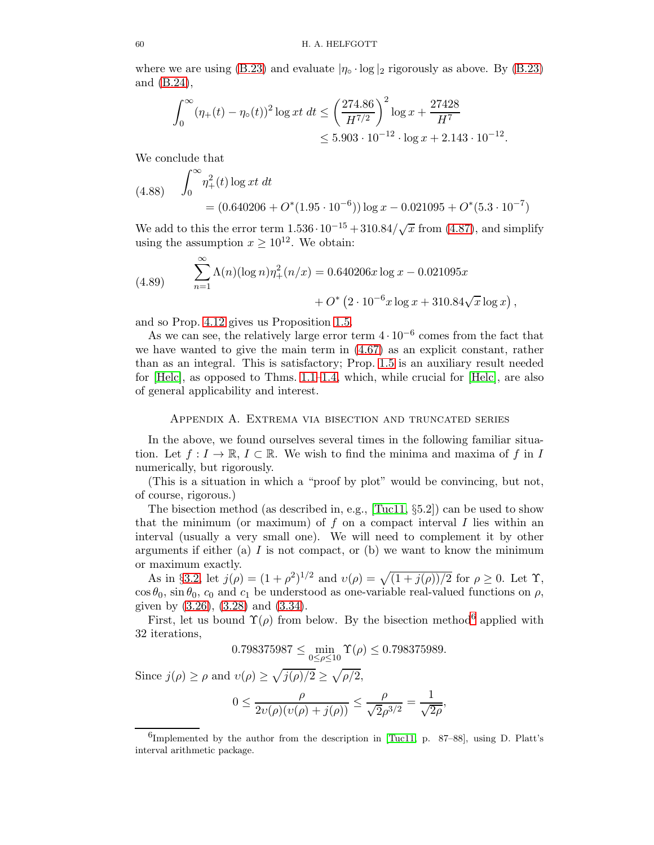where we are using [\(B.23\)](#page-72-2) and evaluate  $|\eta_{\circ} \cdot \log|_2$  rigorously as above. By (B.23) and [\(B.24\)](#page-72-3),

$$
\int_0^\infty (\eta_+(t) - \eta_\circ(t))^2 \log xt \, dt \le \left(\frac{274.86}{H^{7/2}}\right)^2 \log x + \frac{27428}{H^7}
$$
  

$$
\le 5.903 \cdot 10^{-12} \cdot \log x + 2.143 \cdot 10^{-12}.
$$

We conclude that

(4.88) 
$$
\int_0^\infty \eta_+^2(t) \log xt \, dt
$$
  
=  $(0.640206 + O^*(1.95 \cdot 10^{-6})) \log x - 0.021095 + O^*(5.3 \cdot 10^{-7})$ 

We add to this the error term  $1.536 \cdot 10^{-15} + 310.84/\sqrt{x}$  from [\(4.87\)](#page-58-0), and simplify using the assumption  $x \ge 10^{12}$ . We obtain:

(4.89) 
$$
\sum_{n=1}^{\infty} \Lambda(n) (\log n) \eta_+^2(n/x) = 0.640206x \log x - 0.021095x + O^* (2 \cdot 10^{-6} x \log x + 310.84 \sqrt{x} \log x),
$$

and so Prop. [4.12](#page-51-3) gives us Proposition [1.5.](#page-4-0)

As we can see, the relatively large error term  $4 \cdot 10^{-6}$  comes from the fact that we have wanted to give the main term in [\(4.67\)](#page-51-1) as an explicit constant, rather than as an integral. This is satisfactory; Prop. [1.5](#page-4-0) is an auxiliary result needed for  $[Helc]$ , as opposed to Thms. [1.1](#page-2-0)[–1.4,](#page-3-2) which, while crucial for  $[Helc]$ , are also of general applicability and interest.

## Appendix A. Extrema via bisection and truncated series

In the above, we found ourselves several times in the following familiar situation. Let  $f: I \to \mathbb{R}, I \subset \mathbb{R}$ . We wish to find the minima and maxima of f in I numerically, but rigorously.

(This is a situation in which a "proof by plot" would be convincing, but not, of course, rigorous.)

The bisection method (as described in, e.g., [\[Tuc11,](#page-78-6) §5.2]) can be used to show that the minimum (or maximum) of  $f$  on a compact interval  $I$  lies within an interval (usually a very small one). We will need to complement it by other arguments if either (a)  $I$  is not compact, or (b) we want to know the minimum or maximum exactly.

As in §[3.2,](#page-11-0) let  $j(\rho) = (1 + \rho^2)^{1/2}$  and  $v(\rho) = \sqrt{(1 + j(\rho))/2}$  for  $\rho \ge 0$ . Let  $\Upsilon$ ,  $\cos \theta_0$ ,  $\sin \theta_0$ ,  $c_0$  and  $c_1$  be understood as one-variable real-valued functions on  $\rho$ , given by [\(3.26\)](#page-15-0), [\(3.28\)](#page-15-1) and [\(3.34\)](#page-17-0).

First, let us bound  $\Upsilon(\rho)$  from below. By the bisection method<sup>[6](#page-59-0)</sup> applied with 32 iterations,

$$
0.798375987 \le \min_{0 \le \rho \le 10} \Upsilon(\rho) \le 0.798375989.
$$

Since  $j(\rho) \ge \rho$  and  $v(\rho) \ge \sqrt{j(\rho)/2} \ge \sqrt{\rho/2}$ ,

$$
0\leq \frac{\rho}{2\upsilon(\rho)(\upsilon(\rho)+j(\rho))}\leq \frac{\rho}{\sqrt{2}\rho^{3/2}}=\frac{1}{\sqrt{2\rho}},
$$

<span id="page-59-0"></span> ${}^{6}$ Implemented by the author from the description in [\[Tuc11,](#page-78-6) p. 87–88], using D. Platt's interval arithmetic package.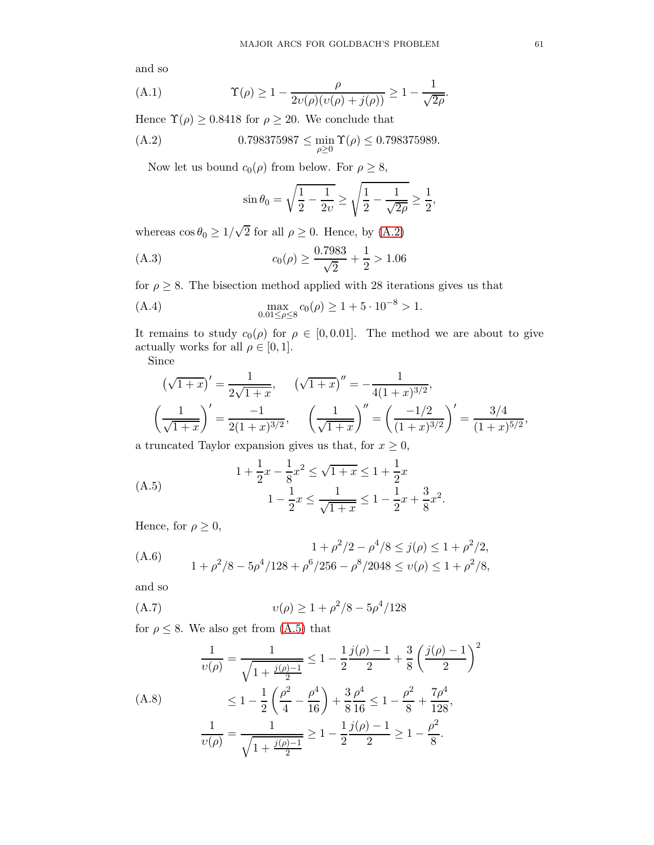and so

<span id="page-60-7"></span>(A.1) 
$$
\Upsilon(\rho) \ge 1 - \frac{\rho}{2\upsilon(\rho)(\upsilon(\rho) + j(\rho))} \ge 1 - \frac{1}{\sqrt{2\rho}}.
$$

Hence  $\Upsilon(\rho) \ge 0.8418$  for  $\rho \ge 20$ . We conclude that

(A.2) 
$$
0.798375987 \le \min_{\rho \ge 0} \Upsilon(\rho) \le 0.798375989.
$$

Now let us bound  $c_0(\rho)$  from below. For  $\rho \geq 8$ ,

<span id="page-60-6"></span><span id="page-60-5"></span><span id="page-60-0"></span>
$$
\sin \theta_0 = \sqrt{\frac{1}{2} - \frac{1}{2\nu}} \ge \sqrt{\frac{1}{2} - \frac{1}{\sqrt{2\rho}}} \ge \frac{1}{2},
$$

whereas  $\cos \theta_0 \geq 1/\sqrt{2}$  for all  $\rho \geq 0$ . Hence, by [\(A.2\)](#page-60-0)

(A.3) 
$$
c_0(\rho) \ge \frac{0.7983}{\sqrt{2}} + \frac{1}{2} > 1.06
$$

for  $\rho \geq 8$ . The bisection method applied with 28 iterations gives us that

(A.4) 
$$
\max_{0.01 \leq \rho \leq 8} c_0(\rho) \geq 1 + 5 \cdot 10^{-8} > 1.
$$

It remains to study  $c_0(\rho)$  for  $\rho \in [0, 0.01]$ . The method we are about to give actually works for all  $\rho \in [0, 1]$ .

Since

$$
\left(\sqrt{1+x}\right)' = \frac{1}{2\sqrt{1+x}}, \quad \left(\sqrt{1+x}\right)'' = -\frac{1}{4(1+x)^{3/2}},
$$
\n
$$
\left(\frac{1}{\sqrt{1+x}}\right)' = \frac{-1}{2(1+x)^{3/2}}, \quad \left(\frac{1}{\sqrt{1+x}}\right)'' = \left(\frac{-1/2}{(1+x)^{3/2}}\right)' = \frac{3/4}{(1+x)^{5/2}},
$$

a truncated Taylor expansion gives us that, for  $x \geq 0$ ,

<span id="page-60-1"></span>(A.5)  
\n
$$
1 + \frac{1}{2}x - \frac{1}{8}x^2 \le \sqrt{1+x} \le 1 + \frac{1}{2}x
$$
\n
$$
1 - \frac{1}{2}x \le \frac{1}{\sqrt{1+x}} \le 1 - \frac{1}{2}x + \frac{3}{8}x^2.
$$

Hence, for  $\rho \geq 0$ ,

<span id="page-60-2"></span>
$$
(A.6) \t 1 + \rho^2/2 - \rho^4/8 \le j(\rho) \le 1 + \rho^2/2,
$$
  

$$
1 + \rho^2/8 - 5\rho^4/128 + \rho^6/256 - \rho^8/2048 \le \nu(\rho) \le 1 + \rho^2/8,
$$

and so

<span id="page-60-4"></span>(A.7) 
$$
v(\rho) \ge 1 + \rho^2/8 - 5\rho^4/128
$$

for  $\rho \leq 8$ . We also get from [\(A.5\)](#page-60-1) that

<span id="page-60-3"></span>
$$
\frac{1}{\upsilon(\rho)} = \frac{1}{\sqrt{1 + \frac{j(\rho) - 1}{2}}} \le 1 - \frac{1}{2} \frac{j(\rho) - 1}{2} + \frac{3}{8} \left(\frac{j(\rho) - 1}{2}\right)^2
$$
\n(A.8)\n
$$
\le 1 - \frac{1}{2} \left(\frac{\rho^2}{4} - \frac{\rho^4}{16}\right) + \frac{3}{8} \frac{\rho^4}{16} \le 1 - \frac{\rho^2}{8} + \frac{7\rho^4}{128},
$$
\n
$$
\frac{1}{\upsilon(\rho)} = \frac{1}{\sqrt{1 + \frac{j(\rho) - 1}{2}}} \ge 1 - \frac{1}{2} \frac{j(\rho) - 1}{2} \ge 1 - \frac{\rho^2}{8}.
$$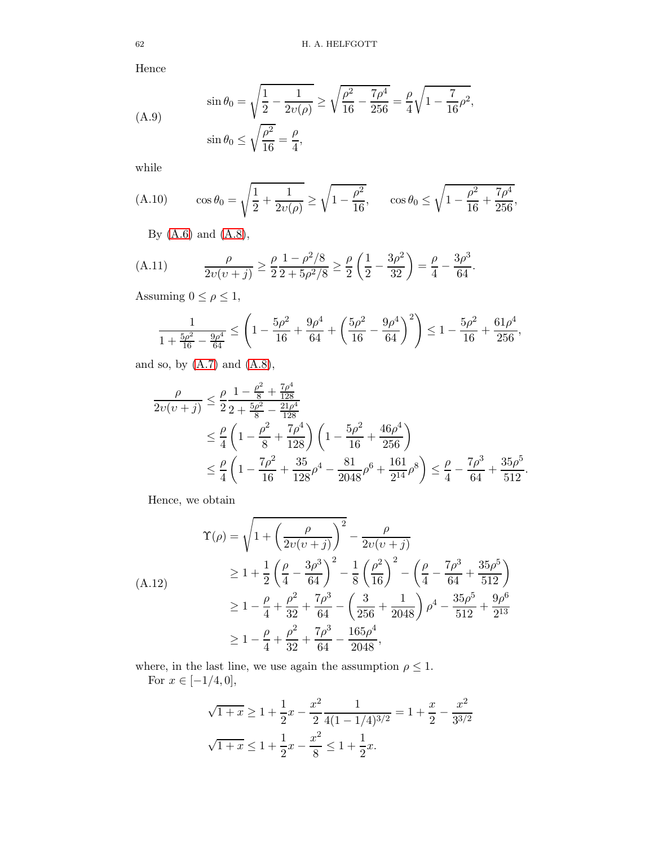Hence

(A.9) 
$$
\sin \theta_0 = \sqrt{\frac{1}{2} - \frac{1}{2\upsilon(\rho)}} \ge \sqrt{\frac{\rho^2}{16} - \frac{7\rho^4}{256}} = \frac{\rho}{4} \sqrt{1 - \frac{7}{16}\rho^2},
$$

$$
\sin \theta_0 \le \sqrt{\frac{\rho^2}{16}} = \frac{\rho}{4},
$$

while

(A.10) 
$$
\cos \theta_0 = \sqrt{\frac{1}{2} + \frac{1}{2\upsilon(\rho)}} \ge \sqrt{1 - \frac{\rho^2}{16}}, \quad \cos \theta_0 \le \sqrt{1 - \frac{\rho^2}{16} + \frac{7\rho^4}{256}},
$$

<span id="page-61-1"></span>By [\(A.6\)](#page-60-2) and [\(A.8\)](#page-60-3),

(A.11) 
$$
\frac{\rho}{2v(v+j)} \ge \frac{\rho}{2} \frac{1 - \rho^2/8}{2 + 5\rho^2/8} \ge \frac{\rho}{2} \left(\frac{1}{2} - \frac{3\rho^2}{32}\right) = \frac{\rho}{4} - \frac{3\rho^3}{64}.
$$

Assuming  $0\leq \rho \leq 1,$ 

$$
\frac{1}{1+\frac{5\rho^2}{16}-\frac{9\rho^4}{64}}\leq\left(1-\frac{5\rho^2}{16}+\frac{9\rho^4}{64}+\left(\frac{5\rho^2}{16}-\frac{9\rho^4}{64}\right)^2\right)\leq 1-\frac{5\rho^2}{16}+\frac{61\rho^4}{256},
$$

and so, by  $(A.7)$  and  $(A.8)$ ,

$$
\frac{\rho}{2\nu(\nu+j)} \leq \frac{\rho}{2} \frac{1 - \frac{\rho^2}{8} + \frac{7\rho^4}{128}}{2 + \frac{5\rho^2}{8} - \frac{21\rho^4}{128}} \n\leq \frac{\rho}{4} \left( 1 - \frac{\rho^2}{8} + \frac{7\rho^4}{128} \right) \left( 1 - \frac{5\rho^2}{16} + \frac{46\rho^4}{256} \right) \n\leq \frac{\rho}{4} \left( 1 - \frac{7\rho^2}{16} + \frac{35}{128}\rho^4 - \frac{81}{2048}\rho^6 + \frac{161}{2^{14}}\rho^8 \right) \leq \frac{\rho}{4} - \frac{7\rho^3}{64} + \frac{35\rho^5}{512}.
$$

Hence, we obtain

<span id="page-61-0"></span>
$$
\begin{aligned}\n\Upsilon(\rho) &= \sqrt{1 + \left(\frac{\rho}{2\upsilon(\upsilon + j)}\right)^2} - \frac{\rho}{2\upsilon(\upsilon + j)} \\
&\ge 1 + \frac{1}{2}\left(\frac{\rho}{4} - \frac{3\rho^3}{64}\right)^2 - \frac{1}{8}\left(\frac{\rho^2}{16}\right)^2 - \left(\frac{\rho}{4} - \frac{7\rho^3}{64} + \frac{35\rho^5}{512}\right) \\
&\ge 1 - \frac{\rho}{4} + \frac{\rho^2}{32} + \frac{7\rho^3}{64} - \left(\frac{3}{256} + \frac{1}{2048}\right)\rho^4 - \frac{35\rho^5}{512} + \frac{9\rho^6}{2^{13}} \\
&\ge 1 - \frac{\rho}{4} + \frac{\rho^2}{32} + \frac{7\rho^3}{64} - \frac{165\rho^4}{2048},\n\end{aligned}
$$

where, in the last line, we use again the assumption  $\rho \leq 1.$ For  $x \in [-1/4, 0],$ 

$$
\sqrt{1+x} \ge 1 + \frac{1}{2}x - \frac{x^2}{2} \frac{1}{4(1 - 1/4)^{3/2}} = 1 + \frac{x}{2} - \frac{x^2}{3^{3/2}}
$$
  

$$
\sqrt{1+x} \le 1 + \frac{1}{2}x - \frac{x^2}{8} \le 1 + \frac{1}{2}x.
$$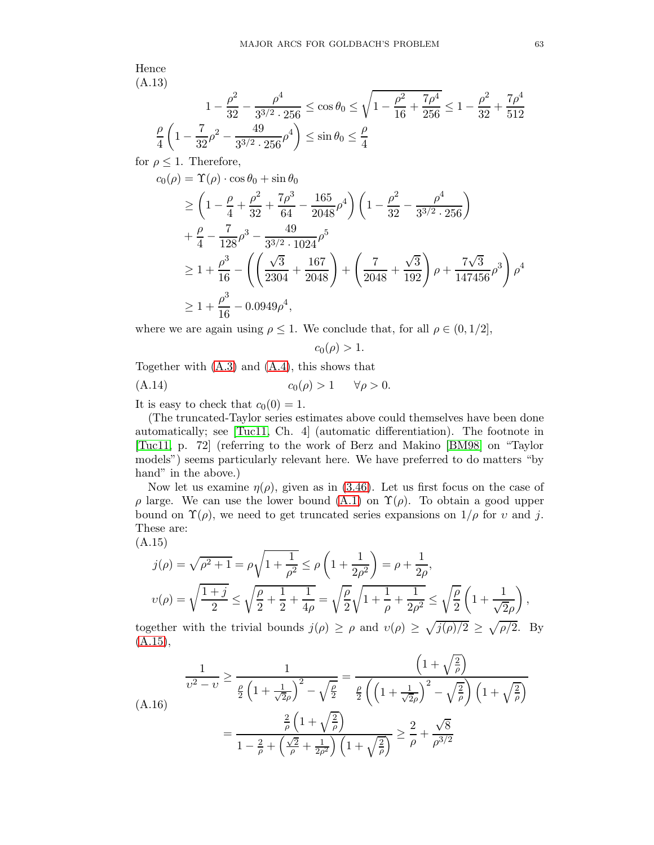Hence (A.13)

<span id="page-62-2"></span>
$$
1 - \frac{\rho^2}{32} - \frac{\rho^4}{3^{3/2} \cdot 256} \le \cos \theta_0 \le \sqrt{1 - \frac{\rho^2}{16} + \frac{7\rho^4}{256}} \le 1 - \frac{\rho^2}{32} + \frac{7\rho^4}{512}
$$

$$
\frac{\rho}{4} \left( 1 - \frac{7}{32} \rho^2 - \frac{49}{3^{3/2} \cdot 256} \rho^4 \right) \le \sin \theta_0 \le \frac{\rho}{4}
$$

for  $\rho \leq 1$ . Therefore,

$$
c_0(\rho) = \Upsilon(\rho) \cdot \cos \theta_0 + \sin \theta_0
$$
  
\n
$$
\geq \left(1 - \frac{\rho}{4} + \frac{\rho^2}{32} + \frac{7\rho^3}{64} - \frac{165}{2048}\rho^4\right) \left(1 - \frac{\rho^2}{32} - \frac{\rho^4}{3^{3/2} \cdot 256}\right)
$$
  
\n
$$
+ \frac{\rho}{4} - \frac{7}{128}\rho^3 - \frac{49}{3^{3/2} \cdot 1024}\rho^5
$$
  
\n
$$
\geq 1 + \frac{\rho^3}{16} - \left(\left(\frac{\sqrt{3}}{2304} + \frac{167}{2048}\right) + \left(\frac{7}{2048} + \frac{\sqrt{3}}{192}\right)\rho + \frac{7\sqrt{3}}{147456}\rho^3\right)\rho^4
$$
  
\n
$$
\geq 1 + \frac{\rho^3}{16} - 0.0949\rho^4,
$$

where we are again using  $\rho \leq 1$ . We conclude that, for all  $\rho \in (0, 1/2]$ ,

<span id="page-62-3"></span> $c_0(\rho) > 1.$ 

Together with [\(A.3\)](#page-60-5) and [\(A.4\)](#page-60-6), this shows that

$$
(A.14) \t\t\t c_0(\rho) > 1 \t\t \forall \rho > 0.
$$

It is easy to check that  $c_0(0) = 1$ .

(The truncated-Taylor series estimates above could themselves have been done automatically; see [\[Tuc11,](#page-78-6) Ch. 4] (automatic differentiation). The footnote in [\[Tuc11,](#page-78-6) p. 72] (referring to the work of Berz and Makino [\[BM98\]](#page-77-7) on "Taylor models") seems particularly relevant here. We have preferred to do matters "by hand" in the above.)

Now let us examine  $\eta(\rho)$ , given as in [\(3.46\)](#page-20-0). Let us first focus on the case of ρ large. We can use the lower bound [\(A.1\)](#page-60-7) on Υ(ρ). To obtain a good upper bound on  $\Upsilon(\rho)$ , we need to get truncated series expansions on  $1/\rho$  for v and j. These are:

(A.15)

<span id="page-62-0"></span>
$$
j(\rho) = \sqrt{\rho^2 + 1} = \rho \sqrt{1 + \frac{1}{\rho^2}} \le \rho \left(1 + \frac{1}{2\rho^2}\right) = \rho + \frac{1}{2\rho},
$$
  

$$
v(\rho) = \sqrt{\frac{1 + j}{2}} \le \sqrt{\frac{\rho}{2} + \frac{1}{2} + \frac{1}{4\rho}} = \sqrt{\frac{\rho}{2}} \sqrt{1 + \frac{1}{\rho} + \frac{1}{2\rho^2}} \le \sqrt{\frac{\rho}{2}} \left(1 + \frac{1}{\sqrt{2\rho}}\right),
$$

together with the trivial bounds  $j(\rho) \ge \rho$  and  $v(\rho) \ge \sqrt{j(\rho)/2} \ge \sqrt{\rho/2}$ . By  $(A.15),$  $(A.15),$ 

<span id="page-62-1"></span>
$$
\frac{1}{\upsilon^2 - \upsilon} \ge \frac{1}{\frac{\rho}{2} \left( 1 + \frac{1}{\sqrt{2}\rho} \right)^2 - \sqrt{\frac{\rho}{2}}} = \frac{\left( 1 + \sqrt{\frac{2}{\rho}} \right)}{\frac{\rho}{2} \left( \left( 1 + \frac{1}{\sqrt{2}\rho} \right)^2 - \sqrt{\frac{2}{\rho}} \right) \left( 1 + \sqrt{\frac{2}{\rho}} \right)}
$$
\n
$$
= \frac{\frac{2}{\rho} \left( 1 + \sqrt{\frac{2}{\rho}} \right)}{1 - \frac{2}{\rho} + \left( \frac{\sqrt{2}}{\rho} + \frac{1}{2\rho^2} \right) \left( 1 + \sqrt{\frac{2}{\rho}} \right)} \ge \frac{2}{\rho} + \frac{\sqrt{8}}{\rho^{3/2}}
$$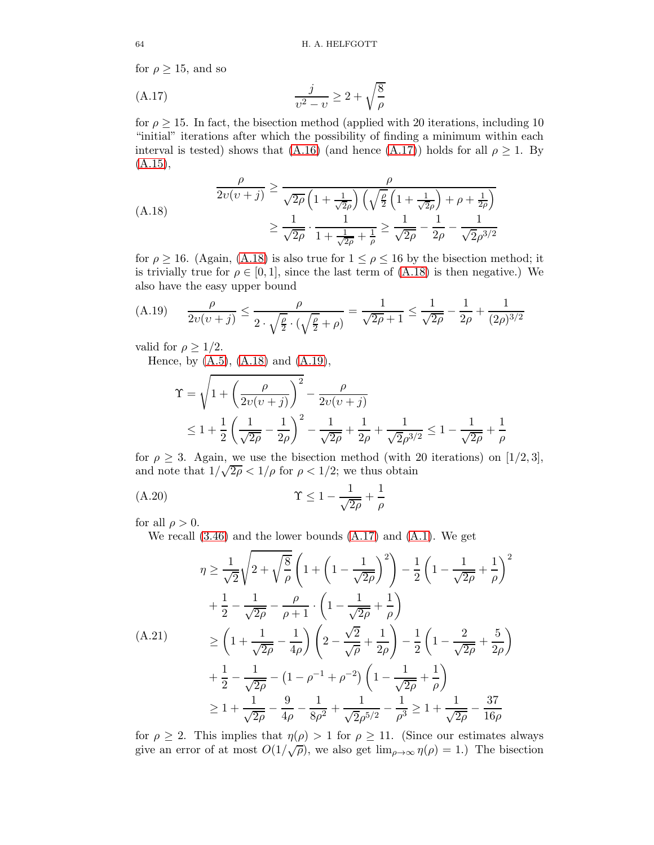for  $\rho \geq 15$ , and so

<span id="page-63-0"></span>
$$
\frac{j}{v^2 - v} \ge 2 + \sqrt{\frac{8}{\rho}}
$$

for  $\rho \geq 15$ . In fact, the bisection method (applied with 20 iterations, including 10 "initial" iterations after which the possibility of finding a minimum within each interval is tested) shows that [\(A.16\)](#page-62-1) (and hence [\(A.17\)](#page-63-0)) holds for all  $\rho \geq 1$ . By  $(A.15),$  $(A.15),$ 

<span id="page-63-1"></span>
$$
\frac{\rho}{2\upsilon(\upsilon+j)} \ge \frac{\rho}{\sqrt{2\rho} \left(1 + \frac{1}{\sqrt{2}\rho}\right) \left(\sqrt{\frac{\rho}{2}} \left(1 + \frac{1}{\sqrt{2}\rho}\right) + \rho + \frac{1}{2\rho}\right)} \ge \frac{1}{\sqrt{2\rho}} \cdot \frac{1}{1 + \frac{1}{\sqrt{2\rho}} + \frac{1}{\rho}} \ge \frac{1}{\sqrt{2\rho}} - \frac{1}{2\rho} - \frac{1}{\sqrt{2\rho^{3/2}}}
$$

for  $\rho \ge 16$ . (Again, [\(A.18\)](#page-63-1) is also true for  $1 \le \rho \le 16$  by the bisection method; it is trivially true for  $\rho \in [0, 1]$ , since the last term of  $(A.18)$  is then negative.) We also have the easy upper bound

<span id="page-63-2"></span>(A.19) 
$$
\frac{\rho}{2\upsilon(\upsilon+j)} \le \frac{\rho}{2\cdot\sqrt{\frac{\rho}{2}}\cdot(\sqrt{\frac{\rho}{2}+\rho})} = \frac{1}{\sqrt{2\rho}+1} \le \frac{1}{\sqrt{2\rho}} - \frac{1}{2\rho} + \frac{1}{(2\rho)^{3/2}}
$$

valid for  $\rho \geq 1/2$ .

Hence, by  $(A.5)$ ,  $(A.18)$  and  $(A.19)$ ,

$$
\begin{aligned} \Upsilon &= \sqrt{1 + \left(\frac{\rho}{2\upsilon(\upsilon + j)}\right)^2} - \frac{\rho}{2\upsilon(\upsilon + j)}\\ &\le 1 + \frac{1}{2} \left(\frac{1}{\sqrt{2\rho}} - \frac{1}{2\rho}\right)^2 - \frac{1}{\sqrt{2\rho}} + \frac{1}{2\rho} + \frac{1}{\sqrt{2}\rho^{3/2}} \le 1 - \frac{1}{\sqrt{2\rho}} + \frac{1}{\rho} \end{aligned}
$$

for  $\rho \geq 3$ . Again, we use the bisection method (with 20 iterations) on [1/2, 3], and note that  $1/\sqrt{2\rho} < 1/\rho$  for  $\rho < 1/2$ ; we thus obtain

$$
\Upsilon \le 1 - \frac{1}{\sqrt{2\rho}} + \frac{1}{\rho}
$$

for all  $\rho > 0$ .

<span id="page-63-3"></span>We recall [\(3.46\)](#page-20-0) and the lower bounds [\(A.17\)](#page-63-0) and [\(A.1\)](#page-60-7). We get

$$
\eta \ge \frac{1}{\sqrt{2}} \sqrt{2 + \sqrt{\frac{8}{\rho}}} \left( 1 + \left( 1 - \frac{1}{\sqrt{2\rho}} \right)^2 \right) - \frac{1}{2} \left( 1 - \frac{1}{\sqrt{2\rho}} + \frac{1}{\rho} \right)^2
$$
  
+ 
$$
\frac{1}{2} - \frac{1}{\sqrt{2\rho}} - \frac{\rho}{\rho + 1} \cdot \left( 1 - \frac{1}{\sqrt{2\rho}} + \frac{1}{\rho} \right)
$$
  
(A.21)  

$$
\ge \left( 1 + \frac{1}{\sqrt{2\rho}} - \frac{1}{4\rho} \right) \left( 2 - \frac{\sqrt{2}}{\sqrt{\rho}} + \frac{1}{2\rho} \right) - \frac{1}{2} \left( 1 - \frac{2}{\sqrt{2\rho}} + \frac{5}{2\rho} \right)
$$
  
+ 
$$
\frac{1}{2} - \frac{1}{\sqrt{2\rho}} - \left( 1 - \rho^{-1} + \rho^{-2} \right) \left( 1 - \frac{1}{\sqrt{2\rho}} + \frac{1}{\rho} \right)
$$
  

$$
\ge 1 + \frac{1}{\sqrt{2\rho}} - \frac{9}{4\rho} - \frac{1}{8\rho^2} + \frac{1}{\sqrt{2\rho^{5/2}} - \frac{1}{\rho^3} \ge 1 + \frac{1}{\sqrt{2\rho}} - \frac{37}{16\rho}
$$

for  $\rho \geq 2$ . This implies that  $\eta(\rho) > 1$  for  $\rho \geq 11$ . (Since our estimates always give an error of at most  $O(1/\sqrt{\rho})$ , we also get  $\lim_{\rho \to \infty} \eta(\rho) = 1$ .) The bisection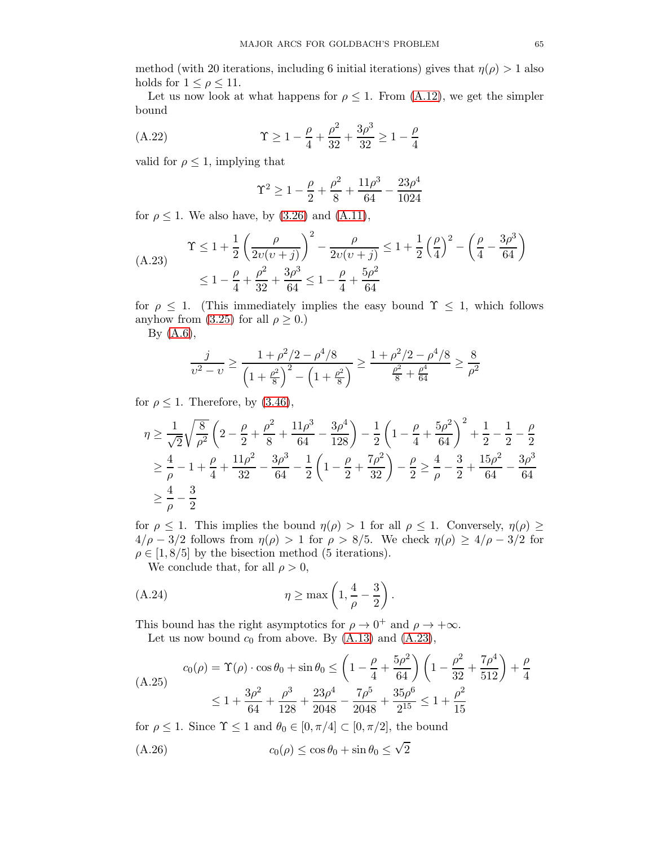method (with 20 iterations, including 6 initial iterations) gives that  $\eta(\rho) > 1$  also holds for  $1 \leq \rho \leq 11$ .

Let us now look at what happens for  $\rho \leq 1$ . From [\(A.12\)](#page-61-0), we get the simpler bound

(A.22) 
$$
\Upsilon \ge 1 - \frac{\rho}{4} + \frac{\rho^2}{32} + \frac{3\rho^3}{32} \ge 1 - \frac{\rho}{4}
$$

valid for  $\rho \leq 1$ , implying that

<span id="page-64-4"></span>
$$
\Upsilon^2 \ge 1 - \frac{\rho}{2} + \frac{\rho^2}{8} + \frac{11\rho^3}{64} - \frac{23\rho^4}{1024}
$$

for  $\rho \leq 1$ . We also have, by [\(3.26\)](#page-15-0) and [\(A.11\)](#page-61-1),

<span id="page-64-0"></span>(A.23) 
$$
\Upsilon \le 1 + \frac{1}{2} \left( \frac{\rho}{2v(v+j)} \right)^2 - \frac{\rho}{2v(v+j)} \le 1 + \frac{1}{2} \left( \frac{\rho}{4} \right)^2 - \left( \frac{\rho}{4} - \frac{3\rho^3}{64} \right) \le 1 - \frac{\rho}{4} + \frac{\rho^2}{32} + \frac{3\rho^3}{64} \le 1 - \frac{\rho}{4} + \frac{5\rho^2}{64}
$$

for  $\rho \leq 1$ . (This immediately implies the easy bound  $\Upsilon \leq 1$ , which follows anyhow from [\(3.25\)](#page-15-2) for all  $\rho \geq 0$ .)

By [\(A.6\)](#page-60-2),

$$
\frac{j}{v^2 - v} \ge \frac{1 + \rho^2/2 - \rho^4/8}{\left(1 + \frac{\rho^2}{8}\right)^2 - \left(1 + \frac{\rho^2}{8}\right)} \ge \frac{1 + \rho^2/2 - \rho^4/8}{\frac{\rho^2}{8} + \frac{\rho^4}{64}} \ge \frac{8}{\rho^2}
$$

for  $\rho \leq 1$ . Therefore, by  $(3.46)$ ,

$$
\begin{split} &\eta \geq \frac{1}{\sqrt{2}}\sqrt{\frac{8}{\rho^2}}\left(2-\frac{\rho}{2}+\frac{\rho^2}{8}+\frac{11\rho^3}{64}-\frac{3\rho^4}{128}\right)-\frac{1}{2}\left(1-\frac{\rho}{4}+\frac{5\rho^2}{64}\right)^2+\frac{1}{2}-\frac{1}{2}-\frac{\rho}{2}\\ &\geq \frac{4}{\rho}-1+\frac{\rho}{4}+\frac{11\rho^2}{32}-\frac{3\rho^3}{64}-\frac{1}{2}\left(1-\frac{\rho}{2}+\frac{7\rho^2}{32}\right)-\frac{\rho}{2}\geq \frac{4}{\rho}-\frac{3}{2}+\frac{15\rho^2}{64}-\frac{3\rho^3}{64}\\ &\geq \frac{4}{\rho}-\frac{3}{2} \end{split}
$$

for  $\rho \leq 1$ . This implies the bound  $\eta(\rho) > 1$  for all  $\rho \leq 1$ . Conversely,  $\eta(\rho) \geq$  $4/\rho - 3/2$  follows from  $\eta(\rho) > 1$  for  $\rho > 8/5$ . We check  $\eta(\rho) \ge 4/\rho - 3/2$  for  $\rho \in [1, 8/5]$  by the bisection method (5 iterations).

<span id="page-64-1"></span>We conclude that, for all  $\rho > 0$ ,

(A.24) 
$$
\eta \ge \max\left(1, \frac{4}{\rho} - \frac{3}{2}\right).
$$

This bound has the right asymptotics for  $\rho \to 0^+$  and  $\rho \to +\infty$ .

Let us now bound  $c_0$  from above. By  $(A.13)$  and  $(A.23)$ ,

<span id="page-64-3"></span>
$$
c_0(\rho) = \Upsilon(\rho) \cdot \cos \theta_0 + \sin \theta_0 \le \left(1 - \frac{\rho}{4} + \frac{5\rho^2}{64}\right) \left(1 - \frac{\rho^2}{32} + \frac{7\rho^4}{512}\right) + \frac{\rho}{4}
$$
  

$$
\le 1 + \frac{3\rho^2}{64} + \frac{\rho^3}{128} + \frac{23\rho^4}{2048} - \frac{7\rho^5}{2048} + \frac{35\rho^6}{2^{15}} \le 1 + \frac{\rho^2}{15}
$$

for  $\rho \leq 1$ . Since  $\Upsilon \leq 1$  and  $\theta_0 \in [0, \pi/4] \subset [0, \pi/2]$ , the bound

<span id="page-64-2"></span>
$$
(A.26) \t\t\t c_0(\rho) \le \cos \theta_0 + \sin \theta_0 \le \sqrt{2}
$$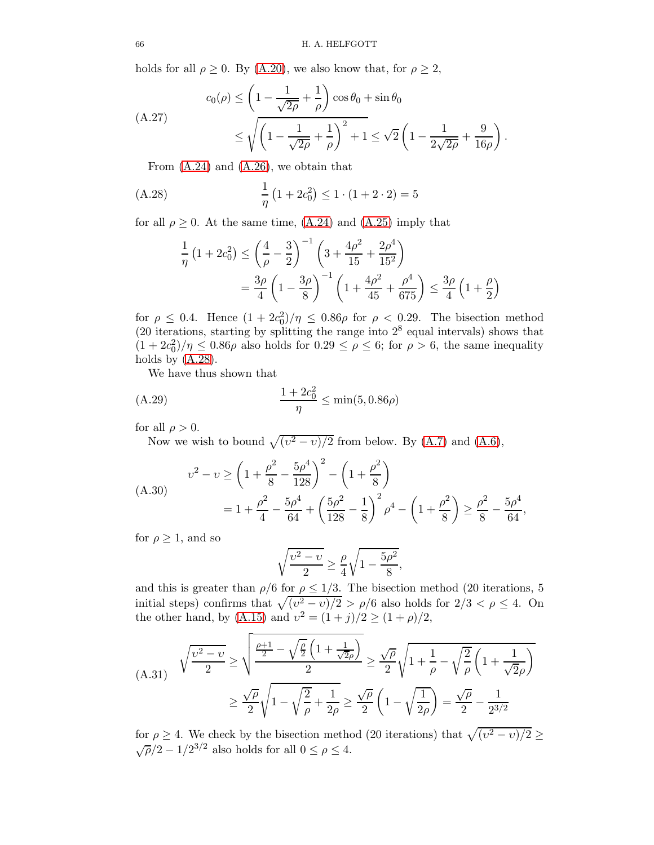holds for all  $\rho \geq 0$ . By [\(A.20\)](#page-63-3), we also know that, for  $\rho \geq 2$ ,

<span id="page-65-1"></span>
$$
c_0(\rho) \le \left(1 - \frac{1}{\sqrt{2\rho}} + \frac{1}{\rho}\right) \cos \theta_0 + \sin \theta_0
$$
  

$$
\le \sqrt{\left(1 - \frac{1}{\sqrt{2\rho}} + \frac{1}{\rho}\right)^2 + 1} \le \sqrt{2}\left(1 - \frac{1}{2\sqrt{2\rho}} + \frac{9}{16\rho}\right).
$$

From [\(A.24\)](#page-64-1) and [\(A.26\)](#page-64-2), we obtain that

(A.28) 
$$
\frac{1}{\eta} (1 + 2c_0^2) \le 1 \cdot (1 + 2 \cdot 2) = 5
$$

for all  $\rho \geq 0$ . At the same time, [\(A.24\)](#page-64-1) and [\(A.25\)](#page-64-3) imply that

<span id="page-65-0"></span>
$$
\frac{1}{\eta} \left( 1 + 2c_0^2 \right) \le \left( \frac{4}{\rho} - \frac{3}{2} \right)^{-1} \left( 3 + \frac{4\rho^2}{15} + \frac{2\rho^4}{15^2} \right)
$$

$$
= \frac{3\rho}{4} \left( 1 - \frac{3\rho}{8} \right)^{-1} \left( 1 + \frac{4\rho^2}{45} + \frac{\rho^4}{675} \right) \le \frac{3\rho}{4} \left( 1 + \frac{\rho}{2} \right)
$$

for  $\rho \leq 0.4$ . Hence  $(1 + 2c_0^2)/\eta \leq 0.86\rho$  for  $\rho < 0.29$ . The bisection method  $(20$  iterations, starting by splitting the range into  $2<sup>8</sup>$  equal intervals) shows that  $(1+2c_0^2)/\eta \leq 0.86\rho$  also holds for  $0.29 \leq \rho \leq 6$ ; for  $\rho > 6$ , the same inequality holds by  $(A.28)$ .

We have thus shown that

(A.29) 
$$
\frac{1+2c_0^2}{\eta} \le \min(5, 0.86\rho)
$$

for all  $\rho > 0$ .

Now we wish to bound  $\sqrt{(v^2 - v)/2}$  from below. By [\(A.7\)](#page-60-4) and [\(A.6\)](#page-60-2),

<span id="page-65-2"></span>
$$
v^2 - v \ge \left(1 + \frac{\rho^2}{8} - \frac{5\rho^4}{128}\right)^2 - \left(1 + \frac{\rho^2}{8}\right)
$$
  
=  $1 + \frac{\rho^2}{4} - \frac{5\rho^4}{64} + \left(\frac{5\rho^2}{128} - \frac{1}{8}\right)^2 \rho^4 - \left(1 + \frac{\rho^2}{8}\right) \ge \frac{\rho^2}{8} - \frac{5\rho^4}{64},$ 

for  $\rho \geq 1$ , and so

$$
\sqrt{\frac{\upsilon^2-\upsilon}{2}} \ge \frac{\rho}{4}\sqrt{1-\frac{5\rho^2}{8}},
$$

and this is greater than  $\rho/6$  for  $\rho \leq 1/3$ . The bisection method (20 iterations, 5) initial steps) confirms that  $\sqrt{(v^2 - v)/2} > \rho/6$  also holds for  $2/3 < \rho \leq 4$ . On the other hand, by [\(A.15\)](#page-62-0) and  $v^2 = (1+j)/2 \ge (1+\rho)/2$ ,

(A.31) 
$$
\sqrt{\frac{v^2 - v}{2}} \ge \sqrt{\frac{\frac{\rho + 1}{2} - \sqrt{\frac{\rho}{2}} \left(1 + \frac{1}{\sqrt{2}\rho}\right)}{2}} \ge \frac{\sqrt{\rho}}{2} \sqrt{1 + \frac{1}{\rho} - \sqrt{\frac{2}{\rho}} \left(1 + \frac{1}{\sqrt{2}\rho}\right)}
$$

$$
\ge \frac{\sqrt{\rho}}{2} \sqrt{1 - \sqrt{\frac{2}{\rho}} + \frac{1}{2\rho}} \ge \frac{\sqrt{\rho}}{2} \left(1 - \sqrt{\frac{1}{2\rho}}\right) = \frac{\sqrt{\rho}}{2} - \frac{1}{2^{3/2}}
$$

for  $\rho \geq 4$ . We check by the bisection method (20 iterations) that  $\sqrt{(v^2 - v)/2} \geq$  $\sqrt{\rho}/2 - 1/2^{3/2}$  also holds for all  $0 \le \rho \le 4$ .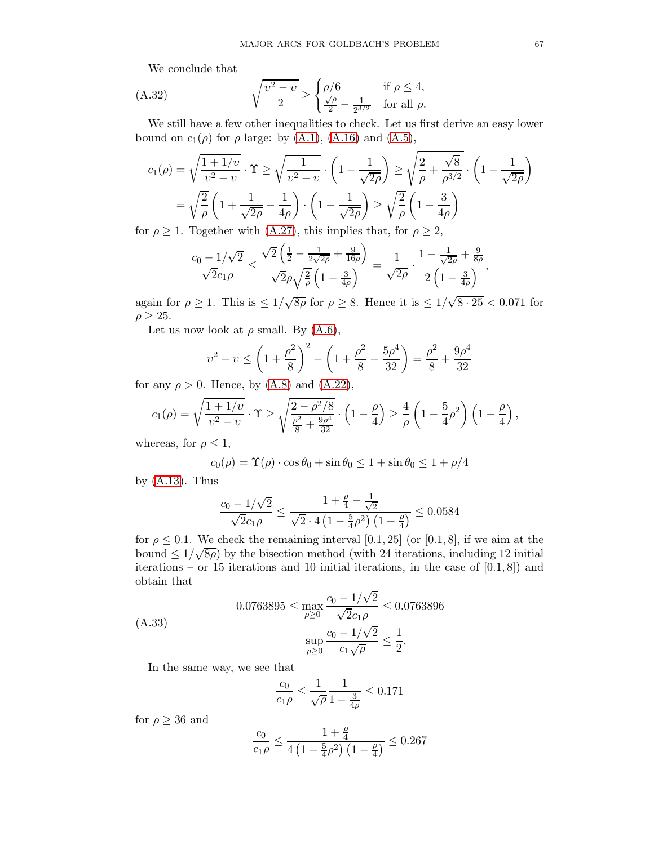We conclude that

(A.32) 
$$
\sqrt{\frac{v^2 - v}{2}} \ge \begin{cases} \rho/6 & \text{if } \rho \le 4, \\ \frac{\sqrt{\rho}}{2} - \frac{1}{2^{3/2}} & \text{for all } \rho. \end{cases}
$$

We still have a few other inequalities to check. Let us first derive an easy lower bound on  $c_1(\rho)$  for  $\rho$  large: by [\(A.1\)](#page-60-7), [\(A.16\)](#page-62-1) and [\(A.5\)](#page-60-1),

$$
c_1(\rho) = \sqrt{\frac{1+1/v}{v^2 - v}} \cdot \Upsilon \ge \sqrt{\frac{1}{v^2 - v}} \cdot \left(1 - \frac{1}{\sqrt{2\rho}}\right) \ge \sqrt{\frac{2}{\rho} + \frac{\sqrt{8}}{\rho^{3/2}}} \cdot \left(1 - \frac{1}{\sqrt{2\rho}}\right)
$$

$$
= \sqrt{\frac{2}{\rho}} \left(1 + \frac{1}{\sqrt{2\rho}} - \frac{1}{4\rho}\right) \cdot \left(1 - \frac{1}{\sqrt{2\rho}}\right) \ge \sqrt{\frac{2}{\rho}} \left(1 - \frac{3}{4\rho}\right)
$$

for  $\rho \geq 1$ . Together with [\(A.27\)](#page-65-1), this implies that, for  $\rho \geq 2$ ,

$$
\frac{c_0 - 1/\sqrt{2}}{\sqrt{2}c_1\rho} \le \frac{\sqrt{2}\left(\frac{1}{2} - \frac{1}{2\sqrt{2\rho}} + \frac{9}{16\rho}\right)}{\sqrt{2}\rho\sqrt{\frac{2}{\rho}}\left(1 - \frac{3}{4\rho}\right)} = \frac{1}{\sqrt{2\rho}} \cdot \frac{1 - \frac{1}{\sqrt{2\rho}} + \frac{9}{8\rho}}{2\left(1 - \frac{3}{4\rho}\right)},
$$

again for  $\rho \geq 1$ . This is  $\leq 1/\sqrt{8\rho}$  for  $\rho \geq 8$ . Hence it is  $\leq 1/\sqrt{8 \cdot 25} < 0.071$  for  $\rho \geq 25$ .

Let us now look at  $\rho$  small. By  $(A.6)$ ,

$$
v^{2} - v \le \left(1 + \frac{\rho^{2}}{8}\right)^{2} - \left(1 + \frac{\rho^{2}}{8} - \frac{5\rho^{4}}{32}\right) = \frac{\rho^{2}}{8} + \frac{9\rho^{4}}{32}
$$

for any  $\rho > 0$ . Hence, by  $(A.8)$  and  $(A.22)$ ,

$$
c_1(\rho) = \sqrt{\frac{1+1/v}{v^2-v}} \cdot \Upsilon \ge \sqrt{\frac{2-\rho^2/8}{\frac{\rho^2}{8} + \frac{9\rho^4}{32}}} \cdot \left(1 - \frac{\rho}{4}\right) \ge \frac{4}{\rho} \left(1 - \frac{5}{4}\rho^2\right) \left(1 - \frac{\rho}{4}\right),
$$

whereas, for  $\rho \leq 1$ ,

$$
c_0(\rho) = \Upsilon(\rho) \cdot \cos \theta_0 + \sin \theta_0 \le 1 + \sin \theta_0 \le 1 + \rho/4
$$

by  $(A.13)$ . Thus

$$
\frac{c_0 - 1/\sqrt{2}}{\sqrt{2}c_1\rho} \le \frac{1 + \frac{\rho}{4} - \frac{1}{\sqrt{2}}}{\sqrt{2} \cdot 4\left(1 - \frac{5}{4}\rho^2\right)\left(1 - \frac{\rho}{4}\right)} \le 0.0584
$$

for  $\rho \leq 0.1$ . We check the remaining interval [0.1, 25] (or [0.1, 8], if we aim at the bound  $\leq 1/\sqrt{8\rho}$ ) by the bisection method (with 24 iterations, including 12 initial iterations – or 15 iterations and 10 initial iterations, in the case of  $[0.1, 8]$  and obtain that

$$
(A.33) \qquad 0.0763895 \le \max_{\rho \ge 0} \frac{c_0 - 1/\sqrt{2}}{\sqrt{2}c_1\rho} \le 0.0763896
$$

$$
\sup_{\rho \ge 0} \frac{c_0 - 1/\sqrt{2}}{c_1\sqrt{\rho}} \le \frac{1}{2}.
$$

In the same way, we see that

$$
\frac{c_0}{c_1 \rho} \leq \frac{1}{\sqrt{\rho}} \frac{1}{1-\frac{3}{4\rho}} \leq 0.171
$$

for  $\rho \geq 36$  and

$$
\frac{c_0}{c_1\rho} \le \frac{1+\frac{\rho}{4}}{4\left(1-\frac{5}{4}\rho^2\right)\left(1-\frac{\rho}{4}\right)} \le 0.267
$$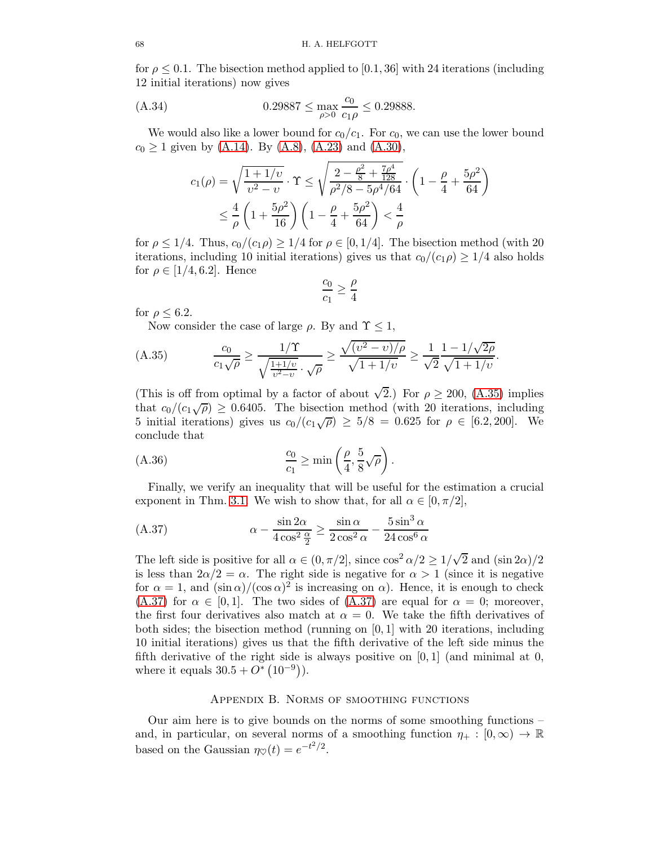for  $\rho \leq 0.1$ . The bisection method applied to [0.1, 36] with 24 iterations (including 12 initial iterations) now gives

(A.34) 
$$
0.29887 \le \max_{\rho > 0} \frac{c_0}{c_1 \rho} \le 0.29888.
$$

We would also like a lower bound for  $c_0/c_1$ . For  $c_0$ , we can use the lower bound  $c_0 \geq 1$  given by [\(A.14\)](#page-62-3). By [\(A.8\)](#page-60-3), [\(A.23\)](#page-64-0) and [\(A.30\)](#page-65-2),

$$
c_1(\rho) = \sqrt{\frac{1+1/v}{v^2-v}} \cdot \Upsilon \le \sqrt{\frac{2 - \frac{\rho^2}{8} + \frac{7\rho^4}{128}}{\rho^2/8 - 5\rho^4/64}} \cdot \left(1 - \frac{\rho}{4} + \frac{5\rho^2}{64}\right)
$$
  

$$
\le \frac{4}{\rho} \left(1 + \frac{5\rho^2}{16}\right) \left(1 - \frac{\rho}{4} + \frac{5\rho^2}{64}\right) < \frac{4}{\rho}
$$

for  $\rho \leq 1/4$ . Thus,  $c_0/(c_1 \rho) \geq 1/4$  for  $\rho \in [0, 1/4]$ . The bisection method (with 20 iterations, including 10 initial iterations) gives us that  $c_0/(c_1\rho) \geq 1/4$  also holds for  $\rho \in [1/4, 6.2]$ . Hence

$$
\frac{c_0}{c_1} \geq \frac{\rho}{4}
$$

for  $\rho \leq 6.2$ .

<span id="page-67-0"></span>Now consider the case of large  $\rho$ . By and  $\Upsilon \leq 1$ ,

(A.35) 
$$
\frac{c_0}{c_1\sqrt{\rho}} \ge \frac{1/\Upsilon}{\sqrt{\frac{1+1/v}{v^2-v}} \cdot \sqrt{\rho}} \ge \frac{\sqrt{(v^2-v)/\rho}}{\sqrt{1+1/v}} \ge \frac{1}{\sqrt{2}} \frac{1-1/\sqrt{2\rho}}{\sqrt{1+1/v}}.
$$

(This is off from optimal by a factor of about  $\sqrt{2}$ .) For  $\rho \ge 200$ , [\(A.35\)](#page-67-0) implies that  $c_0/(c_1\sqrt{\rho}) \geq 0.6405$ . The bisection method (with 20 iterations, including 5 initial iterations) gives us  $c_0/(c_1\sqrt{\rho}) \ge 5/8 = 0.625$  for  $\rho \in [6.2, 200]$ . We conclude that

(A.36) 
$$
\frac{c_0}{c_1} \ge \min\left(\frac{\rho}{4}, \frac{5}{8}\sqrt{\rho}\right).
$$

Finally, we verify an inequality that will be useful for the estimation a crucial exponent in Thm. [3.1.](#page-8-1) We wish to show that, for all  $\alpha \in [0, \pi/2]$ ,

<span id="page-67-1"></span>(A.37) 
$$
\alpha - \frac{\sin 2\alpha}{4\cos^2 \frac{\alpha}{2}} \ge \frac{\sin \alpha}{2\cos^2 \alpha} - \frac{5\sin^3 \alpha}{24\cos^6 \alpha}
$$

The left side is positive for all  $\alpha \in (0, \pi/2]$ , since  $\cos^2 \alpha/2 \ge 1/\sqrt{2}$  and  $(\sin 2\alpha)/2$ is less than  $2\alpha/2 = \alpha$ . The right side is negative for  $\alpha > 1$  (since it is negative for  $\alpha = 1$ , and  $(\sin \alpha)/(\cos \alpha)^2$  is increasing on  $\alpha$ ). Hence, it is enough to check [\(A.37\)](#page-67-1) for  $\alpha \in [0, 1]$ . The two sides of [\(A.37\)](#page-67-1) are equal for  $\alpha = 0$ ; moreover, the first four derivatives also match at  $\alpha = 0$ . We take the fifth derivatives of both sides; the bisection method (running on [0, 1] with 20 iterations, including 10 initial iterations) gives us that the fifth derivative of the left side minus the fifth derivative of the right side is always positive on  $[0, 1]$  (and minimal at 0, where it equals  $30.5 + O^*(10^{-9})$ .

## Appendix B. Norms of smoothing functions

Our aim here is to give bounds on the norms of some smoothing functions – and, in particular, on several norms of a smoothing function  $\eta_+ : [0, \infty) \to \mathbb{R}$ based on the Gaussian  $\eta_{\heartsuit}(t) = e^{-t^2/2}$ .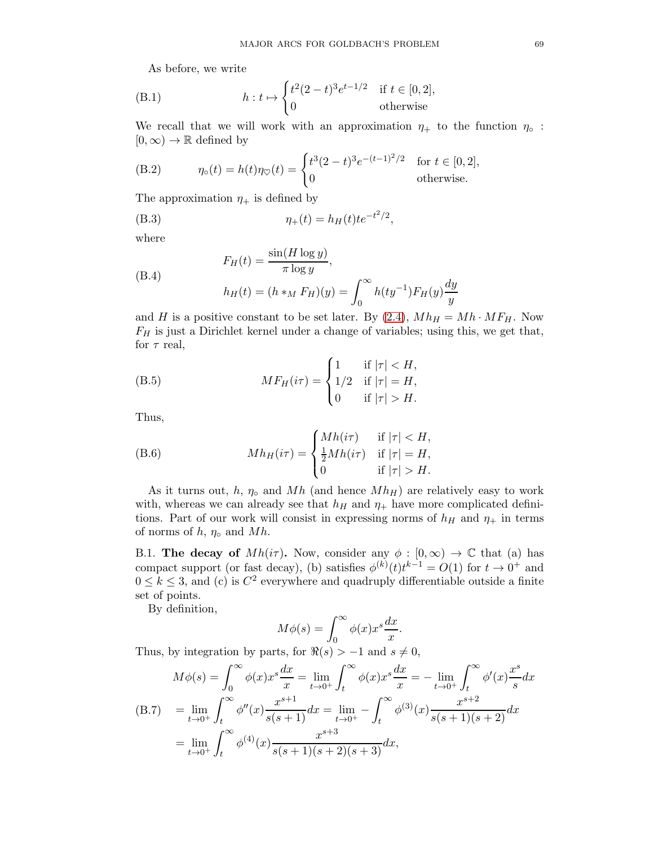As before, we write

(B.1) 
$$
h: t \mapsto \begin{cases} t^2(2-t)^3 e^{t-1/2} & \text{if } t \in [0,2], \\ 0 & \text{otherwise} \end{cases}
$$

We recall that we will work with an approximation  $\eta_+$  to the function  $\eta_{\circ}$ :  $[0,\infty) \to \mathbb{R}$  defined by

<span id="page-68-2"></span>(B.2) 
$$
\eta_{\circ}(t) = h(t)\eta_{\heartsuit}(t) = \begin{cases} t^3(2-t)^3e^{-(t-1)^2/2} & \text{for } t \in [0,2], \\ 0 & \text{otherwise.} \end{cases}
$$

The approximation  $\eta_+$  is defined by

<span id="page-68-0"></span>(B.3) 
$$
\eta_+(t) = h_H(t) t e^{-t^2/2},
$$

where

(B.4) 
$$
F_H(t) = \frac{\sin(H \log y)}{\pi \log y},
$$

$$
h_H(t) = (h *_M F_H)(y) = \int_0^\infty h(ty^{-1}) F_H(y) \frac{dy}{y}
$$

and H is a positive constant to be set later. By  $(2.4)$ ,  $Mh_H = Mh \cdot MF_H$ . Now  $F_H$  is just a Dirichlet kernel under a change of variables; using this, we get that, for  $\tau$  real,

(B.5) 
$$
MF_H(i\tau) = \begin{cases} 1 & \text{if } |\tau| < H, \\ 1/2 & \text{if } |\tau| = H, \\ 0 & \text{if } |\tau| > H. \end{cases}
$$

Thus,

(B.6) 
$$
Mh_H(i\tau) = \begin{cases} Mh(i\tau) & \text{if } |\tau| < H, \\ \frac{1}{2}Mh(i\tau) & \text{if } |\tau| = H, \\ 0 & \text{if } |\tau| > H. \end{cases}
$$

As it turns out, h,  $\eta_{\circ}$  and Mh (and hence  $Mh_H$ ) are relatively easy to work with, whereas we can already see that  $h_H$  and  $\eta_+$  have more complicated definitions. Part of our work will consist in expressing norms of  $h_H$  and  $\eta_+$  in terms of norms of h,  $\eta_{\circ}$  and Mh.

B.1. The decay of  $Mh(i\tau)$ . Now, consider any  $\phi : [0,\infty) \to \mathbb{C}$  that (a) has compact support (or fast decay), (b) satisfies  $\phi^{(k)}(t)t^{k-1} = O(1)$  for  $t \to 0^+$  and  $0 \leq k \leq 3$ , and (c) is  $C^2$  everywhere and quadruply differentiable outside a finite set of points.

By definition,

$$
M\phi(s) = \int_0^\infty \phi(x) x^s \frac{dx}{x}.
$$

Thus, by integration by parts, for  $\Re(s) > -1$  and  $s \neq 0$ ,

<span id="page-68-1"></span>
$$
M\phi(s) = \int_0^\infty \phi(x)x^s \frac{dx}{x} = \lim_{t \to 0^+} \int_t^\infty \phi(x)x^s \frac{dx}{x} = -\lim_{t \to 0^+} \int_t^\infty \phi'(x)\frac{x^s}{s}dx
$$
  
(B.7) 
$$
= \lim_{t \to 0^+} \int_t^\infty \phi''(x)\frac{x^{s+1}}{s(s+1)}dx = \lim_{t \to 0^+} -\int_t^\infty \phi^{(3)}(x)\frac{x^{s+2}}{s(s+1)(s+2)}dx
$$

$$
= \lim_{t \to 0^+} \int_t^\infty \phi^{(4)}(x)\frac{x^{s+3}}{s(s+1)(s+2)(s+3)}dx,
$$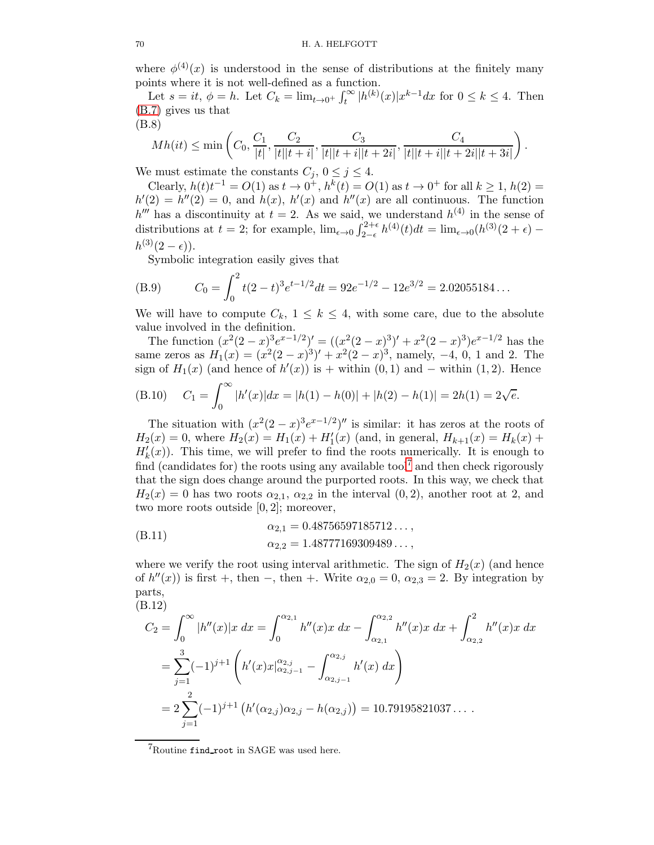where  $\phi^{(4)}(x)$  is understood in the sense of distributions at the finitely many points where it is not well-defined as a function.

Let  $s = it$ ,  $\phi = h$ . Let  $C_k = \lim_{t \to 0^+} \int_t^{\infty} |h^{(k)}(x)| x^{k-1} dx$  for  $0 \le k \le 4$ . Then [\(B.7\)](#page-68-1) gives us that (B.8)

<span id="page-69-1"></span>
$$
Mh(it) \le \min\left(C_0, \frac{C_1}{|t|}, \frac{C_2}{|t||t+i|}, \frac{C_3}{|t||t+i||t+2i|}, \frac{C_4}{|t||t+i||t+2i||t+3i|}\right).
$$

We must estimate the constants  $C_j$ ,  $0 \leq j \leq 4$ .

Clearly,  $h(t)t^{-1} = O(1)$  as  $t \to 0^+$ ,  $h^k(t) = O(1)$  as  $t \to 0^+$  for all  $k \ge 1$ ,  $h(2) = O(1)$  $h'(2) = h''(2) = 0$ , and  $h(x)$ ,  $h'(x)$  and  $h''(x)$  are all continuous. The function  $h^{\prime\prime\prime}$  has a discontinuity at  $t=2$ . As we said, we understand  $h^{(4)}$  in the sense of distributions at  $t = 2$ ; for example,  $\lim_{\epsilon \to 0} \int_{2-\epsilon}^{2+\epsilon}$  $2^{2+\epsilon} h^{(4)}(t)dt = \lim_{\epsilon \to 0} (h^{(3)}(2+\epsilon)$  $h^{(3)}(2 - \epsilon)$ ).

Symbolic integration easily gives that

(B.9) 
$$
C_0 = \int_0^2 t(2-t)^3 e^{t-1/2} dt = 92e^{-1/2} - 12e^{3/2} = 2.02055184...
$$

We will have to compute  $C_k$ ,  $1 \leq k \leq 4$ , with some care, due to the absolute value involved in the definition.

The function  $(x^2(2-x)^3e^{x-1/2})' = ((x^2(2-x)^3)' + x^2(2-x)^3)e^{x-1/2}$  has the same zeros as  $H_1(x) = (x^2(2-x)^3)' + x^2(2-x)^3$ , namely, -4, 0, 1 and 2. The sign of  $H_1(x)$  (and hence of  $h'(x)$ ) is + within  $(0,1)$  and – within  $(1,2)$ . Hence  $r \infty$ 

(B.10) 
$$
C_1 = \int_0^\infty |h'(x)| dx = |h(1) - h(0)| + |h(2) - h(1)| = 2h(1) = 2\sqrt{e}.
$$

The situation with  $(x^2(2-x)^3e^{x-1/2})''$  is similar: it has zeros at the roots of  $H_2(x) = 0$ , where  $H_2(x) = H_1(x) + H'_1(x)$  (and, in general,  $H_{k+1}(x) = H_k(x) +$  $H'_{k}(x)$ ). This time, we will prefer to find the roots numerically. It is enough to find (candidates for) the roots using any available tool<sup>[7](#page-69-0)</sup> and then check rigorously that the sign does change around the purported roots. In this way, we check that  $H_2(x) = 0$  has two roots  $\alpha_{2,1}, \alpha_{2,2}$  in the interval  $(0, 2)$ , another root at 2, and two more roots outside [0, 2]; moreover,

(B.11) 
$$
\alpha_{2,1} = 0.48756597185712...,
$$

$$
\alpha_{2,2} = 1.48777169309489...,
$$

where we verify the root using interval arithmetic. The sign of  $H_2(x)$  (and hence of  $h''(x)$ ) is first +, then -, then +. Write  $\alpha_{2,0} = 0$ ,  $\alpha_{2,3} = 2$ . By integration by parts,

(B.12)  
\n
$$
C_2 = \int_0^\infty |h''(x)|x \, dx = \int_0^{\alpha_{2,1}} h''(x)x \, dx - \int_{\alpha_{2,1}}^{\alpha_{2,2}} h''(x)x \, dx + \int_{\alpha_{2,2}}^2 h''(x)x \, dx
$$
\n
$$
= \sum_{j=1}^3 (-1)^{j+1} \left( h'(x)x|_{\alpha_{2,j-1}}^{\alpha_{2,j}} - \int_{\alpha_{2,j-1}}^{\alpha_{2,j}} h'(x) \, dx \right)
$$
\n
$$
= 2 \sum_{j=1}^2 (-1)^{j+1} \left( h'(\alpha_{2,j})\alpha_{2,j} - h(\alpha_{2,j}) \right) = 10.79195821037\dots
$$

<span id="page-69-0"></span> $7R$ outine find root in SAGE was used here.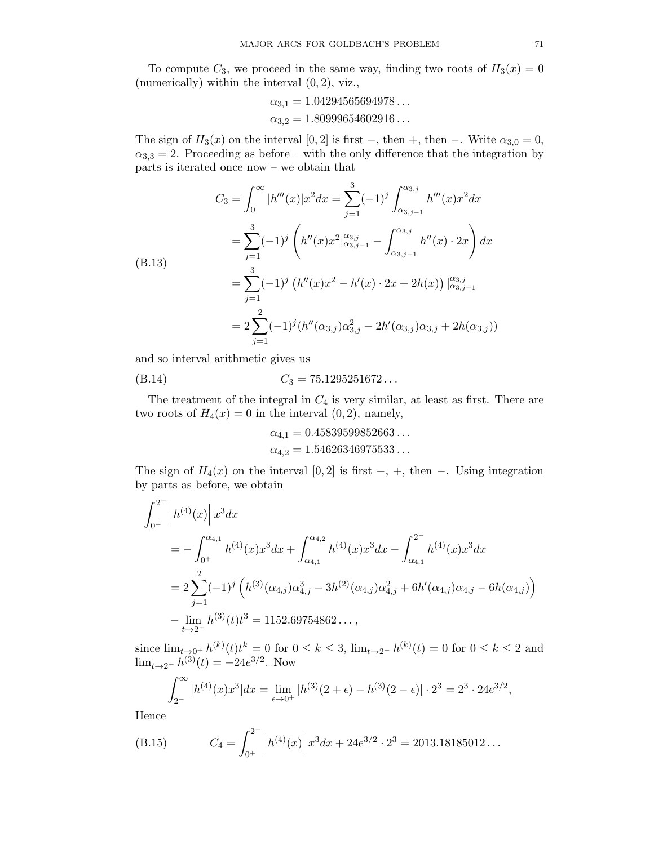To compute  $C_3$ , we proceed in the same way, finding two roots of  $H_3(x) = 0$ (numerically) within the interval  $(0, 2)$ , viz.,

$$
\alpha_{3,1} = 1.04294565694978\ldots
$$
  

$$
\alpha_{3,2} = 1.80999654602916\ldots
$$

The sign of  $H_3(x)$  on the interval [0, 2] is first –, then +, then –. Write  $\alpha_{3,0} = 0$ ,  $\alpha_{3,3} = 2$ . Proceeding as before – with the only difference that the integration by parts is iterated once now – we obtain that

$$
C_3 = \int_0^\infty |h'''(x)|x^2 dx = \sum_{j=1}^3 (-1)^j \int_{\alpha_{3,j-1}}^{\alpha_{3,j}} h'''(x)x^2 dx
$$
  
\n
$$
= \sum_{j=1}^3 (-1)^j \left( h''(x)x^2 \Big|_{\alpha_{3,j-1}}^{\alpha_{3,j}} - \int_{\alpha_{3,j-1}}^{\alpha_{3,j}} h''(x) \cdot 2x \right) dx
$$
  
\n(B.13)  
\n
$$
= \sum_{j=1}^3 (-1)^j \left( h''(x)x^2 - h'(x) \cdot 2x + 2h(x) \right) \Big|_{\alpha_{3,j-1}}^{\alpha_{3,j}}
$$
  
\n
$$
= 2 \sum_{j=1}^2 (-1)^j (h''(\alpha_{3,j})\alpha_{3,j}^2 - 2h'(\alpha_{3,j})\alpha_{3,j} + 2h(\alpha_{3,j}))
$$

and so interval arithmetic gives us

$$
(B.14) \tC_3 = 75.1295251672...
$$

The treatment of the integral in  $C_4$  is very similar, at least as first. There are two roots of  $H_4(x) = 0$  in the interval  $(0, 2)$ , namely,

$$
\alpha_{4,1} = 0.45839599852663\ldots
$$
  

$$
\alpha_{4,2} = 1.54626346975533\ldots
$$

The sign of  $H_4(x)$  on the interval [0, 2] is first –, +, then –. Using integration by parts as before, we obtain

$$
\int_{0^{+}}^{2^{-}} \left| h^{(4)}(x) \right| x^{3} dx
$$
\n
$$
= - \int_{0^{+}}^{\alpha_{4,1}} h^{(4)}(x) x^{3} dx + \int_{\alpha_{4,1}}^{\alpha_{4,2}} h^{(4)}(x) x^{3} dx - \int_{\alpha_{4,1}}^{2^{-}} h^{(4)}(x) x^{3} dx
$$
\n
$$
= 2 \sum_{j=1}^{2} (-1)^{j} \left( h^{(3)}(\alpha_{4,j}) \alpha_{4,j}^{3} - 3h^{(2)}(\alpha_{4,j}) \alpha_{4,j}^{2} + 6h'(\alpha_{4,j}) \alpha_{4,j} - 6h(\alpha_{4,j}) \right)
$$
\n
$$
- \lim_{t \to 2^{-}} h^{(3)}(t) t^{3} = 1152.69754862...,
$$

since  $\lim_{t\to 0^+} h^{(k)}(t)t^k = 0$  for  $0 \le k \le 3$ ,  $\lim_{t\to 2^-} h^{(k)}(t) = 0$  for  $0 \le k \le 2$  and  $\lim_{t\to 2^{-}} h^{(3)}(t) = -24e^{3/2}$ . Now

$$
\int_{2^{-}}^{\infty} |h^{(4)}(x)x^{3}| dx = \lim_{\epsilon \to 0^{+}} |h^{(3)}(2 + \epsilon) - h^{(3)}(2 - \epsilon)| \cdot 2^{3} = 2^{3} \cdot 24e^{3/2},
$$

Hence

(B.15) 
$$
C_4 = \int_{0^+}^{2^-} \left| h^{(4)}(x) \right| x^3 dx + 24e^{3/2} \cdot 2^3 = 2013.18185012...
$$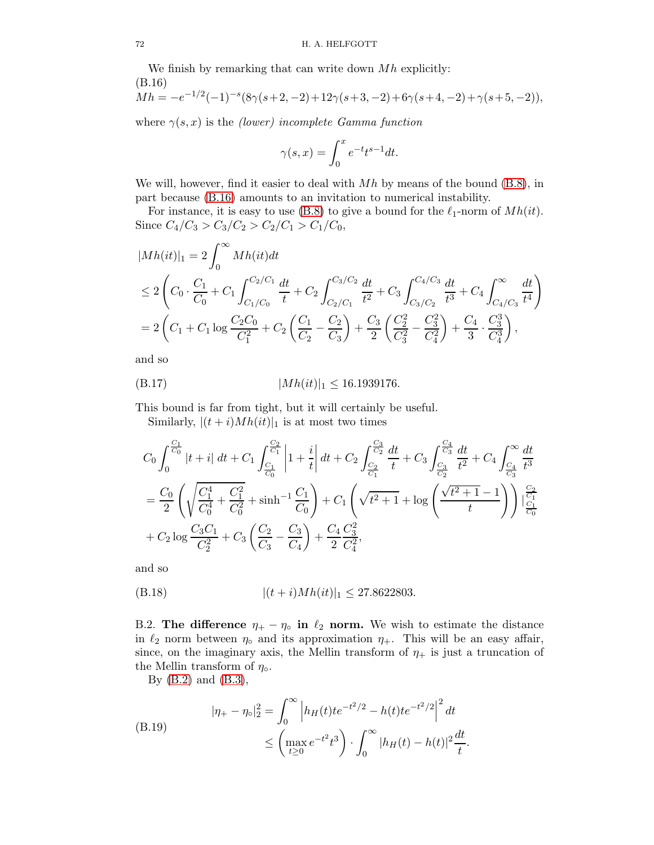We finish by remarking that can write down  $Mh$  explicitly: (B.16)  $1/2$ 

<span id="page-71-1"></span>
$$
Mh = -e^{-1/2}(-1)^{-s}(8\gamma(s+2,-2)+12\gamma(s+3,-2)+6\gamma(s+4,-2)+\gamma(s+5,-2)),
$$

where  $\gamma(s, x)$  is the *(lower)* incomplete Gamma function

$$
\gamma(s,x) = \int_0^x e^{-t} t^{s-1} dt.
$$

We will, however, find it easier to deal with  $Mh$  by means of the bound  $(B.8)$ , in part because [\(B.16\)](#page-71-1) amounts to an invitation to numerical instability.

For instance, it is easy to use [\(B.8\)](#page-69-1) to give a bound for the  $\ell_1$ -norm of  $Mh(it)$ . Since  $C_4/C_3 > C_3/C_2 > C_2/C_1 > C_1/C_0$ ,

$$
|Mh(it)|_1 = 2\int_0^\infty Mh(it)dt
$$
  
\n
$$
\leq 2\left(C_0 \cdot \frac{C_1}{C_0} + C_1 \int_{C_1/C_0}^{C_2/C_1} \frac{dt}{t} + C_2 \int_{C_2/C_1}^{C_3/C_2} \frac{dt}{t^2} + C_3 \int_{C_3/C_2}^{C_4/C_3} \frac{dt}{t^3} + C_4 \int_{C_4/C_3}^\infty \frac{dt}{t^4}\right)
$$
  
\n
$$
= 2\left(C_1 + C_1 \log \frac{C_2 C_0}{C_1^2} + C_2 \left(\frac{C_1}{C_2} - \frac{C_2}{C_3}\right) + \frac{C_3}{2} \left(\frac{C_2^2}{C_3^2} - \frac{C_3^2}{C_4^2}\right) + \frac{C_4}{3} \cdot \frac{C_3^3}{C_4^3}\right),
$$

and so

$$
(B.17) \t |Mh(it)|_1 \le 16.1939176.
$$

This bound is far from tight, but it will certainly be useful.

<span id="page-71-0"></span>Similarly,  $|(t + i)Mh(it)|_1$  is at most two times

$$
C_0 \int_0^{\frac{C_1}{C_0}} |t+i| dt + C_1 \int_{\frac{C_1}{C_0}}^{\frac{C_2}{C_1}} \left| 1 + \frac{i}{t} \right| dt + C_2 \int_{\frac{C_2}{C_1}}^{\frac{C_3}{C_2}} \frac{dt}{t} + C_3 \int_{\frac{C_3}{C_2}}^{\frac{C_4}{C_3}} \frac{dt}{t^2} + C_4 \int_{\frac{C_4}{C_3}}^{\infty} \frac{dt}{t^3}
$$
  
=  $\frac{C_0}{2} \left( \sqrt{\frac{C_1^4}{C_0^4} + \frac{C_1^2}{C_0^2}} + \sinh^{-1} \frac{C_1}{C_0} \right) + C_1 \left( \sqrt{t^2 + 1} + \log \left( \frac{\sqrt{t^2 + 1} - 1}{t} \right) \right) \Big|_{\frac{C_1}{C_0}}^{\frac{C_2}{C_1}} + C_2 \log \frac{C_3 C_1}{C_2^2} + C_3 \left( \frac{C_2}{C_3} - \frac{C_3}{C_4} \right) + \frac{C_4}{2} \frac{C_3^2}{C_4^2},$ 

and so

$$
(B.18) \qquad \qquad |(t+i)Mh(it)|_1 \leq 27.8622803.
$$

B.2. The difference  $\eta_+ - \eta_0$  in  $\ell_2$  norm. We wish to estimate the distance in  $\ell_2$  norm between  $\eta_{\circ}$  and its approximation  $\eta_{+}$ . This will be an easy affair, since, on the imaginary axis, the Mellin transform of  $\eta_+$  is just a truncation of the Mellin transform of  $\eta_{\circ}$ .

By [\(B.2\)](#page-68-2) and [\(B.3\)](#page-68-0),

(B.19) 
$$
|\eta_{+} - \eta_{\circ}|_{2}^{2} = \int_{0}^{\infty} \left| h_{H}(t)te^{-t^{2}/2} - h(t)te^{-t^{2}/2} \right|^{2} dt
$$

$$
\leq \left( \max_{t \geq 0} e^{-t^{2}} t^{3} \right) \cdot \int_{0}^{\infty} |h_{H}(t) - h(t)|^{2} dt
$$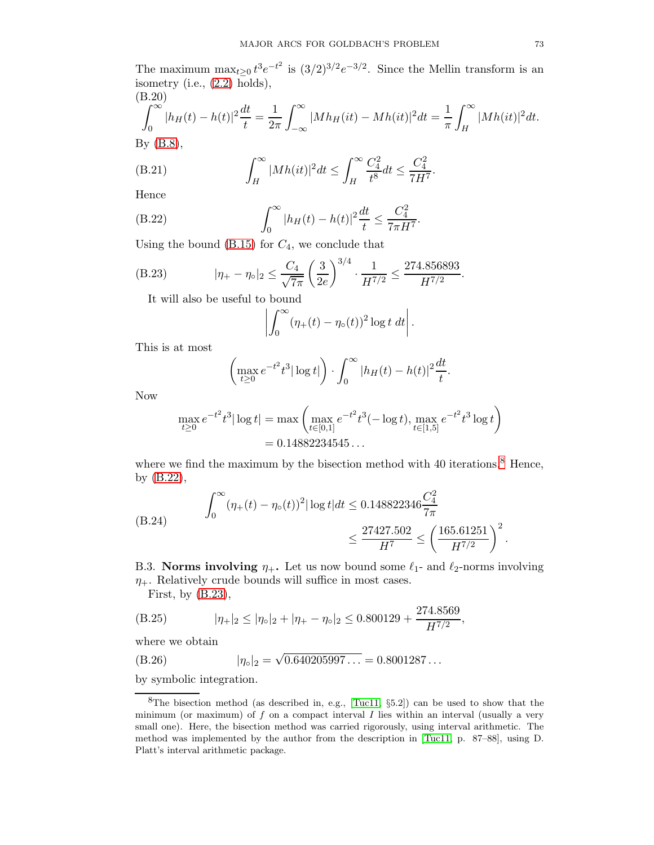The maximum  $\max_{t\geq 0} t^3 e^{-t^2}$  is  $(3/2)^{3/2} e^{-3/2}$ . Since the Mellin transform is an isometry (i.e., [\(2.2\)](#page-7-0) holds), (B.20)

$$
\int_0^\infty |h_H(t) - h(t)|^2 \frac{dt}{t} = \frac{1}{2\pi} \int_{-\infty}^\infty |Mh_H(it) - Mh(it)|^2 dt = \frac{1}{\pi} \int_H^\infty |Mh(it)|^2 dt.
$$
  
By (B.8),

(B.21) 
$$
\int_H^{\infty} |Mh(it)|^2 dt \leq \int_H^{\infty} \frac{C_4^2}{t^8} dt \leq \frac{C_4^2}{7H^7}.
$$

Hence

(B.22) 
$$
\int_0^\infty |h_H(t) - h(t)|^2 \frac{dt}{t} \le \frac{C_4^2}{7\pi H^7}.
$$

Using the bound  $(B.15)$  for  $C_4$ , we conclude that

(B.23) 
$$
|\eta_{+} - \eta_{\circ}|_{2} \leq \frac{C_{4}}{\sqrt{7\pi}} \left(\frac{3}{2e}\right)^{3/4} \cdot \frac{1}{H^{7/2}} \leq \frac{274.856893}{H^{7/2}}.
$$

It will also be useful to bound

<span id="page-72-2"></span><span id="page-72-1"></span>
$$
\left|\int_0^\infty (\eta_+(t)-\eta_\circ(t))^2 \log t \ dt\right|.
$$

This is at most

$$
\left(\max_{t\geq 0}e^{-t^2}t^3|\log t|\right)\cdot\int_0^\infty |h_H(t)-h(t)|^2\frac{dt}{t}.
$$

Now

$$
\max_{t \ge 0} e^{-t^2} t^3 |\log t| = \max \left( \max_{t \in [0,1]} e^{-t^2} t^3(-\log t), \max_{t \in [1,5]} e^{-t^2} t^3 \log t \right)
$$
  
= 0.14882234545...

where we find the maximum by the bisection method with 40 iterations.<sup>[8](#page-72-0)</sup> Hence, by [\(B.22\)](#page-72-1),

(B.24) 
$$
\int_0^\infty (\eta_+(t) - \eta_\circ(t))^2 |\log t| dt \le 0.148822346 \frac{C_4^2}{7\pi} \le \frac{27427.502}{H^7} \le \left(\frac{165.61251}{H^{7/2}}\right)^2.
$$

B.3. Norms involving  $\eta_+$ . Let us now bound some  $\ell_1$ - and  $\ell_2$ -norms involving  $\eta_+$ . Relatively crude bounds will suffice in most cases.

First, by  $(B.23)$ ,

(B.25) 
$$
|\eta_+|_2 \le |\eta_{\circ}|_2 + |\eta_+ - \eta_{\circ}|_2 \le 0.800129 + \frac{274.8569}{H^{7/2}},
$$

where we obtain

(B.26) 
$$
|\eta_{\circ}|_2 = \sqrt{0.640205997...} = 0.8001287...
$$

by symbolic integration.

<span id="page-72-0"></span><sup>8</sup>The bisection method (as described in, e.g., [\[Tuc11,](#page-78-0) §5.2]) can be used to show that the minimum (or maximum) of  $f$  on a compact interval  $I$  lies within an interval (usually a very small one). Here, the bisection method was carried rigorously, using interval arithmetic. The method was implemented by the author from the description in [\[Tuc11,](#page-78-0) p. 87–88], using D. Platt's interval arithmetic package.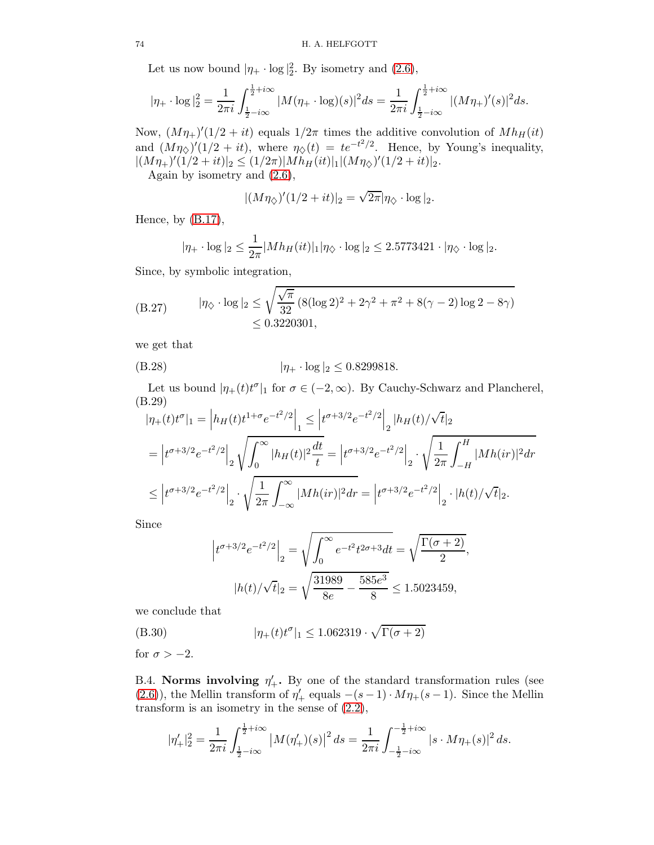Let us now bound  $|\eta_+ \cdot \log|_2^2$ . By isometry and [\(2.6\)](#page-8-0),

$$
|\eta_+ \cdot \log|_2^2 = \frac{1}{2\pi i} \int_{\frac{1}{2} - i\infty}^{\frac{1}{2} + i\infty} |M(\eta_+ \cdot \log)(s)|^2 ds = \frac{1}{2\pi i} \int_{\frac{1}{2} - i\infty}^{\frac{1}{2} + i\infty} |(M\eta_+)'(s)|^2 ds.
$$

Now,  $(M\eta_+)'(1/2 + it)$  equals  $1/2\pi$  times the additive convolution of  $Mh_H(it)$ and  $(M\eta_{\diamond})'(1/2 + it)$ , where  $\eta_{\diamond}(t) = te^{-t^2/2}$ . Hence, by Young's inequality,  $|(M\eta_+)'(1/2+it)|_2 \leq (1/2\pi)|Mh_H(it)|_1|(M\eta_{\diamondsuit})'(1/2+it)|_2.$ 

Again by isometry and [\(2.6\)](#page-8-0),

$$
|(M\eta_{\diamondsuit})'(1/2+it)|_2=\sqrt{2\pi}|\eta_{\diamondsuit}\cdot \log|_2.
$$

Hence, by  $(B.17)$ ,

$$
|\eta_+ \cdot \log|_2 \le \frac{1}{2\pi} |Mh_H(it)|_1 |\eta_{\diamondsuit} \cdot \log|_2 \le 2.5773421 \cdot |\eta_{\diamondsuit} \cdot \log|_2.
$$

Since, by symbolic integration,

(B.27) 
$$
|\eta_{\diamond} \cdot \log|_2 \le \sqrt{\frac{\sqrt{\pi}}{32} (8(\log 2)^2 + 2\gamma^2 + \pi^2 + 8(\gamma - 2) \log 2 - 8\gamma)} \le 0.3220301,
$$

we get that

$$
(B.28) \t\t |\eta_+ \cdot \log|_2 \le 0.8299818.
$$

Let us bound  $|\eta_+(t)t^{\sigma}|_1$  for  $\sigma \in (-2,\infty)$ . By Cauchy-Schwarz and Plancherel, (B.29)

<span id="page-73-1"></span>
$$
|\eta_{+}(t)t^{\sigma}|_{1} = \left|h_{H}(t)t^{1+\sigma}e^{-t^{2}/2}\right|_{1} \leq \left|t^{\sigma+3/2}e^{-t^{2}/2}\right|_{2} |h_{H}(t)/\sqrt{t}|_{2}
$$
  
\n
$$
= \left|t^{\sigma+3/2}e^{-t^{2}/2}\right|_{2} \sqrt{\int_{0}^{\infty} |h_{H}(t)|^{2} \frac{dt}{t}} = \left|t^{\sigma+3/2}e^{-t^{2}/2}\right|_{2} \sqrt{\frac{1}{2\pi} \int_{-H}^{H} |Mh(ir)|^{2} dr}
$$
  
\n
$$
\leq \left|t^{\sigma+3/2}e^{-t^{2}/2}\right|_{2} \sqrt{\frac{1}{2\pi} \int_{-\infty}^{\infty} |Mh(ir)|^{2} dr} = \left|t^{\sigma+3/2}e^{-t^{2}/2}\right|_{2} \cdot |h(t)/\sqrt{t}|_{2}.
$$

Since

<span id="page-73-0"></span>
$$
\left| t^{\sigma+3/2} e^{-t^2/2} \right|_2 = \sqrt{\int_0^\infty e^{-t^2} t^{2\sigma+3} dt} = \sqrt{\frac{\Gamma(\sigma+2)}{2}},
$$

$$
|h(t)/\sqrt{t}|_2 = \sqrt{\frac{31989}{8e} - \frac{585e^3}{8}} \le 1.5023459,
$$

we conclude that

(B.30) 
$$
|\eta_+(t)t^{\sigma}|_1 \le 1.062319 \cdot \sqrt{\Gamma(\sigma+2)}
$$

for  $\sigma > -2$ .

B.4. Norms involving  $\eta'_+$ . By one of the standard transformation rules (see [\(2.6\)](#page-8-0)), the Mellin transform of  $\eta'_+$  equals  $-(s-1) \cdot M\eta_+(s-1)$ . Since the Mellin transform is an isometry in the sense of  $(2.2)$ ,

$$
|\eta'_+|_2^2 = \frac{1}{2\pi i} \int_{\frac{1}{2}-i\infty}^{\frac{1}{2}+i\infty} |M(\eta'_+)(s)|^2 ds = \frac{1}{2\pi i} \int_{-\frac{1}{2}-i\infty}^{-\frac{1}{2}+i\infty} |s \cdot M\eta_+(s)|^2 ds.
$$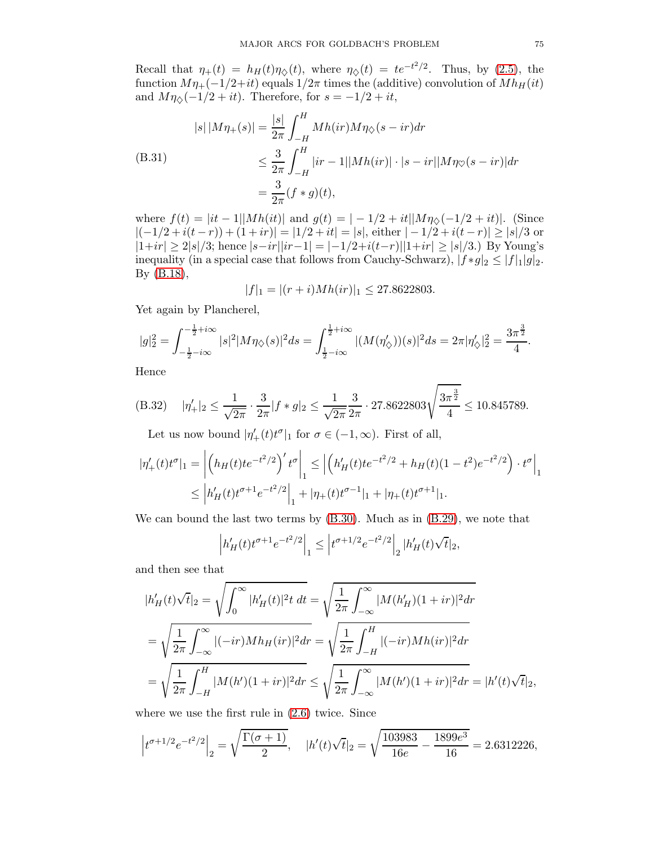Recall that  $\eta_+(t) = h_H(t)\eta_{\diamondsuit}(t)$ , where  $\eta_{\diamondsuit}(t) = te^{-t^2/2}$ . Thus, by [\(2.5\)](#page-7-1), the function  $M\eta_{+}(-1/2+it)$  equals  $1/2\pi$  times the (additive) convolution of  $Mh_H(it)$ and  $M\eta_{\diamondsuit}(-1/2 + it)$ . Therefore, for  $s = -1/2 + it$ ,

(B.31)  
\n
$$
|s| |M\eta_{+}(s)| = \frac{|s|}{2\pi} \int_{-H}^{H} Mh(ir) M\eta_{\diamondsuit}(s - ir) dr
$$
\n
$$
\leq \frac{3}{2\pi} \int_{-H}^{H} |ir - 1| |Mh(ir)| \cdot |s - ir| |M\eta_{\heartsuit}(s - ir)| dr
$$
\n
$$
= \frac{3}{2\pi} (f * g)(t),
$$

where  $f(t) = |it - 1| |Mh(it)|$  and  $g(t) = |-1/2 + it| |M\eta_{\diamondsuit}(-1/2 + it)|$ . (Since  $|(-1/2 + i(t - r)) + (1 + ir)| = |1/2 + it| = |s|$ , either  $|-1/2 + i(t - r)| \ge |s|/3$  or  $|1+ir| \geq 2|s|/3$ ; hence  $|s-ir||ir-1| = |-1/2+ i(t-r)||1+ir| ≥ |s|/3$ .) By Young's inequality (in a special case that follows from Cauchy-Schwarz),  $|f * g|_2 \leq |f|_1 |g|_2$ . By [\(B.18\)](#page-71-1),

$$
|f|_1 = |(r+i)Mh(ir)|_1 \le 27.8622803.
$$

Yet again by Plancherel,

$$
|g|_2^2 = \int_{-\frac{1}{2}-i\infty}^{-\frac{1}{2}+i\infty} |s|^2 |M\eta_{\diamondsuit}(s)|^2 ds = \int_{\frac{1}{2}-i\infty}^{\frac{1}{2}+i\infty} |(M(\eta_{\diamondsuit}'))(s)|^2 ds = 2\pi |\eta_{\diamondsuit}'|_2^2 = \frac{3\pi^{\frac{3}{2}}}{4}.
$$

Hence

(B.32) 
$$
|\eta'_+|_2 \le \frac{1}{\sqrt{2\pi}} \cdot \frac{3}{2\pi} |f * g|_2 \le \frac{1}{\sqrt{2\pi}} \frac{3}{2\pi} \cdot 27.8622803 \sqrt{\frac{3\pi^{\frac{3}{2}}}{4}} \le 10.845789.
$$

Let us now bound  $|\eta'_{+}(t)t^{\sigma}|_1$  for  $\sigma \in (-1,\infty)$ . First of all,

$$
|\eta'_{+}(t)t^{\sigma}|_{1} = \left| \left( h_{H}(t)te^{-t^{2}/2} \right)' t^{\sigma} \right|_{1} \leq \left| \left( h'_{H}(t)te^{-t^{2}/2} + h_{H}(t)(1-t^{2})e^{-t^{2}/2} \right) \cdot t^{\sigma} \right|_{1}
$$
  

$$
\leq \left| h'_{H}(t)t^{\sigma+1}e^{-t^{2}/2} \right|_{1} + |\eta_{+}(t)t^{\sigma-1}|_{1} + |\eta_{+}(t)t^{\sigma+1}|_{1}.
$$

We can bound the last two terms by [\(B.30\)](#page-73-0). Much as in [\(B.29\)](#page-73-1), we note that

$$
\left| h'_H(t)t^{\sigma+1}e^{-t^2/2} \right|_1 \leq \left| t^{\sigma+1/2}e^{-t^2/2} \right|_2 |h'_H(t)\sqrt{t}|_2,
$$

and then see that

$$
|h'_{H}(t)\sqrt{t}|_{2} = \sqrt{\int_{0}^{\infty} |h'_{H}(t)|^{2}t dt} = \sqrt{\frac{1}{2\pi} \int_{-\infty}^{\infty} |M(h'_{H})(1+ir)|^{2} dr}
$$
  
=  $\sqrt{\frac{1}{2\pi} \int_{-\infty}^{\infty} |(-ir)Mh_{H}(ir)|^{2} dr} = \sqrt{\frac{1}{2\pi} \int_{-H}^{H} |(-ir)Mh(ir)|^{2} dr}$   
=  $\sqrt{\frac{1}{2\pi} \int_{-H}^{H} |M(h')(1+ir)|^{2} dr} \le \sqrt{\frac{1}{2\pi} \int_{-\infty}^{\infty} |M(h')(1+ir)|^{2} dr} = |h'(t)\sqrt{t}|_{2},$ 

where we use the first rule in [\(2.6\)](#page-8-0) twice. Since

$$
\left| t^{\sigma+1/2} e^{-t^2/2} \right|_2 = \sqrt{\frac{\Gamma(\sigma+1)}{2}}, \quad |h'(t)\sqrt{t}|_2 = \sqrt{\frac{103983}{16e} - \frac{1899e^3}{16}} = 2.6312226,
$$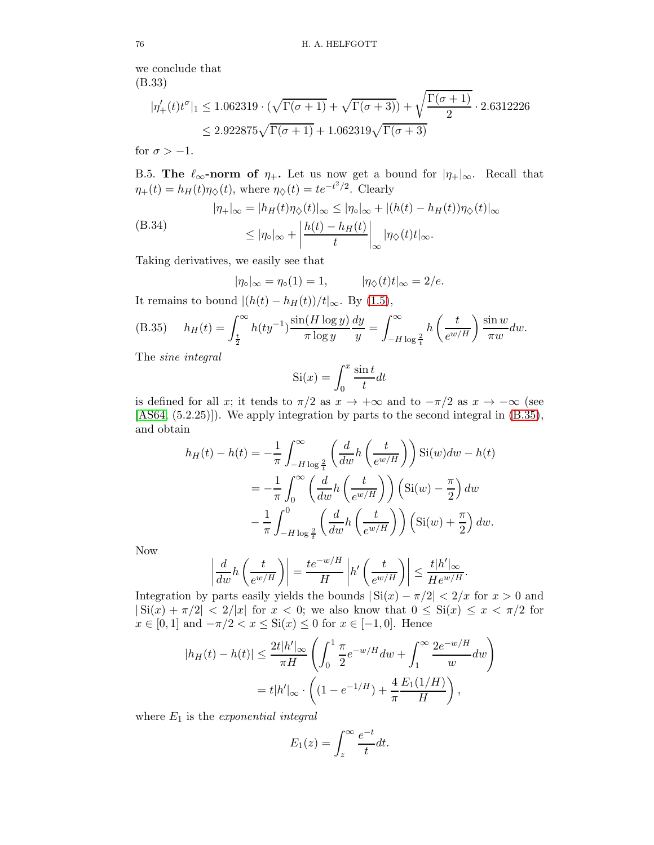we conclude that (B.33)

$$
|\eta'_{+}(t)t^{\sigma}|_{1} \le 1.062319 \cdot (\sqrt{\Gamma(\sigma+1)} + \sqrt{\Gamma(\sigma+3)}) + \sqrt{\frac{\Gamma(\sigma+1)}{2}} \cdot 2.6312226
$$
  

$$
\le 2.922875\sqrt{\Gamma(\sigma+1)} + 1.062319\sqrt{\Gamma(\sigma+3)}
$$

for  $\sigma > -1$ .

B.5. The  $\ell_{\infty}$ -norm of  $\eta_+$ . Let us now get a bound for  $|\eta_+|_{\infty}$ . Recall that  $\eta_+(t) = h_H(t)\eta_{\diamondsuit}(t)$ , where  $\eta_{\diamondsuit}(t) = te^{-t^2/2}$ . Clearly

(B.34)  
\n
$$
|\eta_+|_{\infty} = |h_H(t)\eta_{\diamondsuit}(t)|_{\infty} \le |\eta_{\circ}|_{\infty} + |(h(t) - h_H(t))\eta_{\diamondsuit}(t)|_{\infty}
$$
\n
$$
\le |\eta_{\circ}|_{\infty} + \left|\frac{h(t) - h_H(t)}{t}\right|_{\infty} |\eta_{\diamondsuit}(t)t|_{\infty}.
$$

Taking derivatives, we easily see that

<span id="page-75-1"></span>
$$
|\eta_{\circ}|_{\infty} = \eta_{\circ}(1) = 1, \qquad |\eta_{\diamondsuit}(t)t|_{\infty} = 2/e.
$$

It remains to bound  $|(h(t) - h_H(t))/t|_{\infty}$ . By [\(1.5\)](#page-3-0),

<span id="page-75-0"></span>(B.35) 
$$
h_H(t) = \int_{\frac{t}{2}}^{\infty} h(t y^{-1}) \frac{\sin(H \log y)}{\pi \log y} \frac{dy}{y} = \int_{-H \log \frac{2}{t}}^{\infty} h\left(\frac{t}{e^{w/H}}\right) \frac{\sin w}{\pi w} dw.
$$

The sine integral

$$
Si(x) = \int_0^x \frac{\sin t}{t} dt
$$

is defined for all x; it tends to  $\pi/2$  as  $x \to +\infty$  and to  $-\pi/2$  as  $x \to -\infty$  (see [\[AS64,](#page-77-0) (5.2.25)]). We apply integration by parts to the second integral in [\(B.35\)](#page-75-0), and obtain

$$
h_H(t) - h(t) = -\frac{1}{\pi} \int_{-H \log \frac{2}{t}}^{\infty} \left( \frac{d}{dw} h\left(\frac{t}{e^{w/H}}\right) \right) \text{Si}(w) dw - h(t)
$$
  

$$
= -\frac{1}{\pi} \int_{0}^{\infty} \left( \frac{d}{dw} h\left(\frac{t}{e^{w/H}}\right) \right) \left(\text{Si}(w) - \frac{\pi}{2}\right) dw
$$
  

$$
- \frac{1}{\pi} \int_{-H \log \frac{2}{t}}^{0} \left( \frac{d}{dw} h\left(\frac{t}{e^{w/H}}\right) \right) \left(\text{Si}(w) + \frac{\pi}{2}\right) dw.
$$

Now

$$
\left| \frac{d}{dw} h\left(\frac{t}{e^{w/H}}\right) \right| = \frac{t e^{-w/H}}{H} \left| h'\left(\frac{t}{e^{w/H}}\right) \right| \le \frac{t |h'|_{\infty}}{He^{w/H}}.
$$

Integration by parts easily yields the bounds  $|\operatorname{Si}(x) - \pi/2| < 2/x$  for  $x > 0$  and  $| \operatorname{Si}(x) + \pi/2 | < 2/|x|$  for  $x < 0$ ; we also know that  $0 \leq \operatorname{Si}(x) \leq x < \pi/2$  for  $x \in [0, 1]$  and  $-\pi/2 < x \leq \text{Si}(x) \leq 0$  for  $x \in [-1, 0]$ . Hence

$$
|h_H(t) - h(t)| \le \frac{2t|h'|_{\infty}}{\pi H} \left( \int_0^1 \frac{\pi}{2} e^{-w/H} dw + \int_1^{\infty} \frac{2e^{-w/H}}{w} dw \right)
$$
  
=  $t|h'|_{\infty} \cdot \left( (1 - e^{-1/H}) + \frac{4}{\pi} \frac{E_1(1/H)}{H} \right),$ 

where  $E_1$  is the exponential integral

$$
E_1(z) = \int_z^{\infty} \frac{e^{-t}}{t} dt.
$$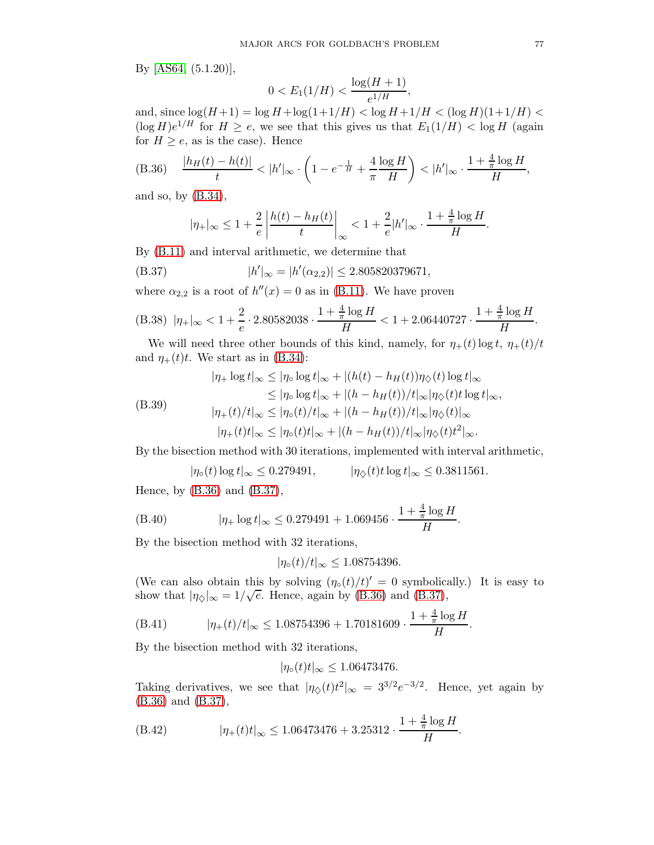By [\[AS64,](#page-77-0) (5.1.20)],

$$
0 < E_1(1/H) < \frac{\log(H+1)}{e^{1/H}},
$$

and, since  $\log(H+1) = \log H + \log(1+1/H) < \log H + 1/H < (\log H)(1+1/H) <$  $(\log H)e^{1/H}$  for  $H \ge e$ , we see that this gives us that  $E_1(1/H) < \log H$  (again for  $H \geq e$ , as is the case). Hence

<span id="page-76-0"></span>(B.36) 
$$
\frac{|h_H(t) - h(t)|}{t} < |h'|_{\infty} \cdot \left(1 - e^{-\frac{1}{H}} + \frac{4}{\pi} \frac{\log H}{H}\right) < |h'|_{\infty} \cdot \frac{1 + \frac{4}{\pi} \log H}{H},
$$

and so, by [\(B.34\)](#page-75-1),

<span id="page-76-1"></span>
$$
|\eta_+|_{\infty} \leq 1 + \frac{2}{e} \left| \frac{h(t) - h_H(t)}{t} \right|_{\infty} < 1 + \frac{2}{e} |h'|_{\infty} \cdot \frac{1 + \frac{4}{\pi} \log H}{H}.
$$

By [\(B.11\)](#page-69-1) and interval arithmetic, we determine that

(B.37) 
$$
|h'|_{\infty} = |h'(\alpha_{2,2})| \le 2.805820379671,
$$

where  $\alpha_{2,2}$  is a root of  $h''(x) = 0$  as in [\(B.11\)](#page-69-1). We have proven

(B.38) 
$$
|\eta_+|_{\infty} < 1 + \frac{2}{e} \cdot 2.80582038 \cdot \frac{1 + \frac{4}{\pi} \log H}{H} < 1 + 2.06440727 \cdot \frac{1 + \frac{4}{\pi} \log H}{H}.
$$

We will need three other bounds of this kind, namely, for  $\eta_+(t) \log t$ ,  $\eta_+(t)/t$ and  $\eta_+(t)t$ . We start as in [\(B.34\)](#page-75-1):

$$
|\eta_{+}\log t|_{\infty} \leq |\eta_{\circ}\log t|_{\infty} + |(h(t) - h_{H}(t))\eta_{\diamondsuit}(t)\log t|_{\infty}
$$
  
\n
$$
\leq |\eta_{\circ}\log t|_{\infty} + |(h - h_{H}(t))/t|_{\infty}|\eta_{\diamondsuit}(t)t\log t|_{\infty},
$$
  
\n
$$
|\eta_{+}(t)/t|_{\infty} \leq |\eta_{\circ}(t)/t|_{\infty} + |(h - h_{H}(t))/t|_{\infty}|\eta_{\diamondsuit}(t)|_{\infty}
$$
  
\n
$$
|\eta_{+}(t)t|_{\infty} \leq |\eta_{\circ}(t)t|_{\infty} + |(h - h_{H}(t))/t|_{\infty}|\eta_{\diamondsuit}(t)t^{2}|_{\infty}.
$$

By the bisection method with 30 iterations, implemented with interval arithmetic,

 $|\eta_{\circ}(t)\log t|_{\infty} \leq 0.279491, \qquad |\eta_{\diamond}(t)t\log t|_{\infty} \leq 0.3811561.$ 

Hence, by [\(B.36\)](#page-76-0) and [\(B.37\)](#page-76-1),

(B.40) 
$$
|\eta_+ \log t|_{\infty} \leq 0.279491 + 1.069456 \cdot \frac{1 + \frac{4}{\pi} \log H}{H}.
$$

By the bisection method with 32 iterations,

$$
|\eta_{\circ}(t)/t|_{\infty} \leq 1.08754396.
$$

(We can also obtain this by solving  $(\eta \circ (t)/t)' = 0$  symbolically.) It is easy to show that  $|\eta_{\diamondsuit}|_{\infty} = 1/\sqrt{e}$ . Hence, again by [\(B.36\)](#page-76-0) and [\(B.37\)](#page-76-1),

(B.41) 
$$
|\eta_+(t)/t|_{\infty} \le 1.08754396 + 1.70181609 \cdot \frac{1 + \frac{4}{\pi} \log H}{H}.
$$

By the bisection method with 32 iterations,

$$
|\eta_{\circ}(t)t|_{\infty} \leq 1.06473476.
$$

Taking derivatives, we see that  $|\eta_{\diamondsuit}(t)t^2|_{\infty} = 3^{3/2}e^{-3/2}$ . Hence, yet again by [\(B.36\)](#page-76-0) and [\(B.37\)](#page-76-1),

(B.42) 
$$
|\eta_+(t)t|_{\infty} \le 1.06473476 + 3.25312 \cdot \frac{1 + \frac{4}{\pi} \log H}{H}.
$$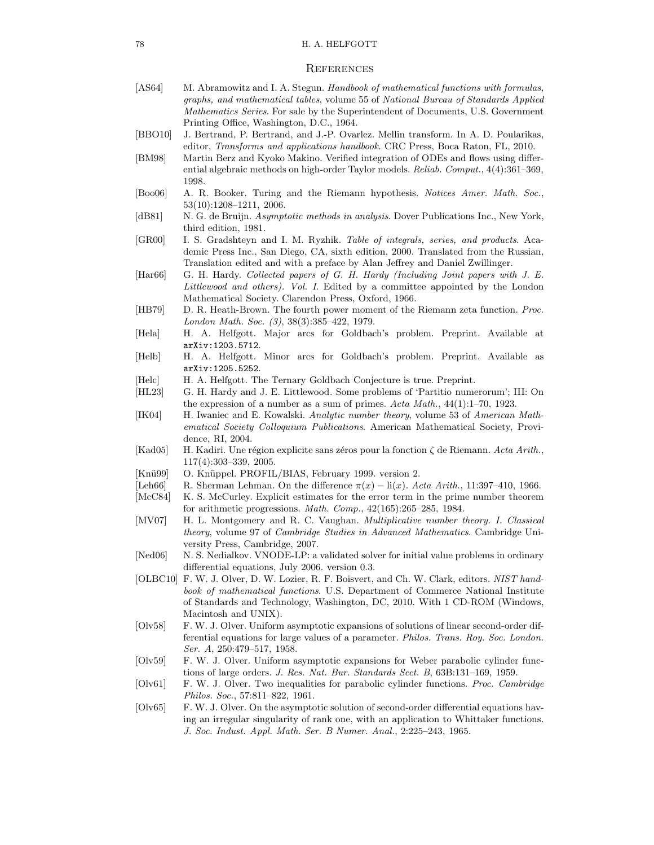## **REFERENCES**

- <span id="page-77-0"></span>[AS64] M. Abramowitz and I. A. Stegun. *Handbook of mathematical functions with formulas, graphs, and mathematical tables*, volume 55 of *National Bureau of Standards Applied Mathematics Series*. For sale by the Superintendent of Documents, U.S. Government Printing Office, Washington, D.C., 1964.
- [BBO10] J. Bertrand, P. Bertrand, and J.-P. Ovarlez. Mellin transform. In A. D. Poularikas, editor, *Transforms and applications handbook*. CRC Press, Boca Raton, FL, 2010.
- [BM98] Martin Berz and Kyoko Makino. Verified integration of ODEs and flows using differential algebraic methods on high-order Taylor models. *Reliab. Comput.*, 4(4):361–369, 1998.
- [Boo06] A. R. Booker. Turing and the Riemann hypothesis. *Notices Amer. Math. Soc.*, 53(10):1208–1211, 2006.
- [dB81] N. G. de Bruijn. *Asymptotic methods in analysis*. Dover Publications Inc., New York, third edition, 1981.
- [GR00] I. S. Gradshteyn and I. M. Ryzhik. *Table of integrals, series, and products*. Academic Press Inc., San Diego, CA, sixth edition, 2000. Translated from the Russian, Translation edited and with a preface by Alan Jeffrey and Daniel Zwillinger.
- [Har66] G. H. Hardy. *Collected papers of G. H. Hardy (Including Joint papers with J. E. Littlewood and others). Vol. I*. Edited by a committee appointed by the London Mathematical Society. Clarendon Press, Oxford, 1966.
- [HB79] D. R. Heath-Brown. The fourth power moment of the Riemann zeta function. *Proc. London Math. Soc. (3)*, 38(3):385–422, 1979.
- [Hela] H. A. Helfgott. Major arcs for Goldbach's problem. Preprint. Available at arXiv:1203.5712.
- [Helb] H. A. Helfgott. Minor arcs for Goldbach's problem. Preprint. Available as arXiv:1205.5252.
- [Helc] H. A. Helfgott. The Ternary Goldbach Conjecture is true. Preprint.
- [HL23] G. H. Hardy and J. E. Littlewood. Some problems of 'Partitio numerorum'; III: On the expression of a number as a sum of primes. *Acta Math.*, 44(1):1–70, 1923.
- [IK04] H. Iwaniec and E. Kowalski. *Analytic number theory*, volume 53 of *American Mathematical Society Colloquium Publications*. American Mathematical Society, Providence, RI, 2004.
- [Kad05] H. Kadiri. Une région explicite sans zéros pour la fonction ζ de Riemann. *Acta Arith.*, 117(4):303–339, 2005.
- [Knü99] O. Knüppel. PROFIL/BIAS, February 1999. version 2.
- [Leh66] R. Sherman Lehman. On the difference  $\pi(x) \text{li}(x)$ . *Acta Arith.*, 11:397–410, 1966.
- [McC84] K. S. McCurley. Explicit estimates for the error term in the prime number theorem for arithmetic progressions. *Math. Comp.*, 42(165):265–285, 1984.
- [MV07] H. L. Montgomery and R. C. Vaughan. *Multiplicative number theory. I. Classical theory*, volume 97 of *Cambridge Studies in Advanced Mathematics*. Cambridge University Press, Cambridge, 2007.
- [Ned06] N. S. Nedialkov. VNODE-LP: a validated solver for initial value problems in ordinary differential equations, July 2006. version 0.3.
- [OLBC10] F. W. J. Olver, D. W. Lozier, R. F. Boisvert, and Ch. W. Clark, editors. *NIST handbook of mathematical functions*. U.S. Department of Commerce National Institute of Standards and Technology, Washington, DC, 2010. With 1 CD-ROM (Windows, Macintosh and UNIX).
- [Olv58] F. W. J. Olver. Uniform asymptotic expansions of solutions of linear second-order differential equations for large values of a parameter. *Philos. Trans. Roy. Soc. London. Ser. A*, 250:479–517, 1958.
- [Olv59] F. W. J. Olver. Uniform asymptotic expansions for Weber parabolic cylinder functions of large orders. *J. Res. Nat. Bur. Standards Sect. B*, 63B:131–169, 1959.
- [Olv61] F. W. J. Olver. Two inequalities for parabolic cylinder functions. *Proc. Cambridge Philos. Soc.*, 57:811–822, 1961.
- [Olv65] F. W. J. Olver. On the asymptotic solution of second-order differential equations having an irregular singularity of rank one, with an application to Whittaker functions. *J. Soc. Indust. Appl. Math. Ser. B Numer. Anal.*, 2:225–243, 1965.